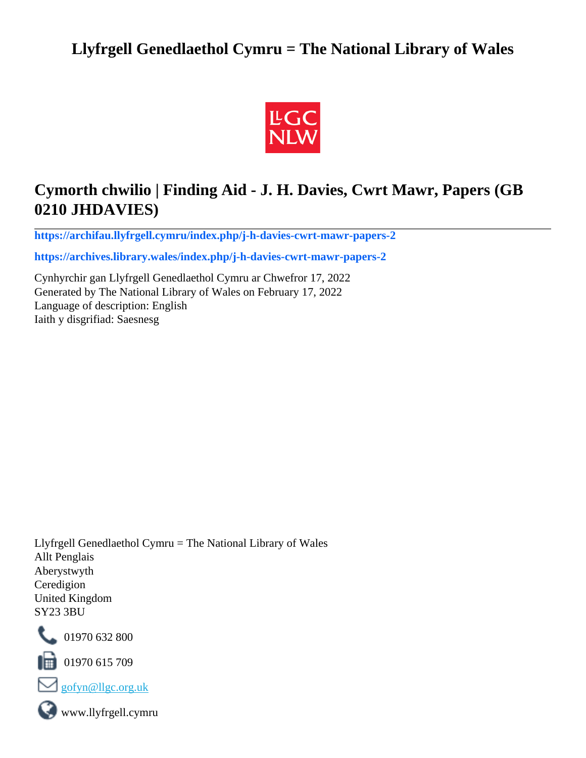# **Llyfrgell Genedlaethol Cymru = The National Library of Wales**



# **Cymorth chwilio | Finding Aid - J. H. Davies, Cwrt Mawr, Papers (GB 0210 JHDAVIES)**

**[https://archifau.llyfrgell.cymru/index.php/j-h-davies-cwrt-mawr-papers-2](https://archifau.llyfrgell.cymru/index.php/j-h-davies-cwrt-mawr-papers-2;isad?sf_culture=cy)**

**[https://archives.library.wales/index.php/j-h-davies-cwrt-mawr-papers-2](https://archives.library.wales/index.php/j-h-davies-cwrt-mawr-papers-2;isad?sf_culture=en)**

Cynhyrchir gan Llyfrgell Genedlaethol Cymru ar Chwefror 17, 2022 Generated by The National Library of Wales on February 17, 2022 Language of description: English Iaith y disgrifiad: Saesnesg

Llyfrgell Genedlaethol Cymru = The National Library of Wales Allt Penglais Aberystwyth Ceredigion United Kingdom SY23 3BU



101970 632 800

 $\blacksquare$  01970 615 709



www.llyfrgell.cymru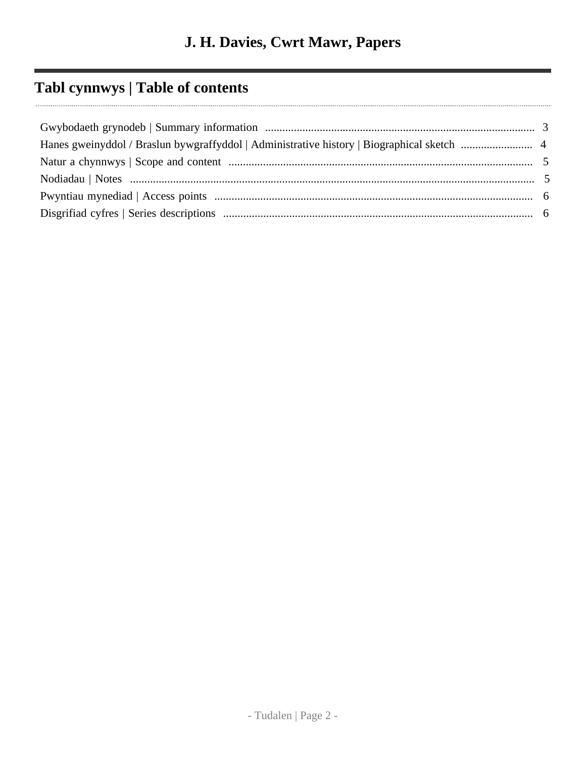# **Tabl cynnwys | Table of contents**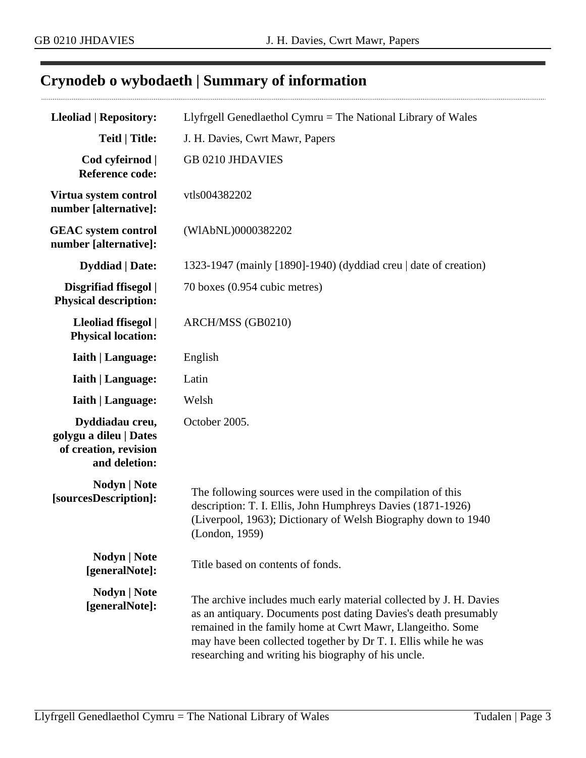# <span id="page-2-0"></span>**Crynodeb o wybodaeth | Summary of information**

| <b>Lleoliad   Repository:</b>                                                       | Llyfrgell Genedlaethol Cymru = The National Library of Wales                                                                                                                                                                                                                                                                   |
|-------------------------------------------------------------------------------------|--------------------------------------------------------------------------------------------------------------------------------------------------------------------------------------------------------------------------------------------------------------------------------------------------------------------------------|
| <b>Teitl   Title:</b>                                                               | J. H. Davies, Cwrt Mawr, Papers                                                                                                                                                                                                                                                                                                |
| Cod cyfeirnod  <br><b>Reference code:</b>                                           | <b>GB 0210 JHDAVIES</b>                                                                                                                                                                                                                                                                                                        |
| Virtua system control<br>number [alternative]:                                      | vtls004382202                                                                                                                                                                                                                                                                                                                  |
| <b>GEAC</b> system control<br>number [alternative]:                                 | (WIAbNL)0000382202                                                                                                                                                                                                                                                                                                             |
| <b>Dyddiad</b>   Date:                                                              | 1323-1947 (mainly [1890]-1940) (dyddiad creu   date of creation)                                                                                                                                                                                                                                                               |
| Disgrifiad ffisegol  <br><b>Physical description:</b>                               | 70 boxes (0.954 cubic metres)                                                                                                                                                                                                                                                                                                  |
| Lleoliad ffisegol  <br><b>Physical location:</b>                                    | ARCH/MSS (GB0210)                                                                                                                                                                                                                                                                                                              |
| <b>Iaith   Language:</b>                                                            | English                                                                                                                                                                                                                                                                                                                        |
| <b>Iaith   Language:</b>                                                            | Latin                                                                                                                                                                                                                                                                                                                          |
| <b>Iaith   Language:</b>                                                            | Welsh                                                                                                                                                                                                                                                                                                                          |
| Dyddiadau creu,<br>golygu a dileu   Dates<br>of creation, revision<br>and deletion: | October 2005.                                                                                                                                                                                                                                                                                                                  |
| <b>Nodyn</b>   <b>Note</b><br>[sourcesDescription]:                                 | The following sources were used in the compilation of this<br>description: T. I. Ellis, John Humphreys Davies (1871-1926)<br>(Liverpool, 1963); Dictionary of Welsh Biography down to 1940<br>(London, 1959)                                                                                                                   |
| <b>Nodyn</b>   Note<br>[generalNote]:                                               | Title based on contents of fonds.                                                                                                                                                                                                                                                                                              |
| Nodyn   Note<br>[generalNote]:                                                      | The archive includes much early material collected by J. H. Davies<br>as an antiquary. Documents post dating Davies's death presumably<br>remained in the family home at Cwrt Mawr, Llangeitho. Some<br>may have been collected together by Dr T. I. Ellis while he was<br>researching and writing his biography of his uncle. |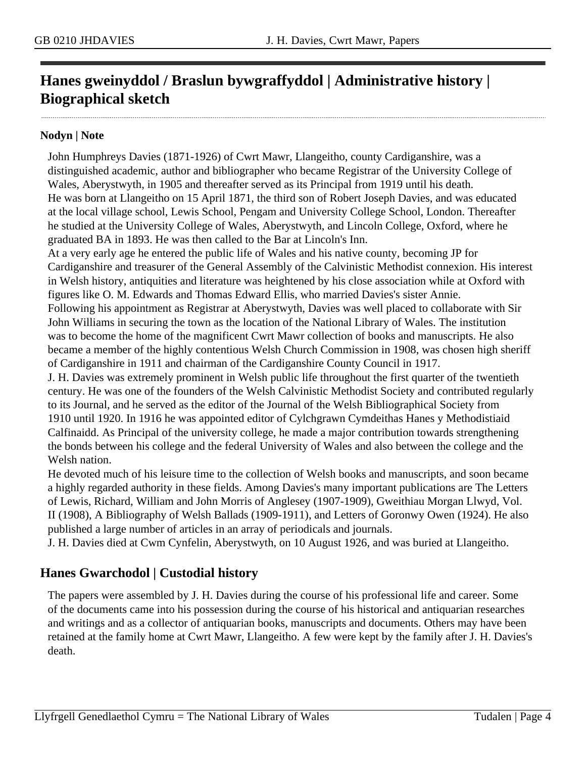# <span id="page-3-0"></span>**Hanes gweinyddol / Braslun bywgraffyddol | Administrative history | Biographical sketch**

#### **Nodyn | Note**

John Humphreys Davies (1871-1926) of Cwrt Mawr, Llangeitho, county Cardiganshire, was a distinguished academic, author and bibliographer who became Registrar of the University College of Wales, Aberystwyth, in 1905 and thereafter served as its Principal from 1919 until his death. He was born at Llangeitho on 15 April 1871, the third son of Robert Joseph Davies, and was educated at the local village school, Lewis School, Pengam and University College School, London. Thereafter he studied at the University College of Wales, Aberystwyth, and Lincoln College, Oxford, where he graduated BA in 1893. He was then called to the Bar at Lincoln's Inn.

At a very early age he entered the public life of Wales and his native county, becoming JP for Cardiganshire and treasurer of the General Assembly of the Calvinistic Methodist connexion. His interest in Welsh history, antiquities and literature was heightened by his close association while at Oxford with figures like O. M. Edwards and Thomas Edward Ellis, who married Davies's sister Annie. Following his appointment as Registrar at Aberystwyth, Davies was well placed to collaborate with Sir John Williams in securing the town as the location of the National Library of Wales. The institution was to become the home of the magnificent Cwrt Mawr collection of books and manuscripts. He also became a member of the highly contentious Welsh Church Commission in 1908, was chosen high sheriff of Cardiganshire in 1911 and chairman of the Cardiganshire County Council in 1917.

J. H. Davies was extremely prominent in Welsh public life throughout the first quarter of the twentieth century. He was one of the founders of the Welsh Calvinistic Methodist Society and contributed regularly to its Journal, and he served as the editor of the Journal of the Welsh Bibliographical Society from 1910 until 1920. In 1916 he was appointed editor of Cylchgrawn Cymdeithas Hanes y Methodistiaid Calfinaidd. As Principal of the university college, he made a major contribution towards strengthening the bonds between his college and the federal University of Wales and also between the college and the Welsh nation.

He devoted much of his leisure time to the collection of Welsh books and manuscripts, and soon became a highly regarded authority in these fields. Among Davies's many important publications are The Letters of Lewis, Richard, William and John Morris of Anglesey (1907-1909), Gweithiau Morgan Llwyd, Vol. II (1908), A Bibliography of Welsh Ballads (1909-1911), and Letters of Goronwy Owen (1924). He also published a large number of articles in an array of periodicals and journals.

J. H. Davies died at Cwm Cynfelin, Aberystwyth, on 10 August 1926, and was buried at Llangeitho.

# **Hanes Gwarchodol | Custodial history**

The papers were assembled by J. H. Davies during the course of his professional life and career. Some of the documents came into his possession during the course of his historical and antiquarian researches and writings and as a collector of antiquarian books, manuscripts and documents. Others may have been retained at the family home at Cwrt Mawr, Llangeitho. A few were kept by the family after J. H. Davies's death.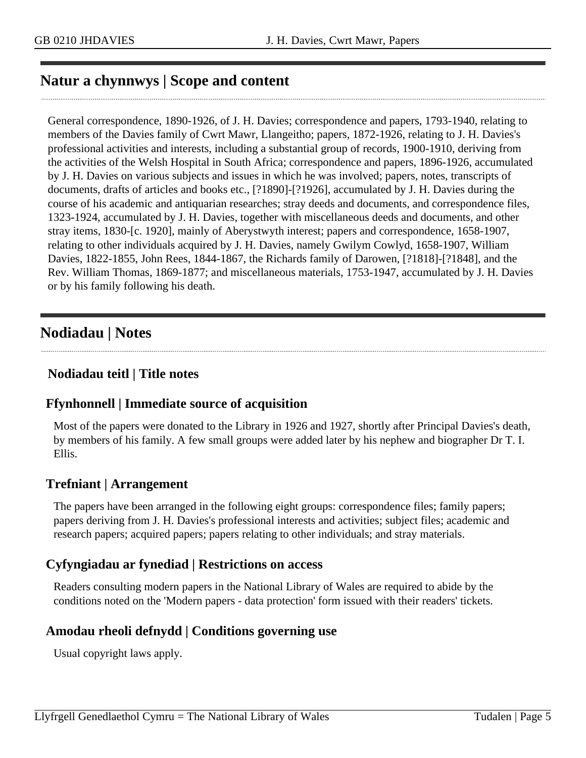# <span id="page-4-0"></span>**Natur a chynnwys | Scope and content**

General correspondence, 1890-1926, of J. H. Davies; correspondence and papers, 1793-1940, relating to members of the Davies family of Cwrt Mawr, Llangeitho; papers, 1872-1926, relating to J. H. Davies's professional activities and interests, including a substantial group of records, 1900-1910, deriving from the activities of the Welsh Hospital in South Africa; correspondence and papers, 1896-1926, accumulated by J. H. Davies on various subjects and issues in which he was involved; papers, notes, transcripts of documents, drafts of articles and books etc., [?1890]-[?1926], accumulated by J. H. Davies during the course of his academic and antiquarian researches; stray deeds and documents, and correspondence files, 1323-1924, accumulated by J. H. Davies, together with miscellaneous deeds and documents, and other stray items, 1830-[c. 1920], mainly of Aberystwyth interest; papers and correspondence, 1658-1907, relating to other individuals acquired by J. H. Davies, namely Gwilym Cowlyd, 1658-1907, William Davies, 1822-1855, John Rees, 1844-1867, the Richards family of Darowen, [?1818]-[?1848], and the Rev. William Thomas, 1869-1877; and miscellaneous materials, 1753-1947, accumulated by J. H. Davies or by his family following his death.

# <span id="page-4-1"></span>**Nodiadau | Notes**

## **Nodiadau teitl | Title notes**

## **Ffynhonnell | Immediate source of acquisition**

Most of the papers were donated to the Library in 1926 and 1927, shortly after Principal Davies's death, by members of his family. A few small groups were added later by his nephew and biographer Dr T. I. Ellis.

## **Trefniant | Arrangement**

The papers have been arranged in the following eight groups: correspondence files; family papers; papers deriving from J. H. Davies's professional interests and activities; subject files; academic and research papers; acquired papers; papers relating to other individuals; and stray materials.

## **Cyfyngiadau ar fynediad | Restrictions on access**

Readers consulting modern papers in the National Library of Wales are required to abide by the conditions noted on the 'Modern papers - data protection' form issued with their readers' tickets.

# **Amodau rheoli defnydd | Conditions governing use**

Usual copyright laws apply.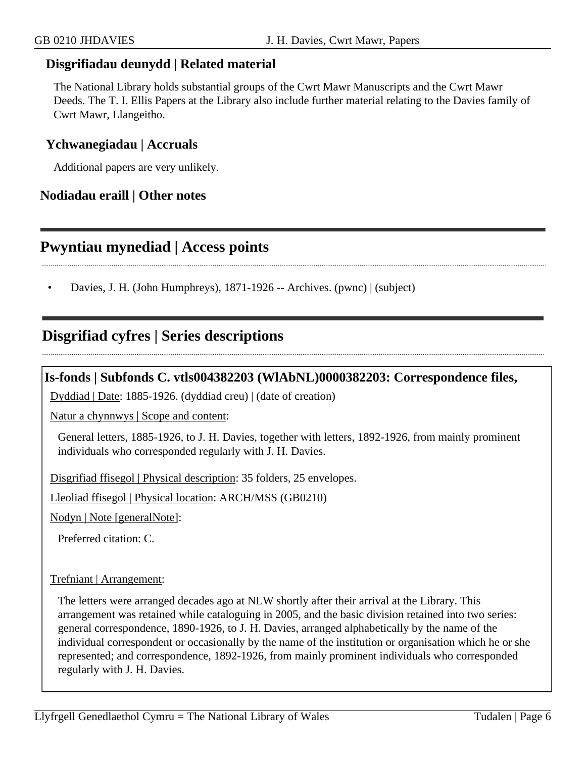### **Disgrifiadau deunydd | Related material**

The National Library holds substantial groups of the Cwrt Mawr Manuscripts and the Cwrt Mawr Deeds. The T. I. Ellis Papers at the Library also include further material relating to the Davies family of Cwrt Mawr, Llangeitho.

#### **Ychwanegiadau | Accruals**

Additional papers are very unlikely.

### **Nodiadau eraill | Other notes**

# <span id="page-5-0"></span>**Pwyntiau mynediad | Access points**

• Davies, J. H. (John Humphreys), 1871-1926 -- Archives. (pwnc) | (subject)

# <span id="page-5-1"></span>**Disgrifiad cyfres | Series descriptions**

### **Is-fonds | Subfonds C. vtls004382203 (WlAbNL)0000382203: Correspondence files,**

Dyddiad | Date: 1885-1926. (dyddiad creu) | (date of creation)

Natur a chynnwys | Scope and content:

General letters, 1885-1926, to J. H. Davies, together with letters, 1892-1926, from mainly prominent individuals who corresponded regularly with J. H. Davies.

Disgrifiad ffisegol | Physical description: 35 folders, 25 envelopes.

Lleoliad ffisegol | Physical location: ARCH/MSS (GB0210)

Nodyn | Note [generalNote]:

Preferred citation: C.

#### Trefniant | Arrangement:

The letters were arranged decades ago at NLW shortly after their arrival at the Library. This arrangement was retained while cataloguing in 2005, and the basic division retained into two series: general correspondence, 1890-1926, to J. H. Davies, arranged alphabetically by the name of the individual correspondent or occasionally by the name of the institution or organisation which he or she represented; and correspondence, 1892-1926, from mainly prominent individuals who corresponded regularly with J. H. Davies.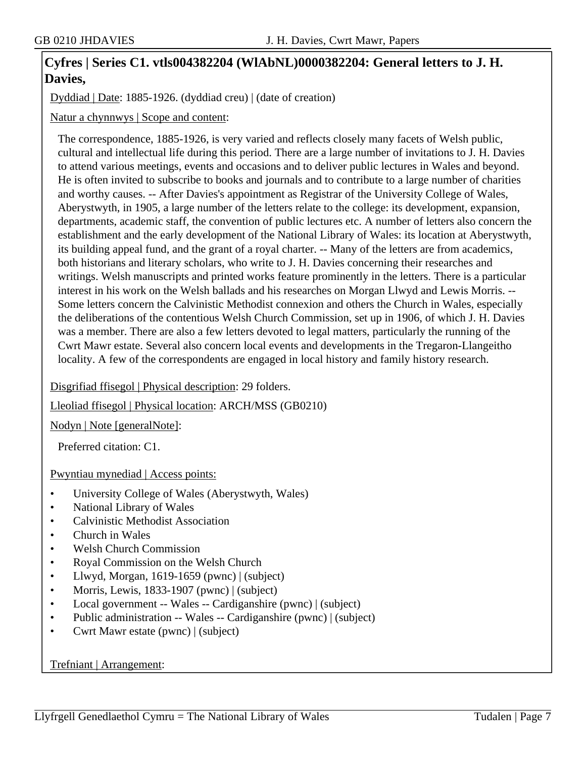# **Cyfres | Series C1. vtls004382204 (WlAbNL)0000382204: General letters to J. H. Davies,**

Dyddiad | Date: 1885-1926. (dyddiad creu) | (date of creation)

Natur a chynnwys | Scope and content:

The correspondence, 1885-1926, is very varied and reflects closely many facets of Welsh public, cultural and intellectual life during this period. There are a large number of invitations to J. H. Davies to attend various meetings, events and occasions and to deliver public lectures in Wales and beyond. He is often invited to subscribe to books and journals and to contribute to a large number of charities and worthy causes. -- After Davies's appointment as Registrar of the University College of Wales, Aberystwyth, in 1905, a large number of the letters relate to the college: its development, expansion, departments, academic staff, the convention of public lectures etc. A number of letters also concern the establishment and the early development of the National Library of Wales: its location at Aberystwyth, its building appeal fund, and the grant of a royal charter. -- Many of the letters are from academics, both historians and literary scholars, who write to J. H. Davies concerning their researches and writings. Welsh manuscripts and printed works feature prominently in the letters. There is a particular interest in his work on the Welsh ballads and his researches on Morgan Llwyd and Lewis Morris. -- Some letters concern the Calvinistic Methodist connexion and others the Church in Wales, especially the deliberations of the contentious Welsh Church Commission, set up in 1906, of which J. H. Davies was a member. There are also a few letters devoted to legal matters, particularly the running of the Cwrt Mawr estate. Several also concern local events and developments in the Tregaron-Llangeitho locality. A few of the correspondents are engaged in local history and family history research.

Disgrifiad ffisegol | Physical description: 29 folders.

Lleoliad ffisegol | Physical location: ARCH/MSS (GB0210)

Nodyn | Note [generalNote]:

Preferred citation: C1.

Pwyntiau mynediad | Access points:

- University College of Wales (Aberystwyth, Wales)
- National Library of Wales
- Calvinistic Methodist Association
- Church in Wales
- Welsh Church Commission
- Royal Commission on the Welsh Church
- Llwyd, Morgan, 1619-1659 (pwnc) | (subject)
- Morris, Lewis, 1833-1907 (pwnc) | (subject)
- Local government -- Wales -- Cardiganshire (pwnc) | (subject)
- Public administration -- Wales -- Cardiganshire (pwnc) | (subject)
- Cwrt Mawr estate (pwnc) | (subject)

#### Trefniant | Arrangement: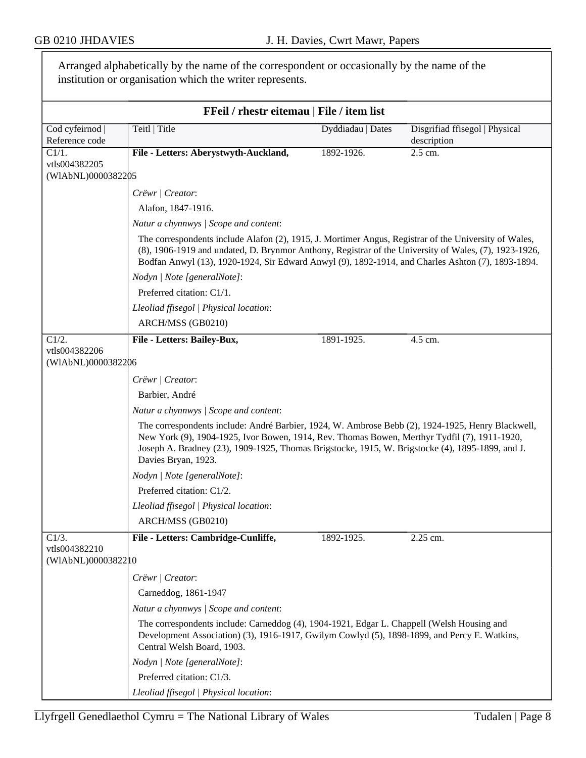$\overline{\phantom{0}}$ 

|                                     | Arranged alphabetically by the name of the correspondent or occasionally by the name of the<br>institution or organisation which the writer represents.                                                                                                                                                                      |                   |                                               |  |
|-------------------------------------|------------------------------------------------------------------------------------------------------------------------------------------------------------------------------------------------------------------------------------------------------------------------------------------------------------------------------|-------------------|-----------------------------------------------|--|
|                                     | FFeil / rhestr eitemau   File / item list                                                                                                                                                                                                                                                                                    |                   |                                               |  |
| Cod cyfeirnod  <br>Reference code   | Teitl   Title                                                                                                                                                                                                                                                                                                                | Dyddiadau   Dates | Disgrifiad ffisegol   Physical<br>description |  |
| C1/1.                               | File - Letters: Aberystwyth-Auckland,                                                                                                                                                                                                                                                                                        | 1892-1926.        | 2.5 cm.                                       |  |
| vtls004382205<br>(WIAbNL)0000382205 |                                                                                                                                                                                                                                                                                                                              |                   |                                               |  |
|                                     | Crëwr   Creator:                                                                                                                                                                                                                                                                                                             |                   |                                               |  |
|                                     | Alafon, 1847-1916.                                                                                                                                                                                                                                                                                                           |                   |                                               |  |
|                                     | Natur a chynnwys / Scope and content:                                                                                                                                                                                                                                                                                        |                   |                                               |  |
|                                     | The correspondents include Alafon (2), 1915, J. Mortimer Angus, Registrar of the University of Wales,<br>(8), 1906-1919 and undated, D. Brynmor Anthony, Registrar of the University of Wales, (7), 1923-1926,<br>Bodfan Anwyl (13), 1920-1924, Sir Edward Anwyl (9), 1892-1914, and Charles Ashton (7), 1893-1894.          |                   |                                               |  |
|                                     | Nodyn   Note [generalNote]:                                                                                                                                                                                                                                                                                                  |                   |                                               |  |
|                                     | Preferred citation: C1/1.                                                                                                                                                                                                                                                                                                    |                   |                                               |  |
|                                     | Lleoliad ffisegol   Physical location:                                                                                                                                                                                                                                                                                       |                   |                                               |  |
|                                     | ARCH/MSS (GB0210)                                                                                                                                                                                                                                                                                                            |                   |                                               |  |
| C1/2.                               | File - Letters: Bailey-Bux,                                                                                                                                                                                                                                                                                                  | 1891-1925.        | 4.5 cm.                                       |  |
| vtls004382206<br>(WIAbNL)0000382206 |                                                                                                                                                                                                                                                                                                                              |                   |                                               |  |
|                                     | Crëwr   Creator:                                                                                                                                                                                                                                                                                                             |                   |                                               |  |
|                                     | Barbier, André                                                                                                                                                                                                                                                                                                               |                   |                                               |  |
|                                     | Natur a chynnwys / Scope and content:                                                                                                                                                                                                                                                                                        |                   |                                               |  |
|                                     | The correspondents include: André Barbier, 1924, W. Ambrose Bebb (2), 1924-1925, Henry Blackwell,<br>New York (9), 1904-1925, Ivor Bowen, 1914, Rev. Thomas Bowen, Merthyr Tydfil (7), 1911-1920,<br>Joseph A. Bradney (23), 1909-1925, Thomas Brigstocke, 1915, W. Brigstocke (4), 1895-1899, and J.<br>Davies Bryan, 1923. |                   |                                               |  |
|                                     | Nodyn   Note [generalNote]:                                                                                                                                                                                                                                                                                                  |                   |                                               |  |
|                                     | Preferred citation: C1/2.                                                                                                                                                                                                                                                                                                    |                   |                                               |  |
|                                     | Lleoliad ffisegol   Physical location:                                                                                                                                                                                                                                                                                       |                   |                                               |  |
|                                     | ARCH/MSS (GB0210)                                                                                                                                                                                                                                                                                                            |                   |                                               |  |
| C1/3.<br>vtls004382210              | File - Letters: Cambridge-Cunliffe,                                                                                                                                                                                                                                                                                          | 1892-1925.        | $2.25$ cm.                                    |  |
| (WIAbNL)0000382210                  |                                                                                                                                                                                                                                                                                                                              |                   |                                               |  |
|                                     | Crëwr   Creator:                                                                                                                                                                                                                                                                                                             |                   |                                               |  |
|                                     | Carneddog, 1861-1947                                                                                                                                                                                                                                                                                                         |                   |                                               |  |
|                                     | Natur a chynnwys / Scope and content:                                                                                                                                                                                                                                                                                        |                   |                                               |  |
|                                     | The correspondents include: Carneddog (4), 1904-1921, Edgar L. Chappell (Welsh Housing and<br>Development Association) (3), 1916-1917, Gwilym Cowlyd (5), 1898-1899, and Percy E. Watkins,<br>Central Welsh Board, 1903.                                                                                                     |                   |                                               |  |
|                                     | Nodyn   Note [generalNote]:                                                                                                                                                                                                                                                                                                  |                   |                                               |  |
|                                     | Preferred citation: C1/3.                                                                                                                                                                                                                                                                                                    |                   |                                               |  |
|                                     | Lleoliad ffisegol   Physical location:                                                                                                                                                                                                                                                                                       |                   |                                               |  |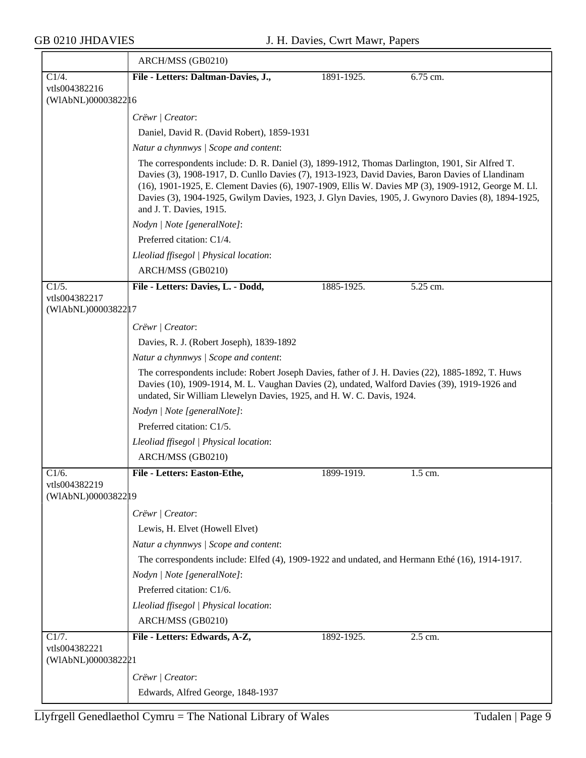$\overline{\phantom{a}}$ 

|                                      | ARCH/MSS (GB0210)                                                                                                                                                                                                                                                                                                                                                                                                                           |            |          |  |
|--------------------------------------|---------------------------------------------------------------------------------------------------------------------------------------------------------------------------------------------------------------------------------------------------------------------------------------------------------------------------------------------------------------------------------------------------------------------------------------------|------------|----------|--|
| C1/4.                                | File - Letters: Daltman-Davies, J.,                                                                                                                                                                                                                                                                                                                                                                                                         | 1891-1925. | 6.75 cm. |  |
| vtls004382216<br>(WIAbNL)00003822 16 |                                                                                                                                                                                                                                                                                                                                                                                                                                             |            |          |  |
|                                      | Crëwr   Creator:                                                                                                                                                                                                                                                                                                                                                                                                                            |            |          |  |
|                                      | Daniel, David R. (David Robert), 1859-1931                                                                                                                                                                                                                                                                                                                                                                                                  |            |          |  |
|                                      | Natur a chynnwys / Scope and content:                                                                                                                                                                                                                                                                                                                                                                                                       |            |          |  |
|                                      | The correspondents include: D. R. Daniel (3), 1899-1912, Thomas Darlington, 1901, Sir Alfred T.<br>Davies (3), 1908-1917, D. Cunllo Davies (7), 1913-1923, David Davies, Baron Davies of Llandinam<br>(16), 1901-1925, E. Clement Davies (6), 1907-1909, Ellis W. Davies MP (3), 1909-1912, George M. Ll.<br>Davies (3), 1904-1925, Gwilym Davies, 1923, J. Glyn Davies, 1905, J. Gwynoro Davies (8), 1894-1925,<br>and J. T. Davies, 1915. |            |          |  |
|                                      | Nodyn   Note [generalNote]:                                                                                                                                                                                                                                                                                                                                                                                                                 |            |          |  |
|                                      | Preferred citation: C1/4.                                                                                                                                                                                                                                                                                                                                                                                                                   |            |          |  |
|                                      | Lleoliad ffisegol   Physical location:                                                                                                                                                                                                                                                                                                                                                                                                      |            |          |  |
|                                      | ARCH/MSS (GB0210)                                                                                                                                                                                                                                                                                                                                                                                                                           |            |          |  |
| C1/5.                                | File - Letters: Davies, L. - Dodd,                                                                                                                                                                                                                                                                                                                                                                                                          | 1885-1925. | 5.25 cm. |  |
| vtls004382217<br>(WIAbNL)00003822 17 |                                                                                                                                                                                                                                                                                                                                                                                                                                             |            |          |  |
|                                      | Crëwr   Creator:                                                                                                                                                                                                                                                                                                                                                                                                                            |            |          |  |
|                                      | Davies, R. J. (Robert Joseph), 1839-1892                                                                                                                                                                                                                                                                                                                                                                                                    |            |          |  |
|                                      | Natur a chynnwys / Scope and content:                                                                                                                                                                                                                                                                                                                                                                                                       |            |          |  |
|                                      | The correspondents include: Robert Joseph Davies, father of J. H. Davies (22), 1885-1892, T. Huws<br>Davies (10), 1909-1914, M. L. Vaughan Davies (2), undated, Walford Davies (39), 1919-1926 and<br>undated, Sir William Llewelyn Davies, 1925, and H. W. C. Davis, 1924.                                                                                                                                                                 |            |          |  |
|                                      | Nodyn   Note [generalNote]:                                                                                                                                                                                                                                                                                                                                                                                                                 |            |          |  |
|                                      | Preferred citation: C1/5.                                                                                                                                                                                                                                                                                                                                                                                                                   |            |          |  |
|                                      | Lleoliad ffisegol   Physical location:                                                                                                                                                                                                                                                                                                                                                                                                      |            |          |  |
|                                      | ARCH/MSS (GB0210)                                                                                                                                                                                                                                                                                                                                                                                                                           |            |          |  |
| C1/6.                                | File - Letters: Easton-Ethe,                                                                                                                                                                                                                                                                                                                                                                                                                | 1899-1919. | 1.5 cm.  |  |
| vtls004382219<br>(WIAbNL)00003822 19 |                                                                                                                                                                                                                                                                                                                                                                                                                                             |            |          |  |
|                                      | Crëwr   Creator:                                                                                                                                                                                                                                                                                                                                                                                                                            |            |          |  |
|                                      | Lewis, H. Elvet (Howell Elvet)                                                                                                                                                                                                                                                                                                                                                                                                              |            |          |  |
|                                      | Natur a chynnwys / Scope and content:                                                                                                                                                                                                                                                                                                                                                                                                       |            |          |  |
|                                      | The correspondents include: Elfed (4), 1909-1922 and undated, and Hermann Ethé (16), 1914-1917.                                                                                                                                                                                                                                                                                                                                             |            |          |  |
|                                      | Nodyn   Note [generalNote]:                                                                                                                                                                                                                                                                                                                                                                                                                 |            |          |  |
|                                      | Preferred citation: C1/6.                                                                                                                                                                                                                                                                                                                                                                                                                   |            |          |  |
|                                      | Lleoliad ffisegol   Physical location:                                                                                                                                                                                                                                                                                                                                                                                                      |            |          |  |
|                                      | ARCH/MSS (GB0210)                                                                                                                                                                                                                                                                                                                                                                                                                           |            |          |  |
| C1/7.<br>vtls004382221               | File - Letters: Edwards, A-Z,                                                                                                                                                                                                                                                                                                                                                                                                               | 1892-1925. | 2.5 cm.  |  |
| (WIAbNL)0000382201                   |                                                                                                                                                                                                                                                                                                                                                                                                                                             |            |          |  |
|                                      | Crëwr   Creator:                                                                                                                                                                                                                                                                                                                                                                                                                            |            |          |  |
|                                      | Edwards, Alfred George, 1848-1937                                                                                                                                                                                                                                                                                                                                                                                                           |            |          |  |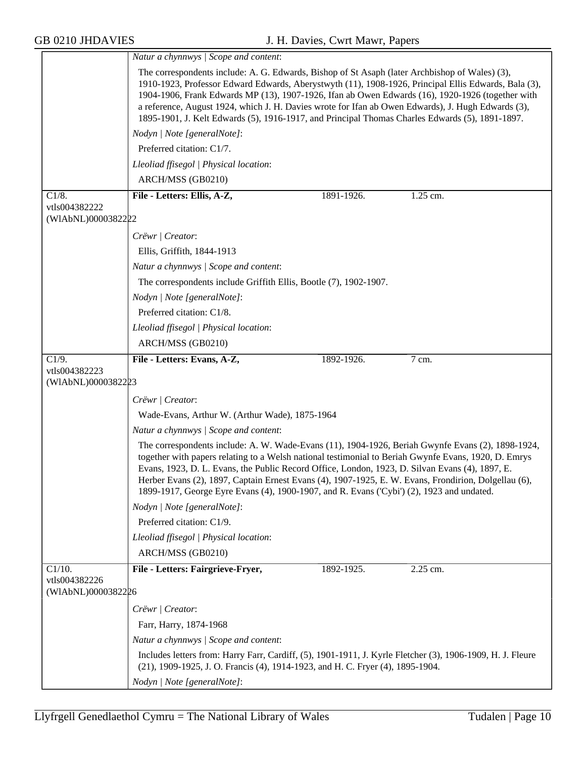|                                     | Natur a chynnwys / Scope and content:                                                                                                                                                                                                                                                                                                                                                                                                                                                                               |  |  |  |
|-------------------------------------|---------------------------------------------------------------------------------------------------------------------------------------------------------------------------------------------------------------------------------------------------------------------------------------------------------------------------------------------------------------------------------------------------------------------------------------------------------------------------------------------------------------------|--|--|--|
|                                     | The correspondents include: A. G. Edwards, Bishop of St Asaph (later Archbishop of Wales) (3),<br>1910-1923, Professor Edward Edwards, Aberystwyth (11), 1908-1926, Principal Ellis Edwards, Bala (3),<br>1904-1906, Frank Edwards MP (13), 1907-1926, Ifan ab Owen Edwards (16), 1920-1926 (together with<br>a reference, August 1924, which J. H. Davies wrote for Ifan ab Owen Edwards), J. Hugh Edwards (3),<br>1895-1901, J. Kelt Edwards (5), 1916-1917, and Principal Thomas Charles Edwards (5), 1891-1897. |  |  |  |
|                                     | Nodyn   Note [generalNote]:                                                                                                                                                                                                                                                                                                                                                                                                                                                                                         |  |  |  |
|                                     | Preferred citation: C1/7.                                                                                                                                                                                                                                                                                                                                                                                                                                                                                           |  |  |  |
|                                     | Lleoliad ffisegol   Physical location:                                                                                                                                                                                                                                                                                                                                                                                                                                                                              |  |  |  |
|                                     | ARCH/MSS (GB0210)                                                                                                                                                                                                                                                                                                                                                                                                                                                                                                   |  |  |  |
| $\overline{C1/8}$ .                 | File - Letters: Ellis, A-Z,<br>1891-1926.<br>1.25 cm.                                                                                                                                                                                                                                                                                                                                                                                                                                                               |  |  |  |
| vtls004382222<br>(WIAbNL)0000382222 |                                                                                                                                                                                                                                                                                                                                                                                                                                                                                                                     |  |  |  |
|                                     | Crëwr   Creator:                                                                                                                                                                                                                                                                                                                                                                                                                                                                                                    |  |  |  |
|                                     | Ellis, Griffith, 1844-1913                                                                                                                                                                                                                                                                                                                                                                                                                                                                                          |  |  |  |
|                                     | Natur a chynnwys / Scope and content:                                                                                                                                                                                                                                                                                                                                                                                                                                                                               |  |  |  |
|                                     | The correspondents include Griffith Ellis, Bootle (7), 1902-1907.                                                                                                                                                                                                                                                                                                                                                                                                                                                   |  |  |  |
|                                     | Nodyn   Note [generalNote]:                                                                                                                                                                                                                                                                                                                                                                                                                                                                                         |  |  |  |
|                                     | Preferred citation: C1/8.                                                                                                                                                                                                                                                                                                                                                                                                                                                                                           |  |  |  |
|                                     | Lleoliad ffisegol   Physical location:                                                                                                                                                                                                                                                                                                                                                                                                                                                                              |  |  |  |
|                                     | ARCH/MSS (GB0210)                                                                                                                                                                                                                                                                                                                                                                                                                                                                                                   |  |  |  |
| C1/9.                               | File - Letters: Evans, A-Z,<br>1892-1926.<br>7 cm.                                                                                                                                                                                                                                                                                                                                                                                                                                                                  |  |  |  |
| vtls004382223<br>(WIAbNL)0000382223 |                                                                                                                                                                                                                                                                                                                                                                                                                                                                                                                     |  |  |  |
|                                     | Crëwr   Creator:                                                                                                                                                                                                                                                                                                                                                                                                                                                                                                    |  |  |  |
|                                     | Wade-Evans, Arthur W. (Arthur Wade), 1875-1964                                                                                                                                                                                                                                                                                                                                                                                                                                                                      |  |  |  |
|                                     | Natur a chynnwys / Scope and content:                                                                                                                                                                                                                                                                                                                                                                                                                                                                               |  |  |  |
|                                     | The correspondents include: A. W. Wade-Evans (11), 1904-1926, Beriah Gwynfe Evans (2), 1898-1924,<br>together with papers relating to a Welsh national testimonial to Beriah Gwynfe Evans, 1920, D. Emrys<br>Evans, 1923, D. L. Evans, the Public Record Office, London, 1923, D. Silvan Evans (4), 1897, E.<br>Herber Evans (2), 1897, Captain Ernest Evans (4), 1907-1925, E. W. Evans, Frondirion, Dolgellau (6),<br>1899-1917, George Eyre Evans (4), 1900-1907, and R. Evans ('Cybi') (2), 1923 and undated.   |  |  |  |
|                                     | Nodyn   Note [generalNote]:                                                                                                                                                                                                                                                                                                                                                                                                                                                                                         |  |  |  |
|                                     | Preferred citation: C1/9.                                                                                                                                                                                                                                                                                                                                                                                                                                                                                           |  |  |  |
|                                     | Lleoliad ffisegol   Physical location:                                                                                                                                                                                                                                                                                                                                                                                                                                                                              |  |  |  |
|                                     | ARCH/MSS (GB0210)                                                                                                                                                                                                                                                                                                                                                                                                                                                                                                   |  |  |  |
| $C1/10$ .                           | File - Letters: Fairgrieve-Fryer,<br>2.25 cm.<br>1892-1925.                                                                                                                                                                                                                                                                                                                                                                                                                                                         |  |  |  |
| vtls004382226<br>(WIAbNL)0000382226 |                                                                                                                                                                                                                                                                                                                                                                                                                                                                                                                     |  |  |  |
|                                     | Crëwr   Creator:                                                                                                                                                                                                                                                                                                                                                                                                                                                                                                    |  |  |  |
|                                     | Farr, Harry, 1874-1968                                                                                                                                                                                                                                                                                                                                                                                                                                                                                              |  |  |  |
|                                     | Natur a chynnwys / Scope and content:                                                                                                                                                                                                                                                                                                                                                                                                                                                                               |  |  |  |
|                                     |                                                                                                                                                                                                                                                                                                                                                                                                                                                                                                                     |  |  |  |
|                                     | Includes letters from: Harry Farr, Cardiff, (5), 1901-1911, J. Kyrle Fletcher (3), 1906-1909, H. J. Fleure<br>(21), 1909-1925, J. O. Francis (4), 1914-1923, and H. C. Fryer (4), 1895-1904.                                                                                                                                                                                                                                                                                                                        |  |  |  |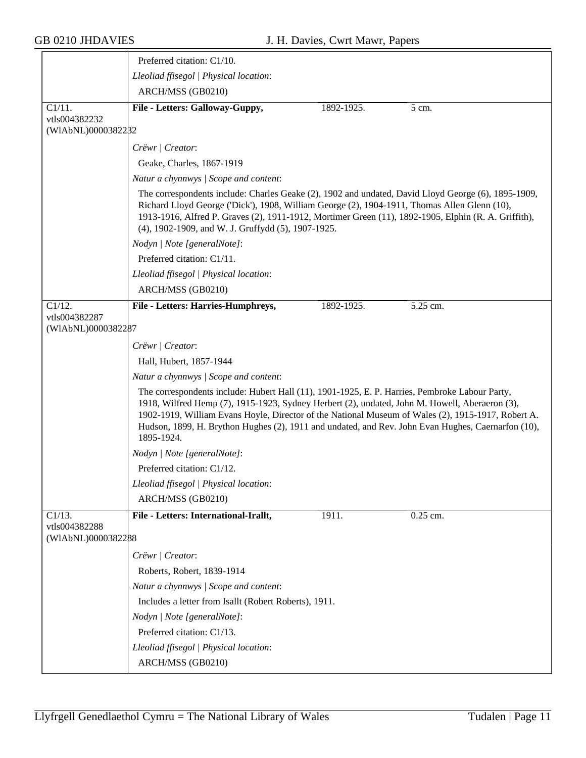|                                     | Preferred citation: C1/10.                                                                                                                                                                                                                                                                                                                                                                                                 |  |
|-------------------------------------|----------------------------------------------------------------------------------------------------------------------------------------------------------------------------------------------------------------------------------------------------------------------------------------------------------------------------------------------------------------------------------------------------------------------------|--|
|                                     | Lleoliad ffisegol   Physical location:                                                                                                                                                                                                                                                                                                                                                                                     |  |
|                                     | ARCH/MSS (GB0210)                                                                                                                                                                                                                                                                                                                                                                                                          |  |
| $C1/11$ .                           | File - Letters: Galloway-Guppy,<br>1892-1925.<br>5 cm.                                                                                                                                                                                                                                                                                                                                                                     |  |
| vtls004382232                       |                                                                                                                                                                                                                                                                                                                                                                                                                            |  |
| (WIAbNL)0000382282                  |                                                                                                                                                                                                                                                                                                                                                                                                                            |  |
|                                     | Crëwr / Creator:                                                                                                                                                                                                                                                                                                                                                                                                           |  |
|                                     | Geake, Charles, 1867-1919                                                                                                                                                                                                                                                                                                                                                                                                  |  |
|                                     | Natur a chynnwys / Scope and content:                                                                                                                                                                                                                                                                                                                                                                                      |  |
|                                     | The correspondents include: Charles Geake (2), 1902 and undated, David Lloyd George (6), 1895-1909,<br>Richard Lloyd George ('Dick'), 1908, William George (2), 1904-1911, Thomas Allen Glenn (10),<br>1913-1916, Alfred P. Graves (2), 1911-1912, Mortimer Green (11), 1892-1905, Elphin (R. A. Griffith),<br>(4), 1902-1909, and W. J. Gruffydd (5), 1907-1925.                                                          |  |
|                                     | Nodyn   Note [generalNote]:                                                                                                                                                                                                                                                                                                                                                                                                |  |
|                                     | Preferred citation: C1/11.                                                                                                                                                                                                                                                                                                                                                                                                 |  |
|                                     | Lleoliad ffisegol   Physical location:                                                                                                                                                                                                                                                                                                                                                                                     |  |
|                                     | ARCH/MSS (GB0210)                                                                                                                                                                                                                                                                                                                                                                                                          |  |
| C1/12.                              | 5.25 cm.<br>File - Letters: Harries-Humphreys,<br>1892-1925.                                                                                                                                                                                                                                                                                                                                                               |  |
| vtls004382287<br>(WIAbNL)0000382287 |                                                                                                                                                                                                                                                                                                                                                                                                                            |  |
|                                     | Crëwr   Creator:                                                                                                                                                                                                                                                                                                                                                                                                           |  |
|                                     | Hall, Hubert, 1857-1944                                                                                                                                                                                                                                                                                                                                                                                                    |  |
|                                     | Natur a chynnwys / Scope and content:                                                                                                                                                                                                                                                                                                                                                                                      |  |
|                                     | The correspondents include: Hubert Hall (11), 1901-1925, E. P. Harries, Pembroke Labour Party,<br>1918, Wilfred Hemp (7), 1915-1923, Sydney Herbert (2), undated, John M. Howell, Aberaeron (3),<br>1902-1919, William Evans Hoyle, Director of the National Museum of Wales (2), 1915-1917, Robert A.<br>Hudson, 1899, H. Brython Hughes (2), 1911 and undated, and Rev. John Evan Hughes, Caernarfon (10),<br>1895-1924. |  |
|                                     | Nodyn   Note [generalNote]:                                                                                                                                                                                                                                                                                                                                                                                                |  |
|                                     | Preferred citation: C1/12.                                                                                                                                                                                                                                                                                                                                                                                                 |  |
|                                     | Lleoliad ffisegol   Physical location:                                                                                                                                                                                                                                                                                                                                                                                     |  |
|                                     | ARCH/MSS (GB0210)                                                                                                                                                                                                                                                                                                                                                                                                          |  |
| $C1/13$ .                           | File - Letters: International-Irallt,<br>0.25 cm.<br>1911.                                                                                                                                                                                                                                                                                                                                                                 |  |
| vtls004382288<br>(WIAbNL)0000382288 |                                                                                                                                                                                                                                                                                                                                                                                                                            |  |
|                                     | Crëwr   Creator:                                                                                                                                                                                                                                                                                                                                                                                                           |  |
|                                     | Roberts, Robert, 1839-1914                                                                                                                                                                                                                                                                                                                                                                                                 |  |
|                                     | Natur a chynnwys / Scope and content:                                                                                                                                                                                                                                                                                                                                                                                      |  |
|                                     | Includes a letter from Isallt (Robert Roberts), 1911.                                                                                                                                                                                                                                                                                                                                                                      |  |
|                                     | Nodyn   Note [generalNote]:                                                                                                                                                                                                                                                                                                                                                                                                |  |
|                                     | Preferred citation: C1/13.                                                                                                                                                                                                                                                                                                                                                                                                 |  |
|                                     | Lleoliad ffisegol   Physical location:                                                                                                                                                                                                                                                                                                                                                                                     |  |
|                                     | ARCH/MSS (GB0210)                                                                                                                                                                                                                                                                                                                                                                                                          |  |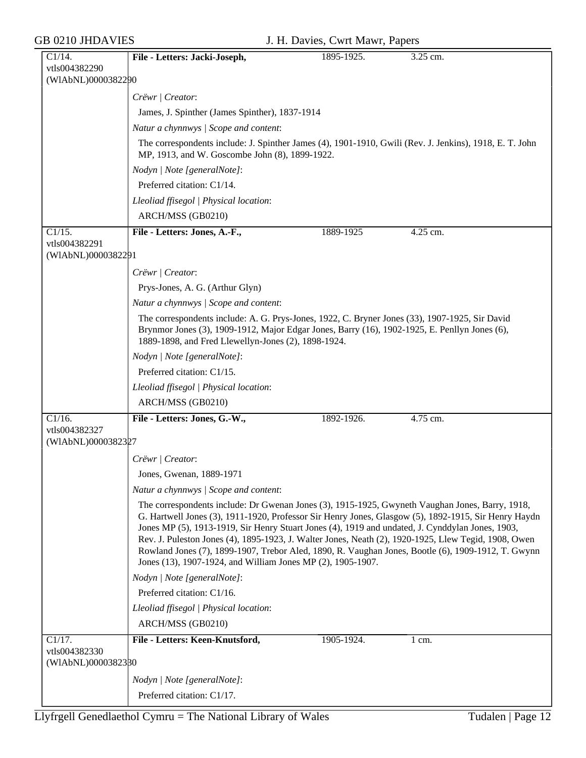| C1/14.             | File - Letters: Jacki-Joseph,                                                                                                                                                                                                                                                                                                                                                                                                                                                                                                                                                            | 1895-1925. | 3.25 cm.         |
|--------------------|------------------------------------------------------------------------------------------------------------------------------------------------------------------------------------------------------------------------------------------------------------------------------------------------------------------------------------------------------------------------------------------------------------------------------------------------------------------------------------------------------------------------------------------------------------------------------------------|------------|------------------|
| vtls004382290      |                                                                                                                                                                                                                                                                                                                                                                                                                                                                                                                                                                                          |            |                  |
| (WIAbNL)0000382290 |                                                                                                                                                                                                                                                                                                                                                                                                                                                                                                                                                                                          |            |                  |
|                    | Crëwr   Creator:                                                                                                                                                                                                                                                                                                                                                                                                                                                                                                                                                                         |            |                  |
|                    | James, J. Spinther (James Spinther), 1837-1914                                                                                                                                                                                                                                                                                                                                                                                                                                                                                                                                           |            |                  |
|                    | Natur a chynnwys / Scope and content:                                                                                                                                                                                                                                                                                                                                                                                                                                                                                                                                                    |            |                  |
|                    | The correspondents include: J. Spinther James (4), 1901-1910, Gwili (Rev. J. Jenkins), 1918, E. T. John<br>MP, 1913, and W. Goscombe John (8), 1899-1922.                                                                                                                                                                                                                                                                                                                                                                                                                                |            |                  |
|                    | Nodyn   Note [generalNote]:                                                                                                                                                                                                                                                                                                                                                                                                                                                                                                                                                              |            |                  |
|                    | Preferred citation: C1/14.                                                                                                                                                                                                                                                                                                                                                                                                                                                                                                                                                               |            |                  |
|                    | Lleoliad ffisegol   Physical location:                                                                                                                                                                                                                                                                                                                                                                                                                                                                                                                                                   |            |                  |
|                    | ARCH/MSS (GB0210)                                                                                                                                                                                                                                                                                                                                                                                                                                                                                                                                                                        |            |                  |
| C1/15.             | File - Letters: Jones, A.-F.,                                                                                                                                                                                                                                                                                                                                                                                                                                                                                                                                                            | 1889-1925  | 4.25 cm.         |
| vtls004382291      |                                                                                                                                                                                                                                                                                                                                                                                                                                                                                                                                                                                          |            |                  |
| (WIAbNL)0000382291 |                                                                                                                                                                                                                                                                                                                                                                                                                                                                                                                                                                                          |            |                  |
|                    | Crëwr   Creator:                                                                                                                                                                                                                                                                                                                                                                                                                                                                                                                                                                         |            |                  |
|                    | Prys-Jones, A. G. (Arthur Glyn)                                                                                                                                                                                                                                                                                                                                                                                                                                                                                                                                                          |            |                  |
|                    | Natur a chynnwys / Scope and content:                                                                                                                                                                                                                                                                                                                                                                                                                                                                                                                                                    |            |                  |
|                    | The correspondents include: A. G. Prys-Jones, 1922, C. Bryner Jones (33), 1907-1925, Sir David<br>Brynmor Jones (3), 1909-1912, Major Edgar Jones, Barry (16), 1902-1925, E. Penllyn Jones (6),<br>1889-1898, and Fred Llewellyn-Jones (2), 1898-1924.                                                                                                                                                                                                                                                                                                                                   |            |                  |
|                    | Nodyn   Note [generalNote]:                                                                                                                                                                                                                                                                                                                                                                                                                                                                                                                                                              |            |                  |
|                    | Preferred citation: C1/15.                                                                                                                                                                                                                                                                                                                                                                                                                                                                                                                                                               |            |                  |
|                    | Lleoliad ffisegol   Physical location:                                                                                                                                                                                                                                                                                                                                                                                                                                                                                                                                                   |            |                  |
|                    | ARCH/MSS (GB0210)                                                                                                                                                                                                                                                                                                                                                                                                                                                                                                                                                                        |            |                  |
| $C1/16$ .          | File - Letters: Jones, G.-W.,                                                                                                                                                                                                                                                                                                                                                                                                                                                                                                                                                            | 1892-1926. | 4.75 cm.         |
| vtls004382327      |                                                                                                                                                                                                                                                                                                                                                                                                                                                                                                                                                                                          |            |                  |
| (WIAbNL)0000382327 |                                                                                                                                                                                                                                                                                                                                                                                                                                                                                                                                                                                          |            |                  |
|                    | Crëwr   Creator:                                                                                                                                                                                                                                                                                                                                                                                                                                                                                                                                                                         |            |                  |
|                    | Jones, Gwenan, 1889-1971                                                                                                                                                                                                                                                                                                                                                                                                                                                                                                                                                                 |            |                  |
|                    | Natur a chynnwys / Scope and content:                                                                                                                                                                                                                                                                                                                                                                                                                                                                                                                                                    |            |                  |
|                    | The correspondents include: Dr Gwenan Jones (3), 1915-1925, Gwyneth Vaughan Jones, Barry, 1918,<br>G. Hartwell Jones (3), 1911-1920, Professor Sir Henry Jones, Glasgow (5), 1892-1915, Sir Henry Haydn<br>Jones MP (5), 1913-1919, Sir Henry Stuart Jones (4), 1919 and undated, J. Cynddylan Jones, 1903,<br>Rev. J. Puleston Jones (4), 1895-1923, J. Walter Jones, Neath (2), 1920-1925, Llew Tegid, 1908, Owen<br>Rowland Jones (7), 1899-1907, Trebor Aled, 1890, R. Vaughan Jones, Bootle (6), 1909-1912, T. Gwynn<br>Jones (13), 1907-1924, and William Jones MP (2), 1905-1907. |            |                  |
|                    | Nodyn   Note [generalNote]:                                                                                                                                                                                                                                                                                                                                                                                                                                                                                                                                                              |            |                  |
|                    | Preferred citation: C1/16.                                                                                                                                                                                                                                                                                                                                                                                                                                                                                                                                                               |            |                  |
|                    | Lleoliad ffisegol   Physical location:                                                                                                                                                                                                                                                                                                                                                                                                                                                                                                                                                   |            |                  |
|                    | ARCH/MSS (GB0210)                                                                                                                                                                                                                                                                                                                                                                                                                                                                                                                                                                        |            |                  |
| C1/17.             | File - Letters: Keen-Knutsford,                                                                                                                                                                                                                                                                                                                                                                                                                                                                                                                                                          | 1905-1924. | $1 \text{ cm}$ . |
| vtls004382330      |                                                                                                                                                                                                                                                                                                                                                                                                                                                                                                                                                                                          |            |                  |
| (WIAbNL)0000382380 |                                                                                                                                                                                                                                                                                                                                                                                                                                                                                                                                                                                          |            |                  |
|                    | Nodyn   Note [generalNote]:                                                                                                                                                                                                                                                                                                                                                                                                                                                                                                                                                              |            |                  |
|                    | Preferred citation: C1/17.                                                                                                                                                                                                                                                                                                                                                                                                                                                                                                                                                               |            |                  |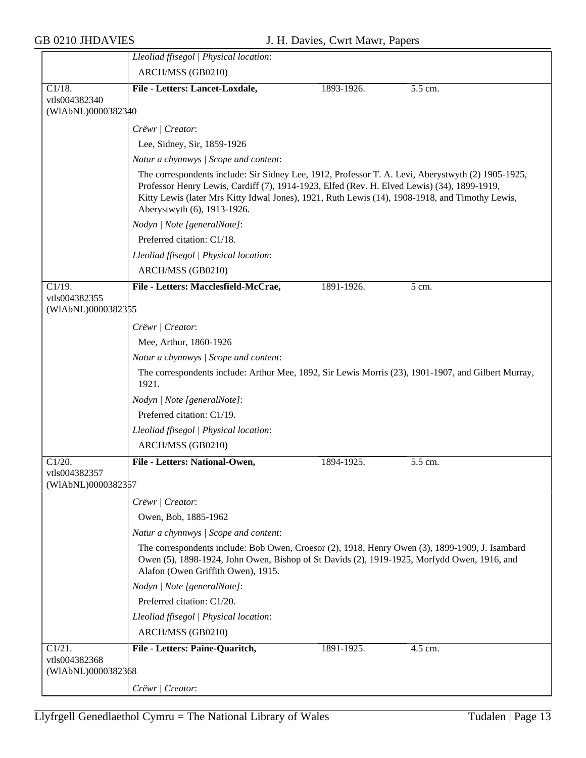|                                     | Lleoliad ffisegol   Physical location:                                                                                                                                                                                                                                                                                              |            |         |  |
|-------------------------------------|-------------------------------------------------------------------------------------------------------------------------------------------------------------------------------------------------------------------------------------------------------------------------------------------------------------------------------------|------------|---------|--|
|                                     | ARCH/MSS (GB0210)                                                                                                                                                                                                                                                                                                                   |            |         |  |
| $C1/18$ .                           | File - Letters: Lancet-Loxdale,                                                                                                                                                                                                                                                                                                     | 1893-1926. | 5.5 cm. |  |
| vtls004382340                       |                                                                                                                                                                                                                                                                                                                                     |            |         |  |
| (WIAbNL)0000382340                  |                                                                                                                                                                                                                                                                                                                                     |            |         |  |
|                                     | Crëwr / Creator:                                                                                                                                                                                                                                                                                                                    |            |         |  |
|                                     | Lee, Sidney, Sir, 1859-1926                                                                                                                                                                                                                                                                                                         |            |         |  |
|                                     | Natur a chynnwys / Scope and content:                                                                                                                                                                                                                                                                                               |            |         |  |
|                                     | The correspondents include: Sir Sidney Lee, 1912, Professor T. A. Levi, Aberystwyth (2) 1905-1925,<br>Professor Henry Lewis, Cardiff (7), 1914-1923, Elfed (Rev. H. Elved Lewis) (34), 1899-1919,<br>Kitty Lewis (later Mrs Kitty Idwal Jones), 1921, Ruth Lewis (14), 1908-1918, and Timothy Lewis,<br>Aberystwyth (6), 1913-1926. |            |         |  |
|                                     | Nodyn   Note [generalNote]:                                                                                                                                                                                                                                                                                                         |            |         |  |
|                                     | Preferred citation: C1/18.                                                                                                                                                                                                                                                                                                          |            |         |  |
|                                     | Lleoliad ffisegol   Physical location:                                                                                                                                                                                                                                                                                              |            |         |  |
|                                     | ARCH/MSS (GB0210)                                                                                                                                                                                                                                                                                                                   |            |         |  |
| $C1/19$ .                           | File - Letters: Macclesfield-McCrae,                                                                                                                                                                                                                                                                                                | 1891-1926. | 5 cm.   |  |
| vtls004382355                       |                                                                                                                                                                                                                                                                                                                                     |            |         |  |
| (WIAbNL)0000382355                  |                                                                                                                                                                                                                                                                                                                                     |            |         |  |
|                                     | Crëwr   Creator:                                                                                                                                                                                                                                                                                                                    |            |         |  |
|                                     | Mee, Arthur, 1860-1926                                                                                                                                                                                                                                                                                                              |            |         |  |
|                                     | Natur a chynnwys / Scope and content:                                                                                                                                                                                                                                                                                               |            |         |  |
|                                     | The correspondents include: Arthur Mee, 1892, Sir Lewis Morris (23), 1901-1907, and Gilbert Murray,<br>1921.                                                                                                                                                                                                                        |            |         |  |
|                                     | Nodyn   Note [generalNote]:                                                                                                                                                                                                                                                                                                         |            |         |  |
|                                     | Preferred citation: C1/19.                                                                                                                                                                                                                                                                                                          |            |         |  |
|                                     | Lleoliad ffisegol   Physical location:                                                                                                                                                                                                                                                                                              |            |         |  |
|                                     | ARCH/MSS (GB0210)                                                                                                                                                                                                                                                                                                                   |            |         |  |
| C1/20.                              | File - Letters: National-Owen,                                                                                                                                                                                                                                                                                                      | 1894-1925. | 5.5 cm. |  |
| vtls004382357<br>(WIAbNL)0000382357 |                                                                                                                                                                                                                                                                                                                                     |            |         |  |
|                                     | Crëwr / Creator:                                                                                                                                                                                                                                                                                                                    |            |         |  |
|                                     | Owen, Bob, 1885-1962                                                                                                                                                                                                                                                                                                                |            |         |  |
|                                     | Natur a chynnwys / Scope and content:                                                                                                                                                                                                                                                                                               |            |         |  |
|                                     | The correspondents include: Bob Owen, Croesor (2), 1918, Henry Owen (3), 1899-1909, J. Isambard<br>Owen (5), 1898-1924, John Owen, Bishop of St Davids (2), 1919-1925, Morfydd Owen, 1916, and<br>Alafon (Owen Griffith Owen), 1915.                                                                                                |            |         |  |
|                                     | Nodyn   Note [generalNote]:                                                                                                                                                                                                                                                                                                         |            |         |  |
|                                     | Preferred citation: C1/20.                                                                                                                                                                                                                                                                                                          |            |         |  |
|                                     | Lleoliad ffisegol   Physical location:                                                                                                                                                                                                                                                                                              |            |         |  |
|                                     | ARCH/MSS (GB0210)                                                                                                                                                                                                                                                                                                                   |            |         |  |
| C1/21.                              | File - Letters: Paine-Quaritch,                                                                                                                                                                                                                                                                                                     | 1891-1925. | 4.5 cm. |  |
| vtls004382368                       |                                                                                                                                                                                                                                                                                                                                     |            |         |  |
| (WIAbNL)0000382368                  |                                                                                                                                                                                                                                                                                                                                     |            |         |  |
|                                     | Crëwr   Creator:                                                                                                                                                                                                                                                                                                                    |            |         |  |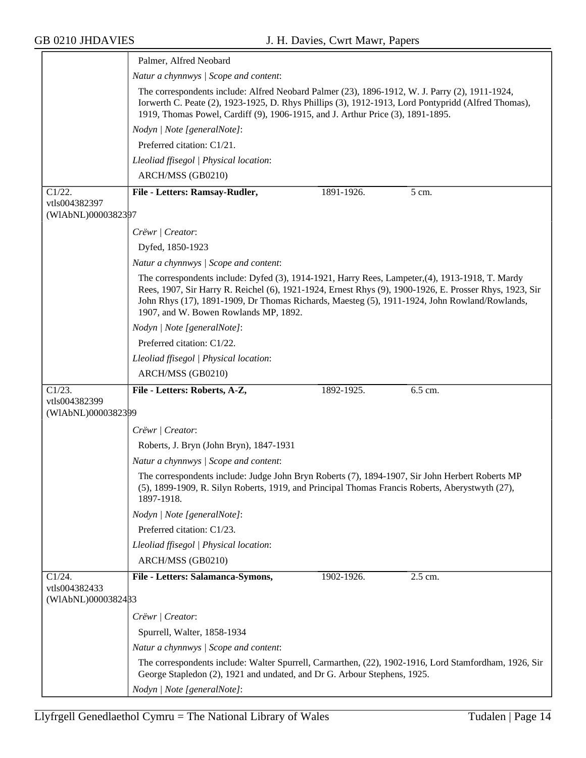|                                     | Palmer, Alfred Neobard                                                                                                                                                                                                                                                                                                                                |            |         |  |
|-------------------------------------|-------------------------------------------------------------------------------------------------------------------------------------------------------------------------------------------------------------------------------------------------------------------------------------------------------------------------------------------------------|------------|---------|--|
|                                     | Natur a chynnwys / Scope and content:                                                                                                                                                                                                                                                                                                                 |            |         |  |
|                                     | The correspondents include: Alfred Neobard Palmer (23), 1896-1912, W. J. Parry (2), 1911-1924,<br>Iorwerth C. Peate (2), 1923-1925, D. Rhys Phillips (3), 1912-1913, Lord Pontypridd (Alfred Thomas),<br>1919, Thomas Powel, Cardiff (9), 1906-1915, and J. Arthur Price (3), 1891-1895.                                                              |            |         |  |
|                                     | Nodyn   Note [generalNote]:                                                                                                                                                                                                                                                                                                                           |            |         |  |
|                                     | Preferred citation: C1/21.                                                                                                                                                                                                                                                                                                                            |            |         |  |
|                                     | Lleoliad ffisegol   Physical location:                                                                                                                                                                                                                                                                                                                |            |         |  |
|                                     | ARCH/MSS (GB0210)                                                                                                                                                                                                                                                                                                                                     |            |         |  |
| C1/22.                              | File - Letters: Ramsay-Rudler,                                                                                                                                                                                                                                                                                                                        | 1891-1926. | 5 cm.   |  |
| vtls004382397<br>(WIAbNL)0000382397 |                                                                                                                                                                                                                                                                                                                                                       |            |         |  |
|                                     | Crëwr   Creator:                                                                                                                                                                                                                                                                                                                                      |            |         |  |
|                                     | Dyfed, 1850-1923                                                                                                                                                                                                                                                                                                                                      |            |         |  |
|                                     | Natur a chynnwys / Scope and content:                                                                                                                                                                                                                                                                                                                 |            |         |  |
|                                     | The correspondents include: Dyfed (3), 1914-1921, Harry Rees, Lampeter, (4), 1913-1918, T. Mardy<br>Rees, 1907, Sir Harry R. Reichel (6), 1921-1924, Ernest Rhys (9), 1900-1926, E. Prosser Rhys, 1923, Sir<br>John Rhys (17), 1891-1909, Dr Thomas Richards, Maesteg (5), 1911-1924, John Rowland/Rowlands,<br>1907, and W. Bowen Rowlands MP, 1892. |            |         |  |
|                                     | Nodyn   Note [generalNote]:                                                                                                                                                                                                                                                                                                                           |            |         |  |
|                                     | Preferred citation: C1/22.                                                                                                                                                                                                                                                                                                                            |            |         |  |
|                                     | Lleoliad ffisegol   Physical location:                                                                                                                                                                                                                                                                                                                |            |         |  |
|                                     | ARCH/MSS (GB0210)                                                                                                                                                                                                                                                                                                                                     |            |         |  |
| C1/23.<br>vtls004382399             | File - Letters: Roberts, A-Z,                                                                                                                                                                                                                                                                                                                         | 1892-1925. | 6.5 cm. |  |
| (WIAbNL)0000382399                  |                                                                                                                                                                                                                                                                                                                                                       |            |         |  |
|                                     | Crëwr   Creator:                                                                                                                                                                                                                                                                                                                                      |            |         |  |
|                                     | Roberts, J. Bryn (John Bryn), 1847-1931                                                                                                                                                                                                                                                                                                               |            |         |  |
|                                     | Natur a chynnwys / Scope and content:                                                                                                                                                                                                                                                                                                                 |            |         |  |
|                                     | The correspondents include: Judge John Bryn Roberts (7), 1894-1907, Sir John Herbert Roberts MP<br>(5), 1899-1909, R. Silyn Roberts, 1919, and Principal Thomas Francis Roberts, Aberystwyth (27),<br>1897-1918.                                                                                                                                      |            |         |  |
|                                     | Nodyn   Note [generalNote]:                                                                                                                                                                                                                                                                                                                           |            |         |  |
|                                     | Preferred citation: C1/23.                                                                                                                                                                                                                                                                                                                            |            |         |  |
|                                     | Lleoliad ffisegol   Physical location:                                                                                                                                                                                                                                                                                                                |            |         |  |
|                                     | ARCH/MSS (GB0210)                                                                                                                                                                                                                                                                                                                                     |            |         |  |
| $C1/24$ .                           | File - Letters: Salamanca-Symons,                                                                                                                                                                                                                                                                                                                     | 1902-1926. | 2.5 cm. |  |
| vtls004382433<br>(WIAbNL)0000382433 |                                                                                                                                                                                                                                                                                                                                                       |            |         |  |
|                                     |                                                                                                                                                                                                                                                                                                                                                       |            |         |  |
|                                     | Crëwr   Creator:<br>Spurrell, Walter, 1858-1934                                                                                                                                                                                                                                                                                                       |            |         |  |
|                                     | Natur a chynnwys / Scope and content:                                                                                                                                                                                                                                                                                                                 |            |         |  |
|                                     |                                                                                                                                                                                                                                                                                                                                                       |            |         |  |
|                                     |                                                                                                                                                                                                                                                                                                                                                       |            |         |  |
|                                     | The correspondents include: Walter Spurrell, Carmarthen, (22), 1902-1916, Lord Stamfordham, 1926, Sir<br>George Stapledon (2), 1921 and undated, and Dr G. Arbour Stephens, 1925.                                                                                                                                                                     |            |         |  |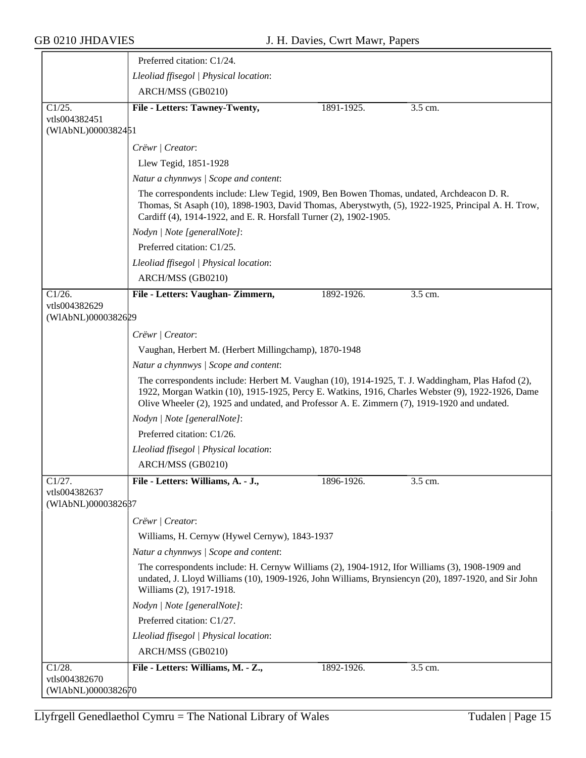|                                     | Preferred citation: C1/24.                                                                                                                                                                                                                                                                             |            |           |
|-------------------------------------|--------------------------------------------------------------------------------------------------------------------------------------------------------------------------------------------------------------------------------------------------------------------------------------------------------|------------|-----------|
|                                     | Lleoliad ffisegol   Physical location:                                                                                                                                                                                                                                                                 |            |           |
|                                     | ARCH/MSS (GB0210)                                                                                                                                                                                                                                                                                      |            |           |
| Cl/25.                              | File - Letters: Tawney-Twenty,                                                                                                                                                                                                                                                                         | 1891-1925. | $3.5$ cm. |
| vtls004382451<br>(WIAbNL)0000382451 |                                                                                                                                                                                                                                                                                                        |            |           |
|                                     | Crëwr   Creator:                                                                                                                                                                                                                                                                                       |            |           |
|                                     | Llew Tegid, 1851-1928                                                                                                                                                                                                                                                                                  |            |           |
|                                     | Natur a chynnwys / Scope and content:                                                                                                                                                                                                                                                                  |            |           |
|                                     | The correspondents include: Llew Tegid, 1909, Ben Bowen Thomas, undated, Archdeacon D. R.<br>Thomas, St Asaph (10), 1898-1903, David Thomas, Aberystwyth, (5), 1922-1925, Principal A. H. Trow,<br>Cardiff (4), 1914-1922, and E. R. Horsfall Turner (2), 1902-1905.                                   |            |           |
|                                     | Nodyn   Note [generalNote]:                                                                                                                                                                                                                                                                            |            |           |
|                                     | Preferred citation: C1/25.                                                                                                                                                                                                                                                                             |            |           |
|                                     | Lleoliad ffisegol   Physical location:                                                                                                                                                                                                                                                                 |            |           |
|                                     | ARCH/MSS (GB0210)                                                                                                                                                                                                                                                                                      |            |           |
| $C1/26$ .                           | File - Letters: Vaughan-Zimmern,                                                                                                                                                                                                                                                                       | 1892-1926. | 3.5 cm.   |
| vtls004382629<br>(WIAbNL)0000382629 |                                                                                                                                                                                                                                                                                                        |            |           |
|                                     | Crëwr   Creator:                                                                                                                                                                                                                                                                                       |            |           |
|                                     | Vaughan, Herbert M. (Herbert Millingchamp), 1870-1948                                                                                                                                                                                                                                                  |            |           |
|                                     | Natur a chynnwys / Scope and content:                                                                                                                                                                                                                                                                  |            |           |
|                                     | The correspondents include: Herbert M. Vaughan (10), 1914-1925, T. J. Waddingham, Plas Hafod (2),<br>1922, Morgan Watkin (10), 1915-1925, Percy E. Watkins, 1916, Charles Webster (9), 1922-1926, Dame<br>Olive Wheeler (2), 1925 and undated, and Professor A. E. Zimmern (7), 1919-1920 and undated. |            |           |
|                                     | Nodyn   Note [generalNote]:                                                                                                                                                                                                                                                                            |            |           |
|                                     | Preferred citation: C1/26.                                                                                                                                                                                                                                                                             |            |           |
|                                     | Lleoliad ffisegol   Physical location:                                                                                                                                                                                                                                                                 |            |           |
|                                     | ARCH/MSS (GB0210)                                                                                                                                                                                                                                                                                      |            |           |
| C1/27.                              | File - Letters: Williams, A. - J.,                                                                                                                                                                                                                                                                     | 1896-1926. | 3.5 cm.   |
| vtls004382637<br>(WIAbNL)0000382687 |                                                                                                                                                                                                                                                                                                        |            |           |
|                                     | Crëwr   Creator:                                                                                                                                                                                                                                                                                       |            |           |
|                                     | Williams, H. Cernyw (Hywel Cernyw), 1843-1937                                                                                                                                                                                                                                                          |            |           |
|                                     | Natur a chynnwys / Scope and content:                                                                                                                                                                                                                                                                  |            |           |
|                                     | The correspondents include: H. Cernyw Williams (2), 1904-1912, Ifor Williams (3), 1908-1909 and<br>undated, J. Lloyd Williams (10), 1909-1926, John Williams, Brynsiencyn (20), 1897-1920, and Sir John<br>Williams (2), 1917-1918.                                                                    |            |           |
|                                     | Nodyn   Note [generalNote]:                                                                                                                                                                                                                                                                            |            |           |
|                                     | Preferred citation: C1/27.                                                                                                                                                                                                                                                                             |            |           |
|                                     | Lleoliad ffisegol   Physical location:                                                                                                                                                                                                                                                                 |            |           |
|                                     | ARCH/MSS (GB0210)                                                                                                                                                                                                                                                                                      |            |           |
| C1/28.                              | File - Letters: Williams, M. - Z.,                                                                                                                                                                                                                                                                     | 1892-1926. | 3.5 cm.   |
| vtls004382670<br>(WIAbNL)0000382670 |                                                                                                                                                                                                                                                                                                        |            |           |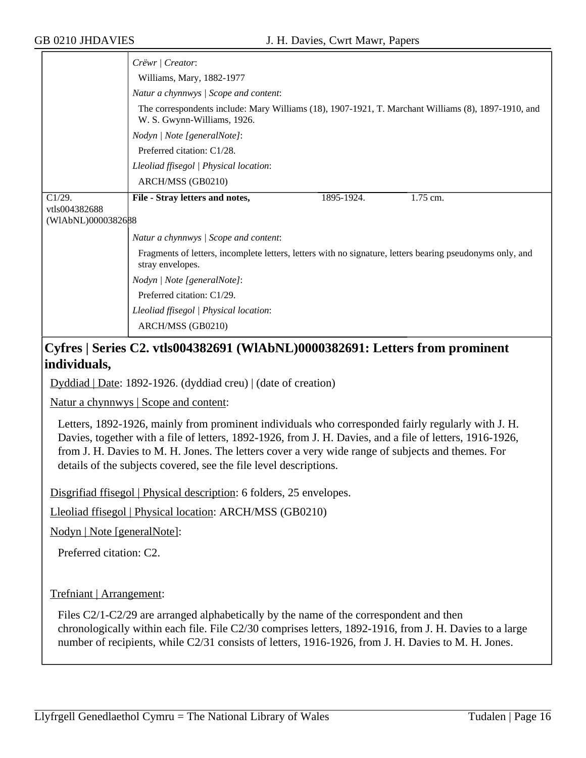|                    | Crëwr   Creator:                                                                                                                   |  |  |  |
|--------------------|------------------------------------------------------------------------------------------------------------------------------------|--|--|--|
|                    | Williams, Mary, 1882-1977                                                                                                          |  |  |  |
|                    | Natur a chynnwys / Scope and content:                                                                                              |  |  |  |
|                    | The correspondents include: Mary Williams (18), 1907-1921, T. Marchant Williams (8), 1897-1910, and<br>W. S. Gwynn-Williams, 1926. |  |  |  |
|                    | Nodyn   Note [generalNote]:                                                                                                        |  |  |  |
|                    | Preferred citation: C1/28.                                                                                                         |  |  |  |
|                    | Lleoliad ffisegol   Physical location:                                                                                             |  |  |  |
|                    | ARCH/MSS (GB0210)                                                                                                                  |  |  |  |
| C1/29.             | 1.75 cm.<br>File - Stray letters and notes,<br>1895-1924.                                                                          |  |  |  |
| vtls004382688      |                                                                                                                                    |  |  |  |
| (WIAbNL)0000382688 |                                                                                                                                    |  |  |  |
|                    | Natur a chynnwys / Scope and content:                                                                                              |  |  |  |
|                    | Fragments of letters, incomplete letters, letters with no signature, letters bearing pseudonyms only, and<br>stray envelopes.      |  |  |  |
|                    | Nodyn   Note [generalNote]:                                                                                                        |  |  |  |
|                    | Preferred citation: C1/29.                                                                                                         |  |  |  |
|                    | Lleoliad ffisegol   Physical location:                                                                                             |  |  |  |
|                    | ARCH/MSS (GB0210)                                                                                                                  |  |  |  |

## **Cyfres | Series C2. vtls004382691 (WlAbNL)0000382691: Letters from prominent individuals,**

Dyddiad | Date: 1892-1926. (dyddiad creu) | (date of creation)

Natur a chynnwys | Scope and content:

Letters, 1892-1926, mainly from prominent individuals who corresponded fairly regularly with J. H. Davies, together with a file of letters, 1892-1926, from J. H. Davies, and a file of letters, 1916-1926, from J. H. Davies to M. H. Jones. The letters cover a very wide range of subjects and themes. For details of the subjects covered, see the file level descriptions.

Disgrifiad ffisegol | Physical description: 6 folders, 25 envelopes.

Lleoliad ffisegol | Physical location: ARCH/MSS (GB0210)

Nodyn | Note [generalNote]:

Preferred citation: C2.

Trefniant | Arrangement:

Files C2/1-C2/29 are arranged alphabetically by the name of the correspondent and then chronologically within each file. File C2/30 comprises letters, 1892-1916, from J. H. Davies to a large number of recipients, while C2/31 consists of letters, 1916-1926, from J. H. Davies to M. H. Jones.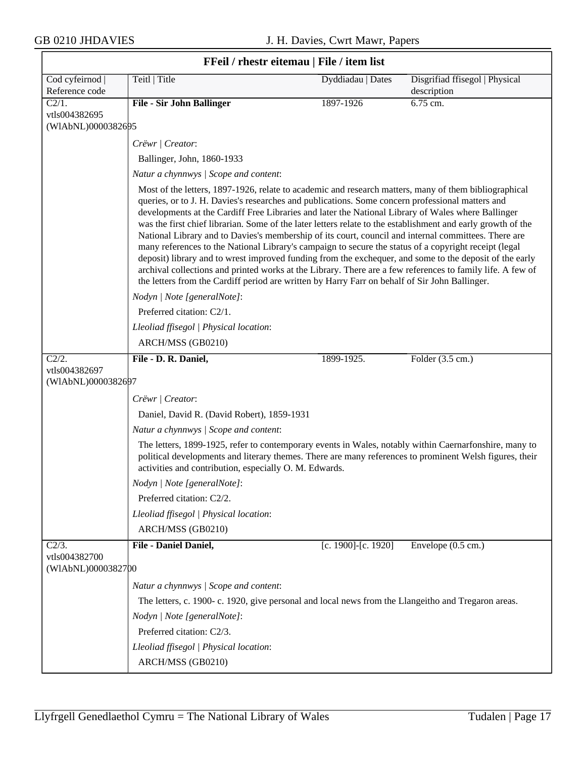| FFeil / rhestr eitemau   File / item list |                                                                                                                                                                                                                                                                                                                                                                                                                                                                                                                                                                                                                                                                                                                                                                                                                                                                                                                                                                             |                     |                                               |
|-------------------------------------------|-----------------------------------------------------------------------------------------------------------------------------------------------------------------------------------------------------------------------------------------------------------------------------------------------------------------------------------------------------------------------------------------------------------------------------------------------------------------------------------------------------------------------------------------------------------------------------------------------------------------------------------------------------------------------------------------------------------------------------------------------------------------------------------------------------------------------------------------------------------------------------------------------------------------------------------------------------------------------------|---------------------|-----------------------------------------------|
| Cod cyfeirnod  <br>Reference code         | Teitl   Title                                                                                                                                                                                                                                                                                                                                                                                                                                                                                                                                                                                                                                                                                                                                                                                                                                                                                                                                                               | Dyddiadau   Dates   | Disgrifiad ffisegol   Physical<br>description |
| C2/1.                                     | <b>File - Sir John Ballinger</b>                                                                                                                                                                                                                                                                                                                                                                                                                                                                                                                                                                                                                                                                                                                                                                                                                                                                                                                                            | 1897-1926           | 6.75 cm.                                      |
| vtls004382695<br>(WIAbNL)0000382695       |                                                                                                                                                                                                                                                                                                                                                                                                                                                                                                                                                                                                                                                                                                                                                                                                                                                                                                                                                                             |                     |                                               |
|                                           | Crëwr   Creator:                                                                                                                                                                                                                                                                                                                                                                                                                                                                                                                                                                                                                                                                                                                                                                                                                                                                                                                                                            |                     |                                               |
|                                           | Ballinger, John, 1860-1933                                                                                                                                                                                                                                                                                                                                                                                                                                                                                                                                                                                                                                                                                                                                                                                                                                                                                                                                                  |                     |                                               |
|                                           | Natur a chynnwys / Scope and content:                                                                                                                                                                                                                                                                                                                                                                                                                                                                                                                                                                                                                                                                                                                                                                                                                                                                                                                                       |                     |                                               |
|                                           | Most of the letters, 1897-1926, relate to academic and research matters, many of them bibliographical<br>queries, or to J. H. Davies's researches and publications. Some concern professional matters and<br>developments at the Cardiff Free Libraries and later the National Library of Wales where Ballinger<br>was the first chief librarian. Some of the later letters relate to the establishment and early growth of the<br>National Library and to Davies's membership of its court, council and internal committees. There are<br>many references to the National Library's campaign to secure the status of a copyright receipt (legal<br>deposit) library and to wrest improved funding from the exchequer, and some to the deposit of the early<br>archival collections and printed works at the Library. There are a few references to family life. A few of<br>the letters from the Cardiff period are written by Harry Farr on behalf of Sir John Ballinger. |                     |                                               |
|                                           | Nodyn   Note [generalNote]:                                                                                                                                                                                                                                                                                                                                                                                                                                                                                                                                                                                                                                                                                                                                                                                                                                                                                                                                                 |                     |                                               |
|                                           | Preferred citation: C2/1.                                                                                                                                                                                                                                                                                                                                                                                                                                                                                                                                                                                                                                                                                                                                                                                                                                                                                                                                                   |                     |                                               |
|                                           | Lleoliad ffisegol   Physical location:                                                                                                                                                                                                                                                                                                                                                                                                                                                                                                                                                                                                                                                                                                                                                                                                                                                                                                                                      |                     |                                               |
|                                           | ARCH/MSS (GB0210)                                                                                                                                                                                                                                                                                                                                                                                                                                                                                                                                                                                                                                                                                                                                                                                                                                                                                                                                                           |                     |                                               |
| C2/2.                                     | File - D. R. Daniel,                                                                                                                                                                                                                                                                                                                                                                                                                                                                                                                                                                                                                                                                                                                                                                                                                                                                                                                                                        | 1899-1925.          | Folder (3.5 cm.)                              |
| vtls004382697<br>(WIAbNL)0000382697       |                                                                                                                                                                                                                                                                                                                                                                                                                                                                                                                                                                                                                                                                                                                                                                                                                                                                                                                                                                             |                     |                                               |
|                                           | Crëwr   Creator:                                                                                                                                                                                                                                                                                                                                                                                                                                                                                                                                                                                                                                                                                                                                                                                                                                                                                                                                                            |                     |                                               |
|                                           | Daniel, David R. (David Robert), 1859-1931                                                                                                                                                                                                                                                                                                                                                                                                                                                                                                                                                                                                                                                                                                                                                                                                                                                                                                                                  |                     |                                               |
|                                           | Natur a chynnwys / Scope and content:                                                                                                                                                                                                                                                                                                                                                                                                                                                                                                                                                                                                                                                                                                                                                                                                                                                                                                                                       |                     |                                               |
|                                           | The letters, 1899-1925, refer to contemporary events in Wales, notably within Caernarfonshire, many to<br>political developments and literary themes. There are many references to prominent Welsh figures, their<br>activities and contribution, especially O. M. Edwards.                                                                                                                                                                                                                                                                                                                                                                                                                                                                                                                                                                                                                                                                                                 |                     |                                               |
|                                           | Nodyn   Note [generalNote]:                                                                                                                                                                                                                                                                                                                                                                                                                                                                                                                                                                                                                                                                                                                                                                                                                                                                                                                                                 |                     |                                               |
|                                           | Preferred citation: C2/2.                                                                                                                                                                                                                                                                                                                                                                                                                                                                                                                                                                                                                                                                                                                                                                                                                                                                                                                                                   |                     |                                               |
|                                           | Lleoliad ffisegol   Physical location:                                                                                                                                                                                                                                                                                                                                                                                                                                                                                                                                                                                                                                                                                                                                                                                                                                                                                                                                      |                     |                                               |
|                                           | ARCH/MSS (GB0210)                                                                                                                                                                                                                                                                                                                                                                                                                                                                                                                                                                                                                                                                                                                                                                                                                                                                                                                                                           |                     |                                               |
| $C2/3$ .                                  | File - Daniel Daniel,                                                                                                                                                                                                                                                                                                                                                                                                                                                                                                                                                                                                                                                                                                                                                                                                                                                                                                                                                       | [c. 1900]-[c. 1920] | Envelope (0.5 cm.)                            |
| vtls004382700<br>(WIAbNL)0000382700       |                                                                                                                                                                                                                                                                                                                                                                                                                                                                                                                                                                                                                                                                                                                                                                                                                                                                                                                                                                             |                     |                                               |
|                                           | Natur a chynnwys / Scope and content:                                                                                                                                                                                                                                                                                                                                                                                                                                                                                                                                                                                                                                                                                                                                                                                                                                                                                                                                       |                     |                                               |
|                                           | The letters, c. 1900-c. 1920, give personal and local news from the Llangeitho and Tregaron areas.                                                                                                                                                                                                                                                                                                                                                                                                                                                                                                                                                                                                                                                                                                                                                                                                                                                                          |                     |                                               |
|                                           | Nodyn   Note [generalNote]:                                                                                                                                                                                                                                                                                                                                                                                                                                                                                                                                                                                                                                                                                                                                                                                                                                                                                                                                                 |                     |                                               |
|                                           | Preferred citation: C2/3.                                                                                                                                                                                                                                                                                                                                                                                                                                                                                                                                                                                                                                                                                                                                                                                                                                                                                                                                                   |                     |                                               |
|                                           | Lleoliad ffisegol   Physical location:                                                                                                                                                                                                                                                                                                                                                                                                                                                                                                                                                                                                                                                                                                                                                                                                                                                                                                                                      |                     |                                               |
|                                           | ARCH/MSS (GB0210)                                                                                                                                                                                                                                                                                                                                                                                                                                                                                                                                                                                                                                                                                                                                                                                                                                                                                                                                                           |                     |                                               |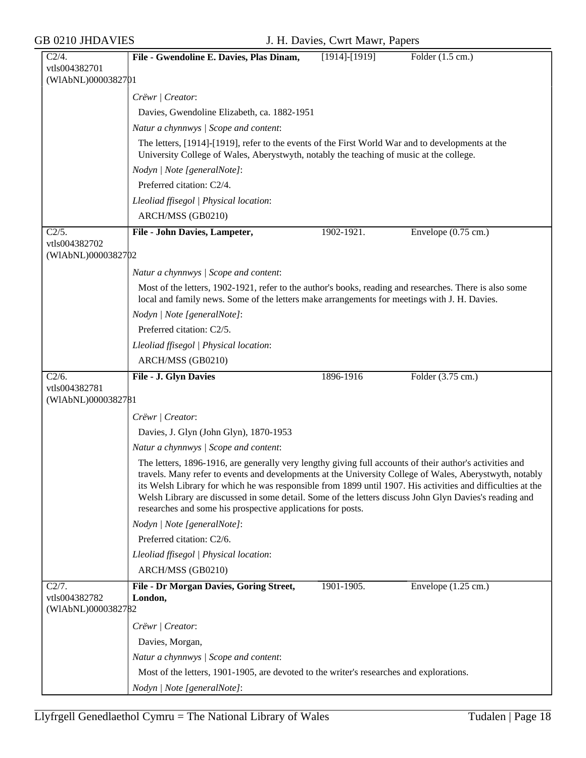| $C2/4$ .                            | File - Gwendoline E. Davies, Plas Dinam,<br>$[1914]$ - $[1919]$                                                                                                                                                                                                                                                                                                                                                                                                                                             | Folder (1.5 cm.)              |
|-------------------------------------|-------------------------------------------------------------------------------------------------------------------------------------------------------------------------------------------------------------------------------------------------------------------------------------------------------------------------------------------------------------------------------------------------------------------------------------------------------------------------------------------------------------|-------------------------------|
| vtls004382701                       |                                                                                                                                                                                                                                                                                                                                                                                                                                                                                                             |                               |
| (WIAbNL)0000382701                  |                                                                                                                                                                                                                                                                                                                                                                                                                                                                                                             |                               |
|                                     | Crëwr   Creator:                                                                                                                                                                                                                                                                                                                                                                                                                                                                                            |                               |
|                                     | Davies, Gwendoline Elizabeth, ca. 1882-1951                                                                                                                                                                                                                                                                                                                                                                                                                                                                 |                               |
|                                     | Natur a chynnwys / Scope and content:                                                                                                                                                                                                                                                                                                                                                                                                                                                                       |                               |
|                                     | The letters, [1914]-[1919], refer to the events of the First World War and to developments at the<br>University College of Wales, Aberystwyth, notably the teaching of music at the college.                                                                                                                                                                                                                                                                                                                |                               |
|                                     | Nodyn   Note [generalNote]:                                                                                                                                                                                                                                                                                                                                                                                                                                                                                 |                               |
|                                     | Preferred citation: C2/4.                                                                                                                                                                                                                                                                                                                                                                                                                                                                                   |                               |
|                                     | Lleoliad ffisegol   Physical location:                                                                                                                                                                                                                                                                                                                                                                                                                                                                      |                               |
|                                     | ARCH/MSS (GB0210)                                                                                                                                                                                                                                                                                                                                                                                                                                                                                           |                               |
| C2/5.                               | File - John Davies, Lampeter,<br>1902-1921.                                                                                                                                                                                                                                                                                                                                                                                                                                                                 | Envelope $(0.75 \text{ cm.})$ |
| vtls004382702<br>(WIAbNL)0000382702 |                                                                                                                                                                                                                                                                                                                                                                                                                                                                                                             |                               |
|                                     | Natur a chynnwys / Scope and content:                                                                                                                                                                                                                                                                                                                                                                                                                                                                       |                               |
|                                     | Most of the letters, 1902-1921, refer to the author's books, reading and researches. There is also some<br>local and family news. Some of the letters make arrangements for meetings with J. H. Davies.                                                                                                                                                                                                                                                                                                     |                               |
|                                     | Nodyn   Note [generalNote]:                                                                                                                                                                                                                                                                                                                                                                                                                                                                                 |                               |
|                                     | Preferred citation: C2/5.                                                                                                                                                                                                                                                                                                                                                                                                                                                                                   |                               |
|                                     |                                                                                                                                                                                                                                                                                                                                                                                                                                                                                                             |                               |
|                                     | Lleoliad ffisegol   Physical location:                                                                                                                                                                                                                                                                                                                                                                                                                                                                      |                               |
|                                     | ARCH/MSS (GB0210)                                                                                                                                                                                                                                                                                                                                                                                                                                                                                           |                               |
| C2/6.<br>vtls004382781              | 1896-1916<br><b>File - J. Glyn Davies</b>                                                                                                                                                                                                                                                                                                                                                                                                                                                                   | Folder (3.75 cm.)             |
| (WIAbNL)0000382781                  |                                                                                                                                                                                                                                                                                                                                                                                                                                                                                                             |                               |
|                                     | Crëwr   Creator:                                                                                                                                                                                                                                                                                                                                                                                                                                                                                            |                               |
|                                     | Davies, J. Glyn (John Glyn), 1870-1953                                                                                                                                                                                                                                                                                                                                                                                                                                                                      |                               |
|                                     |                                                                                                                                                                                                                                                                                                                                                                                                                                                                                                             |                               |
|                                     | Natur a chynnwys / Scope and content:                                                                                                                                                                                                                                                                                                                                                                                                                                                                       |                               |
|                                     | The letters, 1896-1916, are generally very lengthy giving full accounts of their author's activities and<br>travels. Many refer to events and developments at the University College of Wales, Aberystwyth, notably<br>its Welsh Library for which he was responsible from 1899 until 1907. His activities and difficulties at the<br>Welsh Library are discussed in some detail. Some of the letters discuss John Glyn Davies's reading and<br>researches and some his prospective applications for posts. |                               |
|                                     | Nodyn   Note [generalNote]:                                                                                                                                                                                                                                                                                                                                                                                                                                                                                 |                               |
|                                     | Preferred citation: C2/6.                                                                                                                                                                                                                                                                                                                                                                                                                                                                                   |                               |
|                                     | Lleoliad ffisegol   Physical location:                                                                                                                                                                                                                                                                                                                                                                                                                                                                      |                               |
|                                     | ARCH/MSS (GB0210)                                                                                                                                                                                                                                                                                                                                                                                                                                                                                           |                               |
| C2/7.                               | 1901-1905.<br>File - Dr Morgan Davies, Goring Street,                                                                                                                                                                                                                                                                                                                                                                                                                                                       | Envelope $(1.25 \text{ cm.})$ |
| vtls004382782                       | London,                                                                                                                                                                                                                                                                                                                                                                                                                                                                                                     |                               |
| (WIAbNL)0000382782                  |                                                                                                                                                                                                                                                                                                                                                                                                                                                                                                             |                               |
|                                     | Crëwr   Creator:                                                                                                                                                                                                                                                                                                                                                                                                                                                                                            |                               |
|                                     | Davies, Morgan,                                                                                                                                                                                                                                                                                                                                                                                                                                                                                             |                               |
|                                     | Natur a chynnwys / Scope and content:                                                                                                                                                                                                                                                                                                                                                                                                                                                                       |                               |
|                                     | Most of the letters, 1901-1905, are devoted to the writer's researches and explorations.                                                                                                                                                                                                                                                                                                                                                                                                                    |                               |
|                                     | Nodyn   Note [generalNote]:                                                                                                                                                                                                                                                                                                                                                                                                                                                                                 |                               |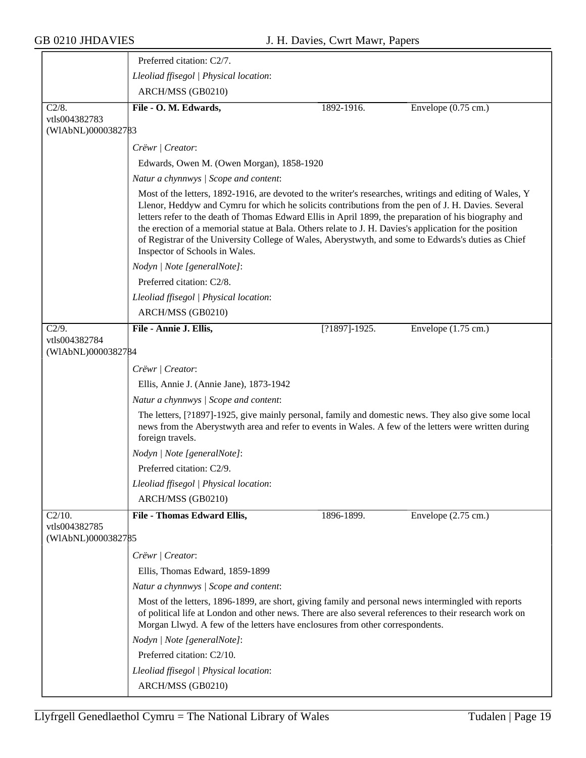|                                                  | Preferred citation: C2/7.                                                                                                                                                                                                                                                                                                                                                                                                                                                                                                                                                   |                   |                               |  |
|--------------------------------------------------|-----------------------------------------------------------------------------------------------------------------------------------------------------------------------------------------------------------------------------------------------------------------------------------------------------------------------------------------------------------------------------------------------------------------------------------------------------------------------------------------------------------------------------------------------------------------------------|-------------------|-------------------------------|--|
|                                                  | Lleoliad ffisegol   Physical location:                                                                                                                                                                                                                                                                                                                                                                                                                                                                                                                                      |                   |                               |  |
|                                                  | ARCH/MSS (GB0210)                                                                                                                                                                                                                                                                                                                                                                                                                                                                                                                                                           |                   |                               |  |
| C2/8.                                            | File - O. M. Edwards,                                                                                                                                                                                                                                                                                                                                                                                                                                                                                                                                                       | 1892-1916.        | Envelope $(0.75 \text{ cm.})$ |  |
| vtls004382783<br>(WIAbNL)0000382783              |                                                                                                                                                                                                                                                                                                                                                                                                                                                                                                                                                                             |                   |                               |  |
|                                                  | Crëwr   Creator:                                                                                                                                                                                                                                                                                                                                                                                                                                                                                                                                                            |                   |                               |  |
|                                                  | Edwards, Owen M. (Owen Morgan), 1858-1920                                                                                                                                                                                                                                                                                                                                                                                                                                                                                                                                   |                   |                               |  |
|                                                  | Natur a chynnwys / Scope and content:                                                                                                                                                                                                                                                                                                                                                                                                                                                                                                                                       |                   |                               |  |
|                                                  | Most of the letters, 1892-1916, are devoted to the writer's researches, writings and editing of Wales, Y<br>Llenor, Heddyw and Cymru for which he solicits contributions from the pen of J. H. Davies. Several<br>letters refer to the death of Thomas Edward Ellis in April 1899, the preparation of his biography and<br>the erection of a memorial statue at Bala. Others relate to J. H. Davies's application for the position<br>of Registrar of the University College of Wales, Aberystwyth, and some to Edwards's duties as Chief<br>Inspector of Schools in Wales. |                   |                               |  |
|                                                  | Nodyn   Note [generalNote]:                                                                                                                                                                                                                                                                                                                                                                                                                                                                                                                                                 |                   |                               |  |
|                                                  | Preferred citation: C2/8.                                                                                                                                                                                                                                                                                                                                                                                                                                                                                                                                                   |                   |                               |  |
|                                                  | Lleoliad ffisegol   Physical location:                                                                                                                                                                                                                                                                                                                                                                                                                                                                                                                                      |                   |                               |  |
|                                                  | ARCH/MSS (GB0210)                                                                                                                                                                                                                                                                                                                                                                                                                                                                                                                                                           |                   |                               |  |
| $\overline{C2/9}$ .                              | File - Annie J. Ellis,                                                                                                                                                                                                                                                                                                                                                                                                                                                                                                                                                      | $[?1897] - 1925.$ | Envelope $(1.75 \text{ cm.})$ |  |
| vtls004382784<br>(WIAbNL)0000382784              |                                                                                                                                                                                                                                                                                                                                                                                                                                                                                                                                                                             |                   |                               |  |
|                                                  | Crëwr   Creator:                                                                                                                                                                                                                                                                                                                                                                                                                                                                                                                                                            |                   |                               |  |
|                                                  | Ellis, Annie J. (Annie Jane), 1873-1942                                                                                                                                                                                                                                                                                                                                                                                                                                                                                                                                     |                   |                               |  |
|                                                  | Natur a chynnwys / Scope and content:                                                                                                                                                                                                                                                                                                                                                                                                                                                                                                                                       |                   |                               |  |
|                                                  | The letters, [?1897]-1925, give mainly personal, family and domestic news. They also give some local<br>news from the Aberystwyth area and refer to events in Wales. A few of the letters were written during<br>foreign travels.                                                                                                                                                                                                                                                                                                                                           |                   |                               |  |
|                                                  | Nodyn   Note [generalNote]:                                                                                                                                                                                                                                                                                                                                                                                                                                                                                                                                                 |                   |                               |  |
|                                                  | Preferred citation: C2/9.                                                                                                                                                                                                                                                                                                                                                                                                                                                                                                                                                   |                   |                               |  |
|                                                  | Lleoliad ffisegol   Physical location:                                                                                                                                                                                                                                                                                                                                                                                                                                                                                                                                      |                   |                               |  |
|                                                  | ARCH/MSS (GB0210)                                                                                                                                                                                                                                                                                                                                                                                                                                                                                                                                                           |                   |                               |  |
| $C2/10$ .<br>vtls004382785<br>(WIAbNL)0000382785 | File - Thomas Edward Ellis,                                                                                                                                                                                                                                                                                                                                                                                                                                                                                                                                                 | 1896-1899.        | Envelope $(2.75 \text{ cm.})$ |  |
|                                                  | Crëwr   Creator:                                                                                                                                                                                                                                                                                                                                                                                                                                                                                                                                                            |                   |                               |  |
|                                                  | Ellis, Thomas Edward, 1859-1899                                                                                                                                                                                                                                                                                                                                                                                                                                                                                                                                             |                   |                               |  |
|                                                  | Natur a chynnwys / Scope and content:                                                                                                                                                                                                                                                                                                                                                                                                                                                                                                                                       |                   |                               |  |
|                                                  | Most of the letters, 1896-1899, are short, giving family and personal news intermingled with reports<br>of political life at London and other news. There are also several references to their research work on<br>Morgan Llwyd. A few of the letters have enclosures from other correspondents.                                                                                                                                                                                                                                                                            |                   |                               |  |
|                                                  | Nodyn   Note [generalNote]:                                                                                                                                                                                                                                                                                                                                                                                                                                                                                                                                                 |                   |                               |  |
|                                                  | Preferred citation: C2/10.                                                                                                                                                                                                                                                                                                                                                                                                                                                                                                                                                  |                   |                               |  |
|                                                  | Lleoliad ffisegol   Physical location:                                                                                                                                                                                                                                                                                                                                                                                                                                                                                                                                      |                   |                               |  |
|                                                  | ARCH/MSS (GB0210)                                                                                                                                                                                                                                                                                                                                                                                                                                                                                                                                                           |                   |                               |  |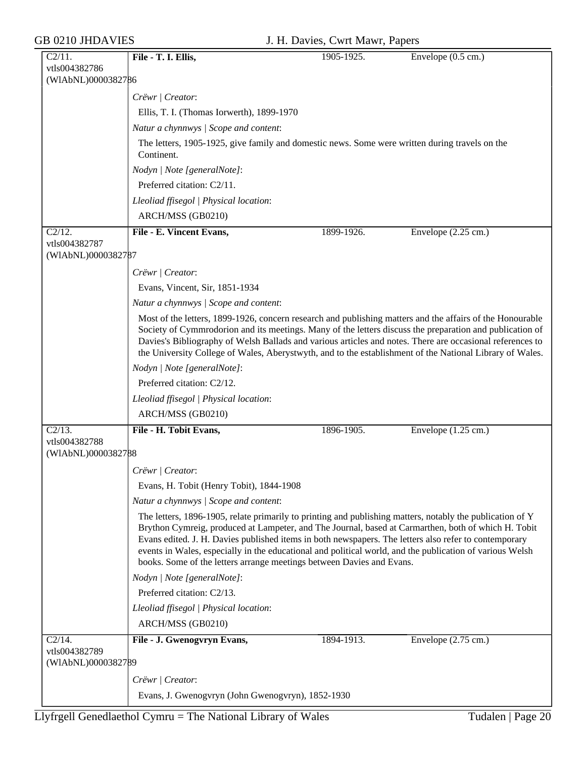| C2/11.                              | File - T. I. Ellis,                                                                                                                                                                                                                                                                                                                                                                                                                                                                                            | 1905-1925. | Envelope $(0.5 \text{ cm.})$  |  |  |
|-------------------------------------|----------------------------------------------------------------------------------------------------------------------------------------------------------------------------------------------------------------------------------------------------------------------------------------------------------------------------------------------------------------------------------------------------------------------------------------------------------------------------------------------------------------|------------|-------------------------------|--|--|
| vtls004382786                       |                                                                                                                                                                                                                                                                                                                                                                                                                                                                                                                |            |                               |  |  |
| (WIAbNL)0000382786                  |                                                                                                                                                                                                                                                                                                                                                                                                                                                                                                                |            |                               |  |  |
|                                     | Crëwr   Creator:                                                                                                                                                                                                                                                                                                                                                                                                                                                                                               |            |                               |  |  |
|                                     | Ellis, T. I. (Thomas Iorwerth), 1899-1970<br>Natur a chynnwys / Scope and content:                                                                                                                                                                                                                                                                                                                                                                                                                             |            |                               |  |  |
|                                     |                                                                                                                                                                                                                                                                                                                                                                                                                                                                                                                |            |                               |  |  |
|                                     | The letters, 1905-1925, give family and domestic news. Some were written during travels on the<br>Continent.                                                                                                                                                                                                                                                                                                                                                                                                   |            |                               |  |  |
|                                     | Nodyn   Note [generalNote]:                                                                                                                                                                                                                                                                                                                                                                                                                                                                                    |            |                               |  |  |
|                                     | Preferred citation: C2/11.                                                                                                                                                                                                                                                                                                                                                                                                                                                                                     |            |                               |  |  |
|                                     | Lleoliad ffisegol   Physical location:                                                                                                                                                                                                                                                                                                                                                                                                                                                                         |            |                               |  |  |
|                                     | ARCH/MSS (GB0210)                                                                                                                                                                                                                                                                                                                                                                                                                                                                                              |            |                               |  |  |
| C2/12.                              | File - E. Vincent Evans,                                                                                                                                                                                                                                                                                                                                                                                                                                                                                       | 1899-1926. | Envelope $(2.25 \text{ cm.})$ |  |  |
| vtls004382787                       |                                                                                                                                                                                                                                                                                                                                                                                                                                                                                                                |            |                               |  |  |
| (WIAbNL)0000382787                  |                                                                                                                                                                                                                                                                                                                                                                                                                                                                                                                |            |                               |  |  |
|                                     | Crëwr   Creator:                                                                                                                                                                                                                                                                                                                                                                                                                                                                                               |            |                               |  |  |
|                                     | Evans, Vincent, Sir, 1851-1934                                                                                                                                                                                                                                                                                                                                                                                                                                                                                 |            |                               |  |  |
|                                     | Natur a chynnwys / Scope and content:                                                                                                                                                                                                                                                                                                                                                                                                                                                                          |            |                               |  |  |
|                                     | Most of the letters, 1899-1926, concern research and publishing matters and the affairs of the Honourable                                                                                                                                                                                                                                                                                                                                                                                                      |            |                               |  |  |
|                                     | Society of Cymmrodorion and its meetings. Many of the letters discuss the preparation and publication of<br>Davies's Bibliography of Welsh Ballads and various articles and notes. There are occasional references to<br>the University College of Wales, Aberystwyth, and to the establishment of the National Library of Wales.                                                                                                                                                                              |            |                               |  |  |
|                                     | Nodyn   Note [generalNote]:                                                                                                                                                                                                                                                                                                                                                                                                                                                                                    |            |                               |  |  |
|                                     | Preferred citation: C2/12.                                                                                                                                                                                                                                                                                                                                                                                                                                                                                     |            |                               |  |  |
|                                     | Lleoliad ffisegol   Physical location:                                                                                                                                                                                                                                                                                                                                                                                                                                                                         |            |                               |  |  |
|                                     | ARCH/MSS (GB0210)                                                                                                                                                                                                                                                                                                                                                                                                                                                                                              |            |                               |  |  |
| C2/13.                              | File - H. Tobit Evans,                                                                                                                                                                                                                                                                                                                                                                                                                                                                                         | 1896-1905. | Envelope $(1.25 \text{ cm.})$ |  |  |
| vtls004382788                       |                                                                                                                                                                                                                                                                                                                                                                                                                                                                                                                |            |                               |  |  |
| (WIAbNL)0000382788                  |                                                                                                                                                                                                                                                                                                                                                                                                                                                                                                                |            |                               |  |  |
|                                     | Crëwr   Creator:                                                                                                                                                                                                                                                                                                                                                                                                                                                                                               |            |                               |  |  |
|                                     | Evans, H. Tobit (Henry Tobit), 1844-1908                                                                                                                                                                                                                                                                                                                                                                                                                                                                       |            |                               |  |  |
|                                     | Natur a chynnwys / Scope and content:                                                                                                                                                                                                                                                                                                                                                                                                                                                                          |            |                               |  |  |
|                                     | The letters, 1896-1905, relate primarily to printing and publishing matters, notably the publication of Y<br>Brython Cymreig, produced at Lampeter, and The Journal, based at Carmarthen, both of which H. Tobit<br>Evans edited. J. H. Davies published items in both newspapers. The letters also refer to contemporary<br>events in Wales, especially in the educational and political world, and the publication of various Welsh<br>books. Some of the letters arrange meetings between Davies and Evans. |            |                               |  |  |
|                                     | Nodyn   Note [generalNote]:                                                                                                                                                                                                                                                                                                                                                                                                                                                                                    |            |                               |  |  |
|                                     | Preferred citation: C2/13.                                                                                                                                                                                                                                                                                                                                                                                                                                                                                     |            |                               |  |  |
|                                     | Lleoliad ffisegol   Physical location:                                                                                                                                                                                                                                                                                                                                                                                                                                                                         |            |                               |  |  |
|                                     | ARCH/MSS (GB0210)                                                                                                                                                                                                                                                                                                                                                                                                                                                                                              |            |                               |  |  |
| $C2/14$ .                           | File - J. Gwenogvryn Evans,                                                                                                                                                                                                                                                                                                                                                                                                                                                                                    | 1894-1913. | Envelope $(2.75 \text{ cm.})$ |  |  |
| vtls004382789<br>(WIAbNL)0000382789 |                                                                                                                                                                                                                                                                                                                                                                                                                                                                                                                |            |                               |  |  |
|                                     | Crëwr   Creator:                                                                                                                                                                                                                                                                                                                                                                                                                                                                                               |            |                               |  |  |
|                                     | Evans, J. Gwenogvryn (John Gwenogvryn), 1852-1930                                                                                                                                                                                                                                                                                                                                                                                                                                                              |            |                               |  |  |
|                                     |                                                                                                                                                                                                                                                                                                                                                                                                                                                                                                                |            |                               |  |  |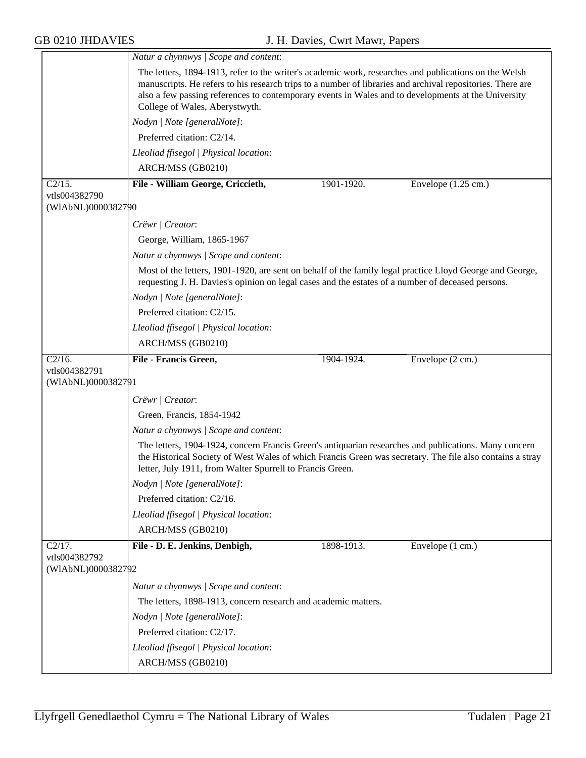|                                     | Natur a chynnwys / Scope and content:                                                                                                                                                                                                                                                                                                                        |            |                               |  |
|-------------------------------------|--------------------------------------------------------------------------------------------------------------------------------------------------------------------------------------------------------------------------------------------------------------------------------------------------------------------------------------------------------------|------------|-------------------------------|--|
|                                     | The letters, 1894-1913, refer to the writer's academic work, researches and publications on the Welsh<br>manuscripts. He refers to his research trips to a number of libraries and archival repositories. There are<br>also a few passing references to contemporary events in Wales and to developments at the University<br>College of Wales, Aberystwyth. |            |                               |  |
|                                     | Nodyn   Note [generalNote]:                                                                                                                                                                                                                                                                                                                                  |            |                               |  |
|                                     | Preferred citation: C2/14.                                                                                                                                                                                                                                                                                                                                   |            |                               |  |
|                                     | Lleoliad ffisegol   Physical location:                                                                                                                                                                                                                                                                                                                       |            |                               |  |
|                                     | ARCH/MSS (GB0210)                                                                                                                                                                                                                                                                                                                                            |            |                               |  |
| C2/15.                              | File - William George, Criccieth,                                                                                                                                                                                                                                                                                                                            | 1901-1920. | Envelope $(1.25 \text{ cm.})$ |  |
| vtls004382790<br>(WIAbNL)0000382790 |                                                                                                                                                                                                                                                                                                                                                              |            |                               |  |
|                                     | Crëwr   Creator:                                                                                                                                                                                                                                                                                                                                             |            |                               |  |
|                                     | George, William, 1865-1967                                                                                                                                                                                                                                                                                                                                   |            |                               |  |
|                                     | Natur a chynnwys / Scope and content:                                                                                                                                                                                                                                                                                                                        |            |                               |  |
|                                     | Most of the letters, 1901-1920, are sent on behalf of the family legal practice Lloyd George and George,<br>requesting J. H. Davies's opinion on legal cases and the estates of a number of deceased persons.                                                                                                                                                |            |                               |  |
|                                     | Nodyn   Note [generalNote]:                                                                                                                                                                                                                                                                                                                                  |            |                               |  |
|                                     | Preferred citation: C2/15.                                                                                                                                                                                                                                                                                                                                   |            |                               |  |
|                                     | Lleoliad ffisegol   Physical location:                                                                                                                                                                                                                                                                                                                       |            |                               |  |
|                                     | ARCH/MSS (GB0210)                                                                                                                                                                                                                                                                                                                                            |            |                               |  |
| $C2/16$ .                           | File - Francis Green,                                                                                                                                                                                                                                                                                                                                        | 1904-1924. | Envelope (2 cm.)              |  |
| vtls004382791<br>(WIAbNL)0000382791 |                                                                                                                                                                                                                                                                                                                                                              |            |                               |  |
|                                     | Crëwr   Creator:                                                                                                                                                                                                                                                                                                                                             |            |                               |  |
|                                     | Green, Francis, 1854-1942                                                                                                                                                                                                                                                                                                                                    |            |                               |  |
|                                     | Natur a chynnwys / Scope and content:                                                                                                                                                                                                                                                                                                                        |            |                               |  |
|                                     | The letters, 1904-1924, concern Francis Green's antiquarian researches and publications. Many concern<br>the Historical Society of West Wales of which Francis Green was secretary. The file also contains a stray<br>letter, July 1911, from Walter Spurrell to Francis Green.                                                                              |            |                               |  |
|                                     | Nodyn   Note [generalNote]:                                                                                                                                                                                                                                                                                                                                  |            |                               |  |
|                                     | Preferred citation: C2/16.                                                                                                                                                                                                                                                                                                                                   |            |                               |  |
|                                     | Lleoliad ffisegol   Physical location:                                                                                                                                                                                                                                                                                                                       |            |                               |  |
|                                     | ARCH/MSS (GB0210)                                                                                                                                                                                                                                                                                                                                            |            |                               |  |
| $C\overline{2/17}$ .                | File - D. E. Jenkins, Denbigh,                                                                                                                                                                                                                                                                                                                               | 1898-1913. | Envelope (1 cm.)              |  |
| vtls004382792<br>(WIAbNL)0000382792 |                                                                                                                                                                                                                                                                                                                                                              |            |                               |  |
|                                     | Natur a chynnwys / Scope and content:                                                                                                                                                                                                                                                                                                                        |            |                               |  |
|                                     | The letters, 1898-1913, concern research and academic matters.                                                                                                                                                                                                                                                                                               |            |                               |  |
|                                     | Nodyn   Note [generalNote]:                                                                                                                                                                                                                                                                                                                                  |            |                               |  |
|                                     | Preferred citation: C2/17.                                                                                                                                                                                                                                                                                                                                   |            |                               |  |
|                                     | Lleoliad ffisegol   Physical location:                                                                                                                                                                                                                                                                                                                       |            |                               |  |
|                                     | ARCH/MSS (GB0210)                                                                                                                                                                                                                                                                                                                                            |            |                               |  |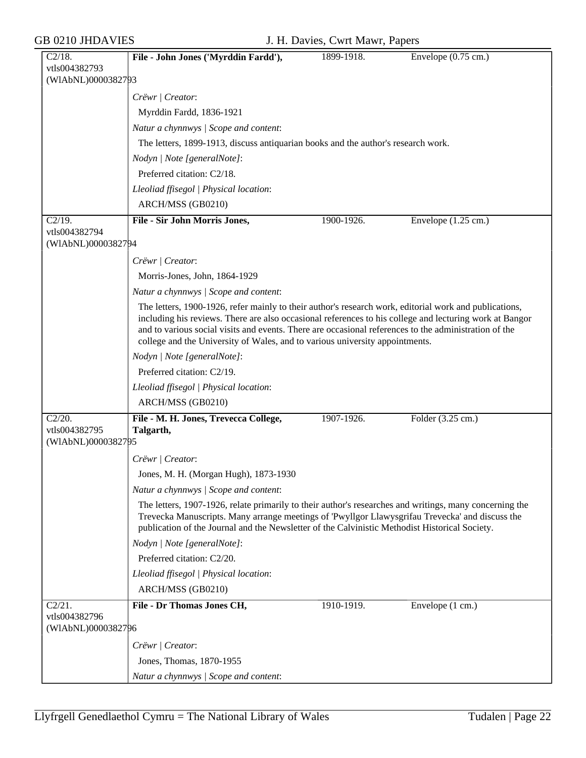| $C2/18$ .                  | File - John Jones ('Myrddin Fardd'),                                                                                                                                                  | 1899-1918. | Envelope $(0.75 \text{ cm.})$ |  |  |
|----------------------------|---------------------------------------------------------------------------------------------------------------------------------------------------------------------------------------|------------|-------------------------------|--|--|
| vtls004382793              |                                                                                                                                                                                       |            |                               |  |  |
| (WIAbNL)0000382793         |                                                                                                                                                                                       |            |                               |  |  |
|                            | Crëwr   Creator:                                                                                                                                                                      |            |                               |  |  |
|                            | Myrddin Fardd, 1836-1921                                                                                                                                                              |            |                               |  |  |
|                            | Natur a chynnwys / Scope and content:                                                                                                                                                 |            |                               |  |  |
|                            | The letters, 1899-1913, discuss antiquarian books and the author's research work.                                                                                                     |            |                               |  |  |
|                            | Nodyn   Note [generalNote]:                                                                                                                                                           |            |                               |  |  |
|                            | Preferred citation: C2/18.                                                                                                                                                            |            |                               |  |  |
|                            | Lleoliad ffisegol   Physical location:                                                                                                                                                |            |                               |  |  |
|                            | ARCH/MSS (GB0210)                                                                                                                                                                     |            |                               |  |  |
| $C2/19$ .                  | File - Sir John Morris Jones,                                                                                                                                                         | 1900-1926. | Envelope $(1.25 \text{ cm.})$ |  |  |
| vtls004382794              |                                                                                                                                                                                       |            |                               |  |  |
| (WIAbNL)0000382794         |                                                                                                                                                                                       |            |                               |  |  |
|                            | Crëwr   Creator:                                                                                                                                                                      |            |                               |  |  |
|                            | Morris-Jones, John, 1864-1929                                                                                                                                                         |            |                               |  |  |
|                            | Natur a chynnwys / Scope and content:                                                                                                                                                 |            |                               |  |  |
|                            | The letters, 1900-1926, refer mainly to their author's research work, editorial work and publications,                                                                                |            |                               |  |  |
|                            | including his reviews. There are also occasional references to his college and lecturing work at Bangor                                                                               |            |                               |  |  |
|                            | and to various social visits and events. There are occasional references to the administration of the<br>college and the University of Wales, and to various university appointments. |            |                               |  |  |
|                            | Nodyn   Note [generalNote]:                                                                                                                                                           |            |                               |  |  |
|                            | Preferred citation: C2/19.                                                                                                                                                            |            |                               |  |  |
|                            |                                                                                                                                                                                       |            |                               |  |  |
|                            | Lleoliad ffisegol   Physical location:                                                                                                                                                |            |                               |  |  |
|                            | ARCH/MSS (GB0210)                                                                                                                                                                     |            |                               |  |  |
| $C2/20$ .<br>vtls004382795 | File - M. H. Jones, Trevecca College,<br>Talgarth,                                                                                                                                    | 1907-1926. | Folder (3.25 cm.)             |  |  |
| (WIAbNL)0000382795         |                                                                                                                                                                                       |            |                               |  |  |
|                            | Crëwr   Creator:                                                                                                                                                                      |            |                               |  |  |
|                            | Jones, M. H. (Morgan Hugh), 1873-1930                                                                                                                                                 |            |                               |  |  |
|                            | Natur a chynnwys / Scope and content:                                                                                                                                                 |            |                               |  |  |
|                            | The letters, 1907-1926, relate primarily to their author's researches and writings, many concerning the                                                                               |            |                               |  |  |
|                            | Trevecka Manuscripts. Many arrange meetings of 'Pwyllgor Llawysgrifau Trevecka' and discuss the                                                                                       |            |                               |  |  |
|                            | publication of the Journal and the Newsletter of the Calvinistic Methodist Historical Society.                                                                                        |            |                               |  |  |
|                            | Nodyn   Note [generalNote]:                                                                                                                                                           |            |                               |  |  |
|                            | Preferred citation: C2/20.                                                                                                                                                            |            |                               |  |  |
|                            | Lleoliad ffisegol   Physical location:                                                                                                                                                |            |                               |  |  |
|                            | ARCH/MSS (GB0210)                                                                                                                                                                     |            |                               |  |  |
| C2/21.                     | File - Dr Thomas Jones CH,                                                                                                                                                            | 1910-1919. | Envelope (1 cm.)              |  |  |
| vtls004382796              |                                                                                                                                                                                       |            |                               |  |  |
| (WIAbNL)0000382796         |                                                                                                                                                                                       |            |                               |  |  |
|                            | Crëwr   Creator:                                                                                                                                                                      |            |                               |  |  |
|                            | Jones, Thomas, 1870-1955                                                                                                                                                              |            |                               |  |  |
|                            | Natur a chynnwys / Scope and content:                                                                                                                                                 |            |                               |  |  |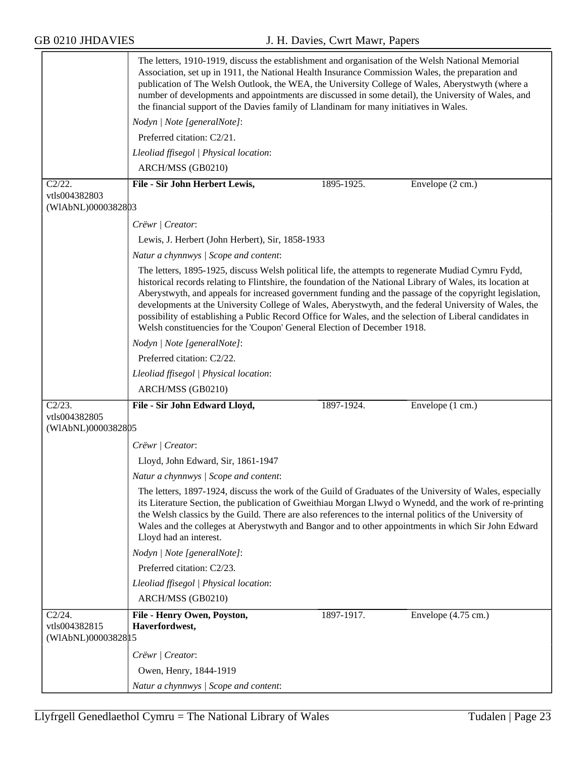|                                                | The letters, 1910-1919, discuss the establishment and organisation of the Welsh National Memorial<br>Association, set up in 1911, the National Health Insurance Commission Wales, the preparation and<br>publication of The Welsh Outlook, the WEA, the University College of Wales, Aberystwyth (where a<br>number of developments and appointments are discussed in some detail), the University of Wales, and<br>the financial support of the Davies family of Llandinam for many initiatives in Wales.                                                                                                                      |  |  |  |
|------------------------------------------------|---------------------------------------------------------------------------------------------------------------------------------------------------------------------------------------------------------------------------------------------------------------------------------------------------------------------------------------------------------------------------------------------------------------------------------------------------------------------------------------------------------------------------------------------------------------------------------------------------------------------------------|--|--|--|
|                                                | Nodyn   Note [generalNote]:                                                                                                                                                                                                                                                                                                                                                                                                                                                                                                                                                                                                     |  |  |  |
|                                                | Preferred citation: C2/21.                                                                                                                                                                                                                                                                                                                                                                                                                                                                                                                                                                                                      |  |  |  |
|                                                | Lleoliad ffisegol   Physical location:                                                                                                                                                                                                                                                                                                                                                                                                                                                                                                                                                                                          |  |  |  |
|                                                | ARCH/MSS (GB0210)                                                                                                                                                                                                                                                                                                                                                                                                                                                                                                                                                                                                               |  |  |  |
| C2/22.                                         | File - Sir John Herbert Lewis,<br>1895-1925.<br>Envelope (2 cm.)                                                                                                                                                                                                                                                                                                                                                                                                                                                                                                                                                                |  |  |  |
| vtls004382803<br>(WIAbNL)0000382803            |                                                                                                                                                                                                                                                                                                                                                                                                                                                                                                                                                                                                                                 |  |  |  |
|                                                | Crëwr   Creator:                                                                                                                                                                                                                                                                                                                                                                                                                                                                                                                                                                                                                |  |  |  |
|                                                | Lewis, J. Herbert (John Herbert), Sir, 1858-1933                                                                                                                                                                                                                                                                                                                                                                                                                                                                                                                                                                                |  |  |  |
|                                                | Natur a chynnwys / Scope and content:                                                                                                                                                                                                                                                                                                                                                                                                                                                                                                                                                                                           |  |  |  |
|                                                | The letters, 1895-1925, discuss Welsh political life, the attempts to regenerate Mudiad Cymru Fydd,<br>historical records relating to Flintshire, the foundation of the National Library of Wales, its location at<br>Aberystwyth, and appeals for increased government funding and the passage of the copyright legislation,<br>developments at the University College of Wales, Aberystwyth, and the federal University of Wales, the<br>possibility of establishing a Public Record Office for Wales, and the selection of Liberal candidates in<br>Welsh constituencies for the 'Coupon' General Election of December 1918. |  |  |  |
|                                                | Nodyn   Note [generalNote]:                                                                                                                                                                                                                                                                                                                                                                                                                                                                                                                                                                                                     |  |  |  |
|                                                | Preferred citation: C2/22.                                                                                                                                                                                                                                                                                                                                                                                                                                                                                                                                                                                                      |  |  |  |
|                                                | Lleoliad ffisegol   Physical location:                                                                                                                                                                                                                                                                                                                                                                                                                                                                                                                                                                                          |  |  |  |
|                                                | ARCH/MSS (GB0210)                                                                                                                                                                                                                                                                                                                                                                                                                                                                                                                                                                                                               |  |  |  |
| C2/23.                                         | File - Sir John Edward Lloyd,<br>Envelope (1 cm.)<br>1897-1924.                                                                                                                                                                                                                                                                                                                                                                                                                                                                                                                                                                 |  |  |  |
| vtls004382805<br>(WIAbNL)0000382805            |                                                                                                                                                                                                                                                                                                                                                                                                                                                                                                                                                                                                                                 |  |  |  |
|                                                | Crëwr   Creator:                                                                                                                                                                                                                                                                                                                                                                                                                                                                                                                                                                                                                |  |  |  |
|                                                | Lloyd, John Edward, Sir, 1861-1947                                                                                                                                                                                                                                                                                                                                                                                                                                                                                                                                                                                              |  |  |  |
|                                                | Natur a chynnwys / Scope and content:                                                                                                                                                                                                                                                                                                                                                                                                                                                                                                                                                                                           |  |  |  |
|                                                | The letters, 1897-1924, discuss the work of the Guild of Graduates of the University of Wales, especially<br>its Literature Section, the publication of Gweithiau Morgan Llwyd o Wynedd, and the work of re-printing<br>the Welsh classics by the Guild. There are also references to the internal politics of the University of<br>Wales and the colleges at Aberystwyth and Bangor and to other appointments in which Sir John Edward<br>Lloyd had an interest.                                                                                                                                                               |  |  |  |
|                                                | Nodyn   Note [generalNote]:                                                                                                                                                                                                                                                                                                                                                                                                                                                                                                                                                                                                     |  |  |  |
|                                                | Preferred citation: C2/23.                                                                                                                                                                                                                                                                                                                                                                                                                                                                                                                                                                                                      |  |  |  |
|                                                | Lleoliad ffisegol   Physical location:                                                                                                                                                                                                                                                                                                                                                                                                                                                                                                                                                                                          |  |  |  |
|                                                | ARCH/MSS (GB0210)                                                                                                                                                                                                                                                                                                                                                                                                                                                                                                                                                                                                               |  |  |  |
| C2/24.<br>vtls004382815<br>(WIAbNL)00003828 15 | Envelope (4.75 cm.)<br>File - Henry Owen, Poyston,<br>1897-1917.<br>Haverfordwest,                                                                                                                                                                                                                                                                                                                                                                                                                                                                                                                                              |  |  |  |
|                                                | Crëwr   Creator:                                                                                                                                                                                                                                                                                                                                                                                                                                                                                                                                                                                                                |  |  |  |
|                                                | Owen, Henry, 1844-1919                                                                                                                                                                                                                                                                                                                                                                                                                                                                                                                                                                                                          |  |  |  |
|                                                | Natur a chynnwys / Scope and content:                                                                                                                                                                                                                                                                                                                                                                                                                                                                                                                                                                                           |  |  |  |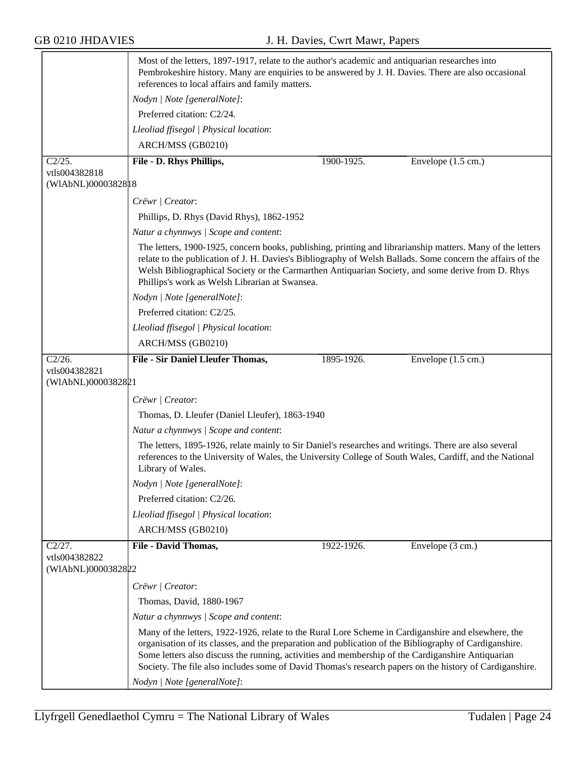|                                     | Most of the letters, 1897-1917, relate to the author's academic and antiquarian researches into<br>Pembrokeshire history. Many are enquiries to be answered by J. H. Davies. There are also occasional<br>references to local affairs and family matters.                                                                                                                                                                     |            |                              |  |  |
|-------------------------------------|-------------------------------------------------------------------------------------------------------------------------------------------------------------------------------------------------------------------------------------------------------------------------------------------------------------------------------------------------------------------------------------------------------------------------------|------------|------------------------------|--|--|
|                                     | Nodyn   Note [generalNote]:                                                                                                                                                                                                                                                                                                                                                                                                   |            |                              |  |  |
|                                     | Preferred citation: C2/24.                                                                                                                                                                                                                                                                                                                                                                                                    |            |                              |  |  |
|                                     | Lleoliad ffisegol   Physical location:                                                                                                                                                                                                                                                                                                                                                                                        |            |                              |  |  |
|                                     | ARCH/MSS (GB0210)                                                                                                                                                                                                                                                                                                                                                                                                             |            |                              |  |  |
| C2/25.                              | File - D. Rhys Phillips,                                                                                                                                                                                                                                                                                                                                                                                                      | 1900-1925. | Envelope $(1.5 \text{ cm.})$ |  |  |
| vtls004382818<br>(WIAbNL)00003828 3 |                                                                                                                                                                                                                                                                                                                                                                                                                               |            |                              |  |  |
|                                     | Crëwr   Creator:                                                                                                                                                                                                                                                                                                                                                                                                              |            |                              |  |  |
|                                     | Phillips, D. Rhys (David Rhys), 1862-1952                                                                                                                                                                                                                                                                                                                                                                                     |            |                              |  |  |
|                                     | Natur a chynnwys / Scope and content:                                                                                                                                                                                                                                                                                                                                                                                         |            |                              |  |  |
|                                     | The letters, 1900-1925, concern books, publishing, printing and librarianship matters. Many of the letters<br>relate to the publication of J. H. Davies's Bibliography of Welsh Ballads. Some concern the affairs of the<br>Welsh Bibliographical Society or the Carmarthen Antiquarian Society, and some derive from D. Rhys<br>Phillips's work as Welsh Librarian at Swansea.                                               |            |                              |  |  |
|                                     | Nodyn   Note [generalNote]:                                                                                                                                                                                                                                                                                                                                                                                                   |            |                              |  |  |
|                                     | Preferred citation: C2/25.                                                                                                                                                                                                                                                                                                                                                                                                    |            |                              |  |  |
|                                     | Lleoliad ffisegol   Physical location:                                                                                                                                                                                                                                                                                                                                                                                        |            |                              |  |  |
|                                     | ARCH/MSS (GB0210)                                                                                                                                                                                                                                                                                                                                                                                                             |            |                              |  |  |
| C2/26.<br>vtls004382821             | <b>File - Sir Daniel Lleufer Thomas,</b>                                                                                                                                                                                                                                                                                                                                                                                      | 1895-1926. | Envelope $(1.5 \text{ cm.})$ |  |  |
| (WIAbNL)0000382821                  |                                                                                                                                                                                                                                                                                                                                                                                                                               |            |                              |  |  |
|                                     | Crëwr   Creator:                                                                                                                                                                                                                                                                                                                                                                                                              |            |                              |  |  |
|                                     | Thomas, D. Lleufer (Daniel Lleufer), 1863-1940                                                                                                                                                                                                                                                                                                                                                                                |            |                              |  |  |
|                                     | Natur a chynnwys / Scope and content:                                                                                                                                                                                                                                                                                                                                                                                         |            |                              |  |  |
|                                     | The letters, 1895-1926, relate mainly to Sir Daniel's researches and writings. There are also several<br>references to the University of Wales, the University College of South Wales, Cardiff, and the National<br>Library of Wales.                                                                                                                                                                                         |            |                              |  |  |
|                                     | Nodyn   Note [generalNote]:                                                                                                                                                                                                                                                                                                                                                                                                   |            |                              |  |  |
|                                     | Preferred citation: C2/26.                                                                                                                                                                                                                                                                                                                                                                                                    |            |                              |  |  |
|                                     | Lleoliad ffisegol   Physical location:                                                                                                                                                                                                                                                                                                                                                                                        |            |                              |  |  |
|                                     | ARCH/MSS (GB0210)                                                                                                                                                                                                                                                                                                                                                                                                             |            |                              |  |  |
| C2/27.                              | File - David Thomas,                                                                                                                                                                                                                                                                                                                                                                                                          | 1922-1926. | Envelope (3 cm.)             |  |  |
| vtls004382822<br>(WIAbNL)0000382822 |                                                                                                                                                                                                                                                                                                                                                                                                                               |            |                              |  |  |
|                                     | Crëwr   Creator:                                                                                                                                                                                                                                                                                                                                                                                                              |            |                              |  |  |
|                                     | Thomas, David, 1880-1967                                                                                                                                                                                                                                                                                                                                                                                                      |            |                              |  |  |
|                                     | Natur a chynnwys / Scope and content:                                                                                                                                                                                                                                                                                                                                                                                         |            |                              |  |  |
|                                     | Many of the letters, 1922-1926, relate to the Rural Lore Scheme in Cardiganshire and elsewhere, the<br>organisation of its classes, and the preparation and publication of the Bibliography of Cardiganshire.<br>Some letters also discuss the running, activities and membership of the Cardiganshire Antiquarian<br>Society. The file also includes some of David Thomas's research papers on the history of Cardiganshire. |            |                              |  |  |
|                                     | Nodyn   Note [generalNote]:                                                                                                                                                                                                                                                                                                                                                                                                   |            |                              |  |  |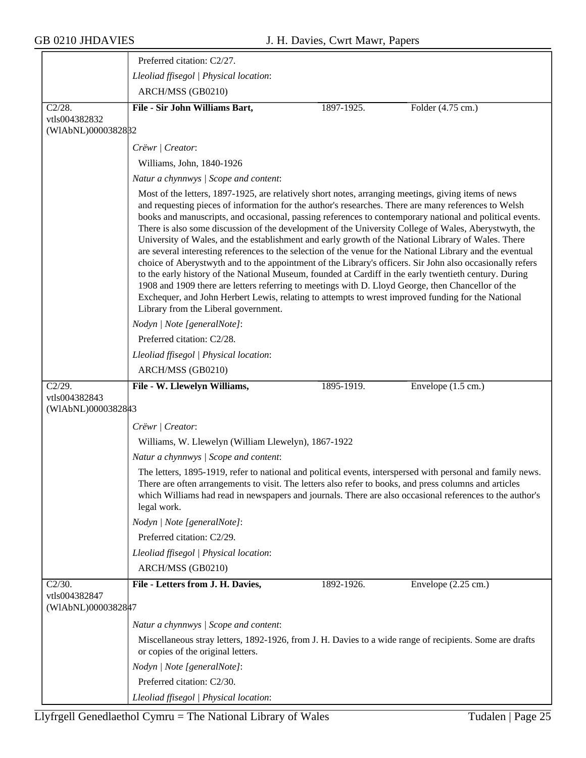|                                     | Preferred citation: C2/27.                                                                                                                                                                                                                                                                                                                                                                                                                                                                                                                                                                                                                                                                                                                                                                                                                                                                                                                                                                                                                                                                                                        |
|-------------------------------------|-----------------------------------------------------------------------------------------------------------------------------------------------------------------------------------------------------------------------------------------------------------------------------------------------------------------------------------------------------------------------------------------------------------------------------------------------------------------------------------------------------------------------------------------------------------------------------------------------------------------------------------------------------------------------------------------------------------------------------------------------------------------------------------------------------------------------------------------------------------------------------------------------------------------------------------------------------------------------------------------------------------------------------------------------------------------------------------------------------------------------------------|
|                                     | Lleoliad ffisegol   Physical location:                                                                                                                                                                                                                                                                                                                                                                                                                                                                                                                                                                                                                                                                                                                                                                                                                                                                                                                                                                                                                                                                                            |
|                                     | ARCH/MSS (GB0210)                                                                                                                                                                                                                                                                                                                                                                                                                                                                                                                                                                                                                                                                                                                                                                                                                                                                                                                                                                                                                                                                                                                 |
| C2/28.                              | File - Sir John Williams Bart,<br>Folder (4.75 cm.)<br>1897-1925.                                                                                                                                                                                                                                                                                                                                                                                                                                                                                                                                                                                                                                                                                                                                                                                                                                                                                                                                                                                                                                                                 |
| vtls004382832<br>(WIAbNL)0000382832 |                                                                                                                                                                                                                                                                                                                                                                                                                                                                                                                                                                                                                                                                                                                                                                                                                                                                                                                                                                                                                                                                                                                                   |
|                                     | Crëwr   Creator:                                                                                                                                                                                                                                                                                                                                                                                                                                                                                                                                                                                                                                                                                                                                                                                                                                                                                                                                                                                                                                                                                                                  |
|                                     | Williams, John, 1840-1926                                                                                                                                                                                                                                                                                                                                                                                                                                                                                                                                                                                                                                                                                                                                                                                                                                                                                                                                                                                                                                                                                                         |
|                                     | Natur a chynnwys / Scope and content:                                                                                                                                                                                                                                                                                                                                                                                                                                                                                                                                                                                                                                                                                                                                                                                                                                                                                                                                                                                                                                                                                             |
|                                     | Most of the letters, 1897-1925, are relatively short notes, arranging meetings, giving items of news<br>and requesting pieces of information for the author's researches. There are many references to Welsh<br>books and manuscripts, and occasional, passing references to contemporary national and political events.<br>There is also some discussion of the development of the University College of Wales, Aberystwyth, the<br>University of Wales, and the establishment and early growth of the National Library of Wales. There<br>are several interesting references to the selection of the venue for the National Library and the eventual<br>choice of Aberystwyth and to the appointment of the Library's officers. Sir John also occasionally refers<br>to the early history of the National Museum, founded at Cardiff in the early twentieth century. During<br>1908 and 1909 there are letters referring to meetings with D. Lloyd George, then Chancellor of the<br>Exchequer, and John Herbert Lewis, relating to attempts to wrest improved funding for the National<br>Library from the Liberal government. |
|                                     | Nodyn   Note [generalNote]:                                                                                                                                                                                                                                                                                                                                                                                                                                                                                                                                                                                                                                                                                                                                                                                                                                                                                                                                                                                                                                                                                                       |
|                                     | Preferred citation: C2/28.                                                                                                                                                                                                                                                                                                                                                                                                                                                                                                                                                                                                                                                                                                                                                                                                                                                                                                                                                                                                                                                                                                        |
|                                     | Lleoliad ffisegol   Physical location:                                                                                                                                                                                                                                                                                                                                                                                                                                                                                                                                                                                                                                                                                                                                                                                                                                                                                                                                                                                                                                                                                            |
|                                     | ARCH/MSS (GB0210)                                                                                                                                                                                                                                                                                                                                                                                                                                                                                                                                                                                                                                                                                                                                                                                                                                                                                                                                                                                                                                                                                                                 |
| $C2/29$ .                           | File - W. Llewelyn Williams,<br>1895-1919.<br>Envelope $(1.5 \text{ cm.})$                                                                                                                                                                                                                                                                                                                                                                                                                                                                                                                                                                                                                                                                                                                                                                                                                                                                                                                                                                                                                                                        |
| vtls004382843<br>(WIAbNL)0000382843 |                                                                                                                                                                                                                                                                                                                                                                                                                                                                                                                                                                                                                                                                                                                                                                                                                                                                                                                                                                                                                                                                                                                                   |
|                                     | Crëwr   Creator:                                                                                                                                                                                                                                                                                                                                                                                                                                                                                                                                                                                                                                                                                                                                                                                                                                                                                                                                                                                                                                                                                                                  |
|                                     | Williams, W. Llewelyn (William Llewelyn), 1867-1922                                                                                                                                                                                                                                                                                                                                                                                                                                                                                                                                                                                                                                                                                                                                                                                                                                                                                                                                                                                                                                                                               |
|                                     | Natur a chynnwys / Scope and content:                                                                                                                                                                                                                                                                                                                                                                                                                                                                                                                                                                                                                                                                                                                                                                                                                                                                                                                                                                                                                                                                                             |
|                                     |                                                                                                                                                                                                                                                                                                                                                                                                                                                                                                                                                                                                                                                                                                                                                                                                                                                                                                                                                                                                                                                                                                                                   |
|                                     | The letters, 1895-1919, refer to national and political events, interspersed with personal and family news.<br>There are often arrangements to visit. The letters also refer to books, and press columns and articles<br>which Williams had read in newspapers and journals. There are also occasional references to the author's<br>legal work.                                                                                                                                                                                                                                                                                                                                                                                                                                                                                                                                                                                                                                                                                                                                                                                  |
|                                     | Nodyn   Note [generalNote]:                                                                                                                                                                                                                                                                                                                                                                                                                                                                                                                                                                                                                                                                                                                                                                                                                                                                                                                                                                                                                                                                                                       |
|                                     | Preferred citation: C2/29.                                                                                                                                                                                                                                                                                                                                                                                                                                                                                                                                                                                                                                                                                                                                                                                                                                                                                                                                                                                                                                                                                                        |
|                                     | Lleoliad ffisegol   Physical location:                                                                                                                                                                                                                                                                                                                                                                                                                                                                                                                                                                                                                                                                                                                                                                                                                                                                                                                                                                                                                                                                                            |
|                                     | ARCH/MSS (GB0210)                                                                                                                                                                                                                                                                                                                                                                                                                                                                                                                                                                                                                                                                                                                                                                                                                                                                                                                                                                                                                                                                                                                 |
| $C2/30$ .                           | File - Letters from J. H. Davies,<br>Envelope $(2.25 \text{ cm.})$<br>1892-1926.                                                                                                                                                                                                                                                                                                                                                                                                                                                                                                                                                                                                                                                                                                                                                                                                                                                                                                                                                                                                                                                  |
| vtls004382847<br>(WIAbNL)0000382847 |                                                                                                                                                                                                                                                                                                                                                                                                                                                                                                                                                                                                                                                                                                                                                                                                                                                                                                                                                                                                                                                                                                                                   |
|                                     | Natur a chynnwys / Scope and content:                                                                                                                                                                                                                                                                                                                                                                                                                                                                                                                                                                                                                                                                                                                                                                                                                                                                                                                                                                                                                                                                                             |
|                                     | Miscellaneous stray letters, 1892-1926, from J. H. Davies to a wide range of recipients. Some are drafts<br>or copies of the original letters.                                                                                                                                                                                                                                                                                                                                                                                                                                                                                                                                                                                                                                                                                                                                                                                                                                                                                                                                                                                    |
|                                     | Nodyn   Note [generalNote]:                                                                                                                                                                                                                                                                                                                                                                                                                                                                                                                                                                                                                                                                                                                                                                                                                                                                                                                                                                                                                                                                                                       |
|                                     | Preferred citation: C2/30.                                                                                                                                                                                                                                                                                                                                                                                                                                                                                                                                                                                                                                                                                                                                                                                                                                                                                                                                                                                                                                                                                                        |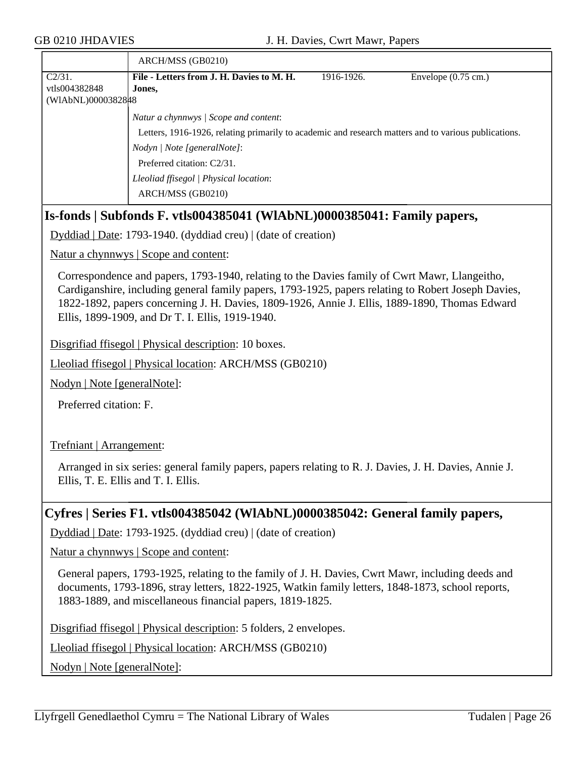|                                                                | ARCH/MSS (GB0210)                                                                                    |            |                               |  |
|----------------------------------------------------------------|------------------------------------------------------------------------------------------------------|------------|-------------------------------|--|
| $C2/31$ .                                                      | File - Letters from J. H. Davies to M. H.                                                            | 1916-1926. | Envelope $(0.75 \text{ cm.})$ |  |
| vtls004382848                                                  | Jones,                                                                                               |            |                               |  |
| (WIAbNL)0000382848                                             |                                                                                                      |            |                               |  |
|                                                                | Natur a chynnwys / Scope and content:                                                                |            |                               |  |
|                                                                | Letters, 1916-1926, relating primarily to academic and research matters and to various publications. |            |                               |  |
|                                                                | Nodyn   Note [generalNote]:                                                                          |            |                               |  |
|                                                                | Preferred citation: C2/31.                                                                           |            |                               |  |
|                                                                | Lleoliad ffisegol   Physical location:                                                               |            |                               |  |
|                                                                | ARCH/MSS (GB0210)                                                                                    |            |                               |  |
|                                                                | Is-fonds   Subfonds F. vtls004385041 (WIAbNL)0000385041: Family papers,                              |            |                               |  |
| Dyddiad   Date: 1793-1940. (dyddiad creu)   (date of creation) |                                                                                                      |            |                               |  |
|                                                                | <u>Natur a chynnwys</u>   Scope and content:                                                         |            |                               |  |

Correspondence and papers, 1793-1940, relating to the Davies family of Cwrt Mawr, Llangeitho, Cardiganshire, including general family papers, 1793-1925, papers relating to Robert Joseph Davies, 1822-1892, papers concerning J. H. Davies, 1809-1926, Annie J. Ellis, 1889-1890, Thomas Edward Ellis, 1899-1909, and Dr T. I. Ellis, 1919-1940.

Disgrifiad ffisegol | Physical description: 10 boxes.

Lleoliad ffisegol | Physical location: ARCH/MSS (GB0210)

Nodyn | Note [generalNote]:

Preferred citation: F.

Trefniant | Arrangement:

Arranged in six series: general family papers, papers relating to R. J. Davies, J. H. Davies, Annie J. Ellis, T. E. Ellis and T. I. Ellis.

#### **Cyfres | Series F1. vtls004385042 (WlAbNL)0000385042: General family papers,**

Dyddiad | Date: 1793-1925. (dyddiad creu) | (date of creation)

Natur a chynnwys | Scope and content:

General papers, 1793-1925, relating to the family of J. H. Davies, Cwrt Mawr, including deeds and documents, 1793-1896, stray letters, 1822-1925, Watkin family letters, 1848-1873, school reports, 1883-1889, and miscellaneous financial papers, 1819-1825.

Disgrifiad ffisegol | Physical description: 5 folders, 2 envelopes.

Lleoliad ffisegol | Physical location: ARCH/MSS (GB0210)

Nodyn | Note [generalNote]: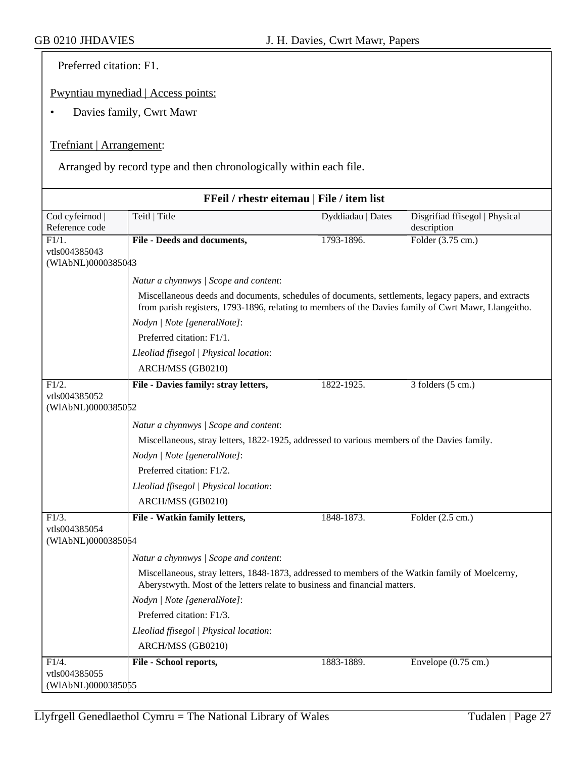Preferred citation: F1.

Pwyntiau mynediad | Access points:

• Davies family, Cwrt Mawr

#### Trefniant | Arrangement:

Arranged by record type and then chronologically within each file.

| FFeil / rhestr eitemau   File / item list |                                                                                                                                                                                                             |                   |                                |  |
|-------------------------------------------|-------------------------------------------------------------------------------------------------------------------------------------------------------------------------------------------------------------|-------------------|--------------------------------|--|
| Cod cyfeirnod                             | Teitl   Title                                                                                                                                                                                               | Dyddiadau   Dates | Disgrifiad ffisegol   Physical |  |
| Reference code                            |                                                                                                                                                                                                             |                   | description                    |  |
| $\overline{F1/1}$ .                       | File - Deeds and documents,                                                                                                                                                                                 | 1793-1896.        | Folder (3.75 cm.)              |  |
| vtls004385043<br>(WIAbNL)0000385043       |                                                                                                                                                                                                             |                   |                                |  |
|                                           | Natur a chynnwys / Scope and content:                                                                                                                                                                       |                   |                                |  |
|                                           | Miscellaneous deeds and documents, schedules of documents, settlements, legacy papers, and extracts<br>from parish registers, 1793-1896, relating to members of the Davies family of Cwrt Mawr, Llangeitho. |                   |                                |  |
|                                           | Nodyn   Note [generalNote]:                                                                                                                                                                                 |                   |                                |  |
|                                           | Preferred citation: F1/1.                                                                                                                                                                                   |                   |                                |  |
|                                           | Lleoliad ffisegol   Physical location:                                                                                                                                                                      |                   |                                |  |
|                                           | ARCH/MSS (GB0210)                                                                                                                                                                                           |                   |                                |  |
| F1/2.                                     | File - Davies family: stray letters,                                                                                                                                                                        | 1822-1925.        | 3 folders (5 cm.)              |  |
| vtls004385052                             |                                                                                                                                                                                                             |                   |                                |  |
| (WIAbNL)0000385052                        |                                                                                                                                                                                                             |                   |                                |  |
|                                           | Natur a chynnwys / Scope and content:                                                                                                                                                                       |                   |                                |  |
|                                           | Miscellaneous, stray letters, 1822-1925, addressed to various members of the Davies family.                                                                                                                 |                   |                                |  |
|                                           | Nodyn   Note [generalNote]:                                                                                                                                                                                 |                   |                                |  |
|                                           | Preferred citation: F1/2.                                                                                                                                                                                   |                   |                                |  |
|                                           | Lleoliad ffisegol   Physical location:                                                                                                                                                                      |                   |                                |  |
|                                           | ARCH/MSS (GB0210)                                                                                                                                                                                           |                   |                                |  |
| F1/3.                                     | File - Watkin family letters,                                                                                                                                                                               | 1848-1873.        | Folder $(2.5 \text{ cm.})$     |  |
| vtls004385054                             |                                                                                                                                                                                                             |                   |                                |  |
| (WIAbNL)0000385054                        |                                                                                                                                                                                                             |                   |                                |  |
|                                           | Natur a chynnwys / Scope and content:                                                                                                                                                                       |                   |                                |  |
|                                           | Miscellaneous, stray letters, 1848-1873, addressed to members of the Watkin family of Moelcerny,<br>Aberystwyth. Most of the letters relate to business and financial matters.                              |                   |                                |  |
|                                           | Nodyn   Note [generalNote]:                                                                                                                                                                                 |                   |                                |  |
|                                           | Preferred citation: F1/3.                                                                                                                                                                                   |                   |                                |  |
|                                           | Lleoliad ffisegol   Physical location:                                                                                                                                                                      |                   |                                |  |
|                                           | ARCH/MSS (GB0210)                                                                                                                                                                                           |                   |                                |  |
| $\overline{F1/4.}$                        | File - School reports,                                                                                                                                                                                      | 1883-1889.        | Envelope $(0.75 \text{ cm.})$  |  |
| vtls004385055                             |                                                                                                                                                                                                             |                   |                                |  |
| (WIAbNL)0000385055                        |                                                                                                                                                                                                             |                   |                                |  |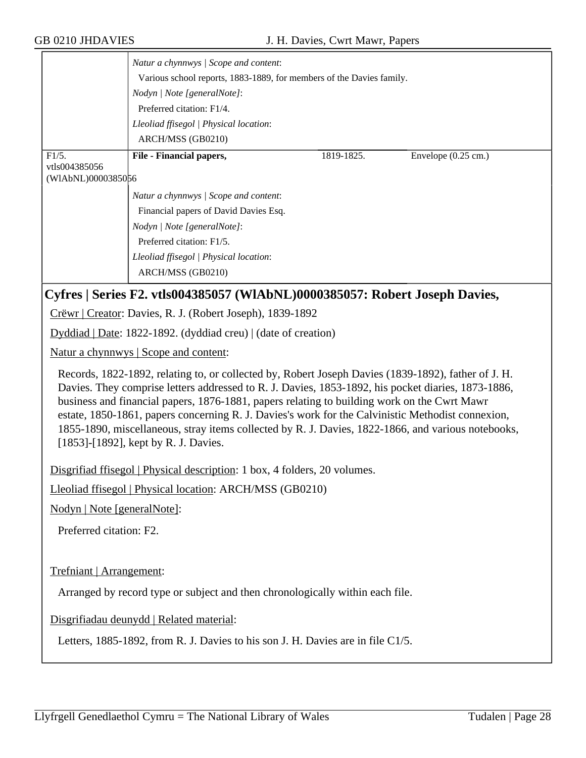|                    | Natur a chynnwys / Scope and content:<br>Various school reports, 1883-1889, for members of the Davies family. |            |                               |  |  |
|--------------------|---------------------------------------------------------------------------------------------------------------|------------|-------------------------------|--|--|
|                    | Nodyn   Note [generalNote]:<br>Preferred citation: F1/4.                                                      |            |                               |  |  |
|                    |                                                                                                               |            |                               |  |  |
|                    | Lleoliad ffisegol   Physical location:<br>ARCH/MSS (GB0210)                                                   |            |                               |  |  |
|                    |                                                                                                               |            |                               |  |  |
| $F1/5$ .           | File - Financial papers,                                                                                      | 1819-1825. | Envelope $(0.25 \text{ cm.})$ |  |  |
| vtls004385056      |                                                                                                               |            |                               |  |  |
| (WIAbNL)0000385056 |                                                                                                               |            |                               |  |  |
|                    | Natur a chynnwys / Scope and content:                                                                         |            |                               |  |  |
|                    | Financial papers of David Davies Esq.                                                                         |            |                               |  |  |
|                    | Nodyn   Note [generalNote]:                                                                                   |            |                               |  |  |
|                    | Preferred citation: F1/5.                                                                                     |            |                               |  |  |
|                    | Lleoliad ffisegol   Physical location:                                                                        |            |                               |  |  |
|                    | ARCH/MSS (GB0210)                                                                                             |            |                               |  |  |
|                    |                                                                                                               |            |                               |  |  |

### **Cyfres | Series F2. vtls004385057 (WlAbNL)0000385057: Robert Joseph Davies,**

Crëwr | Creator: Davies, R. J. (Robert Joseph), 1839-1892

Dyddiad | Date: 1822-1892. (dyddiad creu) | (date of creation)

Natur a chynnwys | Scope and content:

Records, 1822-1892, relating to, or collected by, Robert Joseph Davies (1839-1892), father of J. H. Davies. They comprise letters addressed to R. J. Davies, 1853-1892, his pocket diaries, 1873-1886, business and financial papers, 1876-1881, papers relating to building work on the Cwrt Mawr estate, 1850-1861, papers concerning R. J. Davies's work for the Calvinistic Methodist connexion, 1855-1890, miscellaneous, stray items collected by R. J. Davies, 1822-1866, and various notebooks, [1853]-[1892], kept by R. J. Davies.

Disgrifiad ffisegol | Physical description: 1 box, 4 folders, 20 volumes.

Lleoliad ffisegol | Physical location: ARCH/MSS (GB0210)

Nodyn | Note [generalNote]:

Preferred citation: F2.

Trefniant | Arrangement:

Arranged by record type or subject and then chronologically within each file.

Disgrifiadau deunydd | Related material:

Letters, 1885-1892, from R. J. Davies to his son J. H. Davies are in file C1/5.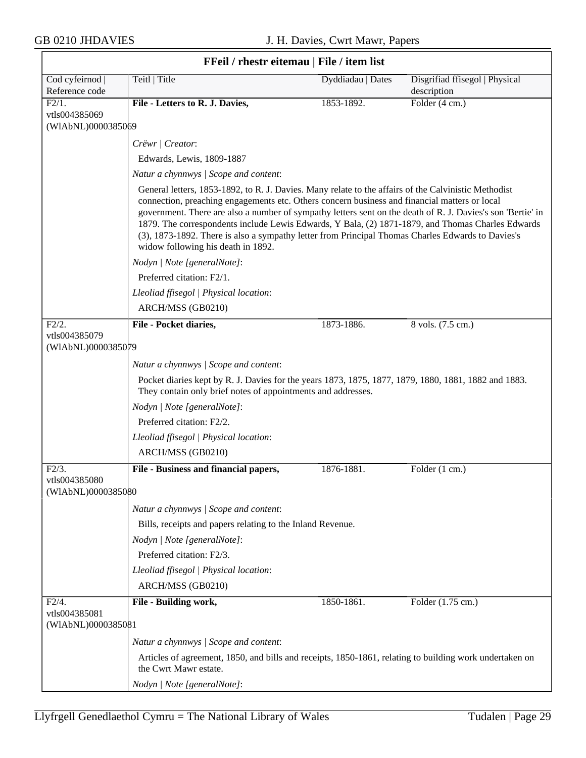$\overline{\phantom{a}}$ 

|                                              | FFeil / rhestr eitemau   File / item list                                                                                                                                                                                                                                                                                                                                                                                                                                                                                                                            |                   |                                               |
|----------------------------------------------|----------------------------------------------------------------------------------------------------------------------------------------------------------------------------------------------------------------------------------------------------------------------------------------------------------------------------------------------------------------------------------------------------------------------------------------------------------------------------------------------------------------------------------------------------------------------|-------------------|-----------------------------------------------|
| Cod cyfeirnod  <br>Reference code            | Teitl   Title                                                                                                                                                                                                                                                                                                                                                                                                                                                                                                                                                        | Dyddiadau   Dates | Disgrifiad ffisegol   Physical<br>description |
| F2/1.<br>vtls004385069<br>(WIAbNL)0000385069 | File - Letters to R. J. Davies,                                                                                                                                                                                                                                                                                                                                                                                                                                                                                                                                      | 1853-1892.        | Folder (4 cm.)                                |
|                                              | Crëwr   Creator:                                                                                                                                                                                                                                                                                                                                                                                                                                                                                                                                                     |                   |                                               |
|                                              | Edwards, Lewis, 1809-1887                                                                                                                                                                                                                                                                                                                                                                                                                                                                                                                                            |                   |                                               |
|                                              | Natur a chynnwys / Scope and content:                                                                                                                                                                                                                                                                                                                                                                                                                                                                                                                                |                   |                                               |
|                                              | General letters, 1853-1892, to R. J. Davies. Many relate to the affairs of the Calvinistic Methodist<br>connection, preaching engagements etc. Others concern business and financial matters or local<br>government. There are also a number of sympathy letters sent on the death of R. J. Davies's son 'Bertie' in<br>1879. The correspondents include Lewis Edwards, Y Bala, (2) 1871-1879, and Thomas Charles Edwards<br>(3), 1873-1892. There is also a sympathy letter from Principal Thomas Charles Edwards to Davies's<br>widow following his death in 1892. |                   |                                               |
|                                              | Nodyn   Note [generalNote]:                                                                                                                                                                                                                                                                                                                                                                                                                                                                                                                                          |                   |                                               |
|                                              | Preferred citation: F2/1.                                                                                                                                                                                                                                                                                                                                                                                                                                                                                                                                            |                   |                                               |
|                                              | Lleoliad ffisegol   Physical location:                                                                                                                                                                                                                                                                                                                                                                                                                                                                                                                               |                   |                                               |
|                                              | ARCH/MSS (GB0210)                                                                                                                                                                                                                                                                                                                                                                                                                                                                                                                                                    |                   |                                               |
| F2/2.                                        | File - Pocket diaries,                                                                                                                                                                                                                                                                                                                                                                                                                                                                                                                                               | 1873-1886.        | 8 vols. (7.5 cm.)                             |
| vtls004385079<br>(WIAbNL)0000385079          |                                                                                                                                                                                                                                                                                                                                                                                                                                                                                                                                                                      |                   |                                               |
|                                              | Natur a chynnwys / Scope and content:                                                                                                                                                                                                                                                                                                                                                                                                                                                                                                                                |                   |                                               |
|                                              | Pocket diaries kept by R. J. Davies for the years 1873, 1875, 1877, 1879, 1880, 1881, 1882 and 1883.<br>They contain only brief notes of appointments and addresses.                                                                                                                                                                                                                                                                                                                                                                                                 |                   |                                               |
|                                              | Nodyn   Note [generalNote]:                                                                                                                                                                                                                                                                                                                                                                                                                                                                                                                                          |                   |                                               |
|                                              | Preferred citation: F2/2.                                                                                                                                                                                                                                                                                                                                                                                                                                                                                                                                            |                   |                                               |
|                                              | Lleoliad ffisegol   Physical location:                                                                                                                                                                                                                                                                                                                                                                                                                                                                                                                               |                   |                                               |
|                                              | ARCH/MSS (GB0210)                                                                                                                                                                                                                                                                                                                                                                                                                                                                                                                                                    |                   |                                               |
| $F2/3$ .                                     | File - Business and financial papers,                                                                                                                                                                                                                                                                                                                                                                                                                                                                                                                                | 1876-1881.        | Folder (1 cm.)                                |
| vtls004385080<br>(WIAbNL)0000385080          |                                                                                                                                                                                                                                                                                                                                                                                                                                                                                                                                                                      |                   |                                               |
|                                              | Natur a chynnwys / Scope and content:                                                                                                                                                                                                                                                                                                                                                                                                                                                                                                                                |                   |                                               |
|                                              | Bills, receipts and papers relating to the Inland Revenue.                                                                                                                                                                                                                                                                                                                                                                                                                                                                                                           |                   |                                               |
|                                              | Nodyn   Note [generalNote]:                                                                                                                                                                                                                                                                                                                                                                                                                                                                                                                                          |                   |                                               |
|                                              | Preferred citation: F2/3.                                                                                                                                                                                                                                                                                                                                                                                                                                                                                                                                            |                   |                                               |
|                                              | Lleoliad ffisegol   Physical location:                                                                                                                                                                                                                                                                                                                                                                                                                                                                                                                               |                   |                                               |
|                                              | ARCH/MSS (GB0210)                                                                                                                                                                                                                                                                                                                                                                                                                                                                                                                                                    |                   |                                               |
| F2/4.<br>vtls004385081<br>(WIAbNL)0000385081 | File - Building work,                                                                                                                                                                                                                                                                                                                                                                                                                                                                                                                                                | 1850-1861.        | Folder (1.75 cm.)                             |
|                                              | Natur a chynnwys / Scope and content:                                                                                                                                                                                                                                                                                                                                                                                                                                                                                                                                |                   |                                               |
|                                              | Articles of agreement, 1850, and bills and receipts, 1850-1861, relating to building work undertaken on<br>the Cwrt Mawr estate.                                                                                                                                                                                                                                                                                                                                                                                                                                     |                   |                                               |
|                                              | Nodyn   Note [generalNote]:                                                                                                                                                                                                                                                                                                                                                                                                                                                                                                                                          |                   |                                               |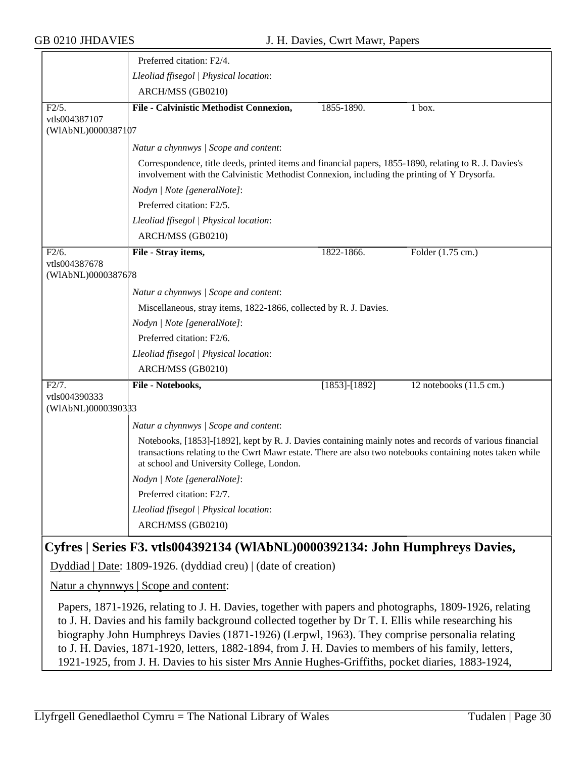|                                     | Preferred citation: F2/4.                                                                                                                                                                                                                                        |                   |                                   |  |
|-------------------------------------|------------------------------------------------------------------------------------------------------------------------------------------------------------------------------------------------------------------------------------------------------------------|-------------------|-----------------------------------|--|
|                                     | Lleoliad ffisegol   Physical location:                                                                                                                                                                                                                           |                   |                                   |  |
|                                     | ARCH/MSS (GB0210)                                                                                                                                                                                                                                                |                   |                                   |  |
| $\overline{F2/5}$ .                 | File - Calvinistic Methodist Connexion,                                                                                                                                                                                                                          | 1855-1890.        | $1$ box.                          |  |
| vtls004387107                       |                                                                                                                                                                                                                                                                  |                   |                                   |  |
| (WIAbNL)0000387107                  |                                                                                                                                                                                                                                                                  |                   |                                   |  |
|                                     | Natur a chynnwys / Scope and content:                                                                                                                                                                                                                            |                   |                                   |  |
|                                     | Correspondence, title deeds, printed items and financial papers, 1855-1890, relating to R. J. Davies's<br>involvement with the Calvinistic Methodist Connexion, including the printing of Y Drysorfa.                                                            |                   |                                   |  |
|                                     | Nodyn   Note [generalNote]:                                                                                                                                                                                                                                      |                   |                                   |  |
|                                     | Preferred citation: F2/5.                                                                                                                                                                                                                                        |                   |                                   |  |
|                                     | Lleoliad ffisegol   Physical location:                                                                                                                                                                                                                           |                   |                                   |  |
|                                     | ARCH/MSS (GB0210)                                                                                                                                                                                                                                                |                   |                                   |  |
| F2/6.                               | File - Stray items,                                                                                                                                                                                                                                              | 1822-1866.        | Folder (1.75 cm.)                 |  |
| vtls004387678<br>(WIAbNL)0000387678 |                                                                                                                                                                                                                                                                  |                   |                                   |  |
|                                     | Natur a chynnwys / Scope and content:                                                                                                                                                                                                                            |                   |                                   |  |
|                                     | Miscellaneous, stray items, 1822-1866, collected by R. J. Davies.                                                                                                                                                                                                |                   |                                   |  |
|                                     | Nodyn   Note [generalNote]:                                                                                                                                                                                                                                      |                   |                                   |  |
|                                     | Preferred citation: F2/6.                                                                                                                                                                                                                                        |                   |                                   |  |
|                                     | Lleoliad ffisegol   Physical location:                                                                                                                                                                                                                           |                   |                                   |  |
|                                     | ARCH/MSS (GB0210)                                                                                                                                                                                                                                                |                   |                                   |  |
| F2/7.                               | File - Notebooks,                                                                                                                                                                                                                                                | $[1853] - [1892]$ | 12 notebooks $(11.5 \text{ cm.})$ |  |
| vtls004390333<br>(WIAbNL)0000390333 |                                                                                                                                                                                                                                                                  |                   |                                   |  |
|                                     | Natur a chynnwys / Scope and content:                                                                                                                                                                                                                            |                   |                                   |  |
|                                     | Notebooks, [1853]-[1892], kept by R. J. Davies containing mainly notes and records of various financial<br>transactions relating to the Cwrt Mawr estate. There are also two notebooks containing notes taken while<br>at school and University College, London. |                   |                                   |  |
|                                     | Nodyn   Note [generalNote]:                                                                                                                                                                                                                                      |                   |                                   |  |
|                                     | Preferred citation: F2/7.                                                                                                                                                                                                                                        |                   |                                   |  |
|                                     | Lleoliad ffisegol   Physical location:                                                                                                                                                                                                                           |                   |                                   |  |
|                                     | ARCH/MSS (GB0210)                                                                                                                                                                                                                                                |                   |                                   |  |
|                                     |                                                                                                                                                                                                                                                                  |                   |                                   |  |

# **Cyfres | Series F3. vtls004392134 (WlAbNL)0000392134: John Humphreys Davies,**

Dyddiad | Date: 1809-1926. (dyddiad creu) | (date of creation)

Natur a chynnwys | Scope and content:

Papers, 1871-1926, relating to J. H. Davies, together with papers and photographs, 1809-1926, relating to J. H. Davies and his family background collected together by Dr T. I. Ellis while researching his biography John Humphreys Davies (1871-1926) (Lerpwl, 1963). They comprise personalia relating to J. H. Davies, 1871-1920, letters, 1882-1894, from J. H. Davies to members of his family, letters, 1921-1925, from J. H. Davies to his sister Mrs Annie Hughes-Griffiths, pocket diaries, 1883-1924,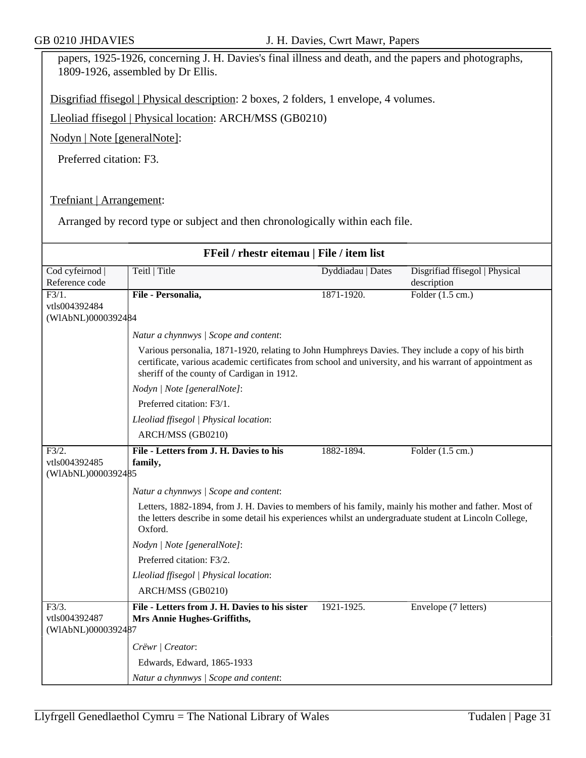papers, 1925-1926, concerning J. H. Davies's final illness and death, and the papers and photographs, 1809-1926, assembled by Dr Ellis.

Disgrifiad ffisegol | Physical description: 2 boxes, 2 folders, 1 envelope, 4 volumes.

Lleoliad ffisegol | Physical location: ARCH/MSS (GB0210)

Nodyn | Note [generalNote]:

Preferred citation: F3.

#### Trefniant | Arrangement:

Arranged by record type or subject and then chronologically within each file.

| FFeil / rhestr eitemau   File / item list                  |                                                                                                                                                                                                                                                              |                   |                                               |  |
|------------------------------------------------------------|--------------------------------------------------------------------------------------------------------------------------------------------------------------------------------------------------------------------------------------------------------------|-------------------|-----------------------------------------------|--|
| Cod cyfeirnod  <br>Reference code                          | Teitl   Title                                                                                                                                                                                                                                                | Dyddiadau   Dates | Disgrifiad ffisegol   Physical<br>description |  |
| $F3/1$ .<br>vtls004392484                                  | File - Personalia,                                                                                                                                                                                                                                           | 1871-1920.        | Folder $(1.5 \text{ cm.})$                    |  |
| (WIAbNL)0000392484                                         |                                                                                                                                                                                                                                                              |                   |                                               |  |
|                                                            | Natur a chynnwys / Scope and content:                                                                                                                                                                                                                        |                   |                                               |  |
|                                                            | Various personalia, 1871-1920, relating to John Humphreys Davies. They include a copy of his birth<br>certificate, various academic certificates from school and university, and his warrant of appointment as<br>sheriff of the county of Cardigan in 1912. |                   |                                               |  |
|                                                            | Nodyn   Note [generalNote]:                                                                                                                                                                                                                                  |                   |                                               |  |
|                                                            | Preferred citation: F3/1.                                                                                                                                                                                                                                    |                   |                                               |  |
|                                                            | Lleoliad ffisegol   Physical location:                                                                                                                                                                                                                       |                   |                                               |  |
|                                                            | ARCH/MSS (GB0210)                                                                                                                                                                                                                                            |                   |                                               |  |
| F3/2.<br>vtls004392485<br>(WIAbNL)0000392485               | File - Letters from J. H. Davies to his<br>family,                                                                                                                                                                                                           | 1882-1894.        | Folder $(1.5 \text{ cm.})$                    |  |
|                                                            | Natur a chynnwys / Scope and content:                                                                                                                                                                                                                        |                   |                                               |  |
|                                                            | Letters, 1882-1894, from J. H. Davies to members of his family, mainly his mother and father. Most of<br>the letters describe in some detail his experiences whilst an undergraduate student at Lincoln College,<br>Oxford.                                  |                   |                                               |  |
|                                                            | Nodyn   Note [generalNote]:                                                                                                                                                                                                                                  |                   |                                               |  |
|                                                            | Preferred citation: F3/2.                                                                                                                                                                                                                                    |                   |                                               |  |
|                                                            | Lleoliad ffisegol   Physical location:                                                                                                                                                                                                                       |                   |                                               |  |
|                                                            | ARCH/MSS (GB0210)                                                                                                                                                                                                                                            |                   |                                               |  |
| $\overline{F3/3}$ .<br>vtls004392487<br>(WIAbNL)0000392487 | File - Letters from J. H. Davies to his sister<br>Mrs Annie Hughes-Griffiths,                                                                                                                                                                                | 1921-1925.        | Envelope (7 letters)                          |  |
|                                                            | Crëwr   Creator:                                                                                                                                                                                                                                             |                   |                                               |  |
|                                                            | Edwards, Edward, 1865-1933                                                                                                                                                                                                                                   |                   |                                               |  |
|                                                            | Natur a chynnwys / Scope and content:                                                                                                                                                                                                                        |                   |                                               |  |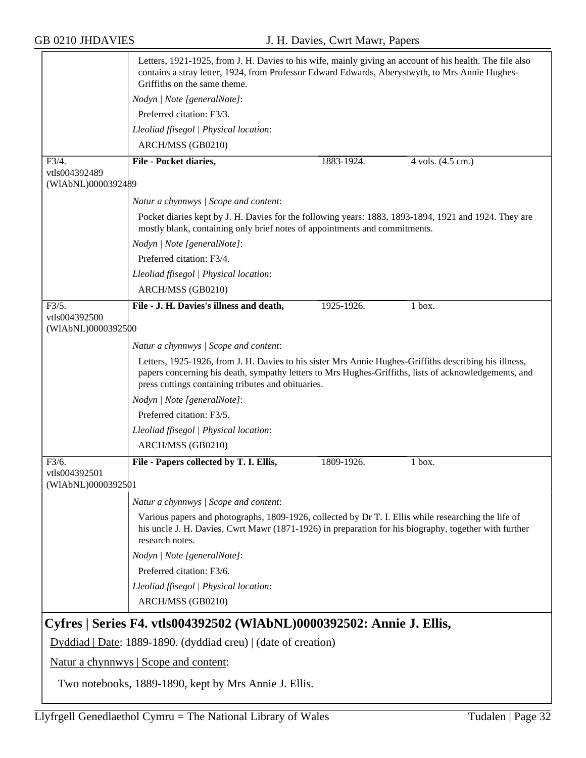|                                                                       | Letters, 1921-1925, from J. H. Davies to his wife, mainly giving an account of his health. The file also<br>contains a stray letter, 1924, from Professor Edward Edwards, Aberystwyth, to Mrs Annie Hughes-<br>Griffiths on the same theme.                           |            |                   |  |
|-----------------------------------------------------------------------|-----------------------------------------------------------------------------------------------------------------------------------------------------------------------------------------------------------------------------------------------------------------------|------------|-------------------|--|
|                                                                       | Nodyn   Note [generalNote]:                                                                                                                                                                                                                                           |            |                   |  |
|                                                                       | Preferred citation: F3/3.                                                                                                                                                                                                                                             |            |                   |  |
|                                                                       | Lleoliad ffisegol   Physical location:                                                                                                                                                                                                                                |            |                   |  |
|                                                                       | ARCH/MSS (GB0210)                                                                                                                                                                                                                                                     |            |                   |  |
| F3/4.                                                                 | File - Pocket diaries,                                                                                                                                                                                                                                                | 1883-1924. | 4 vols. (4.5 cm.) |  |
| vtls004392489<br>(WIAbNL)0000392489                                   |                                                                                                                                                                                                                                                                       |            |                   |  |
|                                                                       | Natur a chynnwys / Scope and content:                                                                                                                                                                                                                                 |            |                   |  |
|                                                                       | Pocket diaries kept by J. H. Davies for the following years: 1883, 1893-1894, 1921 and 1924. They are<br>mostly blank, containing only brief notes of appointments and commitments.                                                                                   |            |                   |  |
|                                                                       | Nodyn   Note [generalNote]:                                                                                                                                                                                                                                           |            |                   |  |
|                                                                       | Preferred citation: F3/4.                                                                                                                                                                                                                                             |            |                   |  |
|                                                                       | Lleoliad ffisegol   Physical location:                                                                                                                                                                                                                                |            |                   |  |
|                                                                       | ARCH/MSS (GB0210)                                                                                                                                                                                                                                                     |            |                   |  |
| F3/5.                                                                 | File - J. H. Davies's illness and death,                                                                                                                                                                                                                              | 1925-1926. | 1 box.            |  |
| vtls004392500<br>(WIAbNL)0000392500                                   |                                                                                                                                                                                                                                                                       |            |                   |  |
|                                                                       | Natur a chynnwys / Scope and content:                                                                                                                                                                                                                                 |            |                   |  |
|                                                                       | Letters, 1925-1926, from J. H. Davies to his sister Mrs Annie Hughes-Griffiths describing his illness,<br>papers concerning his death, sympathy letters to Mrs Hughes-Griffiths, lists of acknowledgements, and<br>press cuttings containing tributes and obituaries. |            |                   |  |
|                                                                       | Nodyn   Note [generalNote]:                                                                                                                                                                                                                                           |            |                   |  |
|                                                                       | Preferred citation: F3/5.                                                                                                                                                                                                                                             |            |                   |  |
|                                                                       | Lleoliad ffisegol   Physical location:                                                                                                                                                                                                                                |            |                   |  |
|                                                                       | ARCH/MSS (GB0210)                                                                                                                                                                                                                                                     |            |                   |  |
| F3/6.                                                                 | File - Papers collected by T. I. Ellis,                                                                                                                                                                                                                               | 1809-1926. | 1 box.            |  |
| vtls004392501<br>(WIAbNL)0000392501                                   |                                                                                                                                                                                                                                                                       |            |                   |  |
|                                                                       | Natur a chynnwys / Scope and content:                                                                                                                                                                                                                                 |            |                   |  |
|                                                                       | Various papers and photographs, 1809-1926, collected by Dr T. I. Ellis while researching the life of<br>his uncle J. H. Davies, Cwrt Mawr (1871-1926) in preparation for his biography, together with further<br>research notes.                                      |            |                   |  |
|                                                                       | Nodyn   Note [generalNote]:                                                                                                                                                                                                                                           |            |                   |  |
|                                                                       | Preferred citation: F3/6.                                                                                                                                                                                                                                             |            |                   |  |
|                                                                       | Lleoliad ffisegol   Physical location:                                                                                                                                                                                                                                |            |                   |  |
|                                                                       | ARCH/MSS (GB0210)                                                                                                                                                                                                                                                     |            |                   |  |
| Cyfres   Series F4. vtls004392502 (WlAbNL)0000392502: Annie J. Ellis, |                                                                                                                                                                                                                                                                       |            |                   |  |
| Dyddiad   Date: 1889-1890. (dyddiad creu)   (date of creation)        |                                                                                                                                                                                                                                                                       |            |                   |  |
| Natur a chynnwys   Scope and content:                                 |                                                                                                                                                                                                                                                                       |            |                   |  |

Two notebooks, 1889-1890, kept by Mrs Annie J. Ellis.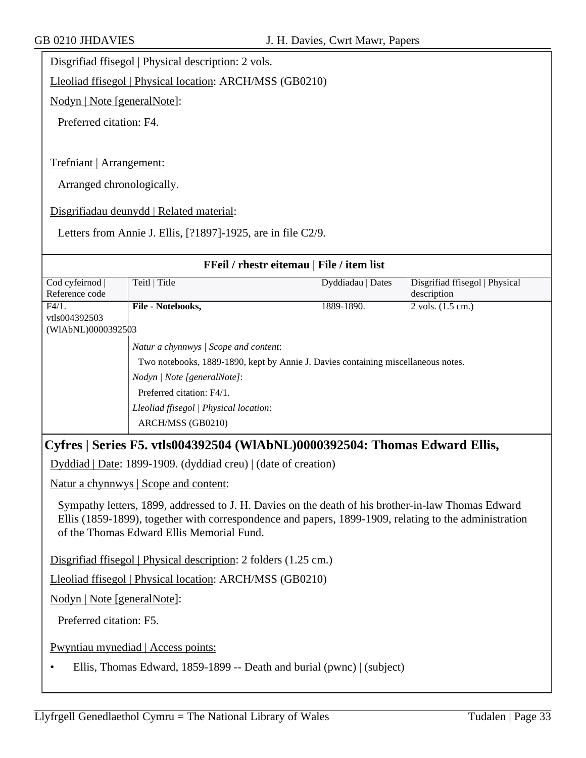Disgrifiad ffisegol | Physical description: 2 vols.

Lleoliad ffisegol | Physical location: ARCH/MSS (GB0210)

Nodyn | Note [generalNote]:

Preferred citation: F4.

Trefniant | Arrangement:

Arranged chronologically.

Disgrifiadau deunydd | Related material:

Letters from Annie J. Ellis, [?1897]-1925, are in file C2/9.

|                                     |                                                                                                                                                                                                                                                                                                                                                                     | FFeil / rhestr eitemau   File / item list                                         |                                |
|-------------------------------------|---------------------------------------------------------------------------------------------------------------------------------------------------------------------------------------------------------------------------------------------------------------------------------------------------------------------------------------------------------------------|-----------------------------------------------------------------------------------|--------------------------------|
| Cod cyfeirnod                       | Teitl   Title                                                                                                                                                                                                                                                                                                                                                       | Dyddiadau   Dates                                                                 | Disgrifiad ffisegol   Physical |
| Reference code                      |                                                                                                                                                                                                                                                                                                                                                                     |                                                                                   | description                    |
| F4/1.                               | File - Notebooks,                                                                                                                                                                                                                                                                                                                                                   | 1889-1890.                                                                        | $2$ vols. $(1.5$ cm.)          |
| vtls004392503<br>(WIAbNL)0000392503 |                                                                                                                                                                                                                                                                                                                                                                     |                                                                                   |                                |
|                                     | Natur a chynnwys / Scope and content:                                                                                                                                                                                                                                                                                                                               |                                                                                   |                                |
|                                     |                                                                                                                                                                                                                                                                                                                                                                     | Two notebooks, 1889-1890, kept by Annie J. Davies containing miscellaneous notes. |                                |
|                                     | Nodyn   Note [generalNote]:                                                                                                                                                                                                                                                                                                                                         |                                                                                   |                                |
|                                     | Preferred citation: F4/1.                                                                                                                                                                                                                                                                                                                                           |                                                                                   |                                |
|                                     | Lleoliad ffisegol   Physical location:                                                                                                                                                                                                                                                                                                                              |                                                                                   |                                |
|                                     | ARCH/MSS (GB0210)                                                                                                                                                                                                                                                                                                                                                   |                                                                                   |                                |
|                                     | Dyddiad   Date: 1899-1909. (dyddiad creu)   (date of creation)<br>Natur a chynnwys   Scope and content:<br>Sympathy letters, 1899, addressed to J. H. Davies on the death of his brother-in-law Thomas Edward<br>Ellis (1859-1899), together with correspondence and papers, 1899-1909, relating to the administration<br>of the Thomas Edward Ellis Memorial Fund. |                                                                                   |                                |
|                                     | Disgrifiad ffisegol   Physical description: 2 folders (1.25 cm.)                                                                                                                                                                                                                                                                                                    |                                                                                   |                                |
|                                     | Lleoliad ffisegol   Physical location: ARCH/MSS (GB0210)                                                                                                                                                                                                                                                                                                            |                                                                                   |                                |
| Nodyn   Note [generalNote]:         |                                                                                                                                                                                                                                                                                                                                                                     |                                                                                   |                                |
| Preferred citation: F5.             |                                                                                                                                                                                                                                                                                                                                                                     |                                                                                   |                                |
|                                     | Pwyntiau mynediad   Access points:                                                                                                                                                                                                                                                                                                                                  |                                                                                   |                                |
|                                     |                                                                                                                                                                                                                                                                                                                                                                     |                                                                                   |                                |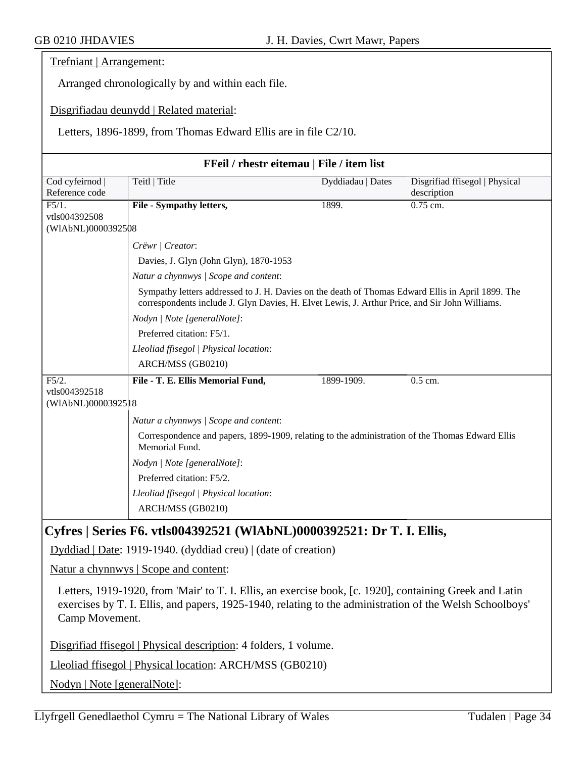Trefniant | Arrangement:

Arranged chronologically by and within each file.

Disgrifiadau deunydd | Related material:

Letters, 1896-1899, from Thomas Edward Ellis are in file C2/10.

| FFeil / rhestr eitemau   File / item list |                                                                                                                                                                                                                                              |                   |                                |  |  |
|-------------------------------------------|----------------------------------------------------------------------------------------------------------------------------------------------------------------------------------------------------------------------------------------------|-------------------|--------------------------------|--|--|
| Cod cyfeirnod                             | Teitl   Title                                                                                                                                                                                                                                | Dyddiadau   Dates | Disgrifiad ffisegol   Physical |  |  |
| Reference code                            |                                                                                                                                                                                                                                              |                   | description                    |  |  |
| F5/1.                                     | File - Sympathy letters,                                                                                                                                                                                                                     | 1899.             | $0.75$ cm.                     |  |  |
| vtls004392508<br>(WIAbNL)0000392508       |                                                                                                                                                                                                                                              |                   |                                |  |  |
|                                           | Crëwr   Creator:                                                                                                                                                                                                                             |                   |                                |  |  |
|                                           |                                                                                                                                                                                                                                              |                   |                                |  |  |
|                                           | Davies, J. Glyn (John Glyn), 1870-1953                                                                                                                                                                                                       |                   |                                |  |  |
|                                           | Natur a chynnwys / Scope and content:<br>Sympathy letters addressed to J. H. Davies on the death of Thomas Edward Ellis in April 1899. The<br>correspondents include J. Glyn Davies, H. Elvet Lewis, J. Arthur Price, and Sir John Williams. |                   |                                |  |  |
|                                           |                                                                                                                                                                                                                                              |                   |                                |  |  |
|                                           | Nodyn   Note [generalNote]:                                                                                                                                                                                                                  |                   |                                |  |  |
|                                           | Preferred citation: F5/1.                                                                                                                                                                                                                    |                   |                                |  |  |
|                                           | Lleoliad ffisegol   Physical location:                                                                                                                                                                                                       |                   |                                |  |  |
|                                           | ARCH/MSS (GB0210)                                                                                                                                                                                                                            |                   |                                |  |  |
| F5/2.                                     | File - T. E. Ellis Memorial Fund,                                                                                                                                                                                                            | 1899-1909.        | $0.5$ cm.                      |  |  |
| vtls004392518                             |                                                                                                                                                                                                                                              |                   |                                |  |  |
| (WIAbNL)00003925 18                       |                                                                                                                                                                                                                                              |                   |                                |  |  |
|                                           | Natur a chynnwys / Scope and content:                                                                                                                                                                                                        |                   |                                |  |  |
|                                           | Correspondence and papers, 1899-1909, relating to the administration of the Thomas Edward Ellis<br>Memorial Fund.                                                                                                                            |                   |                                |  |  |
|                                           | Nodyn   Note [generalNote]:                                                                                                                                                                                                                  |                   |                                |  |  |
|                                           | Preferred citation: F5/2.                                                                                                                                                                                                                    |                   |                                |  |  |
|                                           | Lleoliad ffisegol   Physical location:                                                                                                                                                                                                       |                   |                                |  |  |
|                                           | ARCH/MSS (GB0210)                                                                                                                                                                                                                            |                   |                                |  |  |
|                                           |                                                                                                                                                                                                                                              |                   |                                |  |  |
|                                           | Cyfres   Series F6. vtls004392521 (WIAbNL)0000392521: Dr T. I. Ellis,                                                                                                                                                                        |                   |                                |  |  |
|                                           | Dyddiad   Date: 1919-1940. (dyddiad creu)   (date of creation)                                                                                                                                                                               |                   |                                |  |  |
|                                           | Natur a chynnwys   Scope and content:                                                                                                                                                                                                        |                   |                                |  |  |

Letters, 1919-1920, from 'Mair' to T. I. Ellis, an exercise book, [c. 1920], containing Greek and Latin exercises by T. I. Ellis, and papers, 1925-1940, relating to the administration of the Welsh Schoolboys' Camp Movement.

Disgrifiad ffisegol | Physical description: 4 folders, 1 volume.

Lleoliad ffisegol | Physical location: ARCH/MSS (GB0210)

Nodyn | Note [generalNote]: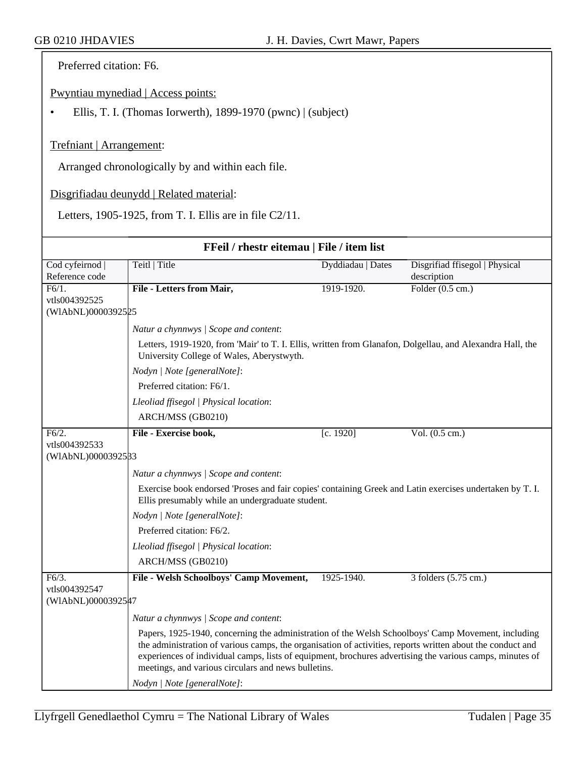Preferred citation: F6.

Pwyntiau mynediad | Access points:

• Ellis, T. I. (Thomas Iorwerth), 1899-1970 (pwnc) | (subject)

#### Trefniant | Arrangement:

Arranged chronologically by and within each file.

Disgrifiadau deunydd | Related material:

Letters, 1905-1925, from T. I. Ellis are in file C2/11.

| FFeil / rhestr eitemau   File / item list |                                                                                                                                                                                                                                                                                                                                                                                     |                   |                                |  |
|-------------------------------------------|-------------------------------------------------------------------------------------------------------------------------------------------------------------------------------------------------------------------------------------------------------------------------------------------------------------------------------------------------------------------------------------|-------------------|--------------------------------|--|
| Cod cyfeirnod                             | Teitl   Title                                                                                                                                                                                                                                                                                                                                                                       | Dyddiadau   Dates | Disgrifiad ffisegol   Physical |  |
| Reference code                            |                                                                                                                                                                                                                                                                                                                                                                                     |                   | description                    |  |
| F6/1.                                     | File - Letters from Mair,                                                                                                                                                                                                                                                                                                                                                           | 1919-1920.        | Folder $(0.5 \text{ cm.})$     |  |
| vtls004392525                             |                                                                                                                                                                                                                                                                                                                                                                                     |                   |                                |  |
| (WIAbNL)0000392525                        |                                                                                                                                                                                                                                                                                                                                                                                     |                   |                                |  |
|                                           | Natur a chynnwys / Scope and content:                                                                                                                                                                                                                                                                                                                                               |                   |                                |  |
|                                           | Letters, 1919-1920, from 'Mair' to T. I. Ellis, written from Glanafon, Dolgellau, and Alexandra Hall, the<br>University College of Wales, Aberystwyth.                                                                                                                                                                                                                              |                   |                                |  |
|                                           | Nodyn   Note [generalNote]:                                                                                                                                                                                                                                                                                                                                                         |                   |                                |  |
|                                           | Preferred citation: F6/1.                                                                                                                                                                                                                                                                                                                                                           |                   |                                |  |
|                                           | Lleoliad ffisegol   Physical location:                                                                                                                                                                                                                                                                                                                                              |                   |                                |  |
|                                           | ARCH/MSS (GB0210)                                                                                                                                                                                                                                                                                                                                                                   |                   |                                |  |
| F6/2.                                     | File - Exercise book,                                                                                                                                                                                                                                                                                                                                                               | [c. 1920]         | Vol. $(0.5 \text{ cm.})$       |  |
| vtls004392533                             |                                                                                                                                                                                                                                                                                                                                                                                     |                   |                                |  |
| (WIAbNL)0000392533                        |                                                                                                                                                                                                                                                                                                                                                                                     |                   |                                |  |
|                                           | Natur a chynnwys / Scope and content:                                                                                                                                                                                                                                                                                                                                               |                   |                                |  |
|                                           | Exercise book endorsed 'Proses and fair copies' containing Greek and Latin exercises undertaken by T. I.<br>Ellis presumably while an undergraduate student.                                                                                                                                                                                                                        |                   |                                |  |
|                                           | Nodyn   Note [generalNote]:                                                                                                                                                                                                                                                                                                                                                         |                   |                                |  |
|                                           | Preferred citation: F6/2.                                                                                                                                                                                                                                                                                                                                                           |                   |                                |  |
|                                           | Lleoliad ffisegol   Physical location:                                                                                                                                                                                                                                                                                                                                              |                   |                                |  |
|                                           | ARCH/MSS (GB0210)                                                                                                                                                                                                                                                                                                                                                                   |                   |                                |  |
| F6/3.                                     | File - Welsh Schoolboys' Camp Movement,                                                                                                                                                                                                                                                                                                                                             | 1925-1940.        | 3 folders (5.75 cm.)           |  |
| vtls004392547                             |                                                                                                                                                                                                                                                                                                                                                                                     |                   |                                |  |
| (WIAbNL)0000392547                        |                                                                                                                                                                                                                                                                                                                                                                                     |                   |                                |  |
|                                           | Natur a chynnwys / Scope and content:                                                                                                                                                                                                                                                                                                                                               |                   |                                |  |
|                                           | Papers, 1925-1940, concerning the administration of the Welsh Schoolboys' Camp Movement, including<br>the administration of various camps, the organisation of activities, reports written about the conduct and<br>experiences of individual camps, lists of equipment, brochures advertising the various camps, minutes of<br>meetings, and various circulars and news bulletins. |                   |                                |  |
|                                           | Nodyn   Note [generalNote]:                                                                                                                                                                                                                                                                                                                                                         |                   |                                |  |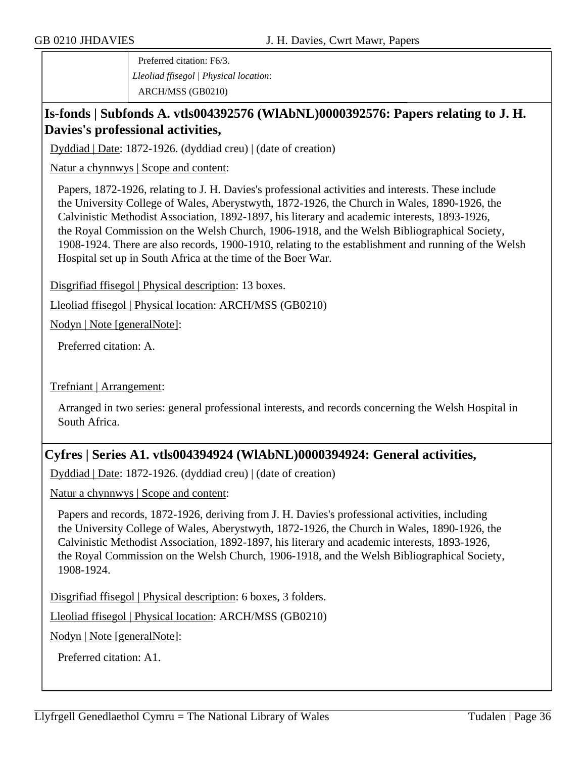Preferred citation: F6/3. *Lleoliad ffisegol | Physical location*: ARCH/MSS (GB0210)

# **Is-fonds | Subfonds A. vtls004392576 (WlAbNL)0000392576: Papers relating to J. H. Davies's professional activities,**

Dyddiad | Date: 1872-1926. (dyddiad creu) | (date of creation)

Natur a chynnwys | Scope and content:

Papers, 1872-1926, relating to J. H. Davies's professional activities and interests. These include the University College of Wales, Aberystwyth, 1872-1926, the Church in Wales, 1890-1926, the Calvinistic Methodist Association, 1892-1897, his literary and academic interests, 1893-1926, the Royal Commission on the Welsh Church, 1906-1918, and the Welsh Bibliographical Society, 1908-1924. There are also records, 1900-1910, relating to the establishment and running of the Welsh Hospital set up in South Africa at the time of the Boer War.

Disgrifiad ffisegol | Physical description: 13 boxes.

Lleoliad ffisegol | Physical location: ARCH/MSS (GB0210)

Nodyn | Note [generalNote]:

Preferred citation: A.

Trefniant | Arrangement:

Arranged in two series: general professional interests, and records concerning the Welsh Hospital in South Africa.

### **Cyfres | Series A1. vtls004394924 (WlAbNL)0000394924: General activities,**

Dyddiad | Date: 1872-1926. (dyddiad creu) | (date of creation)

Natur a chynnwys | Scope and content:

Papers and records, 1872-1926, deriving from J. H. Davies's professional activities, including the University College of Wales, Aberystwyth, 1872-1926, the Church in Wales, 1890-1926, the Calvinistic Methodist Association, 1892-1897, his literary and academic interests, 1893-1926, the Royal Commission on the Welsh Church, 1906-1918, and the Welsh Bibliographical Society, 1908-1924.

Disgrifiad ffisegol | Physical description: 6 boxes, 3 folders.

Lleoliad ffisegol | Physical location: ARCH/MSS (GB0210)

Nodyn | Note [generalNote]:

Preferred citation: A1.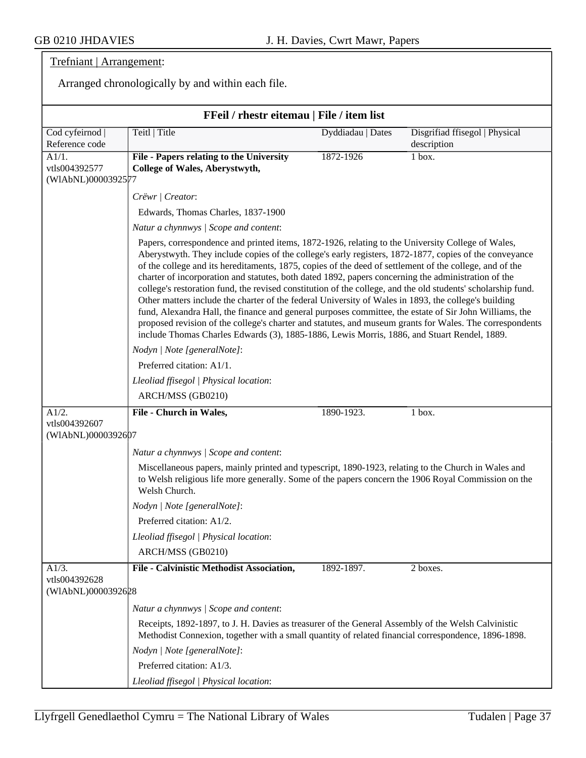# Trefniant | Arrangement:

Arranged chronologically by and within each file.

|                                              | FFeil / rhestr eitemau   File / item list                                                                                                                                                                                                                                                                                                                                                                                                                                                                                                                                                                                                                                                                                                                                                                                                                                                                                                                                  |                   |                                |
|----------------------------------------------|----------------------------------------------------------------------------------------------------------------------------------------------------------------------------------------------------------------------------------------------------------------------------------------------------------------------------------------------------------------------------------------------------------------------------------------------------------------------------------------------------------------------------------------------------------------------------------------------------------------------------------------------------------------------------------------------------------------------------------------------------------------------------------------------------------------------------------------------------------------------------------------------------------------------------------------------------------------------------|-------------------|--------------------------------|
|                                              | Teitl   Title                                                                                                                                                                                                                                                                                                                                                                                                                                                                                                                                                                                                                                                                                                                                                                                                                                                                                                                                                              | Dyddiadau   Dates | Disgrifiad ffisegol   Physical |
| Cod cyfeirnod  <br>Reference code            |                                                                                                                                                                                                                                                                                                                                                                                                                                                                                                                                                                                                                                                                                                                                                                                                                                                                                                                                                                            |                   | description                    |
| A1/1.<br>vtls004392577<br>(WIAbNL)0000392577 | File - Papers relating to the University<br>College of Wales, Aberystwyth,                                                                                                                                                                                                                                                                                                                                                                                                                                                                                                                                                                                                                                                                                                                                                                                                                                                                                                 | 1872-1926         | 1 box.                         |
|                                              | Crëwr   Creator:                                                                                                                                                                                                                                                                                                                                                                                                                                                                                                                                                                                                                                                                                                                                                                                                                                                                                                                                                           |                   |                                |
|                                              | Edwards, Thomas Charles, 1837-1900                                                                                                                                                                                                                                                                                                                                                                                                                                                                                                                                                                                                                                                                                                                                                                                                                                                                                                                                         |                   |                                |
|                                              | Natur a chynnwys / Scope and content:                                                                                                                                                                                                                                                                                                                                                                                                                                                                                                                                                                                                                                                                                                                                                                                                                                                                                                                                      |                   |                                |
|                                              | Papers, correspondence and printed items, 1872-1926, relating to the University College of Wales,<br>Aberystwyth. They include copies of the college's early registers, 1872-1877, copies of the conveyance<br>of the college and its hereditaments, 1875, copies of the deed of settlement of the college, and of the<br>charter of incorporation and statutes, both dated 1892, papers concerning the administration of the<br>college's restoration fund, the revised constitution of the college, and the old students' scholarship fund.<br>Other matters include the charter of the federal University of Wales in 1893, the college's building<br>fund, Alexandra Hall, the finance and general purposes committee, the estate of Sir John Williams, the<br>proposed revision of the college's charter and statutes, and museum grants for Wales. The correspondents<br>include Thomas Charles Edwards (3), 1885-1886, Lewis Morris, 1886, and Stuart Rendel, 1889. |                   |                                |
|                                              | Nodyn   Note [generalNote]:                                                                                                                                                                                                                                                                                                                                                                                                                                                                                                                                                                                                                                                                                                                                                                                                                                                                                                                                                |                   |                                |
|                                              | Preferred citation: A1/1.                                                                                                                                                                                                                                                                                                                                                                                                                                                                                                                                                                                                                                                                                                                                                                                                                                                                                                                                                  |                   |                                |
|                                              | Lleoliad ffisegol   Physical location:                                                                                                                                                                                                                                                                                                                                                                                                                                                                                                                                                                                                                                                                                                                                                                                                                                                                                                                                     |                   |                                |
|                                              | ARCH/MSS (GB0210)                                                                                                                                                                                                                                                                                                                                                                                                                                                                                                                                                                                                                                                                                                                                                                                                                                                                                                                                                          |                   |                                |
| A1/2.                                        | File - Church in Wales,                                                                                                                                                                                                                                                                                                                                                                                                                                                                                                                                                                                                                                                                                                                                                                                                                                                                                                                                                    | 1890-1923.        | 1 box.                         |
| vtls004392607<br>(WIAbNL)0000392607          |                                                                                                                                                                                                                                                                                                                                                                                                                                                                                                                                                                                                                                                                                                                                                                                                                                                                                                                                                                            |                   |                                |
|                                              | Natur a chynnwys / Scope and content:                                                                                                                                                                                                                                                                                                                                                                                                                                                                                                                                                                                                                                                                                                                                                                                                                                                                                                                                      |                   |                                |
|                                              | Miscellaneous papers, mainly printed and typescript, 1890-1923, relating to the Church in Wales and<br>to Welsh religious life more generally. Some of the papers concern the 1906 Royal Commission on the<br>Welsh Church.                                                                                                                                                                                                                                                                                                                                                                                                                                                                                                                                                                                                                                                                                                                                                |                   |                                |
|                                              | Nodyn   Note [generalNote]:                                                                                                                                                                                                                                                                                                                                                                                                                                                                                                                                                                                                                                                                                                                                                                                                                                                                                                                                                |                   |                                |
|                                              | Preferred citation: A1/2.                                                                                                                                                                                                                                                                                                                                                                                                                                                                                                                                                                                                                                                                                                                                                                                                                                                                                                                                                  |                   |                                |
|                                              | Lleoliad ffisegol   Physical location:                                                                                                                                                                                                                                                                                                                                                                                                                                                                                                                                                                                                                                                                                                                                                                                                                                                                                                                                     |                   |                                |
|                                              | ARCH/MSS (GB0210)                                                                                                                                                                                                                                                                                                                                                                                                                                                                                                                                                                                                                                                                                                                                                                                                                                                                                                                                                          |                   |                                |
| A1/3.                                        | File - Calvinistic Methodist Association,                                                                                                                                                                                                                                                                                                                                                                                                                                                                                                                                                                                                                                                                                                                                                                                                                                                                                                                                  | 1892-1897.        | 2 boxes.                       |
| vtls004392628<br>(WIAbNL)0000392628          |                                                                                                                                                                                                                                                                                                                                                                                                                                                                                                                                                                                                                                                                                                                                                                                                                                                                                                                                                                            |                   |                                |
|                                              | Natur a chynnwys / Scope and content:                                                                                                                                                                                                                                                                                                                                                                                                                                                                                                                                                                                                                                                                                                                                                                                                                                                                                                                                      |                   |                                |
|                                              | Receipts, 1892-1897, to J. H. Davies as treasurer of the General Assembly of the Welsh Calvinistic<br>Methodist Connexion, together with a small quantity of related financial correspondence, 1896-1898.                                                                                                                                                                                                                                                                                                                                                                                                                                                                                                                                                                                                                                                                                                                                                                  |                   |                                |
|                                              | Nodyn   Note [generalNote]:                                                                                                                                                                                                                                                                                                                                                                                                                                                                                                                                                                                                                                                                                                                                                                                                                                                                                                                                                |                   |                                |
|                                              | Preferred citation: A1/3.                                                                                                                                                                                                                                                                                                                                                                                                                                                                                                                                                                                                                                                                                                                                                                                                                                                                                                                                                  |                   |                                |
|                                              | Lleoliad ffisegol   Physical location:                                                                                                                                                                                                                                                                                                                                                                                                                                                                                                                                                                                                                                                                                                                                                                                                                                                                                                                                     |                   |                                |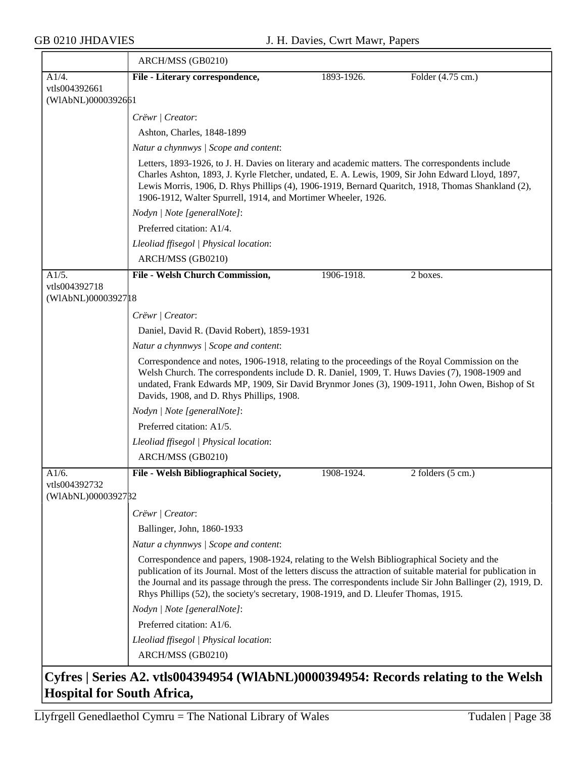≂

|                                      | ARCH/MSS (GB0210)                                                                                                                                                                                                                                                                                                                                                                                                   |            |                   |  |  |
|--------------------------------------|---------------------------------------------------------------------------------------------------------------------------------------------------------------------------------------------------------------------------------------------------------------------------------------------------------------------------------------------------------------------------------------------------------------------|------------|-------------------|--|--|
| A1/4.                                | File - Literary correspondence,                                                                                                                                                                                                                                                                                                                                                                                     | 1893-1926. | Folder (4.75 cm.) |  |  |
| vtls004392661                        |                                                                                                                                                                                                                                                                                                                                                                                                                     |            |                   |  |  |
| (WIAbNL)0000392661                   |                                                                                                                                                                                                                                                                                                                                                                                                                     |            |                   |  |  |
|                                      | Crëwr   Creator:                                                                                                                                                                                                                                                                                                                                                                                                    |            |                   |  |  |
|                                      | Ashton, Charles, 1848-1899                                                                                                                                                                                                                                                                                                                                                                                          |            |                   |  |  |
|                                      | Natur a chynnwys / Scope and content:                                                                                                                                                                                                                                                                                                                                                                               |            |                   |  |  |
|                                      | Letters, 1893-1926, to J. H. Davies on literary and academic matters. The correspondents include<br>Charles Ashton, 1893, J. Kyrle Fletcher, undated, E. A. Lewis, 1909, Sir John Edward Lloyd, 1897,<br>Lewis Morris, 1906, D. Rhys Phillips (4), 1906-1919, Bernard Quaritch, 1918, Thomas Shankland (2),<br>1906-1912, Walter Spurrell, 1914, and Mortimer Wheeler, 1926.                                        |            |                   |  |  |
|                                      | Nodyn   Note [generalNote]:                                                                                                                                                                                                                                                                                                                                                                                         |            |                   |  |  |
|                                      | Preferred citation: A1/4.                                                                                                                                                                                                                                                                                                                                                                                           |            |                   |  |  |
|                                      | Lleoliad ffisegol   Physical location:                                                                                                                                                                                                                                                                                                                                                                              |            |                   |  |  |
|                                      | ARCH/MSS (GB0210)                                                                                                                                                                                                                                                                                                                                                                                                   |            |                   |  |  |
| A1/5.                                | File - Welsh Church Commission,                                                                                                                                                                                                                                                                                                                                                                                     | 1906-1918. | 2 boxes.          |  |  |
| vtls004392718<br>(WIAbNL)00003927 18 |                                                                                                                                                                                                                                                                                                                                                                                                                     |            |                   |  |  |
|                                      | Crëwr   Creator:                                                                                                                                                                                                                                                                                                                                                                                                    |            |                   |  |  |
|                                      | Daniel, David R. (David Robert), 1859-1931                                                                                                                                                                                                                                                                                                                                                                          |            |                   |  |  |
|                                      | Natur a chynnwys / Scope and content:                                                                                                                                                                                                                                                                                                                                                                               |            |                   |  |  |
|                                      | Correspondence and notes, 1906-1918, relating to the proceedings of the Royal Commission on the<br>Welsh Church. The correspondents include D. R. Daniel, 1909, T. Huws Davies (7), 1908-1909 and<br>undated, Frank Edwards MP, 1909, Sir David Brynmor Jones (3), 1909-1911, John Owen, Bishop of St<br>Davids, 1908, and D. Rhys Phillips, 1908.                                                                  |            |                   |  |  |
|                                      | Nodyn   Note [generalNote]:                                                                                                                                                                                                                                                                                                                                                                                         |            |                   |  |  |
|                                      | Preferred citation: A1/5.                                                                                                                                                                                                                                                                                                                                                                                           |            |                   |  |  |
|                                      | Lleoliad ffisegol   Physical location:                                                                                                                                                                                                                                                                                                                                                                              |            |                   |  |  |
|                                      | ARCH/MSS (GB0210)                                                                                                                                                                                                                                                                                                                                                                                                   |            |                   |  |  |
| A1/6.<br>vtls004392732               | File - Welsh Bibliographical Society,                                                                                                                                                                                                                                                                                                                                                                               | 1908-1924. | 2 folders (5 cm.) |  |  |
| (WIAbNL)0000392782                   |                                                                                                                                                                                                                                                                                                                                                                                                                     |            |                   |  |  |
|                                      | Crëwr   Creator:                                                                                                                                                                                                                                                                                                                                                                                                    |            |                   |  |  |
|                                      | Ballinger, John, 1860-1933                                                                                                                                                                                                                                                                                                                                                                                          |            |                   |  |  |
|                                      | Natur a chynnwys / Scope and content:                                                                                                                                                                                                                                                                                                                                                                               |            |                   |  |  |
|                                      | Correspondence and papers, 1908-1924, relating to the Welsh Bibliographical Society and the<br>publication of its Journal. Most of the letters discuss the attraction of suitable material for publication in<br>the Journal and its passage through the press. The correspondents include Sir John Ballinger (2), 1919, D.<br>Rhys Phillips (52), the society's secretary, 1908-1919, and D. Lleufer Thomas, 1915. |            |                   |  |  |
|                                      | Nodyn   Note [generalNote]:                                                                                                                                                                                                                                                                                                                                                                                         |            |                   |  |  |
|                                      | Preferred citation: A1/6.                                                                                                                                                                                                                                                                                                                                                                                           |            |                   |  |  |
|                                      | Lleoliad ffisegol   Physical location:                                                                                                                                                                                                                                                                                                                                                                              |            |                   |  |  |
|                                      | ARCH/MSS (GB0210)                                                                                                                                                                                                                                                                                                                                                                                                   |            |                   |  |  |
|                                      | Cyfres   Series A2. vtls004394954 (WIAbNL)0000394954: Records relating to the Welsh                                                                                                                                                                                                                                                                                                                                 |            |                   |  |  |

## **Cyfres | Series A2. vtls004394954 (WlAbNL)0000394954: Records relating to the Welsh Hospital for South Africa,**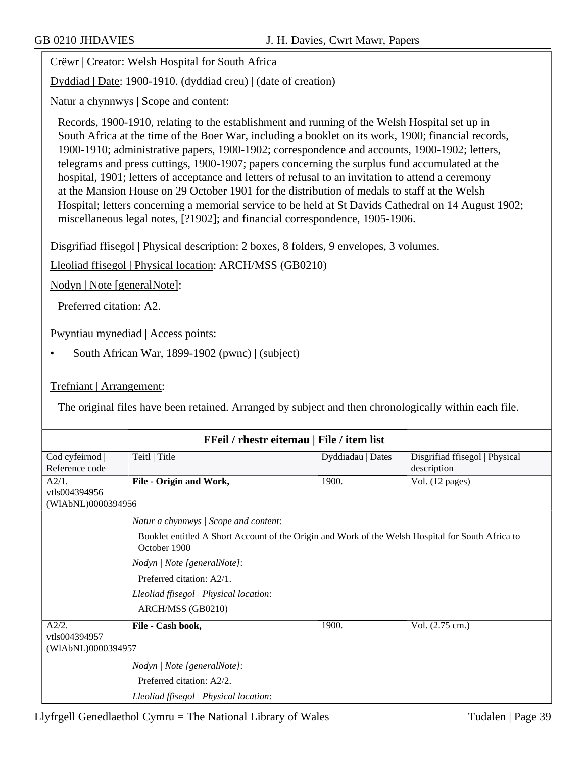Crëwr | Creator: Welsh Hospital for South Africa

Dyddiad | Date: 1900-1910. (dyddiad creu) | (date of creation)

Natur a chynnwys | Scope and content:

Records, 1900-1910, relating to the establishment and running of the Welsh Hospital set up in South Africa at the time of the Boer War, including a booklet on its work, 1900; financial records, 1900-1910; administrative papers, 1900-1902; correspondence and accounts, 1900-1902; letters, telegrams and press cuttings, 1900-1907; papers concerning the surplus fund accumulated at the hospital, 1901; letters of acceptance and letters of refusal to an invitation to attend a ceremony at the Mansion House on 29 October 1901 for the distribution of medals to staff at the Welsh Hospital; letters concerning a memorial service to be held at St Davids Cathedral on 14 August 1902; miscellaneous legal notes, [?1902]; and financial correspondence, 1905-1906.

Disgrifiad ffisegol | Physical description: 2 boxes, 8 folders, 9 envelopes, 3 volumes.

Lleoliad ffisegol | Physical location: ARCH/MSS (GB0210)

Nodyn | Note [generalNote]:

Preferred citation: A2.

Pwyntiau mynediad | Access points:

• South African War, 1899-1902 (pwnc) | (subject)

#### Trefniant | Arrangement:

The original files have been retained. Arranged by subject and then chronologically within each file.

| FFeil / rhestr eitemau   File / item list |                                                                                                                   |                   |                                |
|-------------------------------------------|-------------------------------------------------------------------------------------------------------------------|-------------------|--------------------------------|
| Cod cyfeirnod                             | Teitl   Title                                                                                                     | Dyddiadau   Dates | Disgrifiad ffisegol   Physical |
| Reference code                            |                                                                                                                   |                   | description                    |
| A2/1.                                     | File - Origin and Work,                                                                                           | 1900.             | Vol. (12 pages)                |
| vtls004394956                             |                                                                                                                   |                   |                                |
| (WIAbNL)0000394956                        |                                                                                                                   |                   |                                |
|                                           | Natur a chynnwys / Scope and content:                                                                             |                   |                                |
|                                           | Booklet entitled A Short Account of the Origin and Work of the Welsh Hospital for South Africa to<br>October 1900 |                   |                                |
|                                           | Nodyn   Note [generalNote]:                                                                                       |                   |                                |
|                                           | Preferred citation: A2/1.                                                                                         |                   |                                |
|                                           | Lleoliad ffisegol   Physical location:                                                                            |                   |                                |
|                                           | ARCH/MSS (GB0210)                                                                                                 |                   |                                |
| A2/2.<br>vtls004394957                    | File - Cash book,                                                                                                 | 1900.             | Vol. (2.75 cm.)                |
| (WIAbNL)0000394957                        |                                                                                                                   |                   |                                |
|                                           | Nodyn   Note [generalNote]:                                                                                       |                   |                                |
|                                           | Preferred citation: A2/2.                                                                                         |                   |                                |
|                                           | Lleoliad ffisegol   Physical location:                                                                            |                   |                                |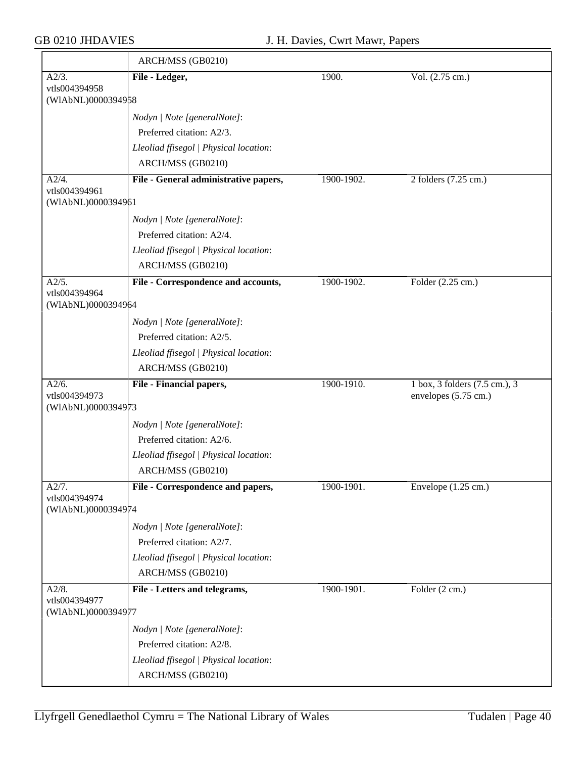|                                              | ARCH/MSS (GB0210)                                           |            |                                                       |
|----------------------------------------------|-------------------------------------------------------------|------------|-------------------------------------------------------|
| A2/3.                                        | File - Ledger,                                              | 1900.      | Vol. (2.75 cm.)                                       |
| vtls004394958<br>(WIAbNL)0000394958          |                                                             |            |                                                       |
|                                              | Nodyn   Note [generalNote]:                                 |            |                                                       |
|                                              | Preferred citation: A2/3.                                   |            |                                                       |
|                                              | Lleoliad ffisegol   Physical location:                      |            |                                                       |
|                                              | ARCH/MSS (GB0210)                                           |            |                                                       |
| A2/4.                                        | File - General administrative papers,                       | 1900-1902. | 2 folders (7.25 cm.)                                  |
| vtls004394961<br>(WIAbNL)0000394961          |                                                             |            |                                                       |
|                                              | Nodyn   Note [generalNote]:                                 |            |                                                       |
|                                              | Preferred citation: A2/4.                                   |            |                                                       |
|                                              | Lleoliad ffisegol   Physical location:                      |            |                                                       |
|                                              | ARCH/MSS (GB0210)                                           |            |                                                       |
| A2/5.                                        | File - Correspondence and accounts,                         | 1900-1902. | Folder (2.25 cm.)                                     |
| vtls004394964<br>(WIAbNL)0000394964          |                                                             |            |                                                       |
|                                              | Nodyn   Note [generalNote]:                                 |            |                                                       |
|                                              | Preferred citation: A2/5.                                   |            |                                                       |
|                                              | Lleoliad ffisegol   Physical location:                      |            |                                                       |
|                                              | ARCH/MSS (GB0210)                                           |            |                                                       |
| A2/6.<br>vtls004394973                       | File - Financial papers,                                    | 1900-1910. | 1 box, 3 folders (7.5 cm.), 3<br>envelopes (5.75 cm.) |
| (WIAbNL)0000394973                           |                                                             |            |                                                       |
|                                              | Nodyn   Note [generalNote]:                                 |            |                                                       |
|                                              | Preferred citation: A2/6.                                   |            |                                                       |
|                                              | Lleoliad ffisegol   Physical location:                      |            |                                                       |
|                                              | ARCH/MSS (GB0210)                                           |            |                                                       |
| A2/7.                                        | File - Correspondence and papers,                           | 1900-1901. | Envelope $(1.25 \text{ cm.})$                         |
| vtls004394974<br>(WIAbNL)0000394974          |                                                             |            |                                                       |
|                                              | Nodyn   Note [generalNote]:                                 |            |                                                       |
|                                              | Preferred citation: A2/7.                                   |            |                                                       |
|                                              | Lleoliad ffisegol   Physical location:                      |            |                                                       |
|                                              | ARCH/MSS (GB0210)                                           |            |                                                       |
| A2/8.<br>vtls004394977<br>(WIAbNL)0000394977 | File - Letters and telegrams,                               | 1900-1901. | Folder $(2 \text{ cm.})$                              |
|                                              |                                                             |            |                                                       |
|                                              | Nodyn   Note [generalNote]:                                 |            |                                                       |
|                                              | Preferred citation: A2/8.                                   |            |                                                       |
|                                              |                                                             |            |                                                       |
|                                              | Lleoliad ffisegol   Physical location:<br>ARCH/MSS (GB0210) |            |                                                       |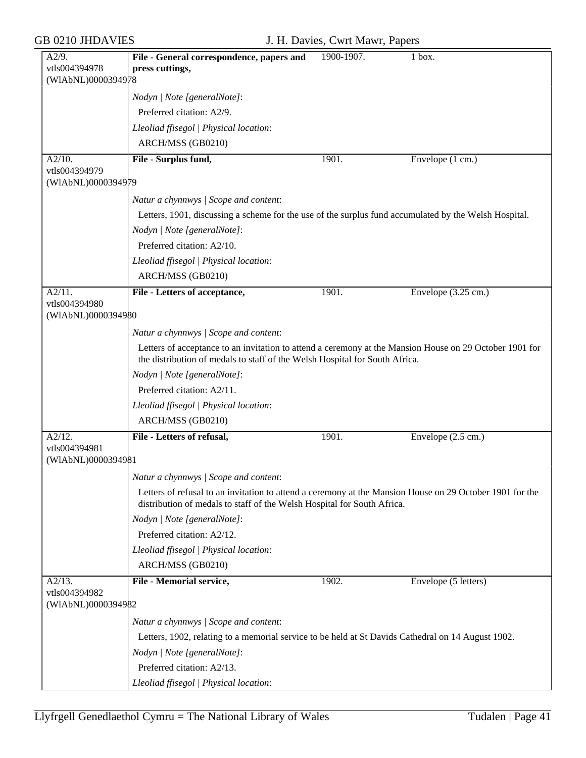| A2/9.                               | File - General correspondence, papers and                                                                                                                                              | 1900-1907. | 1 box.               |  |  |
|-------------------------------------|----------------------------------------------------------------------------------------------------------------------------------------------------------------------------------------|------------|----------------------|--|--|
| vtls004394978                       | press cuttings,                                                                                                                                                                        |            |                      |  |  |
| (WIAbNL)0000394978                  |                                                                                                                                                                                        |            |                      |  |  |
|                                     | Nodyn   Note [generalNote]:                                                                                                                                                            |            |                      |  |  |
|                                     | Preferred citation: A2/9.                                                                                                                                                              |            |                      |  |  |
|                                     | Lleoliad ffisegol   Physical location:                                                                                                                                                 |            |                      |  |  |
|                                     | ARCH/MSS (GB0210)                                                                                                                                                                      |            |                      |  |  |
| A2/10.                              | File - Surplus fund,                                                                                                                                                                   | 1901.      | Envelope (1 cm.)     |  |  |
| vtls004394979<br>(WIAbNL)0000394979 |                                                                                                                                                                                        |            |                      |  |  |
|                                     |                                                                                                                                                                                        |            |                      |  |  |
|                                     | Natur a chynnwys / Scope and content:                                                                                                                                                  |            |                      |  |  |
|                                     | Letters, 1901, discussing a scheme for the use of the surplus fund accumulated by the Welsh Hospital.                                                                                  |            |                      |  |  |
|                                     | Nodyn   Note [generalNote]:                                                                                                                                                            |            |                      |  |  |
|                                     | Preferred citation: A2/10.                                                                                                                                                             |            |                      |  |  |
|                                     | Lleoliad ffisegol   Physical location:                                                                                                                                                 |            |                      |  |  |
|                                     | ARCH/MSS (GB0210)                                                                                                                                                                      |            |                      |  |  |
| A2/11.                              | File - Letters of acceptance,                                                                                                                                                          | 1901.      | Envelope (3.25 cm.)  |  |  |
| vtls004394980                       |                                                                                                                                                                                        |            |                      |  |  |
| (WIAbNL)0000394980                  |                                                                                                                                                                                        |            |                      |  |  |
|                                     | Natur a chynnwys / Scope and content:                                                                                                                                                  |            |                      |  |  |
|                                     | Letters of acceptance to an invitation to attend a ceremony at the Mansion House on 29 October 1901 for<br>the distribution of medals to staff of the Welsh Hospital for South Africa. |            |                      |  |  |
|                                     | Nodyn   Note [generalNote]:                                                                                                                                                            |            |                      |  |  |
|                                     | Preferred citation: A2/11.                                                                                                                                                             |            |                      |  |  |
|                                     | Lleoliad ffisegol   Physical location:                                                                                                                                                 |            |                      |  |  |
|                                     | ARCH/MSS (GB0210)                                                                                                                                                                      |            |                      |  |  |
| A2/12.                              | File - Letters of refusal,                                                                                                                                                             | 1901.      | Envelope (2.5 cm.)   |  |  |
| vtls004394981                       |                                                                                                                                                                                        |            |                      |  |  |
| (WIAbNL)0000394981                  |                                                                                                                                                                                        |            |                      |  |  |
|                                     | Natur a chynnwys / Scope and content:                                                                                                                                                  |            |                      |  |  |
|                                     | Letters of refusal to an invitation to attend a ceremony at the Mansion House on 29 October 1901 for the<br>distribution of medals to staff of the Welsh Hospital for South Africa.    |            |                      |  |  |
|                                     | Nodyn   Note [generalNote]:                                                                                                                                                            |            |                      |  |  |
|                                     | Preferred citation: A2/12.                                                                                                                                                             |            |                      |  |  |
|                                     | Lleoliad ffisegol   Physical location:                                                                                                                                                 |            |                      |  |  |
|                                     | ARCH/MSS (GB0210)                                                                                                                                                                      |            |                      |  |  |
| A2/13.                              | <b>File - Memorial service,</b>                                                                                                                                                        | 1902.      | Envelope (5 letters) |  |  |
| vtls004394982                       |                                                                                                                                                                                        |            |                      |  |  |
| (WIAbNL)0000394982                  |                                                                                                                                                                                        |            |                      |  |  |
|                                     | Natur a chynnwys / Scope and content:                                                                                                                                                  |            |                      |  |  |
|                                     | Letters, 1902, relating to a memorial service to be held at St Davids Cathedral on 14 August 1902.                                                                                     |            |                      |  |  |
|                                     | Nodyn   Note [generalNote]:                                                                                                                                                            |            |                      |  |  |
|                                     | Preferred citation: A2/13.                                                                                                                                                             |            |                      |  |  |
|                                     | Lleoliad ffisegol   Physical location:                                                                                                                                                 |            |                      |  |  |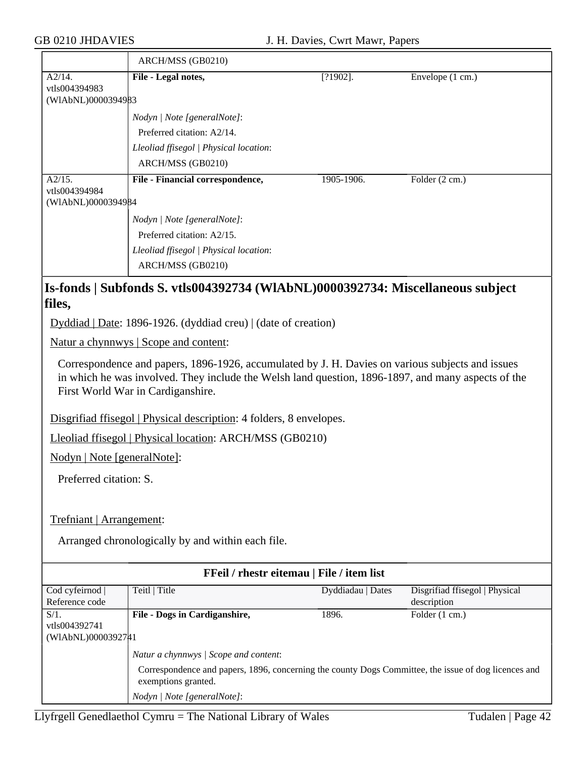|                                               | ARCH/MSS (GB0210)                                                              |             |                  |
|-----------------------------------------------|--------------------------------------------------------------------------------|-------------|------------------|
| A2/14.<br>vtls004394983                       | File - Legal notes,                                                            | $[?1902]$ . | Envelope (1 cm.) |
| (WIAbNL)0000394983                            |                                                                                |             |                  |
|                                               | Nodyn   Note [generalNote]:                                                    |             |                  |
|                                               | Preferred citation: A2/14.                                                     |             |                  |
|                                               | Lleoliad ffisegol   Physical location:                                         |             |                  |
|                                               | ARCH/MSS (GB0210)                                                              |             |                  |
| A2/15.<br>vtls004394984<br>(WIAbNL)0000394984 | File - Financial correspondence,                                               | 1905-1906.  | Folder (2 cm.)   |
|                                               | Nodyn   Note [generalNote]:                                                    |             |                  |
|                                               | Preferred citation: A2/15.                                                     |             |                  |
|                                               | Lleoliad ffisegol   Physical location:                                         |             |                  |
|                                               | ARCH/MSS (GB0210)                                                              |             |                  |
|                                               | Is-fonds   Subfonds S. vtls004392734 (WIAbNL)0000392734: Miscellaneous subject |             |                  |
| files,                                        |                                                                                |             |                  |
|                                               | Dyddiad   Date: 1896-1926. (dyddiad creu)   (date of creation)                 |             |                  |
|                                               | <u>Natur a chynnwys</u>   Scope and content:                                   |             |                  |

Correspondence and papers, 1896-1926, accumulated by J. H. Davies on various subjects and issues in which he was involved. They include the Welsh land question, 1896-1897, and many aspects of the First World War in Cardiganshire.

Disgrifiad ffisegol | Physical description: 4 folders, 8 envelopes.

Lleoliad ffisegol | Physical location: ARCH/MSS (GB0210)

Nodyn | Note [generalNote]:

Preferred citation: S.

Trefniant | Arrangement:

Arranged chronologically by and within each file.

| FFeil / rhestr eitemau   File / item list |                                                                                                                             |                   |                                |  |
|-------------------------------------------|-----------------------------------------------------------------------------------------------------------------------------|-------------------|--------------------------------|--|
| Cod cyfeirnod                             | Teitl   Title                                                                                                               | Dyddiadau   Dates | Disgrifiad ffisegol   Physical |  |
| Reference code                            |                                                                                                                             |                   | description                    |  |
| $S/1$ .                                   | File - Dogs in Cardiganshire,                                                                                               | 1896.             | Folder (1 cm.)                 |  |
| vtls004392741                             |                                                                                                                             |                   |                                |  |
| (WIAbNL)0000392741                        |                                                                                                                             |                   |                                |  |
|                                           | Natur a chynnwys / Scope and content:                                                                                       |                   |                                |  |
|                                           | Correspondence and papers, 1896, concerning the county Dogs Committee, the issue of dog licences and<br>exemptions granted. |                   |                                |  |
|                                           | Nodyn / Note [generalNote]:                                                                                                 |                   |                                |  |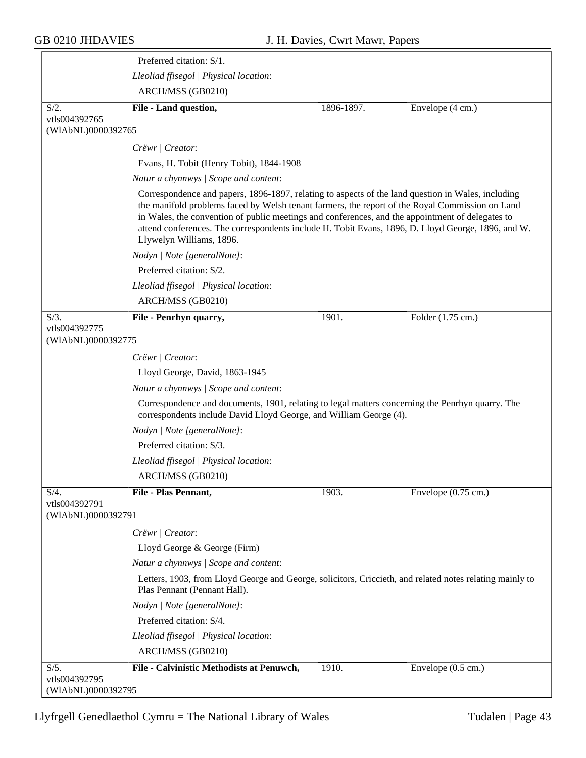|                                                | Preferred citation: S/1.                                                                                                                                                                                                                                                                                                                                                                                                                    |            |                               |  |  |
|------------------------------------------------|---------------------------------------------------------------------------------------------------------------------------------------------------------------------------------------------------------------------------------------------------------------------------------------------------------------------------------------------------------------------------------------------------------------------------------------------|------------|-------------------------------|--|--|
|                                                | Lleoliad ffisegol   Physical location:                                                                                                                                                                                                                                                                                                                                                                                                      |            |                               |  |  |
|                                                | ARCH/MSS (GB0210)                                                                                                                                                                                                                                                                                                                                                                                                                           |            |                               |  |  |
| $S/2$ .                                        | File - Land question,                                                                                                                                                                                                                                                                                                                                                                                                                       | 1896-1897. | Envelope (4 cm.)              |  |  |
| vtls004392765<br>(WIAbNL)0000392765            |                                                                                                                                                                                                                                                                                                                                                                                                                                             |            |                               |  |  |
|                                                | Crëwr / Creator:                                                                                                                                                                                                                                                                                                                                                                                                                            |            |                               |  |  |
|                                                | Evans, H. Tobit (Henry Tobit), 1844-1908                                                                                                                                                                                                                                                                                                                                                                                                    |            |                               |  |  |
|                                                | Natur a chynnwys / Scope and content:                                                                                                                                                                                                                                                                                                                                                                                                       |            |                               |  |  |
|                                                | Correspondence and papers, 1896-1897, relating to aspects of the land question in Wales, including<br>the manifold problems faced by Welsh tenant farmers, the report of the Royal Commission on Land<br>in Wales, the convention of public meetings and conferences, and the appointment of delegates to<br>attend conferences. The correspondents include H. Tobit Evans, 1896, D. Lloyd George, 1896, and W.<br>Llywelyn Williams, 1896. |            |                               |  |  |
|                                                | Nodyn   Note [generalNote]:                                                                                                                                                                                                                                                                                                                                                                                                                 |            |                               |  |  |
|                                                | Preferred citation: S/2.                                                                                                                                                                                                                                                                                                                                                                                                                    |            |                               |  |  |
|                                                | Lleoliad ffisegol   Physical location:                                                                                                                                                                                                                                                                                                                                                                                                      |            |                               |  |  |
|                                                | ARCH/MSS (GB0210)                                                                                                                                                                                                                                                                                                                                                                                                                           |            |                               |  |  |
| $S/3$ .                                        | File - Penrhyn quarry,                                                                                                                                                                                                                                                                                                                                                                                                                      | 1901.      | Folder (1.75 cm.)             |  |  |
| vtls004392775<br>(WIAbNL)0000392775            |                                                                                                                                                                                                                                                                                                                                                                                                                                             |            |                               |  |  |
|                                                | Crëwr   Creator:                                                                                                                                                                                                                                                                                                                                                                                                                            |            |                               |  |  |
|                                                | Lloyd George, David, 1863-1945                                                                                                                                                                                                                                                                                                                                                                                                              |            |                               |  |  |
|                                                | Natur a chynnwys / Scope and content:                                                                                                                                                                                                                                                                                                                                                                                                       |            |                               |  |  |
|                                                | Correspondence and documents, 1901, relating to legal matters concerning the Penrhyn quarry. The<br>correspondents include David Lloyd George, and William George (4).                                                                                                                                                                                                                                                                      |            |                               |  |  |
|                                                | Nodyn   Note [generalNote]:                                                                                                                                                                                                                                                                                                                                                                                                                 |            |                               |  |  |
|                                                | Preferred citation: S/3.                                                                                                                                                                                                                                                                                                                                                                                                                    |            |                               |  |  |
|                                                | Lleoliad ffisegol   Physical location:                                                                                                                                                                                                                                                                                                                                                                                                      |            |                               |  |  |
|                                                | ARCH/MSS (GB0210)                                                                                                                                                                                                                                                                                                                                                                                                                           |            |                               |  |  |
| $S/4$ .                                        | File - Plas Pennant,                                                                                                                                                                                                                                                                                                                                                                                                                        | 1903.      | Envelope $(0.75 \text{ cm.})$ |  |  |
| vtls004392791<br>(WIAbNL)0000392791            |                                                                                                                                                                                                                                                                                                                                                                                                                                             |            |                               |  |  |
|                                                | Crëwr   Creator:                                                                                                                                                                                                                                                                                                                                                                                                                            |            |                               |  |  |
|                                                | Lloyd George & George (Firm)                                                                                                                                                                                                                                                                                                                                                                                                                |            |                               |  |  |
|                                                | Natur a chynnwys / Scope and content:                                                                                                                                                                                                                                                                                                                                                                                                       |            |                               |  |  |
|                                                | Letters, 1903, from Lloyd George and George, solicitors, Criccieth, and related notes relating mainly to<br>Plas Pennant (Pennant Hall).                                                                                                                                                                                                                                                                                                    |            |                               |  |  |
|                                                | Nodyn   Note [generalNote]:                                                                                                                                                                                                                                                                                                                                                                                                                 |            |                               |  |  |
|                                                | Preferred citation: S/4.                                                                                                                                                                                                                                                                                                                                                                                                                    |            |                               |  |  |
|                                                | Lleoliad ffisegol   Physical location:                                                                                                                                                                                                                                                                                                                                                                                                      |            |                               |  |  |
|                                                | ARCH/MSS (GB0210)                                                                                                                                                                                                                                                                                                                                                                                                                           |            |                               |  |  |
| $S/5$ .<br>vtls004392795<br>(WlAbNL)00003927þ5 | File - Calvinistic Methodists at Penuwch,                                                                                                                                                                                                                                                                                                                                                                                                   | 1910.      | Envelope (0.5 cm.)            |  |  |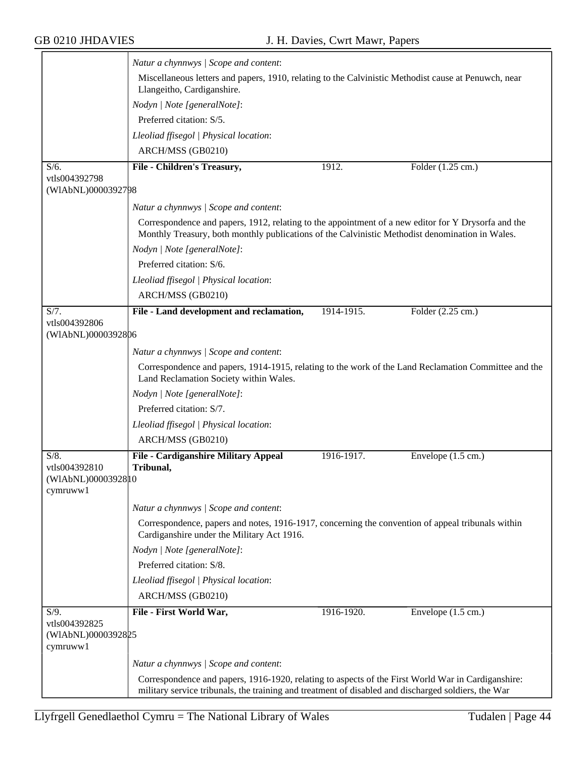|                                                            | Natur a chynnwys / Scope and content:                                                                                                                                                                     |            |                              |
|------------------------------------------------------------|-----------------------------------------------------------------------------------------------------------------------------------------------------------------------------------------------------------|------------|------------------------------|
|                                                            | Miscellaneous letters and papers, 1910, relating to the Calvinistic Methodist cause at Penuwch, near<br>Llangeitho, Cardiganshire.                                                                        |            |                              |
|                                                            | Nodyn   Note [generalNote]:                                                                                                                                                                               |            |                              |
|                                                            | Preferred citation: S/5.                                                                                                                                                                                  |            |                              |
|                                                            | Lleoliad ffisegol   Physical location:                                                                                                                                                                    |            |                              |
|                                                            | ARCH/MSS (GB0210)                                                                                                                                                                                         |            |                              |
| $S/6$ .                                                    | File - Children's Treasury,                                                                                                                                                                               | 1912.      | Folder $(1.25 \text{ cm.})$  |
| vtls004392798<br>(WIAbNL)0000392798                        |                                                                                                                                                                                                           |            |                              |
|                                                            | Natur a chynnwys / Scope and content:                                                                                                                                                                     |            |                              |
|                                                            | Correspondence and papers, 1912, relating to the appointment of a new editor for Y Drysorfa and the<br>Monthly Treasury, both monthly publications of the Calvinistic Methodist denomination in Wales.    |            |                              |
|                                                            | Nodyn   Note [generalNote]:                                                                                                                                                                               |            |                              |
|                                                            | Preferred citation: S/6.                                                                                                                                                                                  |            |                              |
|                                                            | Lleoliad ffisegol   Physical location:                                                                                                                                                                    |            |                              |
|                                                            | ARCH/MSS (GB0210)                                                                                                                                                                                         |            |                              |
| S/7.                                                       | File - Land development and reclamation,                                                                                                                                                                  | 1914-1915. | Folder (2.25 cm.)            |
| vtls004392806<br>(WIAbNL)0000392806                        |                                                                                                                                                                                                           |            |                              |
|                                                            | Natur a chynnwys / Scope and content:                                                                                                                                                                     |            |                              |
|                                                            | Correspondence and papers, 1914-1915, relating to the work of the Land Reclamation Committee and the<br>Land Reclamation Society within Wales.                                                            |            |                              |
|                                                            | Nodyn   Note [generalNote]:                                                                                                                                                                               |            |                              |
|                                                            | Preferred citation: S/7.                                                                                                                                                                                  |            |                              |
|                                                            | Lleoliad ffisegol   Physical location:                                                                                                                                                                    |            |                              |
|                                                            | ARCH/MSS (GB0210)                                                                                                                                                                                         |            |                              |
| $S/8$ .<br>vtls004392810<br>(WIAbNL)0000392810<br>cymruww1 | File - Cardiganshire Military Appeal<br>Tribunal,                                                                                                                                                         | 1916-1917. | Envelope $(1.5 \text{ cm.})$ |
|                                                            |                                                                                                                                                                                                           |            |                              |
|                                                            | Natur a chynnwys / Scope and content:                                                                                                                                                                     |            |                              |
|                                                            | Correspondence, papers and notes, 1916-1917, concerning the convention of appeal tribunals within<br>Cardiganshire under the Military Act 1916.                                                           |            |                              |
|                                                            | Nodyn   Note [generalNote]:                                                                                                                                                                               |            |                              |
|                                                            | Preferred citation: S/8.                                                                                                                                                                                  |            |                              |
|                                                            | Lleoliad ffisegol   Physical location:                                                                                                                                                                    |            |                              |
|                                                            | ARCH/MSS (GB0210)                                                                                                                                                                                         |            |                              |
| $S/9$ .<br>vtls004392825<br>(WIAbNL)0000392825<br>cymruww1 | File - First World War,                                                                                                                                                                                   | 1916-1920. | Envelope $(1.5 \text{ cm.})$ |
|                                                            | Natur a chynnwys / Scope and content:                                                                                                                                                                     |            |                              |
|                                                            | Correspondence and papers, 1916-1920, relating to aspects of the First World War in Cardiganshire:<br>military service tribunals, the training and treatment of disabled and discharged soldiers, the War |            |                              |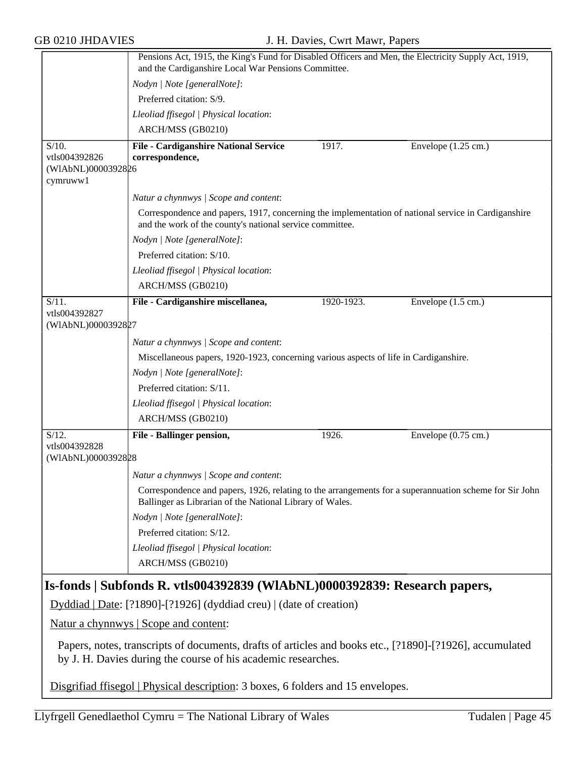|                                                                                                                                                                           | Pensions Act, 1915, the King's Fund for Disabled Officers and Men, the Electricity Supply Act, 1919,<br>and the Cardiganshire Local War Pensions Committee.        |            |                               |  |
|---------------------------------------------------------------------------------------------------------------------------------------------------------------------------|--------------------------------------------------------------------------------------------------------------------------------------------------------------------|------------|-------------------------------|--|
|                                                                                                                                                                           | Nodyn   Note [generalNote]:                                                                                                                                        |            |                               |  |
|                                                                                                                                                                           | Preferred citation: S/9.                                                                                                                                           |            |                               |  |
|                                                                                                                                                                           | Lleoliad ffisegol   Physical location:                                                                                                                             |            |                               |  |
|                                                                                                                                                                           | ARCH/MSS (GB0210)                                                                                                                                                  |            |                               |  |
| $S/10$ .                                                                                                                                                                  | File - Cardiganshire National Service                                                                                                                              | 1917.      | Envelope $(1.25 \text{ cm.})$ |  |
| vtls004392826                                                                                                                                                             | correspondence,                                                                                                                                                    |            |                               |  |
| (WIAbNL)0000392826                                                                                                                                                        |                                                                                                                                                                    |            |                               |  |
| cymruww1                                                                                                                                                                  |                                                                                                                                                                    |            |                               |  |
|                                                                                                                                                                           | Natur a chynnwys / Scope and content:                                                                                                                              |            |                               |  |
|                                                                                                                                                                           | Correspondence and papers, 1917, concerning the implementation of national service in Cardiganshire<br>and the work of the county's national service committee.    |            |                               |  |
|                                                                                                                                                                           | Nodyn   Note [generalNote]:                                                                                                                                        |            |                               |  |
|                                                                                                                                                                           | Preferred citation: S/10.                                                                                                                                          |            |                               |  |
|                                                                                                                                                                           | Lleoliad ffisegol   Physical location:                                                                                                                             |            |                               |  |
|                                                                                                                                                                           | ARCH/MSS (GB0210)                                                                                                                                                  |            |                               |  |
| $S/11$ .                                                                                                                                                                  | File - Cardiganshire miscellanea,                                                                                                                                  | 1920-1923. | Envelope $(1.5 \text{ cm.})$  |  |
| vtls004392827<br>(WIAbNL)0000392827                                                                                                                                       |                                                                                                                                                                    |            |                               |  |
|                                                                                                                                                                           | Natur a chynnwys / Scope and content:                                                                                                                              |            |                               |  |
|                                                                                                                                                                           | Miscellaneous papers, 1920-1923, concerning various aspects of life in Cardiganshire.                                                                              |            |                               |  |
|                                                                                                                                                                           | Nodyn   Note [generalNote]:                                                                                                                                        |            |                               |  |
|                                                                                                                                                                           | Preferred citation: S/11.                                                                                                                                          |            |                               |  |
|                                                                                                                                                                           | Lleoliad ffisegol   Physical location:                                                                                                                             |            |                               |  |
|                                                                                                                                                                           | ARCH/MSS (GB0210)                                                                                                                                                  |            |                               |  |
| $S/12$ .                                                                                                                                                                  | File - Ballinger pension,                                                                                                                                          | 1926.      | Envelope (0.75 cm.)           |  |
| vtls004392828<br>(WIAbNL)0000392828                                                                                                                                       |                                                                                                                                                                    |            |                               |  |
|                                                                                                                                                                           | Natur a chynnwys / Scope and content:                                                                                                                              |            |                               |  |
|                                                                                                                                                                           | Correspondence and papers, 1926, relating to the arrangements for a superannuation scheme for Sir John<br>Ballinger as Librarian of the National Library of Wales. |            |                               |  |
|                                                                                                                                                                           | Nodyn   Note [generalNote]:                                                                                                                                        |            |                               |  |
|                                                                                                                                                                           | Preferred citation: S/12.                                                                                                                                          |            |                               |  |
|                                                                                                                                                                           | Lleoliad ffisegol   Physical location:                                                                                                                             |            |                               |  |
|                                                                                                                                                                           | ARCH/MSS (GB0210)                                                                                                                                                  |            |                               |  |
| Is-fonds   Subfonds R. vtls004392839 (WIAbNL)0000392839: Research papers,                                                                                                 |                                                                                                                                                                    |            |                               |  |
|                                                                                                                                                                           | Dyddiad   Date: [?1890]-[?1926] (dyddiad creu)   (date of creation)                                                                                                |            |                               |  |
|                                                                                                                                                                           | Natur a chynnwys   Scope and content:                                                                                                                              |            |                               |  |
| Papers, notes, transcripts of documents, drafts of articles and books etc., [?1890]-[?1926], accumulated<br>by J. H. Davies during the course of his academic researches. |                                                                                                                                                                    |            |                               |  |
|                                                                                                                                                                           | Disgrifiad ffisegol   Physical description: 3 boxes, 6 folders and 15 envelopes.                                                                                   |            |                               |  |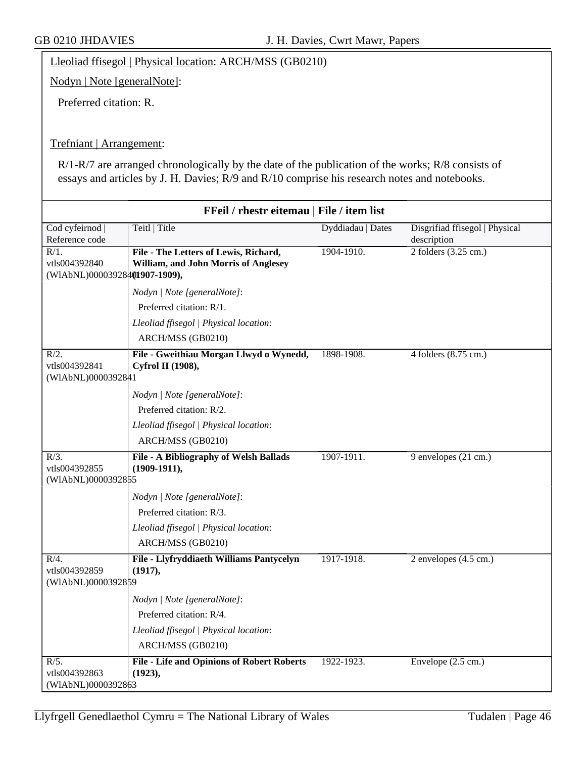Lleoliad ffisegol | Physical location: ARCH/MSS (GB0210)

Nodyn | Note [generalNote]:

Preferred citation: R.

### Trefniant | Arrangement:

R/1-R/7 are arranged chronologically by the date of the publication of the works; R/8 consists of essays and articles by J. H. Davies; R/9 and R/10 comprise his research notes and notebooks.

| FFeil / rhestr eitemau   File / item list                 |                                                                               |                   |                                               |
|-----------------------------------------------------------|-------------------------------------------------------------------------------|-------------------|-----------------------------------------------|
| Cod cyfeirnod<br>Reference code                           | Teitl   Title                                                                 | Dyddiadau   Dates | Disgrifiad ffisegol   Physical<br>description |
| $R/1$ .<br>vtls004392840<br>(WIAbNL)00003928401907-1909), | File - The Letters of Lewis, Richard,<br>William, and John Morris of Anglesey | 1904-1910.        | 2 folders $(3.25 \text{ cm.})$                |
|                                                           | Nodyn   Note [generalNote]:                                                   |                   |                                               |
|                                                           | Preferred citation: R/1.                                                      |                   |                                               |
|                                                           | Lleoliad ffisegol   Physical location:                                        |                   |                                               |
|                                                           | ARCH/MSS (GB0210)                                                             |                   |                                               |
| $R/2$ .<br>vtls004392841<br>(WIAbNL)0000392841            | File - Gweithiau Morgan Llwyd o Wynedd,<br>Cyfrol II (1908),                  | 1898-1908.        | 4 folders (8.75 cm.)                          |
|                                                           | Nodyn   Note [generalNote]:                                                   |                   |                                               |
|                                                           | Preferred citation: R/2.                                                      |                   |                                               |
|                                                           | Lleoliad ffisegol   Physical location:                                        |                   |                                               |
|                                                           | ARCH/MSS (GB0210)                                                             |                   |                                               |
| $R/3$ .<br>vtls004392855<br>(WIAbNL)0000392855            | File - A Bibliography of Welsh Ballads<br>$(1909-1911),$                      | 1907-1911.        | 9 envelopes (21 cm.)                          |
|                                                           | Nodyn   Note [generalNote]:                                                   |                   |                                               |
|                                                           | Preferred citation: R/3.                                                      |                   |                                               |
|                                                           | Lleoliad ffisegol   Physical location:                                        |                   |                                               |
|                                                           | ARCH/MSS (GB0210)                                                             |                   |                                               |
| $R/4$ .<br>vtls004392859<br>(WIAbNL)0000392859            | File - Llyfryddiaeth Williams Pantycelyn<br>(1917),                           | 1917-1918.        | $2$ envelopes $(4.5 \text{ cm.})$             |
|                                                           | Nodyn   Note [generalNote]:                                                   |                   |                                               |
|                                                           | Preferred citation: R/4.                                                      |                   |                                               |
|                                                           | Lleoliad ffisegol   Physical location:                                        |                   |                                               |
|                                                           | ARCH/MSS (GB0210)                                                             |                   |                                               |
| $R/5$ .                                                   | <b>File - Life and Opinions of Robert Roberts</b>                             | 1922-1923.        | Envelope $(2.5 \text{ cm.})$                  |
| vtls004392863<br>(WIAbNL)0000392863                       | (1923),                                                                       |                   |                                               |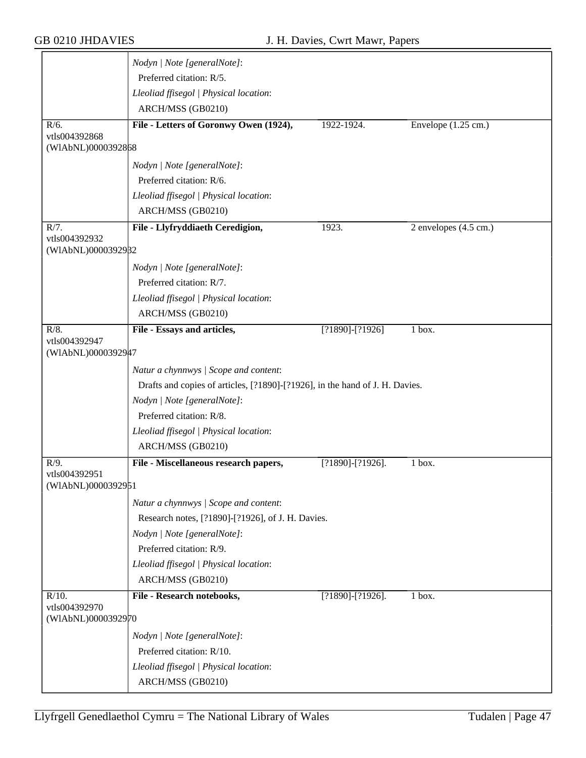|                                     | Nodyn   Note [generalNote]:                                                  |                     |                                   |
|-------------------------------------|------------------------------------------------------------------------------|---------------------|-----------------------------------|
|                                     | Preferred citation: R/5.                                                     |                     |                                   |
|                                     | Lleoliad ffisegol   Physical location:                                       |                     |                                   |
|                                     | ARCH/MSS (GB0210)                                                            |                     |                                   |
| $R/6$ .                             | File - Letters of Goronwy Owen (1924),                                       | 1922-1924.          | Envelope $(1.25 \text{ cm.})$     |
| vtls004392868<br>(WIAbNL)0000392868 |                                                                              |                     |                                   |
|                                     | Nodyn   Note [generalNote]:                                                  |                     |                                   |
|                                     | Preferred citation: R/6.                                                     |                     |                                   |
|                                     | Lleoliad ffisegol   Physical location:                                       |                     |                                   |
|                                     | ARCH/MSS (GB0210)                                                            |                     |                                   |
| R/7.                                | File - Llyfryddiaeth Ceredigion,                                             | 1923.               | $2$ envelopes $(4.5 \text{ cm.})$ |
| vtls004392932<br>(WIAbNL)0000392982 |                                                                              |                     |                                   |
|                                     |                                                                              |                     |                                   |
|                                     | Nodyn   Note [generalNote]:<br>Preferred citation: R/7.                      |                     |                                   |
|                                     |                                                                              |                     |                                   |
|                                     | Lleoliad ffisegol   Physical location:<br>ARCH/MSS (GB0210)                  |                     |                                   |
|                                     |                                                                              |                     |                                   |
| $R/8$ .<br>vtls004392947            | File - Essays and articles,                                                  | $[?1890] - [?1926]$ | 1 box.                            |
| (WIAbNL)0000392947                  |                                                                              |                     |                                   |
|                                     | Natur a chynnwys / Scope and content:                                        |                     |                                   |
|                                     | Drafts and copies of articles, [?1890]-[?1926], in the hand of J. H. Davies. |                     |                                   |
|                                     | Nodyn   Note [generalNote]:                                                  |                     |                                   |
|                                     | Preferred citation: R/8.                                                     |                     |                                   |
|                                     | Lleoliad ffisegol   Physical location:                                       |                     |                                   |
|                                     | ARCH/MSS (GB0210)                                                            |                     |                                   |
| $R/9$ .                             | File - Miscellaneous research papers,                                        | [?1890]-[?1926].    | 1 box.                            |
| vtls004392951                       |                                                                              |                     |                                   |
| (WIAbNL)0000392951                  |                                                                              |                     |                                   |
|                                     | Natur a chynnwys / Scope and content:                                        |                     |                                   |
|                                     | Research notes, [?1890]-[?1926], of J. H. Davies.                            |                     |                                   |
|                                     | Nodyn   Note [generalNote]:                                                  |                     |                                   |
|                                     | Preferred citation: R/9.                                                     |                     |                                   |
|                                     | Lleoliad ffisegol   Physical location:                                       |                     |                                   |
|                                     | ARCH/MSS (GB0210)                                                            |                     |                                   |
| $R/10$ .<br>vtls004392970           | File - Research notebooks,                                                   | [?1890]-[?1926].    | $\overline{1}$ box.               |
| (WIAbNL)0000392970                  |                                                                              |                     |                                   |
|                                     | Nodyn   Note [generalNote]:                                                  |                     |                                   |
|                                     | Preferred citation: R/10.                                                    |                     |                                   |
|                                     |                                                                              |                     |                                   |
|                                     | Lleoliad ffisegol   Physical location:                                       |                     |                                   |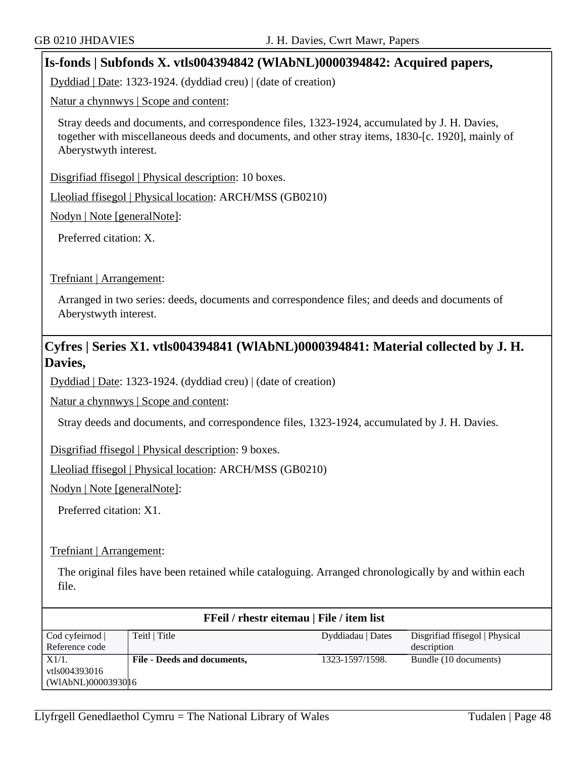### **Is-fonds | Subfonds X. vtls004394842 (WlAbNL)0000394842: Acquired papers,**

Dyddiad | Date: 1323-1924. (dyddiad creu) | (date of creation)

Natur a chynnwys | Scope and content:

Stray deeds and documents, and correspondence files, 1323-1924, accumulated by J. H. Davies, together with miscellaneous deeds and documents, and other stray items, 1830-[c. 1920], mainly of Aberystwyth interest.

Disgrifiad ffisegol | Physical description: 10 boxes.

Lleoliad ffisegol | Physical location: ARCH/MSS (GB0210)

Nodyn | Note [generalNote]:

Preferred citation: X.

Trefniant | Arrangement:

Arranged in two series: deeds, documents and correspondence files; and deeds and documents of Aberystwyth interest.

### **Cyfres | Series X1. vtls004394841 (WlAbNL)0000394841: Material collected by J. H. Davies,**

Dyddiad | Date: 1323-1924. (dyddiad creu) | (date of creation)

Natur a chynnwys | Scope and content:

Stray deeds and documents, and correspondence files, 1323-1924, accumulated by J. H. Davies.

Disgrifiad ffisegol | Physical description: 9 boxes.

Lleoliad ffisegol | Physical location: ARCH/MSS (GB0210)

Nodyn | Note [generalNote]:

Preferred citation: X1.

### Trefniant | Arrangement:

The original files have been retained while cataloguing. Arranged chronologically by and within each file.

| FFeil / rhestr eitemau   File / item list |                             |                   |                                |
|-------------------------------------------|-----------------------------|-------------------|--------------------------------|
| Cod cyfeirnod                             | Teitl   Title               | Dyddiadau   Dates | Disgrifiad ffisegol   Physical |
| Reference code                            |                             |                   | description                    |
| X1/1.                                     | File - Deeds and documents, | 1323-1597/1598.   | Bundle (10 documents)          |
| vtls004393016                             |                             |                   |                                |
| (WIAbNL)0000393016                        |                             |                   |                                |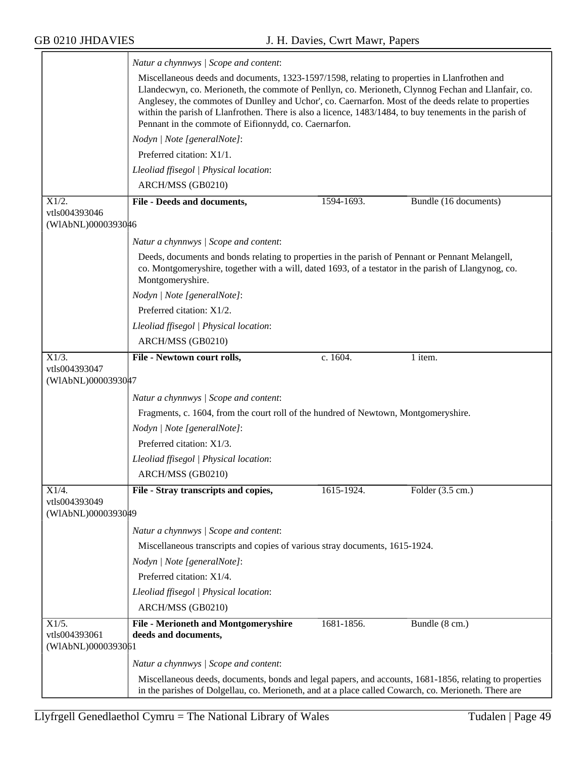|                                              | Natur a chynnwys / Scope and content:                                                                                                                                                                                                                                                                                                                                                                                                                                          |            |                            |  |
|----------------------------------------------|--------------------------------------------------------------------------------------------------------------------------------------------------------------------------------------------------------------------------------------------------------------------------------------------------------------------------------------------------------------------------------------------------------------------------------------------------------------------------------|------------|----------------------------|--|
|                                              | Miscellaneous deeds and documents, 1323-1597/1598, relating to properties in Llanfrothen and<br>Llandecwyn, co. Merioneth, the commote of Penllyn, co. Merioneth, Clynnog Fechan and Llanfair, co.<br>Anglesey, the commotes of Dunlley and Uchor', co. Caernarfon. Most of the deeds relate to properties<br>within the parish of Llanfrothen. There is also a licence, 1483/1484, to buy tenements in the parish of<br>Pennant in the commote of Eifionnydd, co. Caernarfon. |            |                            |  |
|                                              | Nodyn   Note [generalNote]:                                                                                                                                                                                                                                                                                                                                                                                                                                                    |            |                            |  |
|                                              | Preferred citation: X1/1.                                                                                                                                                                                                                                                                                                                                                                                                                                                      |            |                            |  |
|                                              | Lleoliad ffisegol   Physical location:                                                                                                                                                                                                                                                                                                                                                                                                                                         |            |                            |  |
|                                              | ARCH/MSS (GB0210)                                                                                                                                                                                                                                                                                                                                                                                                                                                              |            |                            |  |
| X1/2.                                        | File - Deeds and documents,                                                                                                                                                                                                                                                                                                                                                                                                                                                    | 1594-1693. | Bundle (16 documents)      |  |
| vtls004393046<br>(WIAbNL)0000393046          |                                                                                                                                                                                                                                                                                                                                                                                                                                                                                |            |                            |  |
|                                              | Natur a chynnwys / Scope and content:                                                                                                                                                                                                                                                                                                                                                                                                                                          |            |                            |  |
|                                              | Deeds, documents and bonds relating to properties in the parish of Pennant or Pennant Melangell,<br>co. Montgomeryshire, together with a will, dated 1693, of a testator in the parish of Llangynog, co.<br>Montgomeryshire.                                                                                                                                                                                                                                                   |            |                            |  |
|                                              | Nodyn   Note [generalNote]:                                                                                                                                                                                                                                                                                                                                                                                                                                                    |            |                            |  |
|                                              | Preferred citation: X1/2.                                                                                                                                                                                                                                                                                                                                                                                                                                                      |            |                            |  |
|                                              | Lleoliad ffisegol   Physical location:                                                                                                                                                                                                                                                                                                                                                                                                                                         |            |                            |  |
|                                              | ARCH/MSS (GB0210)                                                                                                                                                                                                                                                                                                                                                                                                                                                              |            |                            |  |
| X1/3.                                        | File - Newtown court rolls,                                                                                                                                                                                                                                                                                                                                                                                                                                                    | c. 1604.   | 1 item.                    |  |
| vtls004393047<br>(WIAbNL)0000393047          |                                                                                                                                                                                                                                                                                                                                                                                                                                                                                |            |                            |  |
|                                              |                                                                                                                                                                                                                                                                                                                                                                                                                                                                                |            |                            |  |
|                                              | Natur a chynnwys / Scope and content:                                                                                                                                                                                                                                                                                                                                                                                                                                          |            |                            |  |
|                                              | Fragments, c. 1604, from the court roll of the hundred of Newtown, Montgomeryshire.                                                                                                                                                                                                                                                                                                                                                                                            |            |                            |  |
|                                              | Nodyn   Note [generalNote]:<br>Preferred citation: X1/3.                                                                                                                                                                                                                                                                                                                                                                                                                       |            |                            |  |
|                                              |                                                                                                                                                                                                                                                                                                                                                                                                                                                                                |            |                            |  |
|                                              | Lleoliad ffisegol   Physical location:                                                                                                                                                                                                                                                                                                                                                                                                                                         |            |                            |  |
|                                              | ARCH/MSS (GB0210)                                                                                                                                                                                                                                                                                                                                                                                                                                                              |            |                            |  |
| X1/4.<br>vtls004393049                       | File - Stray transcripts and copies,                                                                                                                                                                                                                                                                                                                                                                                                                                           | 1615-1924. | Folder $(3.5 \text{ cm.})$ |  |
| (WIAbNL)0000393049                           |                                                                                                                                                                                                                                                                                                                                                                                                                                                                                |            |                            |  |
|                                              | Natur a chynnwys / Scope and content:                                                                                                                                                                                                                                                                                                                                                                                                                                          |            |                            |  |
|                                              | Miscellaneous transcripts and copies of various stray documents, 1615-1924.                                                                                                                                                                                                                                                                                                                                                                                                    |            |                            |  |
|                                              | Nodyn   Note [generalNote]:                                                                                                                                                                                                                                                                                                                                                                                                                                                    |            |                            |  |
|                                              | Preferred citation: X1/4.                                                                                                                                                                                                                                                                                                                                                                                                                                                      |            |                            |  |
|                                              | Lleoliad ffisegol   Physical location:                                                                                                                                                                                                                                                                                                                                                                                                                                         |            |                            |  |
|                                              | ARCH/MSS (GB0210)                                                                                                                                                                                                                                                                                                                                                                                                                                                              |            |                            |  |
| X1/5.<br>vtls004393061<br>(WIAbNL)0000393061 | <b>File - Merioneth and Montgomeryshire</b><br>deeds and documents,                                                                                                                                                                                                                                                                                                                                                                                                            | 1681-1856. | Bundle (8 cm.)             |  |
|                                              | Natur a chynnwys / Scope and content:                                                                                                                                                                                                                                                                                                                                                                                                                                          |            |                            |  |
|                                              | Miscellaneous deeds, documents, bonds and legal papers, and accounts, 1681-1856, relating to properties<br>in the parishes of Dolgellau, co. Merioneth, and at a place called Cowarch, co. Merioneth. There are                                                                                                                                                                                                                                                                |            |                            |  |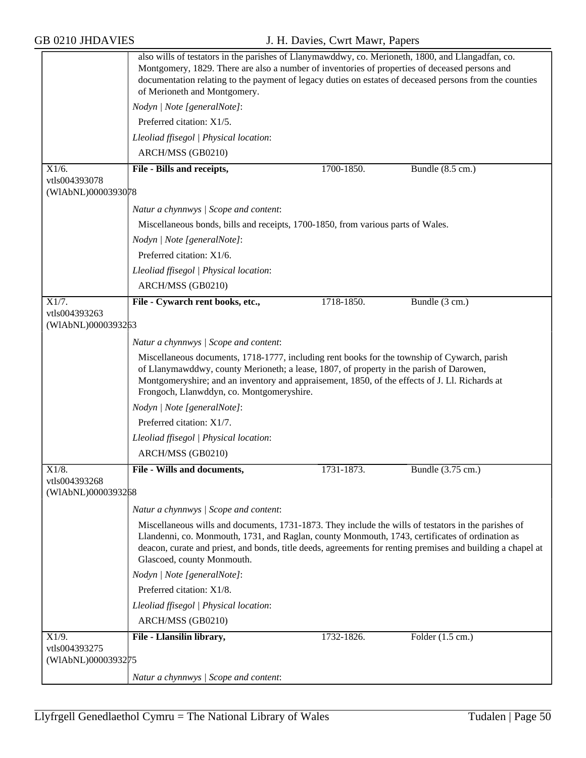|                                     | also wills of testators in the parishes of Llanymawddwy, co. Merioneth, 1800, and Llangadfan, co.<br>Montgomery, 1829. There are also a number of inventories of properties of deceased persons and<br>documentation relating to the payment of legacy duties on estates of deceased persons from the counties<br>of Merioneth and Montgomery.       |            |                   |  |
|-------------------------------------|------------------------------------------------------------------------------------------------------------------------------------------------------------------------------------------------------------------------------------------------------------------------------------------------------------------------------------------------------|------------|-------------------|--|
|                                     | Nodyn   Note [generalNote]:                                                                                                                                                                                                                                                                                                                          |            |                   |  |
|                                     | Preferred citation: X1/5.                                                                                                                                                                                                                                                                                                                            |            |                   |  |
|                                     | Lleoliad ffisegol   Physical location:                                                                                                                                                                                                                                                                                                               |            |                   |  |
|                                     | ARCH/MSS (GB0210)                                                                                                                                                                                                                                                                                                                                    |            |                   |  |
| X1/6.<br>vtls004393078              | File - Bills and receipts,                                                                                                                                                                                                                                                                                                                           | 1700-1850. | Bundle (8.5 cm.)  |  |
| (WIAbNL)0000393078                  |                                                                                                                                                                                                                                                                                                                                                      |            |                   |  |
|                                     | Natur a chynnwys / Scope and content:                                                                                                                                                                                                                                                                                                                |            |                   |  |
|                                     | Miscellaneous bonds, bills and receipts, 1700-1850, from various parts of Wales.                                                                                                                                                                                                                                                                     |            |                   |  |
|                                     | Nodyn   Note [generalNote]:                                                                                                                                                                                                                                                                                                                          |            |                   |  |
|                                     | Preferred citation: X1/6.                                                                                                                                                                                                                                                                                                                            |            |                   |  |
|                                     | Lleoliad ffisegol   Physical location:                                                                                                                                                                                                                                                                                                               |            |                   |  |
|                                     | ARCH/MSS (GB0210)                                                                                                                                                                                                                                                                                                                                    |            |                   |  |
| X1/7.                               | File - Cywarch rent books, etc.,                                                                                                                                                                                                                                                                                                                     | 1718-1850. | Bundle (3 cm.)    |  |
| vtls004393263<br>(WIAbNL)0000393263 |                                                                                                                                                                                                                                                                                                                                                      |            |                   |  |
|                                     | Natur a chynnwys / Scope and content:                                                                                                                                                                                                                                                                                                                |            |                   |  |
|                                     | Miscellaneous documents, 1718-1777, including rent books for the township of Cywarch, parish                                                                                                                                                                                                                                                         |            |                   |  |
|                                     | of Llanymawddwy, county Merioneth; a lease, 1807, of property in the parish of Darowen,<br>Montgomeryshire; and an inventory and appraisement, 1850, of the effects of J. Ll. Richards at<br>Frongoch, Llanwddyn, co. Montgomeryshire.                                                                                                               |            |                   |  |
|                                     | Nodyn   Note [generalNote]:                                                                                                                                                                                                                                                                                                                          |            |                   |  |
|                                     | Preferred citation: X1/7.                                                                                                                                                                                                                                                                                                                            |            |                   |  |
|                                     | Lleoliad ffisegol   Physical location:                                                                                                                                                                                                                                                                                                               |            |                   |  |
|                                     | ARCH/MSS (GB0210)                                                                                                                                                                                                                                                                                                                                    |            |                   |  |
| X1/8.                               | File - Wills and documents,                                                                                                                                                                                                                                                                                                                          | 1731-1873. | Bundle (3.75 cm.) |  |
| vtls004393268<br>(WIAbNL)0000393268 |                                                                                                                                                                                                                                                                                                                                                      |            |                   |  |
|                                     | Natur a chynnwys / Scope and content:                                                                                                                                                                                                                                                                                                                |            |                   |  |
|                                     | Miscellaneous wills and documents, 1731-1873. They include the wills of testators in the parishes of<br>Llandenni, co. Monmouth, 1731, and Raglan, county Monmouth, 1743, certificates of ordination as<br>deacon, curate and priest, and bonds, title deeds, agreements for renting premises and building a chapel at<br>Glascoed, county Monmouth. |            |                   |  |
|                                     | Nodyn   Note [generalNote]:                                                                                                                                                                                                                                                                                                                          |            |                   |  |
|                                     | Preferred citation: X1/8.                                                                                                                                                                                                                                                                                                                            |            |                   |  |
|                                     | Lleoliad ffisegol   Physical location:                                                                                                                                                                                                                                                                                                               |            |                   |  |
|                                     | ARCH/MSS (GB0210)                                                                                                                                                                                                                                                                                                                                    |            |                   |  |
| X1/9.                               | File - Llansilin library,                                                                                                                                                                                                                                                                                                                            | 1732-1826. | Folder (1.5 cm.)  |  |
| vtls004393275<br>(WIAbNL)0000393275 |                                                                                                                                                                                                                                                                                                                                                      |            |                   |  |
|                                     | Natur a chynnwys / Scope and content:                                                                                                                                                                                                                                                                                                                |            |                   |  |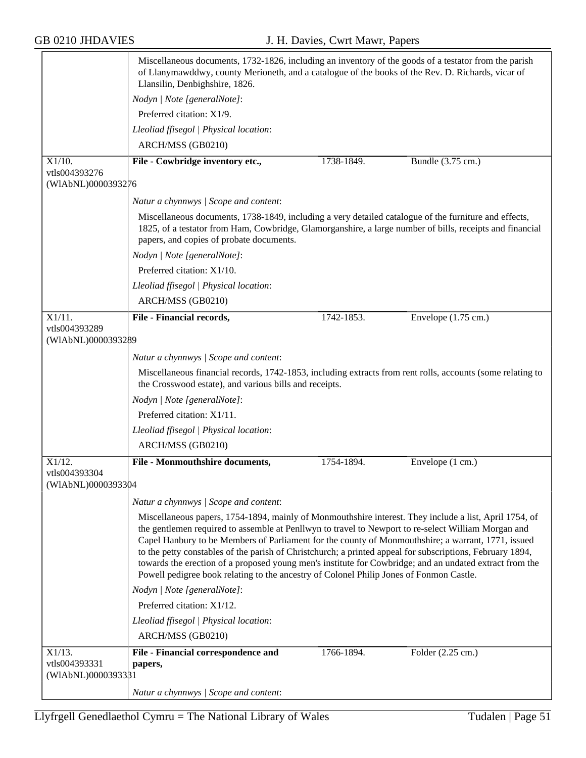|                                     | Miscellaneous documents, 1732-1826, including an inventory of the goods of a testator from the parish<br>of Llanymawddwy, county Merioneth, and a catalogue of the books of the Rev. D. Richards, vicar of<br>Llansilin, Denbighshire, 1826.                                                                                                                                                                                                                                                                                                                                                                                           |            |                               |  |  |
|-------------------------------------|----------------------------------------------------------------------------------------------------------------------------------------------------------------------------------------------------------------------------------------------------------------------------------------------------------------------------------------------------------------------------------------------------------------------------------------------------------------------------------------------------------------------------------------------------------------------------------------------------------------------------------------|------------|-------------------------------|--|--|
|                                     | Nodyn   Note [generalNote]:                                                                                                                                                                                                                                                                                                                                                                                                                                                                                                                                                                                                            |            |                               |  |  |
|                                     | Preferred citation: X1/9.                                                                                                                                                                                                                                                                                                                                                                                                                                                                                                                                                                                                              |            |                               |  |  |
|                                     | Lleoliad ffisegol   Physical location:                                                                                                                                                                                                                                                                                                                                                                                                                                                                                                                                                                                                 |            |                               |  |  |
|                                     | ARCH/MSS (GB0210)                                                                                                                                                                                                                                                                                                                                                                                                                                                                                                                                                                                                                      |            |                               |  |  |
| X1/10.                              | File - Cowbridge inventory etc.,                                                                                                                                                                                                                                                                                                                                                                                                                                                                                                                                                                                                       | 1738-1849. | Bundle $(3.75 \text{ cm.})$   |  |  |
| vtls004393276<br>(WIAbNL)0000393276 |                                                                                                                                                                                                                                                                                                                                                                                                                                                                                                                                                                                                                                        |            |                               |  |  |
|                                     | Natur a chynnwys / Scope and content:                                                                                                                                                                                                                                                                                                                                                                                                                                                                                                                                                                                                  |            |                               |  |  |
|                                     | Miscellaneous documents, 1738-1849, including a very detailed catalogue of the furniture and effects,<br>1825, of a testator from Ham, Cowbridge, Glamorganshire, a large number of bills, receipts and financial<br>papers, and copies of probate documents.                                                                                                                                                                                                                                                                                                                                                                          |            |                               |  |  |
|                                     | Nodyn   Note [generalNote]:                                                                                                                                                                                                                                                                                                                                                                                                                                                                                                                                                                                                            |            |                               |  |  |
|                                     | Preferred citation: X1/10.                                                                                                                                                                                                                                                                                                                                                                                                                                                                                                                                                                                                             |            |                               |  |  |
|                                     | Lleoliad ffisegol   Physical location:                                                                                                                                                                                                                                                                                                                                                                                                                                                                                                                                                                                                 |            |                               |  |  |
|                                     | ARCH/MSS (GB0210)                                                                                                                                                                                                                                                                                                                                                                                                                                                                                                                                                                                                                      |            |                               |  |  |
| $X1/11$ .                           | File - Financial records,                                                                                                                                                                                                                                                                                                                                                                                                                                                                                                                                                                                                              | 1742-1853. | Envelope $(1.75 \text{ cm.})$ |  |  |
| vtls004393289<br>(WIAbNL)0000393289 |                                                                                                                                                                                                                                                                                                                                                                                                                                                                                                                                                                                                                                        |            |                               |  |  |
|                                     | Natur a chynnwys / Scope and content:                                                                                                                                                                                                                                                                                                                                                                                                                                                                                                                                                                                                  |            |                               |  |  |
|                                     | Miscellaneous financial records, 1742-1853, including extracts from rent rolls, accounts (some relating to<br>the Crosswood estate), and various bills and receipts.                                                                                                                                                                                                                                                                                                                                                                                                                                                                   |            |                               |  |  |
|                                     | Nodyn   Note [generalNote]:                                                                                                                                                                                                                                                                                                                                                                                                                                                                                                                                                                                                            |            |                               |  |  |
|                                     | Preferred citation: X1/11.                                                                                                                                                                                                                                                                                                                                                                                                                                                                                                                                                                                                             |            |                               |  |  |
|                                     | Lleoliad ffisegol   Physical location:                                                                                                                                                                                                                                                                                                                                                                                                                                                                                                                                                                                                 |            |                               |  |  |
|                                     | ARCH/MSS (GB0210)                                                                                                                                                                                                                                                                                                                                                                                                                                                                                                                                                                                                                      |            |                               |  |  |
| X1/12.                              | File - Monmouthshire documents,                                                                                                                                                                                                                                                                                                                                                                                                                                                                                                                                                                                                        | 1754-1894. | Envelope (1 cm.)              |  |  |
| vtls004393304<br>(WIAbNL)0000393304 |                                                                                                                                                                                                                                                                                                                                                                                                                                                                                                                                                                                                                                        |            |                               |  |  |
|                                     | Natur a chynnwys / Scope and content:                                                                                                                                                                                                                                                                                                                                                                                                                                                                                                                                                                                                  |            |                               |  |  |
|                                     | Miscellaneous papers, 1754-1894, mainly of Monmouthshire interest. They include a list, April 1754, of<br>the gentlemen required to assemble at Penllwyn to travel to Newport to re-select William Morgan and<br>Capel Hanbury to be Members of Parliament for the county of Monmouthshire; a warrant, 1771, issued<br>to the petty constables of the parish of Christchurch; a printed appeal for subscriptions, February 1894,<br>towards the erection of a proposed young men's institute for Cowbridge; and an undated extract from the<br>Powell pedigree book relating to the ancestry of Colonel Philip Jones of Fonmon Castle. |            |                               |  |  |
|                                     | Nodyn   Note [generalNote]:                                                                                                                                                                                                                                                                                                                                                                                                                                                                                                                                                                                                            |            |                               |  |  |
|                                     | Preferred citation: X1/12.                                                                                                                                                                                                                                                                                                                                                                                                                                                                                                                                                                                                             |            |                               |  |  |
|                                     | Lleoliad ffisegol   Physical location:                                                                                                                                                                                                                                                                                                                                                                                                                                                                                                                                                                                                 |            |                               |  |  |
|                                     | ARCH/MSS (GB0210)                                                                                                                                                                                                                                                                                                                                                                                                                                                                                                                                                                                                                      |            |                               |  |  |
| X1/13.                              | File - Financial correspondence and                                                                                                                                                                                                                                                                                                                                                                                                                                                                                                                                                                                                    | 1766-1894. | Folder (2.25 cm.)             |  |  |
| vtls004393331                       | papers,                                                                                                                                                                                                                                                                                                                                                                                                                                                                                                                                                                                                                                |            |                               |  |  |
| (WIAbNL)0000393381                  |                                                                                                                                                                                                                                                                                                                                                                                                                                                                                                                                                                                                                                        |            |                               |  |  |
|                                     | Natur a chynnwys / Scope and content:                                                                                                                                                                                                                                                                                                                                                                                                                                                                                                                                                                                                  |            |                               |  |  |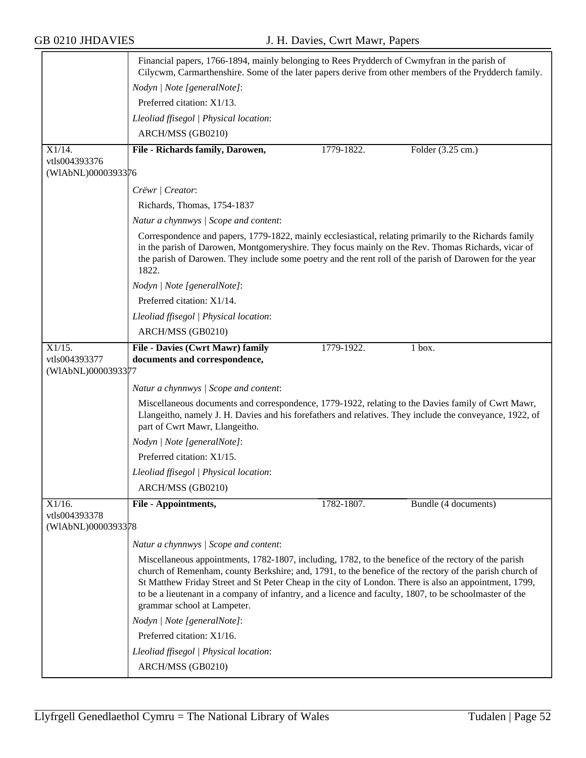|                    | Financial papers, 1766-1894, mainly belonging to Rees Prydderch of Cwmyfran in the parish of<br>Cilycwm, Carmarthenshire. Some of the later papers derive from other members of the Prydderch family.                                                                                                                                                                                                                                                               |  |  |  |
|--------------------|---------------------------------------------------------------------------------------------------------------------------------------------------------------------------------------------------------------------------------------------------------------------------------------------------------------------------------------------------------------------------------------------------------------------------------------------------------------------|--|--|--|
|                    | Nodyn   Note [generalNote]:                                                                                                                                                                                                                                                                                                                                                                                                                                         |  |  |  |
|                    | Preferred citation: X1/13.                                                                                                                                                                                                                                                                                                                                                                                                                                          |  |  |  |
|                    | Lleoliad ffisegol   Physical location:                                                                                                                                                                                                                                                                                                                                                                                                                              |  |  |  |
|                    | ARCH/MSS (GB0210)                                                                                                                                                                                                                                                                                                                                                                                                                                                   |  |  |  |
| $X1/14$ .          | File - Richards family, Darowen,<br>Folder (3.25 cm.)<br>1779-1822.                                                                                                                                                                                                                                                                                                                                                                                                 |  |  |  |
| vtls004393376      |                                                                                                                                                                                                                                                                                                                                                                                                                                                                     |  |  |  |
| (WIAbNL)0000393376 |                                                                                                                                                                                                                                                                                                                                                                                                                                                                     |  |  |  |
|                    | Crëwr   Creator:                                                                                                                                                                                                                                                                                                                                                                                                                                                    |  |  |  |
|                    | Richards, Thomas, 1754-1837                                                                                                                                                                                                                                                                                                                                                                                                                                         |  |  |  |
|                    | Natur a chynnwys / Scope and content:                                                                                                                                                                                                                                                                                                                                                                                                                               |  |  |  |
|                    | Correspondence and papers, 1779-1822, mainly ecclesiastical, relating primarily to the Richards family<br>in the parish of Darowen, Montgomeryshire. They focus mainly on the Rev. Thomas Richards, vicar of<br>the parish of Darowen. They include some poetry and the rent roll of the parish of Darowen for the year<br>1822.                                                                                                                                    |  |  |  |
|                    | Nodyn   Note [generalNote]:                                                                                                                                                                                                                                                                                                                                                                                                                                         |  |  |  |
|                    | Preferred citation: X1/14.                                                                                                                                                                                                                                                                                                                                                                                                                                          |  |  |  |
|                    | Lleoliad ffisegol   Physical location:                                                                                                                                                                                                                                                                                                                                                                                                                              |  |  |  |
|                    | ARCH/MSS (GB0210)                                                                                                                                                                                                                                                                                                                                                                                                                                                   |  |  |  |
| X1/15.             | File - Davies (Cwrt Mawr) family<br>1779-1922.<br>$1$ box.                                                                                                                                                                                                                                                                                                                                                                                                          |  |  |  |
| vtls004393377      | documents and correspondence,                                                                                                                                                                                                                                                                                                                                                                                                                                       |  |  |  |
| (WIAbNL)0000393377 |                                                                                                                                                                                                                                                                                                                                                                                                                                                                     |  |  |  |
|                    | Natur a chynnwys / Scope and content:                                                                                                                                                                                                                                                                                                                                                                                                                               |  |  |  |
|                    | Miscellaneous documents and correspondence, 1779-1922, relating to the Davies family of Cwrt Mawr,<br>Llangeitho, namely J. H. Davies and his forefathers and relatives. They include the conveyance, 1922, of<br>part of Cwrt Mawr, Llangeitho.                                                                                                                                                                                                                    |  |  |  |
|                    | Nodyn   Note [generalNote]:                                                                                                                                                                                                                                                                                                                                                                                                                                         |  |  |  |
|                    | Preferred citation: X1/15.                                                                                                                                                                                                                                                                                                                                                                                                                                          |  |  |  |
|                    | Lleoliad ffisegol   Physical location:                                                                                                                                                                                                                                                                                                                                                                                                                              |  |  |  |
|                    | ARCH/MSS (GB0210)                                                                                                                                                                                                                                                                                                                                                                                                                                                   |  |  |  |
| X1/16.             | 1782-1807.<br>Bundle (4 documents)<br>File - Appointments,                                                                                                                                                                                                                                                                                                                                                                                                          |  |  |  |
| vtls004393378      |                                                                                                                                                                                                                                                                                                                                                                                                                                                                     |  |  |  |
| (WIAbNL)0000393378 |                                                                                                                                                                                                                                                                                                                                                                                                                                                                     |  |  |  |
|                    | Natur a chynnwys / Scope and content:                                                                                                                                                                                                                                                                                                                                                                                                                               |  |  |  |
|                    | Miscellaneous appointments, 1782-1807, including, 1782, to the benefice of the rectory of the parish<br>church of Remenham, county Berkshire; and, 1791, to the benefice of the rectory of the parish church of<br>St Matthew Friday Street and St Peter Cheap in the city of London. There is also an appointment, 1799,<br>to be a lieutenant in a company of infantry, and a licence and faculty, 1807, to be schoolmaster of the<br>grammar school at Lampeter. |  |  |  |
|                    | Nodyn   Note [generalNote]:                                                                                                                                                                                                                                                                                                                                                                                                                                         |  |  |  |
|                    | Preferred citation: X1/16.                                                                                                                                                                                                                                                                                                                                                                                                                                          |  |  |  |
|                    | Lleoliad ffisegol   Physical location:                                                                                                                                                                                                                                                                                                                                                                                                                              |  |  |  |
|                    | ARCH/MSS (GB0210)                                                                                                                                                                                                                                                                                                                                                                                                                                                   |  |  |  |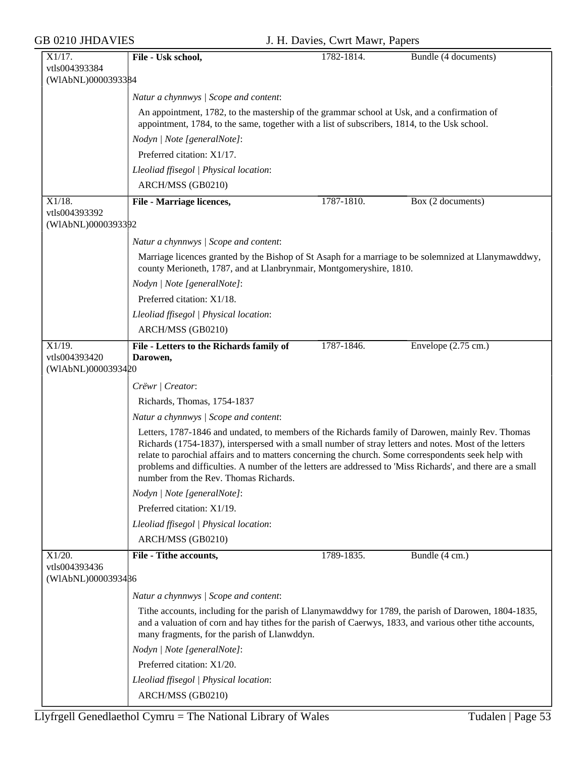| X1/17.                              | File - Usk school,                                                                                                                                                                                                                                                                                                                                                                                                                                                        | 1782-1814. | Bundle (4 documents)           |  |
|-------------------------------------|---------------------------------------------------------------------------------------------------------------------------------------------------------------------------------------------------------------------------------------------------------------------------------------------------------------------------------------------------------------------------------------------------------------------------------------------------------------------------|------------|--------------------------------|--|
| vtls004393384                       |                                                                                                                                                                                                                                                                                                                                                                                                                                                                           |            |                                |  |
| (WIAbNL)0000393384                  |                                                                                                                                                                                                                                                                                                                                                                                                                                                                           |            |                                |  |
|                                     | Natur a chynnwys / Scope and content:                                                                                                                                                                                                                                                                                                                                                                                                                                     |            |                                |  |
|                                     | An appointment, 1782, to the mastership of the grammar school at Usk, and a confirmation of<br>appointment, 1784, to the same, together with a list of subscribers, 1814, to the Usk school.                                                                                                                                                                                                                                                                              |            |                                |  |
|                                     | Nodyn   Note [generalNote]:                                                                                                                                                                                                                                                                                                                                                                                                                                               |            |                                |  |
|                                     | Preferred citation: X1/17.                                                                                                                                                                                                                                                                                                                                                                                                                                                |            |                                |  |
|                                     | Lleoliad ffisegol   Physical location:                                                                                                                                                                                                                                                                                                                                                                                                                                    |            |                                |  |
|                                     | ARCH/MSS (GB0210)                                                                                                                                                                                                                                                                                                                                                                                                                                                         |            |                                |  |
| $X1/18$ .<br>vtls004393392          | File - Marriage licences,                                                                                                                                                                                                                                                                                                                                                                                                                                                 | 1787-1810. | $\overline{Box}$ (2 documents) |  |
| (WIAbNL)0000393392                  |                                                                                                                                                                                                                                                                                                                                                                                                                                                                           |            |                                |  |
|                                     | Natur a chynnwys / Scope and content:                                                                                                                                                                                                                                                                                                                                                                                                                                     |            |                                |  |
|                                     | Marriage licences granted by the Bishop of St Asaph for a marriage to be solemnized at Llanymawddwy,<br>county Merioneth, 1787, and at Llanbrynmair, Montgomeryshire, 1810.                                                                                                                                                                                                                                                                                               |            |                                |  |
|                                     | Nodyn   Note [generalNote]:                                                                                                                                                                                                                                                                                                                                                                                                                                               |            |                                |  |
|                                     | Preferred citation: X1/18.                                                                                                                                                                                                                                                                                                                                                                                                                                                |            |                                |  |
|                                     | Lleoliad ffisegol   Physical location:                                                                                                                                                                                                                                                                                                                                                                                                                                    |            |                                |  |
|                                     | ARCH/MSS (GB0210)                                                                                                                                                                                                                                                                                                                                                                                                                                                         |            |                                |  |
| X1/19.                              | File - Letters to the Richards family of                                                                                                                                                                                                                                                                                                                                                                                                                                  | 1787-1846. | Envelope $(2.75 \text{ cm.})$  |  |
| vtls004393420                       | Darowen,                                                                                                                                                                                                                                                                                                                                                                                                                                                                  |            |                                |  |
| (WIAbNL)0000393420                  |                                                                                                                                                                                                                                                                                                                                                                                                                                                                           |            |                                |  |
|                                     | Crëwr   Creator:                                                                                                                                                                                                                                                                                                                                                                                                                                                          |            |                                |  |
|                                     | Richards, Thomas, 1754-1837                                                                                                                                                                                                                                                                                                                                                                                                                                               |            |                                |  |
|                                     | Natur a chynnwys / Scope and content:                                                                                                                                                                                                                                                                                                                                                                                                                                     |            |                                |  |
|                                     | Letters, 1787-1846 and undated, to members of the Richards family of Darowen, mainly Rev. Thomas<br>Richards (1754-1837), interspersed with a small number of stray letters and notes. Most of the letters<br>relate to parochial affairs and to matters concerning the church. Some correspondents seek help with<br>problems and difficulties. A number of the letters are addressed to 'Miss Richards', and there are a small<br>number from the Rev. Thomas Richards. |            |                                |  |
|                                     | Nodyn   Note [generalNote]:                                                                                                                                                                                                                                                                                                                                                                                                                                               |            |                                |  |
|                                     | Preferred citation: X1/19.                                                                                                                                                                                                                                                                                                                                                                                                                                                |            |                                |  |
|                                     | Lleoliad ffisegol   Physical location:                                                                                                                                                                                                                                                                                                                                                                                                                                    |            |                                |  |
|                                     | ARCH/MSS (GB0210)                                                                                                                                                                                                                                                                                                                                                                                                                                                         |            |                                |  |
| X1/20.                              | File - Tithe accounts,                                                                                                                                                                                                                                                                                                                                                                                                                                                    | 1789-1835. | Bundle (4 cm.)                 |  |
| vtls004393436<br>(WIAbNL)0000393486 |                                                                                                                                                                                                                                                                                                                                                                                                                                                                           |            |                                |  |
|                                     | Natur a chynnwys / Scope and content:                                                                                                                                                                                                                                                                                                                                                                                                                                     |            |                                |  |
|                                     | Tithe accounts, including for the parish of Llanymawddwy for 1789, the parish of Darowen, 1804-1835,<br>and a valuation of corn and hay tithes for the parish of Caerwys, 1833, and various other tithe accounts,<br>many fragments, for the parish of Llanwddyn.                                                                                                                                                                                                         |            |                                |  |
|                                     | Nodyn   Note [generalNote]:                                                                                                                                                                                                                                                                                                                                                                                                                                               |            |                                |  |
|                                     | Preferred citation: X1/20.                                                                                                                                                                                                                                                                                                                                                                                                                                                |            |                                |  |
|                                     | Lleoliad ffisegol   Physical location:                                                                                                                                                                                                                                                                                                                                                                                                                                    |            |                                |  |
|                                     | ARCH/MSS (GB0210)                                                                                                                                                                                                                                                                                                                                                                                                                                                         |            |                                |  |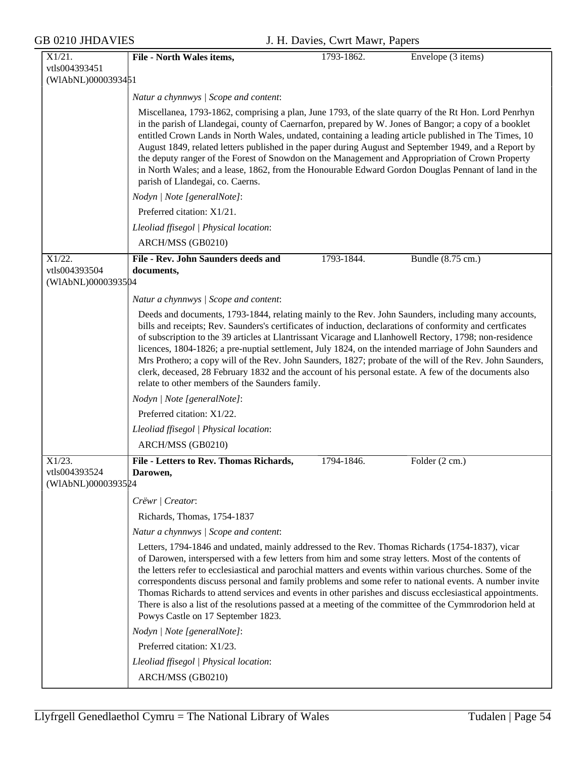| X1/21.                                           | File - North Wales items,                                                                                                                                                                                                                                                                                                                                                                                                                                                                                                                                                                                                                                                                                       | 1793-1862. | Envelope (3 items) |
|--------------------------------------------------|-----------------------------------------------------------------------------------------------------------------------------------------------------------------------------------------------------------------------------------------------------------------------------------------------------------------------------------------------------------------------------------------------------------------------------------------------------------------------------------------------------------------------------------------------------------------------------------------------------------------------------------------------------------------------------------------------------------------|------------|--------------------|
| vtls004393451                                    |                                                                                                                                                                                                                                                                                                                                                                                                                                                                                                                                                                                                                                                                                                                 |            |                    |
| (WIAbNL)0000393451                               |                                                                                                                                                                                                                                                                                                                                                                                                                                                                                                                                                                                                                                                                                                                 |            |                    |
|                                                  | Natur a chynnwys / Scope and content:                                                                                                                                                                                                                                                                                                                                                                                                                                                                                                                                                                                                                                                                           |            |                    |
|                                                  | Miscellanea, 1793-1862, comprising a plan, June 1793, of the slate quarry of the Rt Hon. Lord Penrhyn<br>in the parish of Llandegai, county of Caernarfon, prepared by W. Jones of Bangor; a copy of a booklet<br>entitled Crown Lands in North Wales, undated, containing a leading article published in The Times, 10<br>August 1849, related letters published in the paper during August and September 1949, and a Report by<br>the deputy ranger of the Forest of Snowdon on the Management and Appropriation of Crown Property<br>in North Wales; and a lease, 1862, from the Honourable Edward Gordon Douglas Pennant of land in the<br>parish of Llandegai, co. Caerns.                                 |            |                    |
|                                                  | Nodyn   Note [generalNote]:                                                                                                                                                                                                                                                                                                                                                                                                                                                                                                                                                                                                                                                                                     |            |                    |
|                                                  | Preferred citation: X1/21.                                                                                                                                                                                                                                                                                                                                                                                                                                                                                                                                                                                                                                                                                      |            |                    |
|                                                  | Lleoliad ffisegol   Physical location:                                                                                                                                                                                                                                                                                                                                                                                                                                                                                                                                                                                                                                                                          |            |                    |
|                                                  | ARCH/MSS (GB0210)                                                                                                                                                                                                                                                                                                                                                                                                                                                                                                                                                                                                                                                                                               |            |                    |
| X1/22.<br>vtls004393504<br>(WIAbNL)0000393504    | File - Rev. John Saunders deeds and<br>documents,                                                                                                                                                                                                                                                                                                                                                                                                                                                                                                                                                                                                                                                               | 1793-1844. | Bundle (8.75 cm.)  |
|                                                  | Natur a chynnwys / Scope and content:                                                                                                                                                                                                                                                                                                                                                                                                                                                                                                                                                                                                                                                                           |            |                    |
|                                                  | Deeds and documents, 1793-1844, relating mainly to the Rev. John Saunders, including many accounts,<br>bills and receipts; Rev. Saunders's certificates of induction, declarations of conformity and certficates<br>of subscription to the 39 articles at Llantrissant Vicarage and Llanhowell Rectory, 1798; non-residence<br>licences, 1804-1826; a pre-nuptial settlement, July 1824, on the intended marriage of John Saunders and<br>Mrs Prothero; a copy will of the Rev. John Saunders, 1827; probate of the will of the Rev. John Saunders,<br>clerk, deceased, 28 February 1832 and the account of his personal estate. A few of the documents also<br>relate to other members of the Saunders family. |            |                    |
|                                                  | Nodyn   Note [generalNote]:                                                                                                                                                                                                                                                                                                                                                                                                                                                                                                                                                                                                                                                                                     |            |                    |
|                                                  | Preferred citation: X1/22.                                                                                                                                                                                                                                                                                                                                                                                                                                                                                                                                                                                                                                                                                      |            |                    |
|                                                  | Lleoliad ffisegol   Physical location:                                                                                                                                                                                                                                                                                                                                                                                                                                                                                                                                                                                                                                                                          |            |                    |
|                                                  | ARCH/MSS (GB0210)                                                                                                                                                                                                                                                                                                                                                                                                                                                                                                                                                                                                                                                                                               |            |                    |
| $X1/23$ .<br>vtls004393524<br>(WIAbNL)0000393524 | File - Letters to Rev. Thomas Richards,<br>Darowen,                                                                                                                                                                                                                                                                                                                                                                                                                                                                                                                                                                                                                                                             | 1794-1846. | Folder (2 cm.)     |
|                                                  | Crëwr   Creator:                                                                                                                                                                                                                                                                                                                                                                                                                                                                                                                                                                                                                                                                                                |            |                    |
|                                                  | Richards, Thomas, 1754-1837                                                                                                                                                                                                                                                                                                                                                                                                                                                                                                                                                                                                                                                                                     |            |                    |
|                                                  | Natur a chynnwys / Scope and content:                                                                                                                                                                                                                                                                                                                                                                                                                                                                                                                                                                                                                                                                           |            |                    |
|                                                  | Letters, 1794-1846 and undated, mainly addressed to the Rev. Thomas Richards (1754-1837), vicar<br>of Darowen, interspersed with a few letters from him and some stray letters. Most of the contents of<br>the letters refer to ecclesiastical and parochial matters and events within various churches. Some of the<br>correspondents discuss personal and family problems and some refer to national events. A number invite<br>Thomas Richards to attend services and events in other parishes and discuss ecclesiastical appointments.<br>There is also a list of the resolutions passed at a meeting of the committee of the Cymmrodorion held at<br>Powys Castle on 17 September 1823.                    |            |                    |
|                                                  | Nodyn   Note [generalNote]:                                                                                                                                                                                                                                                                                                                                                                                                                                                                                                                                                                                                                                                                                     |            |                    |
|                                                  | Preferred citation: X1/23.                                                                                                                                                                                                                                                                                                                                                                                                                                                                                                                                                                                                                                                                                      |            |                    |
|                                                  | Lleoliad ffisegol   Physical location:                                                                                                                                                                                                                                                                                                                                                                                                                                                                                                                                                                                                                                                                          |            |                    |
|                                                  | ARCH/MSS (GB0210)                                                                                                                                                                                                                                                                                                                                                                                                                                                                                                                                                                                                                                                                                               |            |                    |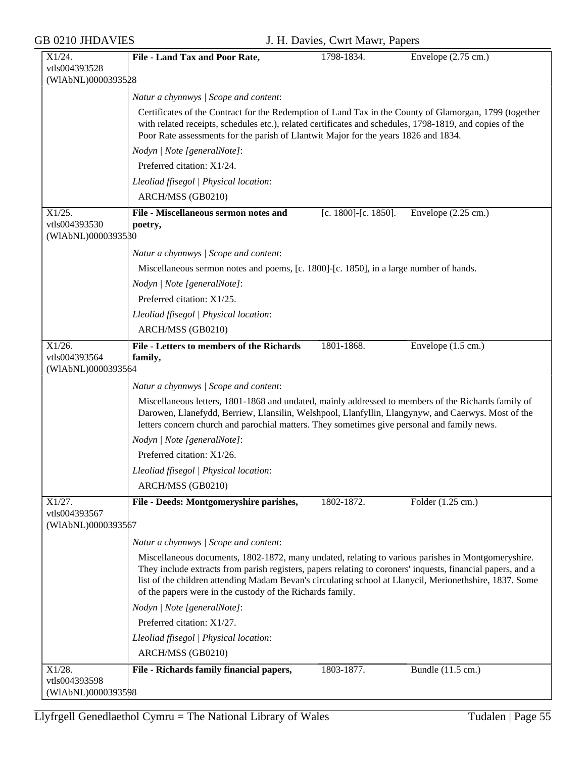| X1/24.                              | File - Land Tax and Poor Rate,                                                                                                                                                                                                                                                                                                                                                            | 1798-1834.           | Envelope $(2.75 \text{ cm.})$ |
|-------------------------------------|-------------------------------------------------------------------------------------------------------------------------------------------------------------------------------------------------------------------------------------------------------------------------------------------------------------------------------------------------------------------------------------------|----------------------|-------------------------------|
| vtls004393528                       |                                                                                                                                                                                                                                                                                                                                                                                           |                      |                               |
| (WIAbNL)0000393528                  |                                                                                                                                                                                                                                                                                                                                                                                           |                      |                               |
|                                     | Natur a chynnwys / Scope and content:                                                                                                                                                                                                                                                                                                                                                     |                      |                               |
|                                     | Certificates of the Contract for the Redemption of Land Tax in the County of Glamorgan, 1799 (together<br>with related receipts, schedules etc.), related certificates and schedules, 1798-1819, and copies of the<br>Poor Rate assessments for the parish of Llantwit Major for the years 1826 and 1834.                                                                                 |                      |                               |
|                                     | Nodyn   Note [generalNote]:                                                                                                                                                                                                                                                                                                                                                               |                      |                               |
|                                     | Preferred citation: X1/24.                                                                                                                                                                                                                                                                                                                                                                |                      |                               |
|                                     | Lleoliad ffisegol   Physical location:                                                                                                                                                                                                                                                                                                                                                    |                      |                               |
|                                     | ARCH/MSS (GB0210)                                                                                                                                                                                                                                                                                                                                                                         |                      |                               |
| X1/25.                              | File - Miscellaneous sermon notes and                                                                                                                                                                                                                                                                                                                                                     | [c. 1800]-[c. 1850]. | Envelope $(2.25 \text{ cm.})$ |
| vtls004393530<br>(WIAbNL)0000393580 | poetry,                                                                                                                                                                                                                                                                                                                                                                                   |                      |                               |
|                                     | Natur a chynnwys / Scope and content:                                                                                                                                                                                                                                                                                                                                                     |                      |                               |
|                                     | Miscellaneous sermon notes and poems, [c. 1800]-[c. 1850], in a large number of hands.                                                                                                                                                                                                                                                                                                    |                      |                               |
|                                     | Nodyn   Note [generalNote]:                                                                                                                                                                                                                                                                                                                                                               |                      |                               |
|                                     | Preferred citation: X1/25.                                                                                                                                                                                                                                                                                                                                                                |                      |                               |
|                                     | Lleoliad ffisegol   Physical location:                                                                                                                                                                                                                                                                                                                                                    |                      |                               |
|                                     | ARCH/MSS (GB0210)                                                                                                                                                                                                                                                                                                                                                                         |                      |                               |
| X1/26.                              | <b>File - Letters to members of the Richards</b>                                                                                                                                                                                                                                                                                                                                          | 1801-1868.           | Envelope $(1.5 \text{ cm.})$  |
| vtls004393564                       | family,                                                                                                                                                                                                                                                                                                                                                                                   |                      |                               |
| (WIAbNL)0000393564                  |                                                                                                                                                                                                                                                                                                                                                                                           |                      |                               |
|                                     | Natur a chynnwys / Scope and content:                                                                                                                                                                                                                                                                                                                                                     |                      |                               |
|                                     | Miscellaneous letters, 1801-1868 and undated, mainly addressed to members of the Richards family of<br>Darowen, Llanefydd, Berriew, Llansilin, Welshpool, Llanfyllin, Llangynyw, and Caerwys. Most of the<br>letters concern church and parochial matters. They sometimes give personal and family news.                                                                                  |                      |                               |
|                                     | Nodyn   Note [generalNote]:                                                                                                                                                                                                                                                                                                                                                               |                      |                               |
|                                     | Preferred citation: X1/26.                                                                                                                                                                                                                                                                                                                                                                |                      |                               |
|                                     | Lleoliad ffisegol   Physical location:                                                                                                                                                                                                                                                                                                                                                    |                      |                               |
|                                     | ARCH/MSS (GB0210)                                                                                                                                                                                                                                                                                                                                                                         |                      |                               |
| X1/27.                              | File - Deeds: Montgomeryshire parishes,                                                                                                                                                                                                                                                                                                                                                   | 1802-1872.           | Folder (1.25 cm.)             |
| vtls004393567<br>(WIAbNL)0000393567 |                                                                                                                                                                                                                                                                                                                                                                                           |                      |                               |
|                                     | Natur a chynnwys / Scope and content:                                                                                                                                                                                                                                                                                                                                                     |                      |                               |
|                                     | Miscellaneous documents, 1802-1872, many undated, relating to various parishes in Montgomeryshire.<br>They include extracts from parish registers, papers relating to coroners' inquests, financial papers, and a<br>list of the children attending Madam Bevan's circulating school at Llanycil, Merionethshire, 1837. Some<br>of the papers were in the custody of the Richards family. |                      |                               |
|                                     | Nodyn   Note [generalNote]:                                                                                                                                                                                                                                                                                                                                                               |                      |                               |
|                                     | Preferred citation: X1/27.                                                                                                                                                                                                                                                                                                                                                                |                      |                               |
|                                     | Lleoliad ffisegol   Physical location:                                                                                                                                                                                                                                                                                                                                                    |                      |                               |
|                                     | ARCH/MSS (GB0210)                                                                                                                                                                                                                                                                                                                                                                         |                      |                               |
| $X1/28$ .                           | File - Richards family financial papers,                                                                                                                                                                                                                                                                                                                                                  | 1803-1877.           | Bundle (11.5 cm.)             |
| vtls004393598                       |                                                                                                                                                                                                                                                                                                                                                                                           |                      |                               |
| (WIAbNL)0000393598                  |                                                                                                                                                                                                                                                                                                                                                                                           |                      |                               |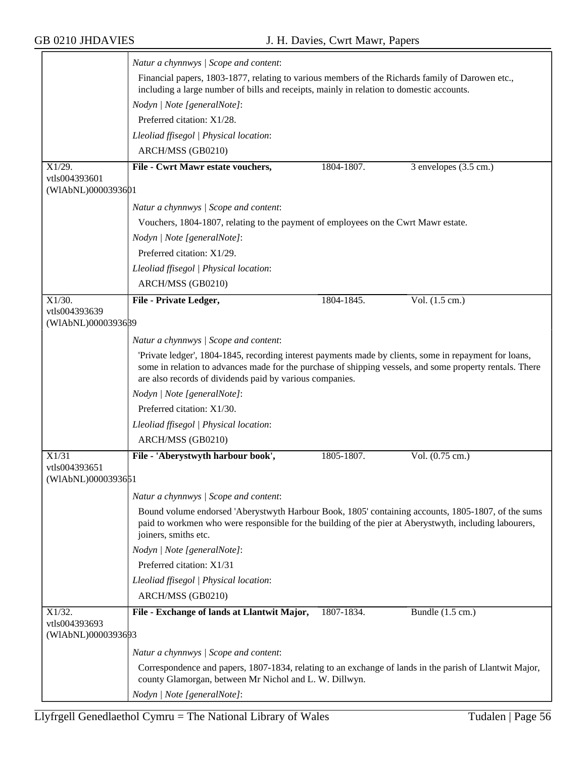|                                     | Natur a chynnwys / Scope and content:                                                                                                                                                                                                                                          |            |                          |  |  |
|-------------------------------------|--------------------------------------------------------------------------------------------------------------------------------------------------------------------------------------------------------------------------------------------------------------------------------|------------|--------------------------|--|--|
|                                     | Financial papers, 1803-1877, relating to various members of the Richards family of Darowen etc.,<br>including a large number of bills and receipts, mainly in relation to domestic accounts.                                                                                   |            |                          |  |  |
|                                     | Nodyn   Note [generalNote]:                                                                                                                                                                                                                                                    |            |                          |  |  |
|                                     | Preferred citation: X1/28.                                                                                                                                                                                                                                                     |            |                          |  |  |
|                                     | Lleoliad ffisegol   Physical location:                                                                                                                                                                                                                                         |            |                          |  |  |
|                                     | ARCH/MSS (GB0210)                                                                                                                                                                                                                                                              |            |                          |  |  |
| X1/29.                              | File - Cwrt Mawr estate vouchers,                                                                                                                                                                                                                                              | 1804-1807. | 3 envelopes (3.5 cm.)    |  |  |
| vtls004393601<br>(WIAbNL)0000393601 |                                                                                                                                                                                                                                                                                |            |                          |  |  |
|                                     | Natur a chynnwys / Scope and content:                                                                                                                                                                                                                                          |            |                          |  |  |
|                                     | Vouchers, 1804-1807, relating to the payment of employees on the Cwrt Mawr estate.                                                                                                                                                                                             |            |                          |  |  |
|                                     | Nodyn   Note [generalNote]:                                                                                                                                                                                                                                                    |            |                          |  |  |
|                                     | Preferred citation: X1/29.                                                                                                                                                                                                                                                     |            |                          |  |  |
|                                     | Lleoliad ffisegol   Physical location:                                                                                                                                                                                                                                         |            |                          |  |  |
|                                     | ARCH/MSS (GB0210)                                                                                                                                                                                                                                                              |            |                          |  |  |
| $X1/30$ .                           | File - Private Ledger,                                                                                                                                                                                                                                                         | 1804-1845. | Vol. $(1.5 \text{ cm.})$ |  |  |
| vtls004393639                       |                                                                                                                                                                                                                                                                                |            |                          |  |  |
| (WIAbNL)0000393689                  |                                                                                                                                                                                                                                                                                |            |                          |  |  |
|                                     | Natur a chynnwys / Scope and content:                                                                                                                                                                                                                                          |            |                          |  |  |
|                                     | 'Private ledger', 1804-1845, recording interest payments made by clients, some in repayment for loans,<br>some in relation to advances made for the purchase of shipping vessels, and some property rentals. There<br>are also records of dividends paid by various companies. |            |                          |  |  |
|                                     | Nodyn   Note [generalNote]:                                                                                                                                                                                                                                                    |            |                          |  |  |
|                                     | Preferred citation: X1/30.                                                                                                                                                                                                                                                     |            |                          |  |  |
|                                     | Lleoliad ffisegol   Physical location:                                                                                                                                                                                                                                         |            |                          |  |  |
|                                     | ARCH/MSS (GB0210)                                                                                                                                                                                                                                                              |            |                          |  |  |
| X1/31                               | File - 'Aberystwyth harbour book',                                                                                                                                                                                                                                             | 1805-1807. | Vol. (0.75 cm.)          |  |  |
| vtls004393651<br>(WIAbNL)0000393651 |                                                                                                                                                                                                                                                                                |            |                          |  |  |
|                                     |                                                                                                                                                                                                                                                                                |            |                          |  |  |
|                                     | Natur a chynnwys / Scope and content:                                                                                                                                                                                                                                          |            |                          |  |  |
|                                     | Bound volume endorsed 'Aberystwyth Harbour Book, 1805' containing accounts, 1805-1807, of the sums<br>paid to workmen who were responsible for the building of the pier at Aberystwyth, including labourers,<br>joiners, smiths etc.                                           |            |                          |  |  |
|                                     | Nodyn   Note [generalNote]:                                                                                                                                                                                                                                                    |            |                          |  |  |
|                                     | Preferred citation: X1/31                                                                                                                                                                                                                                                      |            |                          |  |  |
|                                     | Lleoliad ffisegol   Physical location:                                                                                                                                                                                                                                         |            |                          |  |  |
|                                     | ARCH/MSS (GB0210)                                                                                                                                                                                                                                                              |            |                          |  |  |
| X1/32.                              | File - Exchange of lands at Llantwit Major,                                                                                                                                                                                                                                    | 1807-1834. | Bundle (1.5 cm.)         |  |  |
| vtls004393693<br>(WIAbNL)0000393693 |                                                                                                                                                                                                                                                                                |            |                          |  |  |
|                                     | Natur a chynnwys / Scope and content:                                                                                                                                                                                                                                          |            |                          |  |  |
|                                     | Correspondence and papers, 1807-1834, relating to an exchange of lands in the parish of Llantwit Major,                                                                                                                                                                        |            |                          |  |  |
|                                     | county Glamorgan, between Mr Nichol and L. W. Dillwyn.<br>Nodyn   Note [generalNote]:                                                                                                                                                                                          |            |                          |  |  |
|                                     |                                                                                                                                                                                                                                                                                |            |                          |  |  |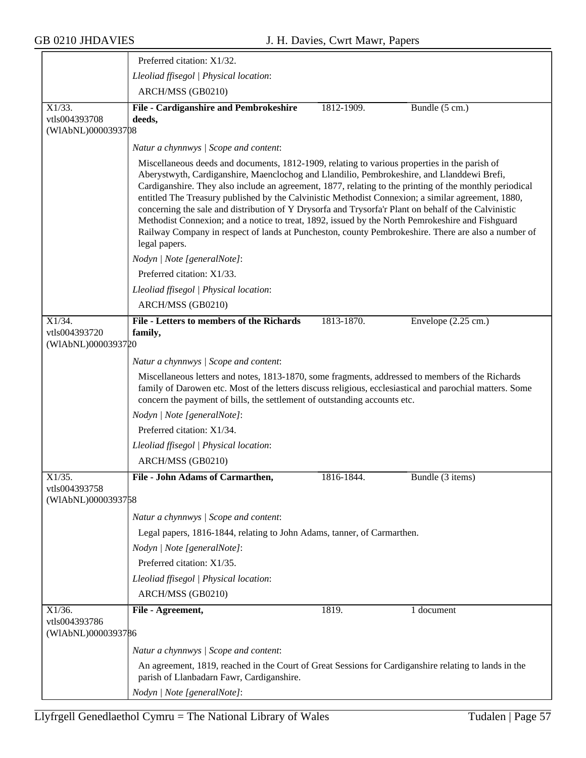$\overline{\phantom{a}}$ 

|                                                  | Preferred citation: X1/32.                                                                                                                                                                                                                                                                                                                                                                                                                                                                                                                                                                                                                                                                                                                       |            |                               |
|--------------------------------------------------|--------------------------------------------------------------------------------------------------------------------------------------------------------------------------------------------------------------------------------------------------------------------------------------------------------------------------------------------------------------------------------------------------------------------------------------------------------------------------------------------------------------------------------------------------------------------------------------------------------------------------------------------------------------------------------------------------------------------------------------------------|------------|-------------------------------|
|                                                  | Lleoliad ffisegol   Physical location:                                                                                                                                                                                                                                                                                                                                                                                                                                                                                                                                                                                                                                                                                                           |            |                               |
|                                                  | ARCH/MSS (GB0210)                                                                                                                                                                                                                                                                                                                                                                                                                                                                                                                                                                                                                                                                                                                                |            |                               |
| $X1/33$ .<br>vtls004393708<br>(WIAbNL)0000393708 | File - Cardiganshire and Pembrokeshire<br>deeds,                                                                                                                                                                                                                                                                                                                                                                                                                                                                                                                                                                                                                                                                                                 | 1812-1909. | Bundle (5 cm.)                |
|                                                  | Natur a chynnwys / Scope and content:                                                                                                                                                                                                                                                                                                                                                                                                                                                                                                                                                                                                                                                                                                            |            |                               |
|                                                  | Miscellaneous deeds and documents, 1812-1909, relating to various properties in the parish of<br>Aberystwyth, Cardiganshire, Maenclochog and Llandilio, Pembrokeshire, and Llanddewi Brefi,<br>Cardiganshire. They also include an agreement, 1877, relating to the printing of the monthly periodical<br>entitled The Treasury published by the Calvinistic Methodist Connexion; a similar agreement, 1880,<br>concerning the sale and distribution of Y Drysorfa and Trysorfa'r Plant on behalf of the Calvinistic<br>Methodist Connexion; and a notice to treat, 1892, issued by the North Pemrokeshire and Fishguard<br>Railway Company in respect of lands at Puncheston, county Pembrokeshire. There are also a number of<br>legal papers. |            |                               |
|                                                  | Nodyn   Note [generalNote]:                                                                                                                                                                                                                                                                                                                                                                                                                                                                                                                                                                                                                                                                                                                      |            |                               |
|                                                  | Preferred citation: X1/33.                                                                                                                                                                                                                                                                                                                                                                                                                                                                                                                                                                                                                                                                                                                       |            |                               |
|                                                  | Lleoliad ffisegol   Physical location:<br>ARCH/MSS (GB0210)                                                                                                                                                                                                                                                                                                                                                                                                                                                                                                                                                                                                                                                                                      |            |                               |
| X1/34.<br>vtls004393720<br>(WIAbNL)0000393720    | <b>File - Letters to members of the Richards</b><br>family,                                                                                                                                                                                                                                                                                                                                                                                                                                                                                                                                                                                                                                                                                      | 1813-1870. | Envelope $(2.25 \text{ cm.})$ |
|                                                  | Natur a chynnwys / Scope and content:                                                                                                                                                                                                                                                                                                                                                                                                                                                                                                                                                                                                                                                                                                            |            |                               |
|                                                  | Miscellaneous letters and notes, 1813-1870, some fragments, addressed to members of the Richards<br>family of Darowen etc. Most of the letters discuss religious, ecclesiastical and parochial matters. Some<br>concern the payment of bills, the settlement of outstanding accounts etc.                                                                                                                                                                                                                                                                                                                                                                                                                                                        |            |                               |
|                                                  | Nodyn   Note [generalNote]:                                                                                                                                                                                                                                                                                                                                                                                                                                                                                                                                                                                                                                                                                                                      |            |                               |
|                                                  | Preferred citation: X1/34.                                                                                                                                                                                                                                                                                                                                                                                                                                                                                                                                                                                                                                                                                                                       |            |                               |
|                                                  | Lleoliad ffisegol   Physical location:                                                                                                                                                                                                                                                                                                                                                                                                                                                                                                                                                                                                                                                                                                           |            |                               |
|                                                  | ARCH/MSS (GB0210)                                                                                                                                                                                                                                                                                                                                                                                                                                                                                                                                                                                                                                                                                                                                |            |                               |
| $X1/35$ .<br>vtls004393758                       | File - John Adams of Carmarthen,                                                                                                                                                                                                                                                                                                                                                                                                                                                                                                                                                                                                                                                                                                                 | 1816-1844. | Bundle (3 items)              |
| (WIAbNL)0000393758                               |                                                                                                                                                                                                                                                                                                                                                                                                                                                                                                                                                                                                                                                                                                                                                  |            |                               |
|                                                  | Natur a chynnwys / Scope and content:                                                                                                                                                                                                                                                                                                                                                                                                                                                                                                                                                                                                                                                                                                            |            |                               |
|                                                  | Legal papers, 1816-1844, relating to John Adams, tanner, of Carmarthen.                                                                                                                                                                                                                                                                                                                                                                                                                                                                                                                                                                                                                                                                          |            |                               |
|                                                  | Nodyn   Note [generalNote]:                                                                                                                                                                                                                                                                                                                                                                                                                                                                                                                                                                                                                                                                                                                      |            |                               |
|                                                  | Preferred citation: X1/35.                                                                                                                                                                                                                                                                                                                                                                                                                                                                                                                                                                                                                                                                                                                       |            |                               |
|                                                  | Lleoliad ffisegol   Physical location:                                                                                                                                                                                                                                                                                                                                                                                                                                                                                                                                                                                                                                                                                                           |            |                               |
|                                                  | ARCH/MSS (GB0210)                                                                                                                                                                                                                                                                                                                                                                                                                                                                                                                                                                                                                                                                                                                                |            |                               |
| $X1/36$ .<br>vtls004393786                       | File - Agreement,                                                                                                                                                                                                                                                                                                                                                                                                                                                                                                                                                                                                                                                                                                                                | 1819.      | $\overline{1}$ document       |
| (WIAbNL)0000393786                               |                                                                                                                                                                                                                                                                                                                                                                                                                                                                                                                                                                                                                                                                                                                                                  |            |                               |
|                                                  | Natur a chynnwys / Scope and content:                                                                                                                                                                                                                                                                                                                                                                                                                                                                                                                                                                                                                                                                                                            |            |                               |
|                                                  | An agreement, 1819, reached in the Court of Great Sessions for Cardiganshire relating to lands in the<br>parish of Llanbadarn Fawr, Cardiganshire.                                                                                                                                                                                                                                                                                                                                                                                                                                                                                                                                                                                               |            |                               |
|                                                  | Nodyn   Note [generalNote]:                                                                                                                                                                                                                                                                                                                                                                                                                                                                                                                                                                                                                                                                                                                      |            |                               |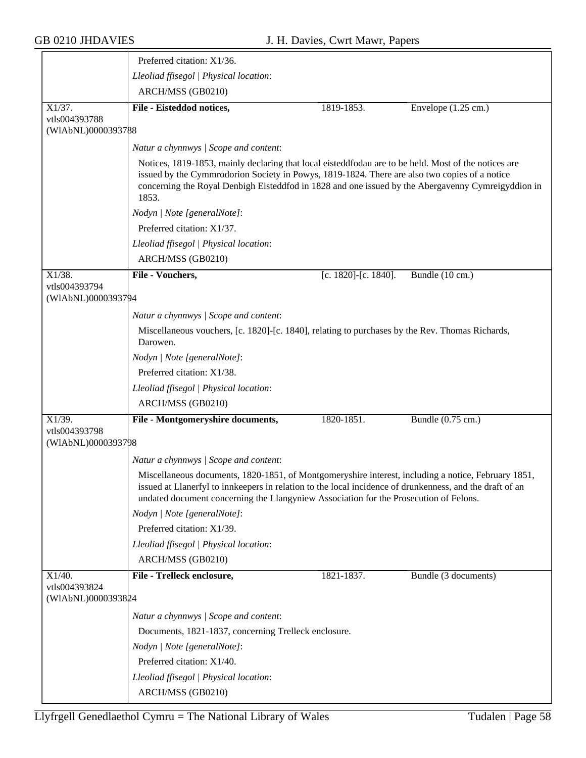|                            | Preferred citation: X1/36.                                                                                                                                                                                                                                                                                           |                            |                               |  |  |
|----------------------------|----------------------------------------------------------------------------------------------------------------------------------------------------------------------------------------------------------------------------------------------------------------------------------------------------------------------|----------------------------|-------------------------------|--|--|
|                            | Lleoliad ffisegol   Physical location:                                                                                                                                                                                                                                                                               |                            |                               |  |  |
|                            | ARCH/MSS (GB0210)                                                                                                                                                                                                                                                                                                    |                            |                               |  |  |
| $X1/37$ .<br>vtls004393788 | File - Eisteddod notices,                                                                                                                                                                                                                                                                                            | 1819-1853.                 | Envelope $(1.25 \text{ cm.})$ |  |  |
| (WIAbNL)0000393788         |                                                                                                                                                                                                                                                                                                                      |                            |                               |  |  |
|                            | Natur a chynnwys / Scope and content:                                                                                                                                                                                                                                                                                |                            |                               |  |  |
|                            | Notices, 1819-1853, mainly declaring that local eisteddfodau are to be held. Most of the notices are<br>issued by the Cymmrodorion Society in Powys, 1819-1824. There are also two copies of a notice<br>concerning the Royal Denbigh Eisteddfod in 1828 and one issued by the Abergavenny Cymreigyddion in<br>1853. |                            |                               |  |  |
|                            | Nodyn   Note [generalNote]:                                                                                                                                                                                                                                                                                          |                            |                               |  |  |
|                            | Preferred citation: X1/37.                                                                                                                                                                                                                                                                                           |                            |                               |  |  |
|                            | Lleoliad ffisegol   Physical location:                                                                                                                                                                                                                                                                               |                            |                               |  |  |
|                            | ARCH/MSS (GB0210)                                                                                                                                                                                                                                                                                                    |                            |                               |  |  |
| X1/38.<br>vtls004393794    | File - Vouchers,                                                                                                                                                                                                                                                                                                     | [c. $1820$ ]-[c. $1840$ ]. | Bundle (10 cm.)               |  |  |
| (WIAbNL)0000393794         |                                                                                                                                                                                                                                                                                                                      |                            |                               |  |  |
|                            | Natur a chynnwys / Scope and content:                                                                                                                                                                                                                                                                                |                            |                               |  |  |
|                            | Miscellaneous vouchers, [c. 1820]-[c. 1840], relating to purchases by the Rev. Thomas Richards,<br>Darowen.                                                                                                                                                                                                          |                            |                               |  |  |
|                            | Nodyn   Note [generalNote]:                                                                                                                                                                                                                                                                                          |                            |                               |  |  |
|                            | Preferred citation: X1/38.                                                                                                                                                                                                                                                                                           |                            |                               |  |  |
|                            | Lleoliad ffisegol   Physical location:                                                                                                                                                                                                                                                                               |                            |                               |  |  |
|                            | ARCH/MSS (GB0210)                                                                                                                                                                                                                                                                                                    |                            |                               |  |  |
| X1/39.<br>vtls004393798    | File - Montgomeryshire documents,                                                                                                                                                                                                                                                                                    | 1820-1851.                 | Bundle (0.75 cm.)             |  |  |
| (WIAbNL)0000393798         |                                                                                                                                                                                                                                                                                                                      |                            |                               |  |  |
|                            | Natur a chynnwys / Scope and content:                                                                                                                                                                                                                                                                                |                            |                               |  |  |
|                            | Miscellaneous documents, 1820-1851, of Montgomeryshire interest, including a notice, February 1851,<br>issued at Llanerfyl to innkeepers in relation to the local incidence of drunkenness, and the draft of an<br>undated document concerning the Llangyniew Association for the Prosecution of Felons.             |                            |                               |  |  |
|                            | Nodyn   Note [generalNote]:                                                                                                                                                                                                                                                                                          |                            |                               |  |  |
|                            | Preferred citation: X1/39.                                                                                                                                                                                                                                                                                           |                            |                               |  |  |
|                            | Lleoliad ffisegol   Physical location:                                                                                                                                                                                                                                                                               |                            |                               |  |  |
|                            | ARCH/MSS (GB0210)                                                                                                                                                                                                                                                                                                    |                            |                               |  |  |
| X1/40.<br>vtls004393824    | File - Trelleck enclosure,                                                                                                                                                                                                                                                                                           | 1821-1837.                 | Bundle (3 documents)          |  |  |
| (WIAbNL)0000393824         |                                                                                                                                                                                                                                                                                                                      |                            |                               |  |  |
|                            | Natur a chynnwys / Scope and content:                                                                                                                                                                                                                                                                                |                            |                               |  |  |
|                            | Documents, 1821-1837, concerning Trelleck enclosure.                                                                                                                                                                                                                                                                 |                            |                               |  |  |
|                            | Nodyn   Note [generalNote]:                                                                                                                                                                                                                                                                                          |                            |                               |  |  |
|                            | Preferred citation: X1/40.                                                                                                                                                                                                                                                                                           |                            |                               |  |  |
|                            | Lleoliad ffisegol   Physical location:                                                                                                                                                                                                                                                                               |                            |                               |  |  |
|                            | ARCH/MSS (GB0210)                                                                                                                                                                                                                                                                                                    |                            |                               |  |  |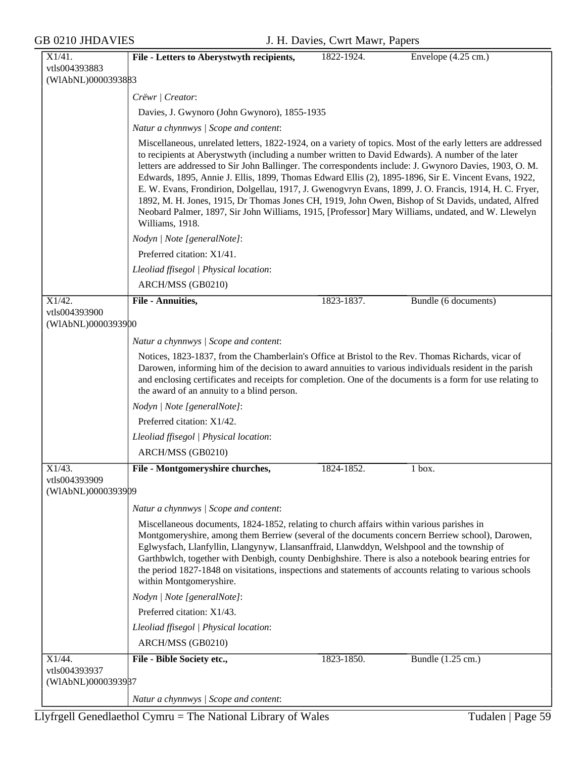| X1/41.                                        | File - Letters to Aberystwyth recipients,                                                                                                                                                                                                                                                                                                                                                                                                                                                                                                                                                                                                                                                                                                                                     | 1822-1924. | Envelope (4.25 cm.)  |  |  |
|-----------------------------------------------|-------------------------------------------------------------------------------------------------------------------------------------------------------------------------------------------------------------------------------------------------------------------------------------------------------------------------------------------------------------------------------------------------------------------------------------------------------------------------------------------------------------------------------------------------------------------------------------------------------------------------------------------------------------------------------------------------------------------------------------------------------------------------------|------------|----------------------|--|--|
| vtls004393883                                 |                                                                                                                                                                                                                                                                                                                                                                                                                                                                                                                                                                                                                                                                                                                                                                               |            |                      |  |  |
| (WIAbNL)0000393883                            |                                                                                                                                                                                                                                                                                                                                                                                                                                                                                                                                                                                                                                                                                                                                                                               |            |                      |  |  |
|                                               | Crëwr   Creator:                                                                                                                                                                                                                                                                                                                                                                                                                                                                                                                                                                                                                                                                                                                                                              |            |                      |  |  |
|                                               | Davies, J. Gwynoro (John Gwynoro), 1855-1935                                                                                                                                                                                                                                                                                                                                                                                                                                                                                                                                                                                                                                                                                                                                  |            |                      |  |  |
|                                               | Natur a chynnwys / Scope and content:                                                                                                                                                                                                                                                                                                                                                                                                                                                                                                                                                                                                                                                                                                                                         |            |                      |  |  |
|                                               | Miscellaneous, unrelated letters, 1822-1924, on a variety of topics. Most of the early letters are addressed<br>to recipients at Aberystwyth (including a number written to David Edwards). A number of the later<br>letters are addressed to Sir John Ballinger. The correspondents include: J. Gwynoro Davies, 1903, O. M.<br>Edwards, 1895, Annie J. Ellis, 1899, Thomas Edward Ellis (2), 1895-1896, Sir E. Vincent Evans, 1922,<br>E. W. Evans, Frondirion, Dolgellau, 1917, J. Gwenogvryn Evans, 1899, J. O. Francis, 1914, H. C. Fryer,<br>1892, M. H. Jones, 1915, Dr Thomas Jones CH, 1919, John Owen, Bishop of St Davids, undated, Alfred<br>Neobard Palmer, 1897, Sir John Williams, 1915, [Professor] Mary Williams, undated, and W. Llewelyn<br>Williams, 1918. |            |                      |  |  |
|                                               | Nodyn   Note [generalNote]:                                                                                                                                                                                                                                                                                                                                                                                                                                                                                                                                                                                                                                                                                                                                                   |            |                      |  |  |
|                                               | Preferred citation: X1/41.                                                                                                                                                                                                                                                                                                                                                                                                                                                                                                                                                                                                                                                                                                                                                    |            |                      |  |  |
|                                               | Lleoliad ffisegol   Physical location:                                                                                                                                                                                                                                                                                                                                                                                                                                                                                                                                                                                                                                                                                                                                        |            |                      |  |  |
|                                               | ARCH/MSS (GB0210)                                                                                                                                                                                                                                                                                                                                                                                                                                                                                                                                                                                                                                                                                                                                                             |            |                      |  |  |
| X1/42.                                        | File - Annuities,                                                                                                                                                                                                                                                                                                                                                                                                                                                                                                                                                                                                                                                                                                                                                             | 1823-1837. | Bundle (6 documents) |  |  |
| vtls004393900<br>(WIAbNL)0000393900           |                                                                                                                                                                                                                                                                                                                                                                                                                                                                                                                                                                                                                                                                                                                                                                               |            |                      |  |  |
|                                               | Natur a chynnwys / Scope and content:                                                                                                                                                                                                                                                                                                                                                                                                                                                                                                                                                                                                                                                                                                                                         |            |                      |  |  |
|                                               | Notices, 1823-1837, from the Chamberlain's Office at Bristol to the Rev. Thomas Richards, vicar of<br>Darowen, informing him of the decision to award annuities to various individuals resident in the parish<br>and enclosing certificates and receipts for completion. One of the documents is a form for use relating to<br>the award of an annuity to a blind person.                                                                                                                                                                                                                                                                                                                                                                                                     |            |                      |  |  |
|                                               | Nodyn   Note [generalNote]:                                                                                                                                                                                                                                                                                                                                                                                                                                                                                                                                                                                                                                                                                                                                                   |            |                      |  |  |
|                                               | Preferred citation: X1/42.                                                                                                                                                                                                                                                                                                                                                                                                                                                                                                                                                                                                                                                                                                                                                    |            |                      |  |  |
|                                               | Lleoliad ffisegol   Physical location:                                                                                                                                                                                                                                                                                                                                                                                                                                                                                                                                                                                                                                                                                                                                        |            |                      |  |  |
|                                               | ARCH/MSS (GB0210)                                                                                                                                                                                                                                                                                                                                                                                                                                                                                                                                                                                                                                                                                                                                                             |            |                      |  |  |
| X1/43.<br>vtls004393909<br>(WIAbNL)0000393909 | File - Montgomeryshire churches,                                                                                                                                                                                                                                                                                                                                                                                                                                                                                                                                                                                                                                                                                                                                              | 1824-1852. | 1 box.               |  |  |
|                                               | Natur a chynnwys / Scope and content:                                                                                                                                                                                                                                                                                                                                                                                                                                                                                                                                                                                                                                                                                                                                         |            |                      |  |  |
|                                               | Miscellaneous documents, 1824-1852, relating to church affairs within various parishes in<br>Montgomeryshire, among them Berriew (several of the documents concern Berriew school), Darowen,<br>Eglwysfach, Llanfyllin, Llangynyw, Llansanffraid, Llanwddyn, Welshpool and the township of<br>Garthbwlch, together with Denbigh, county Denbighshire. There is also a notebook bearing entries for<br>the period 1827-1848 on visitations, inspections and statements of accounts relating to various schools<br>within Montgomeryshire.                                                                                                                                                                                                                                      |            |                      |  |  |
|                                               | Nodyn   Note [generalNote]:                                                                                                                                                                                                                                                                                                                                                                                                                                                                                                                                                                                                                                                                                                                                                   |            |                      |  |  |
|                                               | Preferred citation: X1/43.                                                                                                                                                                                                                                                                                                                                                                                                                                                                                                                                                                                                                                                                                                                                                    |            |                      |  |  |
|                                               | Lleoliad ffisegol   Physical location:                                                                                                                                                                                                                                                                                                                                                                                                                                                                                                                                                                                                                                                                                                                                        |            |                      |  |  |
|                                               | ARCH/MSS (GB0210)                                                                                                                                                                                                                                                                                                                                                                                                                                                                                                                                                                                                                                                                                                                                                             |            |                      |  |  |
| X1/44.                                        | File - Bible Society etc.,                                                                                                                                                                                                                                                                                                                                                                                                                                                                                                                                                                                                                                                                                                                                                    | 1823-1850. | Bundle (1.25 cm.)    |  |  |
| vtls004393937<br>(WIAbNL)0000393987           |                                                                                                                                                                                                                                                                                                                                                                                                                                                                                                                                                                                                                                                                                                                                                                               |            |                      |  |  |
|                                               | Natur a chynnwys / Scope and content:                                                                                                                                                                                                                                                                                                                                                                                                                                                                                                                                                                                                                                                                                                                                         |            |                      |  |  |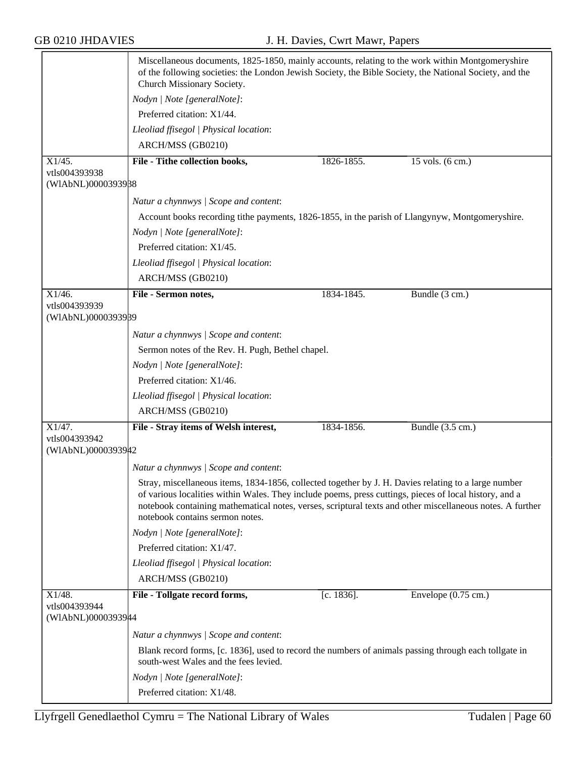|                                     | Miscellaneous documents, 1825-1850, mainly accounts, relating to the work within Montgomeryshire<br>of the following societies: the London Jewish Society, the Bible Society, the National Society, and the<br>Church Missionary Society.                                                                                                                      |               |                               |  |
|-------------------------------------|----------------------------------------------------------------------------------------------------------------------------------------------------------------------------------------------------------------------------------------------------------------------------------------------------------------------------------------------------------------|---------------|-------------------------------|--|
|                                     | Nodyn   Note [generalNote]:                                                                                                                                                                                                                                                                                                                                    |               |                               |  |
|                                     | Preferred citation: X1/44.                                                                                                                                                                                                                                                                                                                                     |               |                               |  |
|                                     | Lleoliad ffisegol   Physical location:                                                                                                                                                                                                                                                                                                                         |               |                               |  |
|                                     | ARCH/MSS (GB0210)                                                                                                                                                                                                                                                                                                                                              |               |                               |  |
| X1/45.                              | File - Tithe collection books,                                                                                                                                                                                                                                                                                                                                 | 1826-1855.    | $15$ vols. $(6 \text{ cm.})$  |  |
| vtls004393938<br>(WIAbNL)0000393988 |                                                                                                                                                                                                                                                                                                                                                                |               |                               |  |
|                                     |                                                                                                                                                                                                                                                                                                                                                                |               |                               |  |
|                                     | Natur a chynnwys / Scope and content:                                                                                                                                                                                                                                                                                                                          |               |                               |  |
|                                     | Account books recording tithe payments, 1826-1855, in the parish of Llangynyw, Montgomeryshire.                                                                                                                                                                                                                                                                |               |                               |  |
|                                     | Nodyn   Note [generalNote]:                                                                                                                                                                                                                                                                                                                                    |               |                               |  |
|                                     | Preferred citation: X1/45.                                                                                                                                                                                                                                                                                                                                     |               |                               |  |
|                                     | Lleoliad ffisegol   Physical location:                                                                                                                                                                                                                                                                                                                         |               |                               |  |
|                                     | ARCH/MSS (GB0210)                                                                                                                                                                                                                                                                                                                                              |               |                               |  |
| X1/46.                              | File - Sermon notes,                                                                                                                                                                                                                                                                                                                                           | 1834-1845.    | Bundle (3 cm.)                |  |
| vtls004393939<br>(WIAbNL)0000393989 |                                                                                                                                                                                                                                                                                                                                                                |               |                               |  |
|                                     | Natur a chynnwys / Scope and content:                                                                                                                                                                                                                                                                                                                          |               |                               |  |
|                                     | Sermon notes of the Rev. H. Pugh, Bethel chapel.                                                                                                                                                                                                                                                                                                               |               |                               |  |
|                                     | Nodyn   Note [generalNote]:                                                                                                                                                                                                                                                                                                                                    |               |                               |  |
|                                     | Preferred citation: X1/46.                                                                                                                                                                                                                                                                                                                                     |               |                               |  |
|                                     | Lleoliad ffisegol   Physical location:                                                                                                                                                                                                                                                                                                                         |               |                               |  |
|                                     | ARCH/MSS (GB0210)                                                                                                                                                                                                                                                                                                                                              |               |                               |  |
| X1/47.                              | File - Stray items of Welsh interest,                                                                                                                                                                                                                                                                                                                          | 1834-1856.    | Bundle (3.5 cm.)              |  |
| vtls004393942<br>(WIAbNL)0000393942 |                                                                                                                                                                                                                                                                                                                                                                |               |                               |  |
|                                     | Natur a chynnwys / Scope and content:                                                                                                                                                                                                                                                                                                                          |               |                               |  |
|                                     | Stray, miscellaneous items, 1834-1856, collected together by J. H. Davies relating to a large number<br>of various localities within Wales. They include poems, press cuttings, pieces of local history, and a<br>notebook containing mathematical notes, verses, scriptural texts and other miscellaneous notes. A further<br>notebook contains sermon notes. |               |                               |  |
|                                     | Nodyn   Note [generalNote]:                                                                                                                                                                                                                                                                                                                                    |               |                               |  |
|                                     | Preferred citation: X1/47.                                                                                                                                                                                                                                                                                                                                     |               |                               |  |
|                                     | Lleoliad ffisegol   Physical location:                                                                                                                                                                                                                                                                                                                         |               |                               |  |
|                                     | ARCH/MSS (GB0210)                                                                                                                                                                                                                                                                                                                                              |               |                               |  |
| X1/48.<br>vtls004393944             | File - Tollgate record forms,                                                                                                                                                                                                                                                                                                                                  | $[c. 1836]$ . | Envelope $(0.75 \text{ cm.})$ |  |
| (WIAbNL)00003939#4                  |                                                                                                                                                                                                                                                                                                                                                                |               |                               |  |
|                                     | Natur a chynnwys / Scope and content:                                                                                                                                                                                                                                                                                                                          |               |                               |  |
|                                     | Blank record forms, [c. 1836], used to record the numbers of animals passing through each tollgate in<br>south-west Wales and the fees levied.                                                                                                                                                                                                                 |               |                               |  |
|                                     | Nodyn   Note [generalNote]:                                                                                                                                                                                                                                                                                                                                    |               |                               |  |
|                                     | Preferred citation: X1/48.                                                                                                                                                                                                                                                                                                                                     |               |                               |  |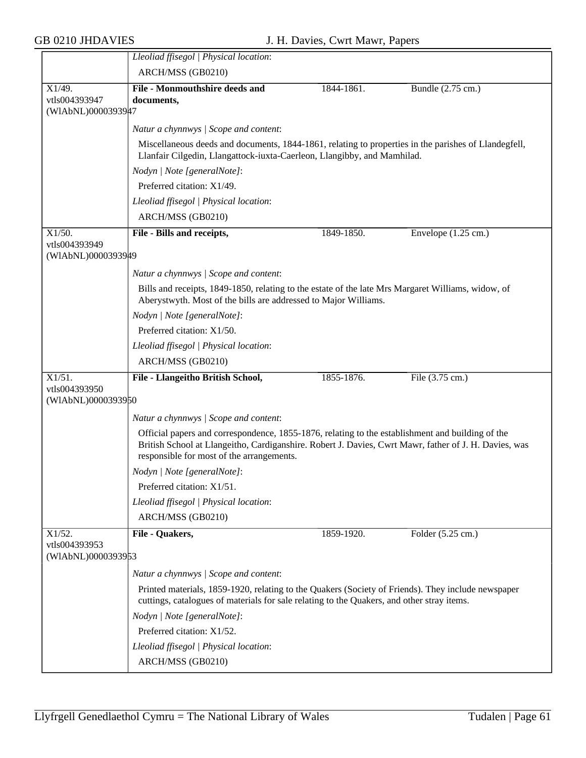|                            | Lleoliad ffisegol   Physical location:                                                                                                                                                                                                                 |            |                               |  |  |
|----------------------------|--------------------------------------------------------------------------------------------------------------------------------------------------------------------------------------------------------------------------------------------------------|------------|-------------------------------|--|--|
|                            | ARCH/MSS (GB0210)                                                                                                                                                                                                                                      |            |                               |  |  |
| X1/49.                     | <b>File - Monmouthshire deeds and</b>                                                                                                                                                                                                                  | 1844-1861. | Bundle (2.75 cm.)             |  |  |
| vtls004393947              | documents,                                                                                                                                                                                                                                             |            |                               |  |  |
| (WIAbNL)0000393947         |                                                                                                                                                                                                                                                        |            |                               |  |  |
|                            | Natur a chynnwys / Scope and content:                                                                                                                                                                                                                  |            |                               |  |  |
|                            | Miscellaneous deeds and documents, 1844-1861, relating to properties in the parishes of Llandegfell,<br>Llanfair Cilgedin, Llangattock-iuxta-Caerleon, Llangibby, and Mamhilad.                                                                        |            |                               |  |  |
|                            | Nodyn   Note [generalNote]:                                                                                                                                                                                                                            |            |                               |  |  |
|                            | Preferred citation: X1/49.                                                                                                                                                                                                                             |            |                               |  |  |
|                            | Lleoliad ffisegol   Physical location:                                                                                                                                                                                                                 |            |                               |  |  |
|                            | ARCH/MSS (GB0210)                                                                                                                                                                                                                                      |            |                               |  |  |
| $X1/50$ .                  | File - Bills and receipts,                                                                                                                                                                                                                             | 1849-1850. | Envelope $(1.25 \text{ cm.})$ |  |  |
| vtls004393949              |                                                                                                                                                                                                                                                        |            |                               |  |  |
| (WIAbNL)0000393949         |                                                                                                                                                                                                                                                        |            |                               |  |  |
|                            | Natur a chynnwys / Scope and content:                                                                                                                                                                                                                  |            |                               |  |  |
|                            | Bills and receipts, 1849-1850, relating to the estate of the late Mrs Margaret Williams, widow, of<br>Aberystwyth. Most of the bills are addressed to Major Williams.                                                                                  |            |                               |  |  |
|                            | Nodyn   Note [generalNote]:                                                                                                                                                                                                                            |            |                               |  |  |
|                            | Preferred citation: X1/50.                                                                                                                                                                                                                             |            |                               |  |  |
|                            | Lleoliad ffisegol   Physical location:                                                                                                                                                                                                                 |            |                               |  |  |
|                            | ARCH/MSS (GB0210)                                                                                                                                                                                                                                      |            |                               |  |  |
| $X1/51$ .<br>vtls004393950 | File - Llangeitho British School,                                                                                                                                                                                                                      | 1855-1876. | File (3.75 cm.)               |  |  |
| (WIAbNL)0000393950         |                                                                                                                                                                                                                                                        |            |                               |  |  |
|                            | Natur a chynnwys / Scope and content:                                                                                                                                                                                                                  |            |                               |  |  |
|                            | Official papers and correspondence, 1855-1876, relating to the establishment and building of the<br>British School at Llangeitho, Cardiganshire. Robert J. Davies, Cwrt Mawr, father of J. H. Davies, was<br>responsible for most of the arrangements. |            |                               |  |  |
|                            | Nodyn   Note [generalNote]:                                                                                                                                                                                                                            |            |                               |  |  |
|                            | Preferred citation: X1/51.                                                                                                                                                                                                                             |            |                               |  |  |
|                            | Lleoliad ffisegol   Physical location:                                                                                                                                                                                                                 |            |                               |  |  |
|                            | ARCH/MSS (GB0210)                                                                                                                                                                                                                                      |            |                               |  |  |
|                            |                                                                                                                                                                                                                                                        |            |                               |  |  |
| X1/52.<br>vtls004393953    | File - Quakers,                                                                                                                                                                                                                                        | 1859-1920. | Folder (5.25 cm.)             |  |  |
| (WIAbNL)0000393953         |                                                                                                                                                                                                                                                        |            |                               |  |  |
|                            | Natur a chynnwys / Scope and content:                                                                                                                                                                                                                  |            |                               |  |  |
|                            | Printed materials, 1859-1920, relating to the Quakers (Society of Friends). They include newspaper<br>cuttings, catalogues of materials for sale relating to the Quakers, and other stray items.                                                       |            |                               |  |  |
|                            | Nodyn   Note [generalNote]:                                                                                                                                                                                                                            |            |                               |  |  |
|                            |                                                                                                                                                                                                                                                        |            |                               |  |  |
|                            |                                                                                                                                                                                                                                                        |            |                               |  |  |
|                            | Preferred citation: X1/52.                                                                                                                                                                                                                             |            |                               |  |  |
|                            | Lleoliad ffisegol   Physical location:<br>ARCH/MSS (GB0210)                                                                                                                                                                                            |            |                               |  |  |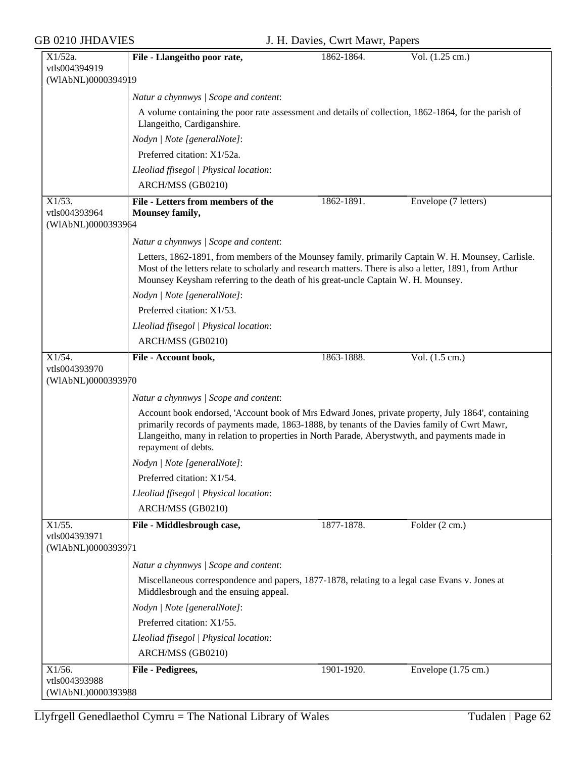| $X1/52a$ .                          | File - Llangeitho poor rate,                                                                                                                                                                                                                                                                                               | 1862-1864. | Vol. (1.25 cm.)               |
|-------------------------------------|----------------------------------------------------------------------------------------------------------------------------------------------------------------------------------------------------------------------------------------------------------------------------------------------------------------------------|------------|-------------------------------|
| vtls004394919                       |                                                                                                                                                                                                                                                                                                                            |            |                               |
| (WIAbNL)0000394919                  |                                                                                                                                                                                                                                                                                                                            |            |                               |
|                                     | Natur a chynnwys / Scope and content:                                                                                                                                                                                                                                                                                      |            |                               |
|                                     | A volume containing the poor rate assessment and details of collection, 1862-1864, for the parish of<br>Llangeitho, Cardiganshire.                                                                                                                                                                                         |            |                               |
|                                     | Nodyn   Note [generalNote]:                                                                                                                                                                                                                                                                                                |            |                               |
|                                     | Preferred citation: X1/52a.                                                                                                                                                                                                                                                                                                |            |                               |
|                                     | Lleoliad ffisegol   Physical location:                                                                                                                                                                                                                                                                                     |            |                               |
|                                     | ARCH/MSS (GB0210)                                                                                                                                                                                                                                                                                                          |            |                               |
| $X1/53$ .                           | File - Letters from members of the                                                                                                                                                                                                                                                                                         | 1862-1891. | Envelope (7 letters)          |
| vtls004393964                       | Mounsey family,                                                                                                                                                                                                                                                                                                            |            |                               |
| (WIAbNL)0000393964                  |                                                                                                                                                                                                                                                                                                                            |            |                               |
|                                     | Natur a chynnwys / Scope and content:                                                                                                                                                                                                                                                                                      |            |                               |
|                                     | Letters, 1862-1891, from members of the Mounsey family, primarily Captain W. H. Mounsey, Carlisle.<br>Most of the letters relate to scholarly and research matters. There is also a letter, 1891, from Arthur<br>Mounsey Keysham referring to the death of his great-uncle Captain W. H. Mounsey.                          |            |                               |
|                                     | Nodyn   Note [generalNote]:                                                                                                                                                                                                                                                                                                |            |                               |
|                                     | Preferred citation: X1/53.                                                                                                                                                                                                                                                                                                 |            |                               |
|                                     | Lleoliad ffisegol   Physical location:                                                                                                                                                                                                                                                                                     |            |                               |
|                                     | ARCH/MSS (GB0210)                                                                                                                                                                                                                                                                                                          |            |                               |
| X1/54.                              | File - Account book,                                                                                                                                                                                                                                                                                                       | 1863-1888. | Vol. $(1.5 \text{ cm.})$      |
| vtls004393970                       |                                                                                                                                                                                                                                                                                                                            |            |                               |
| (WIAbNL)0000393970                  |                                                                                                                                                                                                                                                                                                                            |            |                               |
|                                     | Natur a chynnwys / Scope and content:                                                                                                                                                                                                                                                                                      |            |                               |
|                                     | Account book endorsed, 'Account book of Mrs Edward Jones, private property, July 1864', containing<br>primarily records of payments made, 1863-1888, by tenants of the Davies family of Cwrt Mawr,<br>Llangeitho, many in relation to properties in North Parade, Aberystwyth, and payments made in<br>repayment of debts. |            |                               |
|                                     | Nodyn   Note [generalNote]:                                                                                                                                                                                                                                                                                                |            |                               |
|                                     | Preferred citation: X1/54.                                                                                                                                                                                                                                                                                                 |            |                               |
|                                     | Lleoliad ffisegol   Physical location:                                                                                                                                                                                                                                                                                     |            |                               |
|                                     | ARCH/MSS (GB0210)                                                                                                                                                                                                                                                                                                          |            |                               |
| X1/55.                              | File - Middlesbrough case,                                                                                                                                                                                                                                                                                                 | 1877-1878. | Folder (2 cm.)                |
| vtls004393971<br>(WIAbNL)0000393971 |                                                                                                                                                                                                                                                                                                                            |            |                               |
|                                     | Natur a chynnwys / Scope and content:                                                                                                                                                                                                                                                                                      |            |                               |
|                                     | Miscellaneous correspondence and papers, 1877-1878, relating to a legal case Evans v. Jones at                                                                                                                                                                                                                             |            |                               |
|                                     | Middlesbrough and the ensuing appeal.                                                                                                                                                                                                                                                                                      |            |                               |
|                                     | Nodyn   Note [generalNote]:                                                                                                                                                                                                                                                                                                |            |                               |
|                                     | Preferred citation: X1/55.                                                                                                                                                                                                                                                                                                 |            |                               |
|                                     | Lleoliad ffisegol   Physical location:                                                                                                                                                                                                                                                                                     |            |                               |
|                                     | ARCH/MSS (GB0210)                                                                                                                                                                                                                                                                                                          |            |                               |
| X1/56.                              | File - Pedigrees,                                                                                                                                                                                                                                                                                                          | 1901-1920. | Envelope $(1.75 \text{ cm.})$ |
| vtls004393988                       |                                                                                                                                                                                                                                                                                                                            |            |                               |
| (WIAbNL)0000393988                  |                                                                                                                                                                                                                                                                                                                            |            |                               |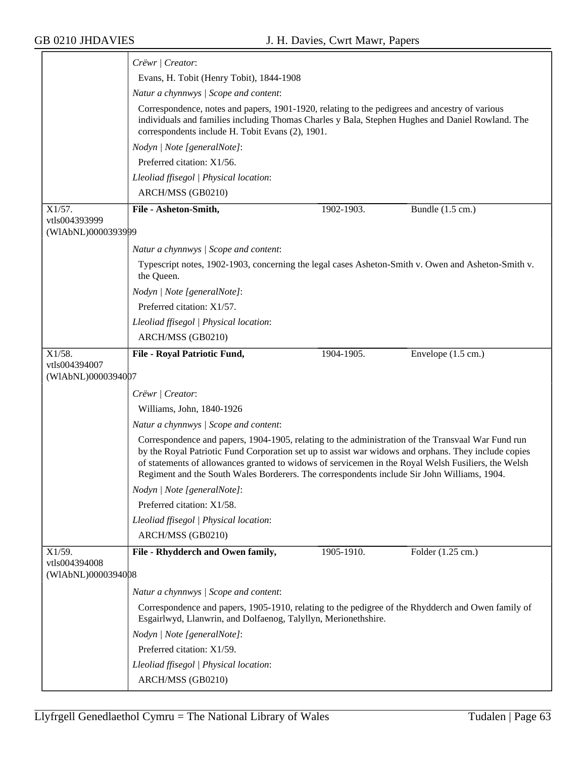|                                     | Crëwr   Creator:                                                                                                                                                                                                                                                                                                                                                                                                 |
|-------------------------------------|------------------------------------------------------------------------------------------------------------------------------------------------------------------------------------------------------------------------------------------------------------------------------------------------------------------------------------------------------------------------------------------------------------------|
|                                     | Evans, H. Tobit (Henry Tobit), 1844-1908                                                                                                                                                                                                                                                                                                                                                                         |
|                                     | Natur a chynnwys / Scope and content:                                                                                                                                                                                                                                                                                                                                                                            |
|                                     | Correspondence, notes and papers, 1901-1920, relating to the pedigrees and ancestry of various<br>individuals and families including Thomas Charles y Bala, Stephen Hughes and Daniel Rowland. The<br>correspondents include H. Tobit Evans (2), 1901.                                                                                                                                                           |
|                                     | Nodyn   Note [generalNote]:                                                                                                                                                                                                                                                                                                                                                                                      |
|                                     | Preferred citation: X1/56.                                                                                                                                                                                                                                                                                                                                                                                       |
|                                     | Lleoliad ffisegol   Physical location:                                                                                                                                                                                                                                                                                                                                                                           |
|                                     | ARCH/MSS (GB0210)                                                                                                                                                                                                                                                                                                                                                                                                |
| $X1/57$ .                           | File - Asheton-Smith,<br>1902-1903.<br>Bundle (1.5 cm.)                                                                                                                                                                                                                                                                                                                                                          |
| vtls004393999                       |                                                                                                                                                                                                                                                                                                                                                                                                                  |
| (WIAbNL)0000393999                  |                                                                                                                                                                                                                                                                                                                                                                                                                  |
|                                     | Natur a chynnwys / Scope and content:                                                                                                                                                                                                                                                                                                                                                                            |
|                                     | Typescript notes, 1902-1903, concerning the legal cases Asheton-Smith v. Owen and Asheton-Smith v.<br>the Queen.                                                                                                                                                                                                                                                                                                 |
|                                     | Nodyn   Note [generalNote]:                                                                                                                                                                                                                                                                                                                                                                                      |
|                                     | Preferred citation: X1/57.                                                                                                                                                                                                                                                                                                                                                                                       |
|                                     | Lleoliad ffisegol   Physical location:                                                                                                                                                                                                                                                                                                                                                                           |
|                                     | ARCH/MSS (GB0210)                                                                                                                                                                                                                                                                                                                                                                                                |
| $X1/58$ .                           | 1904-1905.<br>File - Royal Patriotic Fund,<br>Envelope $(1.5 \text{ cm.})$                                                                                                                                                                                                                                                                                                                                       |
| vtls004394007<br>(WIAbNL)0000394007 |                                                                                                                                                                                                                                                                                                                                                                                                                  |
|                                     |                                                                                                                                                                                                                                                                                                                                                                                                                  |
|                                     | Crëwr   Creator:                                                                                                                                                                                                                                                                                                                                                                                                 |
|                                     | Williams, John, 1840-1926                                                                                                                                                                                                                                                                                                                                                                                        |
|                                     | Natur a chynnwys / Scope and content:                                                                                                                                                                                                                                                                                                                                                                            |
|                                     | Correspondence and papers, 1904-1905, relating to the administration of the Transvaal War Fund run<br>by the Royal Patriotic Fund Corporation set up to assist war widows and orphans. They include copies<br>of statements of allowances granted to widows of servicemen in the Royal Welsh Fusiliers, the Welsh<br>Regiment and the South Wales Borderers. The correspondents include Sir John Williams, 1904. |
|                                     | Nodyn   Note [generalNote]:                                                                                                                                                                                                                                                                                                                                                                                      |
|                                     | Preferred citation: X1/58.                                                                                                                                                                                                                                                                                                                                                                                       |
|                                     | Lleoliad ffisegol   Physical location:                                                                                                                                                                                                                                                                                                                                                                           |
|                                     | ARCH/MSS (GB0210)                                                                                                                                                                                                                                                                                                                                                                                                |
| X1/59.                              | File - Rhydderch and Owen family,<br>1905-1910.<br>Folder (1.25 cm.)                                                                                                                                                                                                                                                                                                                                             |
| vtls004394008<br>(WIAbNL)0000394008 |                                                                                                                                                                                                                                                                                                                                                                                                                  |
|                                     | Natur a chynnwys / Scope and content:                                                                                                                                                                                                                                                                                                                                                                            |
|                                     | Correspondence and papers, 1905-1910, relating to the pedigree of the Rhydderch and Owen family of<br>Esgairlwyd, Llanwrin, and Dolfaenog, Talyllyn, Merionethshire.                                                                                                                                                                                                                                             |
|                                     | Nodyn   Note [generalNote]:                                                                                                                                                                                                                                                                                                                                                                                      |
|                                     | Preferred citation: X1/59.                                                                                                                                                                                                                                                                                                                                                                                       |
|                                     | Lleoliad ffisegol   Physical location:                                                                                                                                                                                                                                                                                                                                                                           |
|                                     | ARCH/MSS (GB0210)                                                                                                                                                                                                                                                                                                                                                                                                |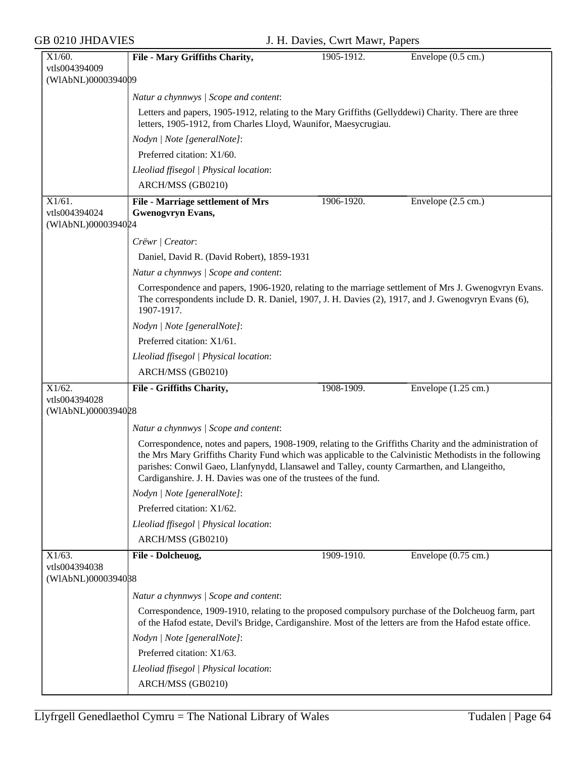| X1/60.             | File - Mary Griffiths Charity,                                                                                                                                                                                                                                                                                                                                                         | 1905-1912. | Envelope $(0.5 \text{ cm.})$  |  |
|--------------------|----------------------------------------------------------------------------------------------------------------------------------------------------------------------------------------------------------------------------------------------------------------------------------------------------------------------------------------------------------------------------------------|------------|-------------------------------|--|
| vtls004394009      |                                                                                                                                                                                                                                                                                                                                                                                        |            |                               |  |
| (WIAbNL)0000394009 |                                                                                                                                                                                                                                                                                                                                                                                        |            |                               |  |
|                    | Natur a chynnwys / Scope and content:                                                                                                                                                                                                                                                                                                                                                  |            |                               |  |
|                    | Letters and papers, 1905-1912, relating to the Mary Griffiths (Gellyddewi) Charity. There are three<br>letters, 1905-1912, from Charles Lloyd, Waunifor, Maesycrugiau.                                                                                                                                                                                                                 |            |                               |  |
|                    | Nodyn   Note [generalNote]:                                                                                                                                                                                                                                                                                                                                                            |            |                               |  |
|                    | Preferred citation: X1/60.                                                                                                                                                                                                                                                                                                                                                             |            |                               |  |
|                    | Lleoliad ffisegol   Physical location:                                                                                                                                                                                                                                                                                                                                                 |            |                               |  |
|                    | ARCH/MSS (GB0210)                                                                                                                                                                                                                                                                                                                                                                      |            |                               |  |
| $X1/61$ .          | File - Marriage settlement of Mrs                                                                                                                                                                                                                                                                                                                                                      | 1906-1920. | Envelope (2.5 cm.)            |  |
| vtls004394024      | <b>Gwenogvryn Evans,</b>                                                                                                                                                                                                                                                                                                                                                               |            |                               |  |
| (WIAbNL)0000394024 |                                                                                                                                                                                                                                                                                                                                                                                        |            |                               |  |
|                    | Crëwr   Creator:                                                                                                                                                                                                                                                                                                                                                                       |            |                               |  |
|                    | Daniel, David R. (David Robert), 1859-1931                                                                                                                                                                                                                                                                                                                                             |            |                               |  |
|                    | Natur a chynnwys / Scope and content:                                                                                                                                                                                                                                                                                                                                                  |            |                               |  |
|                    | Correspondence and papers, 1906-1920, relating to the marriage settlement of Mrs J. Gwenogyryn Evans.<br>The correspondents include D. R. Daniel, 1907, J. H. Davies (2), 1917, and J. Gwenogyryn Evans (6),<br>1907-1917.                                                                                                                                                             |            |                               |  |
|                    | Nodyn   Note [generalNote]:                                                                                                                                                                                                                                                                                                                                                            |            |                               |  |
|                    | Preferred citation: X1/61.                                                                                                                                                                                                                                                                                                                                                             |            |                               |  |
|                    | Lleoliad ffisegol   Physical location:                                                                                                                                                                                                                                                                                                                                                 |            |                               |  |
|                    | ARCH/MSS (GB0210)                                                                                                                                                                                                                                                                                                                                                                      |            |                               |  |
| $X1/62$ .          | File - Griffiths Charity,                                                                                                                                                                                                                                                                                                                                                              | 1908-1909. | Envelope $(1.25 \text{ cm.})$ |  |
|                    |                                                                                                                                                                                                                                                                                                                                                                                        |            |                               |  |
| vtls004394028      |                                                                                                                                                                                                                                                                                                                                                                                        |            |                               |  |
| (WIAbNL)0000394028 |                                                                                                                                                                                                                                                                                                                                                                                        |            |                               |  |
|                    | Natur a chynnwys / Scope and content:                                                                                                                                                                                                                                                                                                                                                  |            |                               |  |
|                    | Correspondence, notes and papers, 1908-1909, relating to the Griffiths Charity and the administration of<br>the Mrs Mary Griffiths Charity Fund which was applicable to the Calvinistic Methodists in the following<br>parishes: Conwil Gaeo, Llanfynydd, Llansawel and Talley, county Carmarthen, and Llangeitho,<br>Cardiganshire. J. H. Davies was one of the trustees of the fund. |            |                               |  |
|                    | Nodyn   Note [generalNote]:                                                                                                                                                                                                                                                                                                                                                            |            |                               |  |
|                    | Preferred citation: X1/62.                                                                                                                                                                                                                                                                                                                                                             |            |                               |  |
|                    | Lleoliad ffisegol   Physical location:                                                                                                                                                                                                                                                                                                                                                 |            |                               |  |
|                    | ARCH/MSS (GB0210)                                                                                                                                                                                                                                                                                                                                                                      |            |                               |  |
| $X1/63$ .          |                                                                                                                                                                                                                                                                                                                                                                                        | 1909-1910. | Envelope $(0.75 \text{ cm.})$ |  |
| vtls004394038      | File - Dolcheuog,                                                                                                                                                                                                                                                                                                                                                                      |            |                               |  |
| (WIAbNL)0000394088 |                                                                                                                                                                                                                                                                                                                                                                                        |            |                               |  |
|                    | Natur a chynnwys / Scope and content:                                                                                                                                                                                                                                                                                                                                                  |            |                               |  |
|                    | Correspondence, 1909-1910, relating to the proposed compulsory purchase of the Dolcheuog farm, part<br>of the Hafod estate, Devil's Bridge, Cardiganshire. Most of the letters are from the Hafod estate office.                                                                                                                                                                       |            |                               |  |
|                    | Nodyn   Note [generalNote]:                                                                                                                                                                                                                                                                                                                                                            |            |                               |  |
|                    | Preferred citation: X1/63.                                                                                                                                                                                                                                                                                                                                                             |            |                               |  |
|                    | Lleoliad ffisegol   Physical location:                                                                                                                                                                                                                                                                                                                                                 |            |                               |  |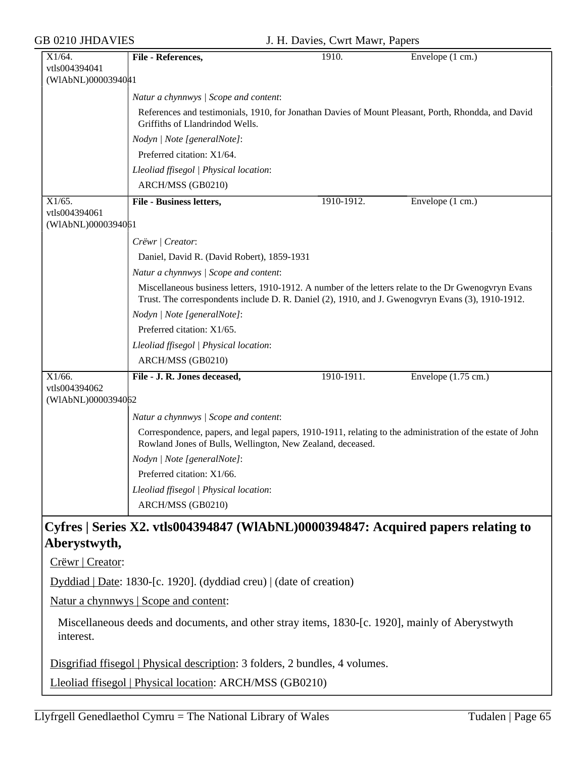| $X1/64$ .                           | File - References,                                                                                                                                                                                        | 1910.      | Envelope (1 cm.)              |  |  |
|-------------------------------------|-----------------------------------------------------------------------------------------------------------------------------------------------------------------------------------------------------------|------------|-------------------------------|--|--|
| vtls004394041                       |                                                                                                                                                                                                           |            |                               |  |  |
| (WIAbNL)0000394041                  |                                                                                                                                                                                                           |            |                               |  |  |
|                                     | Natur a chynnwys / Scope and content:                                                                                                                                                                     |            |                               |  |  |
|                                     | References and testimonials, 1910, for Jonathan Davies of Mount Pleasant, Porth, Rhondda, and David<br>Griffiths of Llandrindod Wells.                                                                    |            |                               |  |  |
|                                     | Nodyn   Note [generalNote]:                                                                                                                                                                               |            |                               |  |  |
|                                     | Preferred citation: X1/64.                                                                                                                                                                                |            |                               |  |  |
|                                     | Lleoliad ffisegol   Physical location:                                                                                                                                                                    |            |                               |  |  |
|                                     | ARCH/MSS (GB0210)                                                                                                                                                                                         |            |                               |  |  |
| $X1/65$ .                           | File - Business letters,                                                                                                                                                                                  | 1910-1912. | Envelope (1 cm.)              |  |  |
| vtls004394061<br>(WIAbNL)0000394061 |                                                                                                                                                                                                           |            |                               |  |  |
|                                     | Crëwr   Creator:                                                                                                                                                                                          |            |                               |  |  |
|                                     | Daniel, David R. (David Robert), 1859-1931                                                                                                                                                                |            |                               |  |  |
|                                     | Natur a chynnwys / Scope and content:                                                                                                                                                                     |            |                               |  |  |
|                                     | Miscellaneous business letters, 1910-1912. A number of the letters relate to the Dr Gwenogyryn Evans<br>Trust. The correspondents include D. R. Daniel (2), 1910, and J. Gwenogyryn Evans (3), 1910-1912. |            |                               |  |  |
|                                     | Nodyn   Note [generalNote]:                                                                                                                                                                               |            |                               |  |  |
|                                     | Preferred citation: X1/65.                                                                                                                                                                                |            |                               |  |  |
|                                     | Lleoliad ffisegol   Physical location:                                                                                                                                                                    |            |                               |  |  |
|                                     | ARCH/MSS (GB0210)                                                                                                                                                                                         |            |                               |  |  |
|                                     |                                                                                                                                                                                                           |            |                               |  |  |
| X1/66.                              | File - J. R. Jones deceased,                                                                                                                                                                              | 1910-1911. | Envelope $(1.75 \text{ cm.})$ |  |  |
| vtls004394062                       |                                                                                                                                                                                                           |            |                               |  |  |
| (WIAbNL)0000394062                  |                                                                                                                                                                                                           |            |                               |  |  |
|                                     | Natur a chynnwys / Scope and content:                                                                                                                                                                     |            |                               |  |  |
|                                     | Correspondence, papers, and legal papers, 1910-1911, relating to the administration of the estate of John<br>Rowland Jones of Bulls, Wellington, New Zealand, deceased.                                   |            |                               |  |  |
|                                     | Nodyn   Note [generalNote]:                                                                                                                                                                               |            |                               |  |  |
|                                     | Preferred citation: X1/66.                                                                                                                                                                                |            |                               |  |  |
|                                     | Lleoliad ffisegol   Physical location:                                                                                                                                                                    |            |                               |  |  |
|                                     | ARCH/MSS (GB0210)                                                                                                                                                                                         |            |                               |  |  |
| Aberystwyth,                        | Cyfres   Series X2. vtls004394847 (WIAbNL)0000394847: Acquired papers relating to                                                                                                                         |            |                               |  |  |
| Crëwr   Creator:                    |                                                                                                                                                                                                           |            |                               |  |  |
|                                     | Dyddiad   Date: 1830-[c. 1920]. (dyddiad creu)   (date of creation)                                                                                                                                       |            |                               |  |  |
|                                     | Natur a chynnwys   Scope and content:                                                                                                                                                                     |            |                               |  |  |
| interest.                           | Miscellaneous deeds and documents, and other stray items, 1830-[c. 1920], mainly of Aberystwyth                                                                                                           |            |                               |  |  |
|                                     | Disgrifiad ffisegol   Physical description: 3 folders, 2 bundles, 4 volumes.                                                                                                                              |            |                               |  |  |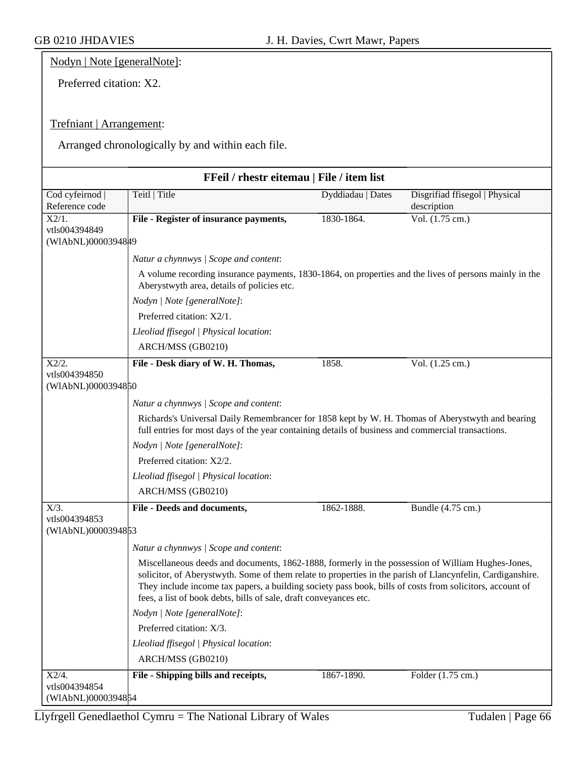Nodyn | Note [generalNote]:

Preferred citation: X2.

### Trefniant | Arrangement:

Arranged chronologically by and within each file.

| FFeil / rhestr eitemau   File / item list |                                                                                                                                                                                                                                                                                                                                                                                                  |                   |                                               |  |
|-------------------------------------------|--------------------------------------------------------------------------------------------------------------------------------------------------------------------------------------------------------------------------------------------------------------------------------------------------------------------------------------------------------------------------------------------------|-------------------|-----------------------------------------------|--|
| Cod cyfeirnod  <br>Reference code         | Teitl   Title                                                                                                                                                                                                                                                                                                                                                                                    | Dyddiadau   Dates | Disgrifiad ffisegol   Physical<br>description |  |
| $\overline{X2/1}$ .<br>vtls004394849      | File - Register of insurance payments,                                                                                                                                                                                                                                                                                                                                                           | 1830-1864.        | Vol. $(1.75 \text{ cm.})$                     |  |
| (WIAbNL)0000394849                        |                                                                                                                                                                                                                                                                                                                                                                                                  |                   |                                               |  |
|                                           | Natur a chynnwys / Scope and content:                                                                                                                                                                                                                                                                                                                                                            |                   |                                               |  |
|                                           | A volume recording insurance payments, 1830-1864, on properties and the lives of persons mainly in the<br>Aberystwyth area, details of policies etc.                                                                                                                                                                                                                                             |                   |                                               |  |
|                                           | Nodyn   Note [generalNote]:                                                                                                                                                                                                                                                                                                                                                                      |                   |                                               |  |
|                                           | Preferred citation: X2/1.                                                                                                                                                                                                                                                                                                                                                                        |                   |                                               |  |
|                                           | Lleoliad ffisegol   Physical location:                                                                                                                                                                                                                                                                                                                                                           |                   |                                               |  |
|                                           | ARCH/MSS (GB0210)                                                                                                                                                                                                                                                                                                                                                                                |                   |                                               |  |
| X2/2.                                     | File - Desk diary of W. H. Thomas,                                                                                                                                                                                                                                                                                                                                                               | 1858.             | Vol. $(1.25 \text{ cm.})$                     |  |
| vtls004394850<br>(WIAbNL)0000394850       |                                                                                                                                                                                                                                                                                                                                                                                                  |                   |                                               |  |
|                                           | Natur a chynnwys / Scope and content:                                                                                                                                                                                                                                                                                                                                                            |                   |                                               |  |
|                                           | Richards's Universal Daily Remembrancer for 1858 kept by W. H. Thomas of Aberystwyth and bearing<br>full entries for most days of the year containing details of business and commercial transactions.                                                                                                                                                                                           |                   |                                               |  |
|                                           | Nodyn   Note [generalNote]:                                                                                                                                                                                                                                                                                                                                                                      |                   |                                               |  |
|                                           | Preferred citation: X2/2.                                                                                                                                                                                                                                                                                                                                                                        |                   |                                               |  |
|                                           | Lleoliad ffisegol   Physical location:                                                                                                                                                                                                                                                                                                                                                           |                   |                                               |  |
|                                           | ARCH/MSS (GB0210)                                                                                                                                                                                                                                                                                                                                                                                |                   |                                               |  |
| $X/3$ .                                   | File - Deeds and documents,                                                                                                                                                                                                                                                                                                                                                                      | 1862-1888.        | Bundle (4.75 cm.)                             |  |
| vtls004394853<br>(WIAbNL)0000394853       |                                                                                                                                                                                                                                                                                                                                                                                                  |                   |                                               |  |
|                                           | Natur a chynnwys / Scope and content:                                                                                                                                                                                                                                                                                                                                                            |                   |                                               |  |
|                                           | Miscellaneous deeds and documents, 1862-1888, formerly in the possession of William Hughes-Jones,<br>solicitor, of Aberystwyth. Some of them relate to properties in the parish of Llancynfelin, Cardiganshire.<br>They include income tax papers, a building society pass book, bills of costs from solicitors, account of<br>fees, a list of book debts, bills of sale, draft conveyances etc. |                   |                                               |  |
|                                           | Nodyn   Note [generalNote]:                                                                                                                                                                                                                                                                                                                                                                      |                   |                                               |  |
|                                           | Preferred citation: X/3.                                                                                                                                                                                                                                                                                                                                                                         |                   |                                               |  |
|                                           | Lleoliad ffisegol   Physical location:                                                                                                                                                                                                                                                                                                                                                           |                   |                                               |  |
|                                           | ARCH/MSS (GB0210)                                                                                                                                                                                                                                                                                                                                                                                |                   |                                               |  |
| $X2/4$ .                                  | File - Shipping bills and receipts,                                                                                                                                                                                                                                                                                                                                                              | 1867-1890.        | Folder (1.75 cm.)                             |  |
| vtls004394854                             |                                                                                                                                                                                                                                                                                                                                                                                                  |                   |                                               |  |
| (WIAbNL)0000394854                        |                                                                                                                                                                                                                                                                                                                                                                                                  |                   |                                               |  |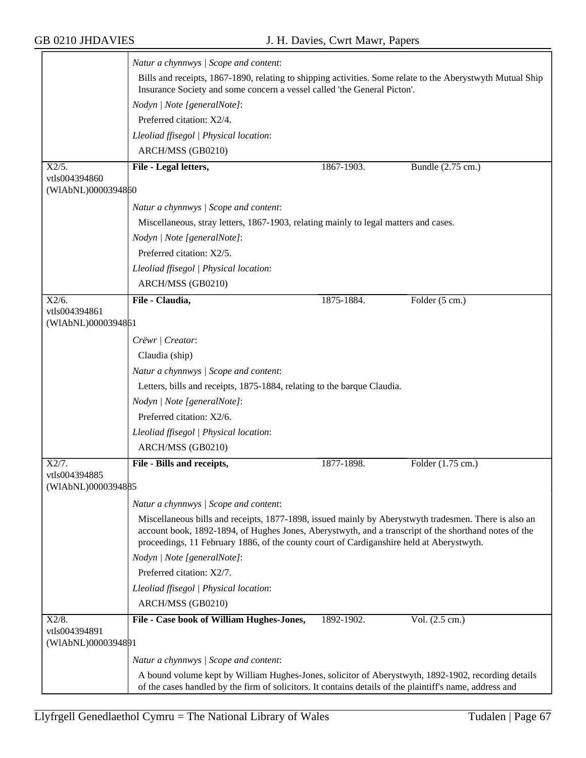|                                     | Natur a chynnwys / Scope and content:                                                                                                                                                                                                                                                                      |            |                   |  |  |
|-------------------------------------|------------------------------------------------------------------------------------------------------------------------------------------------------------------------------------------------------------------------------------------------------------------------------------------------------------|------------|-------------------|--|--|
|                                     | Bills and receipts, 1867-1890, relating to shipping activities. Some relate to the Aberystwyth Mutual Ship<br>Insurance Society and some concern a vessel called 'the General Picton'.                                                                                                                     |            |                   |  |  |
|                                     | Nodyn   Note [generalNote]:                                                                                                                                                                                                                                                                                |            |                   |  |  |
|                                     | Preferred citation: X2/4.                                                                                                                                                                                                                                                                                  |            |                   |  |  |
|                                     | Lleoliad ffisegol   Physical location:                                                                                                                                                                                                                                                                     |            |                   |  |  |
|                                     | ARCH/MSS (GB0210)                                                                                                                                                                                                                                                                                          |            |                   |  |  |
| X2/5.                               | File - Legal letters,                                                                                                                                                                                                                                                                                      | 1867-1903. | Bundle (2.75 cm.) |  |  |
| vtls004394860                       |                                                                                                                                                                                                                                                                                                            |            |                   |  |  |
| (WIAbNL)0000394860                  |                                                                                                                                                                                                                                                                                                            |            |                   |  |  |
|                                     | Natur a chynnwys / Scope and content:                                                                                                                                                                                                                                                                      |            |                   |  |  |
|                                     | Miscellaneous, stray letters, 1867-1903, relating mainly to legal matters and cases.                                                                                                                                                                                                                       |            |                   |  |  |
|                                     | Nodyn   Note [generalNote]:                                                                                                                                                                                                                                                                                |            |                   |  |  |
|                                     | Preferred citation: X2/5.                                                                                                                                                                                                                                                                                  |            |                   |  |  |
|                                     | Lleoliad ffisegol   Physical location:                                                                                                                                                                                                                                                                     |            |                   |  |  |
|                                     | ARCH/MSS (GB0210)                                                                                                                                                                                                                                                                                          |            |                   |  |  |
| $X2/6$ .                            | File - Claudia,                                                                                                                                                                                                                                                                                            | 1875-1884. | Folder (5 cm.)    |  |  |
| vtls004394861<br>(WIAbNL)0000394861 |                                                                                                                                                                                                                                                                                                            |            |                   |  |  |
|                                     | Crëwr   Creator:                                                                                                                                                                                                                                                                                           |            |                   |  |  |
|                                     | Claudia (ship)                                                                                                                                                                                                                                                                                             |            |                   |  |  |
|                                     | Natur a chynnwys / Scope and content:                                                                                                                                                                                                                                                                      |            |                   |  |  |
|                                     | Letters, bills and receipts, 1875-1884, relating to the barque Claudia.                                                                                                                                                                                                                                    |            |                   |  |  |
|                                     | Nodyn   Note [generalNote]:                                                                                                                                                                                                                                                                                |            |                   |  |  |
|                                     | Preferred citation: X2/6.                                                                                                                                                                                                                                                                                  |            |                   |  |  |
|                                     | Lleoliad ffisegol   Physical location:                                                                                                                                                                                                                                                                     |            |                   |  |  |
|                                     | ARCH/MSS (GB0210)                                                                                                                                                                                                                                                                                          |            |                   |  |  |
| X2/7.                               | File - Bills and receipts,                                                                                                                                                                                                                                                                                 | 1877-1898. | Folder (1.75 cm.) |  |  |
| vtls004394885                       |                                                                                                                                                                                                                                                                                                            |            |                   |  |  |
| (WIAbNL)0000394885                  |                                                                                                                                                                                                                                                                                                            |            |                   |  |  |
|                                     | Natur a chynnwys / Scope and content:                                                                                                                                                                                                                                                                      |            |                   |  |  |
|                                     | Miscellaneous bills and receipts, 1877-1898, issued mainly by Aberystwyth tradesmen. There is also an<br>account book, 1892-1894, of Hughes Jones, Aberystwyth, and a transcript of the shorthand notes of the<br>proceedings, 11 February 1886, of the county court of Cardiganshire held at Aberystwyth. |            |                   |  |  |
|                                     | Nodyn   Note [generalNote]:                                                                                                                                                                                                                                                                                |            |                   |  |  |
|                                     | Preferred citation: X2/7.                                                                                                                                                                                                                                                                                  |            |                   |  |  |
|                                     | Lleoliad ffisegol   Physical location:                                                                                                                                                                                                                                                                     |            |                   |  |  |
|                                     | ARCH/MSS (GB0210)                                                                                                                                                                                                                                                                                          |            |                   |  |  |
| $X2/8$ .<br>vtls004394891           | File - Case book of William Hughes-Jones,                                                                                                                                                                                                                                                                  | 1892-1902. | Vol. (2.5 cm.)    |  |  |
| (WIAbNL)0000394891                  |                                                                                                                                                                                                                                                                                                            |            |                   |  |  |
|                                     | Natur a chynnwys / Scope and content:                                                                                                                                                                                                                                                                      |            |                   |  |  |
|                                     | A bound volume kept by William Hughes-Jones, solicitor of Aberystwyth, 1892-1902, recording details<br>of the cases handled by the firm of solicitors. It contains details of the plaintiff's name, address and                                                                                            |            |                   |  |  |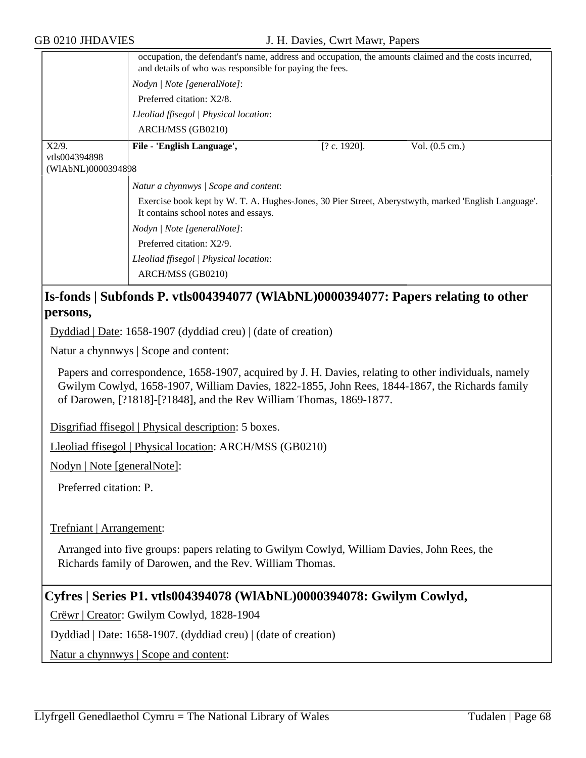|                           | occupation, the defendant's name, address and occupation, the amounts claimed and the costs incurred,<br>and details of who was responsible for paying the fees. |              |                |  |  |
|---------------------------|------------------------------------------------------------------------------------------------------------------------------------------------------------------|--------------|----------------|--|--|
|                           | Nodyn   Note [generalNote]:                                                                                                                                      |              |                |  |  |
|                           | Preferred citation: X2/8.                                                                                                                                        |              |                |  |  |
|                           | Lleoliad ffisegol   Physical location:                                                                                                                           |              |                |  |  |
|                           | ARCH/MSS (GB0210)                                                                                                                                                |              |                |  |  |
| $X2/9$ .<br>vtls004394898 | File - 'English Language',                                                                                                                                       | [? c. 1920]. | Vol. (0.5 cm.) |  |  |
| (W1AbNL)0000394898        |                                                                                                                                                                  |              |                |  |  |
|                           | Natur a chynnwys / Scope and content:                                                                                                                            |              |                |  |  |
|                           | Exercise book kept by W. T. A. Hughes-Jones, 30 Pier Street, Aberystwyth, marked 'English Language'.<br>It contains school notes and essays.                     |              |                |  |  |
|                           | Nodyn   Note [generalNote]:<br>Preferred citation: X2/9.                                                                                                         |              |                |  |  |
|                           |                                                                                                                                                                  |              |                |  |  |
|                           | Lleoliad ffisegol   Physical location:                                                                                                                           |              |                |  |  |
|                           | ARCH/MSS (GB0210)                                                                                                                                                |              |                |  |  |

## **Is-fonds | Subfonds P. vtls004394077 (WlAbNL)0000394077: Papers relating to other persons,**

Dyddiad | Date: 1658-1907 (dyddiad creu) | (date of creation)

Natur a chynnwys | Scope and content:

Papers and correspondence, 1658-1907, acquired by J. H. Davies, relating to other individuals, namely Gwilym Cowlyd, 1658-1907, William Davies, 1822-1855, John Rees, 1844-1867, the Richards family of Darowen, [?1818]-[?1848], and the Rev William Thomas, 1869-1877.

Disgrifiad ffisegol | Physical description: 5 boxes.

Lleoliad ffisegol | Physical location: ARCH/MSS (GB0210)

Nodyn | Note [generalNote]:

Preferred citation: P.

Trefniant | Arrangement:

Arranged into five groups: papers relating to Gwilym Cowlyd, William Davies, John Rees, the Richards family of Darowen, and the Rev. William Thomas.

### **Cyfres | Series P1. vtls004394078 (WlAbNL)0000394078: Gwilym Cowlyd,**

Crëwr | Creator: Gwilym Cowlyd, 1828-1904

Dyddiad | Date: 1658-1907. (dyddiad creu) | (date of creation)

Natur a chynnwys | Scope and content: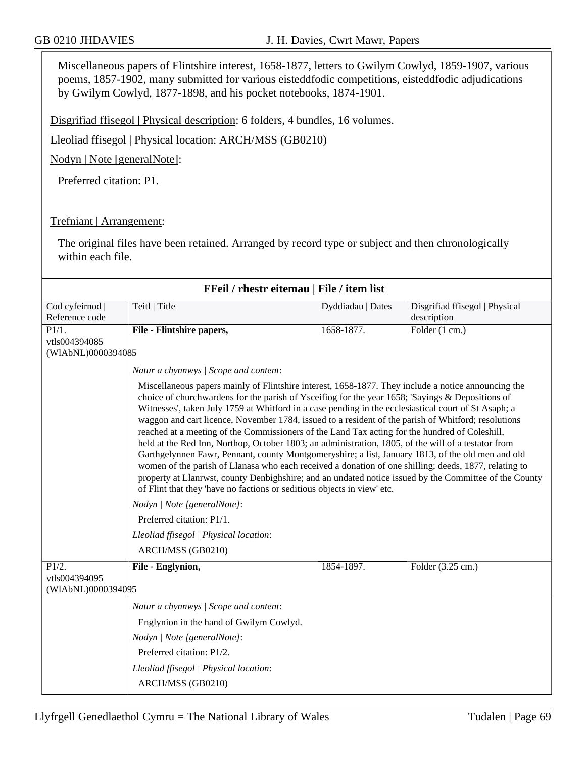Miscellaneous papers of Flintshire interest, 1658-1877, letters to Gwilym Cowlyd, 1859-1907, various poems, 1857-1902, many submitted for various eisteddfodic competitions, eisteddfodic adjudications by Gwilym Cowlyd, 1877-1898, and his pocket notebooks, 1874-1901.

Disgrifiad ffisegol | Physical description: 6 folders, 4 bundles, 16 volumes.

Lleoliad ffisegol | Physical location: ARCH/MSS (GB0210)

Nodyn | Note [generalNote]:

Preferred citation: P1.

#### Trefniant | Arrangement:

The original files have been retained. Arranged by record type or subject and then chronologically within each file.

| FFeil / rhestr eitemau   File / item list                  |                                                                                                                                                                                                                                                                                                                                                                                                                                                                                                                                                                                                                                                                                                                                                                                                                         |                   |                                               |
|------------------------------------------------------------|-------------------------------------------------------------------------------------------------------------------------------------------------------------------------------------------------------------------------------------------------------------------------------------------------------------------------------------------------------------------------------------------------------------------------------------------------------------------------------------------------------------------------------------------------------------------------------------------------------------------------------------------------------------------------------------------------------------------------------------------------------------------------------------------------------------------------|-------------------|-----------------------------------------------|
| Cod cyfeirnod  <br>Reference code                          | Teitl   Title                                                                                                                                                                                                                                                                                                                                                                                                                                                                                                                                                                                                                                                                                                                                                                                                           | Dyddiadau   Dates | Disgrifiad ffisegol   Physical<br>description |
| $\overline{P1/1}$ .<br>vtls004394085<br>(WIAbNL)0000394085 | File - Flintshire papers,                                                                                                                                                                                                                                                                                                                                                                                                                                                                                                                                                                                                                                                                                                                                                                                               | 1658-1877.        | Folder (1 cm.)                                |
|                                                            | Natur a chynnwys / Scope and content:<br>Miscellaneous papers mainly of Flintshire interest, 1658-1877. They include a notice announcing the<br>choice of churchwardens for the parish of Ysceifiog for the year 1658; 'Sayings & Depositions of                                                                                                                                                                                                                                                                                                                                                                                                                                                                                                                                                                        |                   |                                               |
|                                                            | Witnesses', taken July 1759 at Whitford in a case pending in the ecclesiastical court of St Asaph; a<br>waggon and cart licence, November 1784, issued to a resident of the parish of Whitford; resolutions<br>reached at a meeting of the Commissioners of the Land Tax acting for the hundred of Coleshill,<br>held at the Red Inn, Northop, October 1803; an administration, 1805, of the will of a testator from<br>Garthgelynnen Fawr, Pennant, county Montgomeryshire; a list, January 1813, of the old men and old<br>women of the parish of Llanasa who each received a donation of one shilling; deeds, 1877, relating to<br>property at Llanrwst, county Denbighshire; and an undated notice issued by the Committee of the County<br>of Flint that they 'have no factions or seditious objects in view' etc. |                   |                                               |
|                                                            | Nodyn   Note [generalNote]:                                                                                                                                                                                                                                                                                                                                                                                                                                                                                                                                                                                                                                                                                                                                                                                             |                   |                                               |
|                                                            | Preferred citation: P1/1.                                                                                                                                                                                                                                                                                                                                                                                                                                                                                                                                                                                                                                                                                                                                                                                               |                   |                                               |
|                                                            | Lleoliad ffisegol   Physical location:                                                                                                                                                                                                                                                                                                                                                                                                                                                                                                                                                                                                                                                                                                                                                                                  |                   |                                               |
|                                                            | ARCH/MSS (GB0210)                                                                                                                                                                                                                                                                                                                                                                                                                                                                                                                                                                                                                                                                                                                                                                                                       |                   |                                               |
| P1/2.<br>vtls004394095<br>(WIAbNL)0000394095               | File - Englynion,                                                                                                                                                                                                                                                                                                                                                                                                                                                                                                                                                                                                                                                                                                                                                                                                       | 1854-1897.        | Folder $(3.25 \text{ cm.})$                   |
|                                                            | Natur a chynnwys / Scope and content:                                                                                                                                                                                                                                                                                                                                                                                                                                                                                                                                                                                                                                                                                                                                                                                   |                   |                                               |
|                                                            | Englynion in the hand of Gwilym Cowlyd.                                                                                                                                                                                                                                                                                                                                                                                                                                                                                                                                                                                                                                                                                                                                                                                 |                   |                                               |
|                                                            | Nodyn   Note [generalNote]:                                                                                                                                                                                                                                                                                                                                                                                                                                                                                                                                                                                                                                                                                                                                                                                             |                   |                                               |
|                                                            | Preferred citation: P1/2.                                                                                                                                                                                                                                                                                                                                                                                                                                                                                                                                                                                                                                                                                                                                                                                               |                   |                                               |
|                                                            | Lleoliad ffisegol   Physical location:                                                                                                                                                                                                                                                                                                                                                                                                                                                                                                                                                                                                                                                                                                                                                                                  |                   |                                               |
|                                                            | ARCH/MSS (GB0210)                                                                                                                                                                                                                                                                                                                                                                                                                                                                                                                                                                                                                                                                                                                                                                                                       |                   |                                               |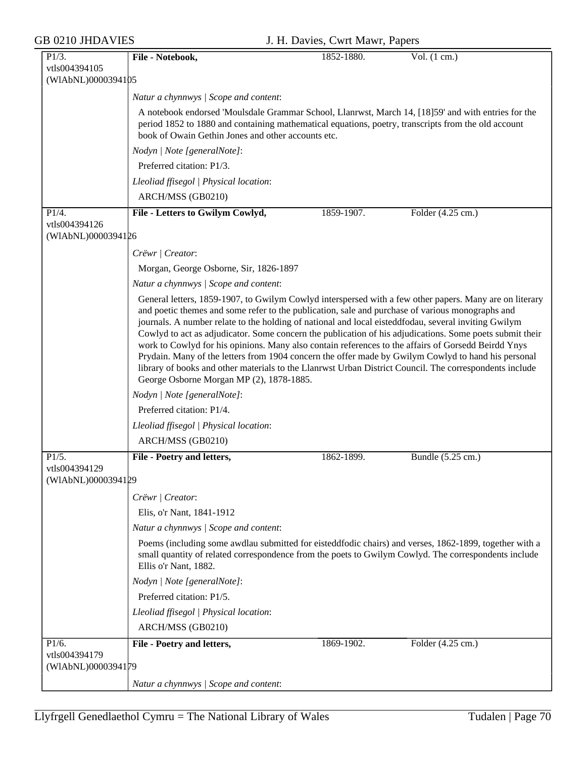| $P1/3$ .                            | File - Notebook,                                                                                                                                                                                                                                                                                                                                                                                                                                                                                                                                                                                                                                                                                                                                                                                     | 1852-1880. | Vol. $(1 cm.)$    |  |  |
|-------------------------------------|------------------------------------------------------------------------------------------------------------------------------------------------------------------------------------------------------------------------------------------------------------------------------------------------------------------------------------------------------------------------------------------------------------------------------------------------------------------------------------------------------------------------------------------------------------------------------------------------------------------------------------------------------------------------------------------------------------------------------------------------------------------------------------------------------|------------|-------------------|--|--|
| vtls004394105                       |                                                                                                                                                                                                                                                                                                                                                                                                                                                                                                                                                                                                                                                                                                                                                                                                      |            |                   |  |  |
| (WIAbNL)0000394105                  |                                                                                                                                                                                                                                                                                                                                                                                                                                                                                                                                                                                                                                                                                                                                                                                                      |            |                   |  |  |
|                                     | Natur a chynnwys   Scope and content:                                                                                                                                                                                                                                                                                                                                                                                                                                                                                                                                                                                                                                                                                                                                                                |            |                   |  |  |
|                                     | A notebook endorsed 'Moulsdale Grammar School, Llanrwst, March 14, [18]59' and with entries for the                                                                                                                                                                                                                                                                                                                                                                                                                                                                                                                                                                                                                                                                                                  |            |                   |  |  |
|                                     | period 1852 to 1880 and containing mathematical equations, poetry, transcripts from the old account<br>book of Owain Gethin Jones and other accounts etc.                                                                                                                                                                                                                                                                                                                                                                                                                                                                                                                                                                                                                                            |            |                   |  |  |
|                                     | Nodyn   Note [generalNote]:                                                                                                                                                                                                                                                                                                                                                                                                                                                                                                                                                                                                                                                                                                                                                                          |            |                   |  |  |
|                                     | Preferred citation: P1/3.                                                                                                                                                                                                                                                                                                                                                                                                                                                                                                                                                                                                                                                                                                                                                                            |            |                   |  |  |
|                                     | Lleoliad ffisegol   Physical location:                                                                                                                                                                                                                                                                                                                                                                                                                                                                                                                                                                                                                                                                                                                                                               |            |                   |  |  |
|                                     | ARCH/MSS (GB0210)                                                                                                                                                                                                                                                                                                                                                                                                                                                                                                                                                                                                                                                                                                                                                                                    |            |                   |  |  |
| $P1\overline{4}$ .                  | File - Letters to Gwilym Cowlyd,                                                                                                                                                                                                                                                                                                                                                                                                                                                                                                                                                                                                                                                                                                                                                                     | 1859-1907. | Folder (4.25 cm.) |  |  |
| vtls004394126<br>(WIAbNL)0000394126 |                                                                                                                                                                                                                                                                                                                                                                                                                                                                                                                                                                                                                                                                                                                                                                                                      |            |                   |  |  |
|                                     | Crëwr   Creator:                                                                                                                                                                                                                                                                                                                                                                                                                                                                                                                                                                                                                                                                                                                                                                                     |            |                   |  |  |
|                                     | Morgan, George Osborne, Sir, 1826-1897                                                                                                                                                                                                                                                                                                                                                                                                                                                                                                                                                                                                                                                                                                                                                               |            |                   |  |  |
|                                     | Natur a chynnwys / Scope and content:                                                                                                                                                                                                                                                                                                                                                                                                                                                                                                                                                                                                                                                                                                                                                                |            |                   |  |  |
|                                     | General letters, 1859-1907, to Gwilym Cowlyd interspersed with a few other papers. Many are on literary<br>and poetic themes and some refer to the publication, sale and purchase of various monographs and<br>journals. A number relate to the holding of national and local eisteddfodau, several inviting Gwilym<br>Cowlyd to act as adjudicator. Some concern the publication of his adjudications. Some poets submit their<br>work to Cowlyd for his opinions. Many also contain references to the affairs of Gorsedd Beirdd Ynys<br>Prydain. Many of the letters from 1904 concern the offer made by Gwilym Cowlyd to hand his personal<br>library of books and other materials to the Llanrwst Urban District Council. The correspondents include<br>George Osborne Morgan MP (2), 1878-1885. |            |                   |  |  |
|                                     | Nodyn   Note [generalNote]:                                                                                                                                                                                                                                                                                                                                                                                                                                                                                                                                                                                                                                                                                                                                                                          |            |                   |  |  |
|                                     | Preferred citation: P1/4.                                                                                                                                                                                                                                                                                                                                                                                                                                                                                                                                                                                                                                                                                                                                                                            |            |                   |  |  |
|                                     | Lleoliad ffisegol   Physical location:                                                                                                                                                                                                                                                                                                                                                                                                                                                                                                                                                                                                                                                                                                                                                               |            |                   |  |  |
|                                     | ARCH/MSS (GB0210)                                                                                                                                                                                                                                                                                                                                                                                                                                                                                                                                                                                                                                                                                                                                                                                    |            |                   |  |  |
| P1/5.                               | File - Poetry and letters,                                                                                                                                                                                                                                                                                                                                                                                                                                                                                                                                                                                                                                                                                                                                                                           | 1862-1899. | Bundle (5.25 cm.) |  |  |
| vtls004394129<br>(WIAbNL)0000394129 |                                                                                                                                                                                                                                                                                                                                                                                                                                                                                                                                                                                                                                                                                                                                                                                                      |            |                   |  |  |
|                                     | Crëwr   Creator:                                                                                                                                                                                                                                                                                                                                                                                                                                                                                                                                                                                                                                                                                                                                                                                     |            |                   |  |  |
|                                     | Elis, o'r Nant, 1841-1912                                                                                                                                                                                                                                                                                                                                                                                                                                                                                                                                                                                                                                                                                                                                                                            |            |                   |  |  |
|                                     | Natur a chynnwys / Scope and content:                                                                                                                                                                                                                                                                                                                                                                                                                                                                                                                                                                                                                                                                                                                                                                |            |                   |  |  |
|                                     | Poems (including some awdlau submitted for eisteddfodic chairs) and verses, 1862-1899, together with a<br>small quantity of related correspondence from the poets to Gwilym Cowlyd. The correspondents include<br>Ellis o'r Nant, 1882.                                                                                                                                                                                                                                                                                                                                                                                                                                                                                                                                                              |            |                   |  |  |
|                                     | Nodyn   Note [generalNote]:                                                                                                                                                                                                                                                                                                                                                                                                                                                                                                                                                                                                                                                                                                                                                                          |            |                   |  |  |
|                                     | Preferred citation: P1/5.                                                                                                                                                                                                                                                                                                                                                                                                                                                                                                                                                                                                                                                                                                                                                                            |            |                   |  |  |
|                                     | Lleoliad ffisegol   Physical location:                                                                                                                                                                                                                                                                                                                                                                                                                                                                                                                                                                                                                                                                                                                                                               |            |                   |  |  |
|                                     | ARCH/MSS (GB0210)                                                                                                                                                                                                                                                                                                                                                                                                                                                                                                                                                                                                                                                                                                                                                                                    |            |                   |  |  |
| P1/6.                               | File - Poetry and letters,                                                                                                                                                                                                                                                                                                                                                                                                                                                                                                                                                                                                                                                                                                                                                                           | 1869-1902. | Folder (4.25 cm.) |  |  |
| vtls004394179<br>(WIAbNL)0000394179 |                                                                                                                                                                                                                                                                                                                                                                                                                                                                                                                                                                                                                                                                                                                                                                                                      |            |                   |  |  |
|                                     | Natur a chynnwys / Scope and content:                                                                                                                                                                                                                                                                                                                                                                                                                                                                                                                                                                                                                                                                                                                                                                |            |                   |  |  |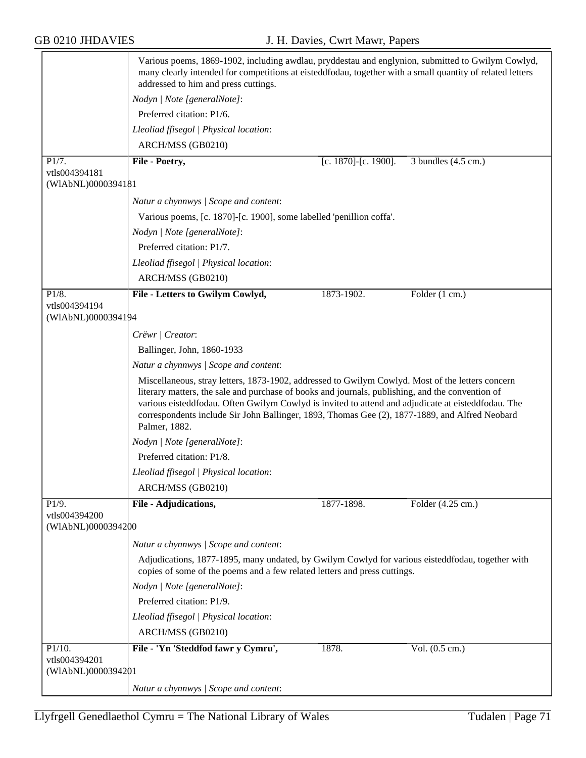|                                     | Various poems, 1869-1902, including awdlau, pryddestau and englynion, submitted to Gwilym Cowlyd,<br>many clearly intended for competitions at eisteddfodau, together with a small quantity of related letters<br>addressed to him and press cuttings.                                                                                                                                                                        |                      |                               |  |
|-------------------------------------|-------------------------------------------------------------------------------------------------------------------------------------------------------------------------------------------------------------------------------------------------------------------------------------------------------------------------------------------------------------------------------------------------------------------------------|----------------------|-------------------------------|--|
|                                     | Nodyn   Note [generalNote]:                                                                                                                                                                                                                                                                                                                                                                                                   |                      |                               |  |
|                                     | Preferred citation: P1/6.                                                                                                                                                                                                                                                                                                                                                                                                     |                      |                               |  |
|                                     | Lleoliad ffisegol   Physical location:                                                                                                                                                                                                                                                                                                                                                                                        |                      |                               |  |
|                                     | ARCH/MSS (GB0210)                                                                                                                                                                                                                                                                                                                                                                                                             |                      |                               |  |
| P1/7.                               | File - Poetry,                                                                                                                                                                                                                                                                                                                                                                                                                | [c. 1870]-[c. 1900]. | 3 bundles $(4.5 \text{ cm.})$ |  |
| vtls004394181<br>(WIAbNL)0000394181 |                                                                                                                                                                                                                                                                                                                                                                                                                               |                      |                               |  |
|                                     | Natur a chynnwys / Scope and content:                                                                                                                                                                                                                                                                                                                                                                                         |                      |                               |  |
|                                     | Various poems, [c. 1870]-[c. 1900], some labelled 'penillion coffa'.                                                                                                                                                                                                                                                                                                                                                          |                      |                               |  |
|                                     | Nodyn   Note [generalNote]:                                                                                                                                                                                                                                                                                                                                                                                                   |                      |                               |  |
|                                     | Preferred citation: P1/7.                                                                                                                                                                                                                                                                                                                                                                                                     |                      |                               |  |
|                                     | Lleoliad ffisegol   Physical location:                                                                                                                                                                                                                                                                                                                                                                                        |                      |                               |  |
|                                     | ARCH/MSS (GB0210)                                                                                                                                                                                                                                                                                                                                                                                                             |                      |                               |  |
| P1/8.<br>vtls004394194              | File - Letters to Gwilym Cowlyd,                                                                                                                                                                                                                                                                                                                                                                                              | 1873-1902.           | Folder (1 cm.)                |  |
| (WIAbNL)0000394194                  |                                                                                                                                                                                                                                                                                                                                                                                                                               |                      |                               |  |
|                                     | Crëwr   Creator:                                                                                                                                                                                                                                                                                                                                                                                                              |                      |                               |  |
|                                     | Ballinger, John, 1860-1933                                                                                                                                                                                                                                                                                                                                                                                                    |                      |                               |  |
|                                     | Natur a chynnwys / Scope and content:                                                                                                                                                                                                                                                                                                                                                                                         |                      |                               |  |
|                                     | Miscellaneous, stray letters, 1873-1902, addressed to Gwilym Cowlyd. Most of the letters concern<br>literary matters, the sale and purchase of books and journals, publishing, and the convention of<br>various eisteddfodau. Often Gwilym Cowlyd is invited to attend and adjudicate at eisteddfodau. The<br>correspondents include Sir John Ballinger, 1893, Thomas Gee (2), 1877-1889, and Alfred Neobard<br>Palmer, 1882. |                      |                               |  |
|                                     | Nodyn   Note [generalNote]:                                                                                                                                                                                                                                                                                                                                                                                                   |                      |                               |  |
|                                     | Preferred citation: P1/8.                                                                                                                                                                                                                                                                                                                                                                                                     |                      |                               |  |
|                                     | Lleoliad ffisegol   Physical location:                                                                                                                                                                                                                                                                                                                                                                                        |                      |                               |  |
|                                     | ARCH/MSS (GB0210)                                                                                                                                                                                                                                                                                                                                                                                                             |                      |                               |  |
| P1/9.                               | File - Adjudications,                                                                                                                                                                                                                                                                                                                                                                                                         | 1877-1898.           | Folder (4.25 cm.)             |  |
| vtls004394200<br>(WIAbNL)0000394200 |                                                                                                                                                                                                                                                                                                                                                                                                                               |                      |                               |  |
|                                     | Natur a chynnwys / Scope and content:                                                                                                                                                                                                                                                                                                                                                                                         |                      |                               |  |
|                                     | Adjudications, 1877-1895, many undated, by Gwilym Cowlyd for various eisteddfodau, together with<br>copies of some of the poems and a few related letters and press cuttings.                                                                                                                                                                                                                                                 |                      |                               |  |
|                                     | Nodyn   Note [generalNote]:                                                                                                                                                                                                                                                                                                                                                                                                   |                      |                               |  |
|                                     | Preferred citation: P1/9.                                                                                                                                                                                                                                                                                                                                                                                                     |                      |                               |  |
|                                     | Lleoliad ffisegol   Physical location:                                                                                                                                                                                                                                                                                                                                                                                        |                      |                               |  |
|                                     | ARCH/MSS (GB0210)                                                                                                                                                                                                                                                                                                                                                                                                             |                      |                               |  |
| P1/10.                              | File - 'Yn 'Steddfod fawr y Cymru',                                                                                                                                                                                                                                                                                                                                                                                           | 1878.                | Vol. (0.5 cm.)                |  |
| vtls004394201                       |                                                                                                                                                                                                                                                                                                                                                                                                                               |                      |                               |  |
| (WIAbNL)0000394201                  |                                                                                                                                                                                                                                                                                                                                                                                                                               |                      |                               |  |
|                                     | Natur a chynnwys / Scope and content:                                                                                                                                                                                                                                                                                                                                                                                         |                      |                               |  |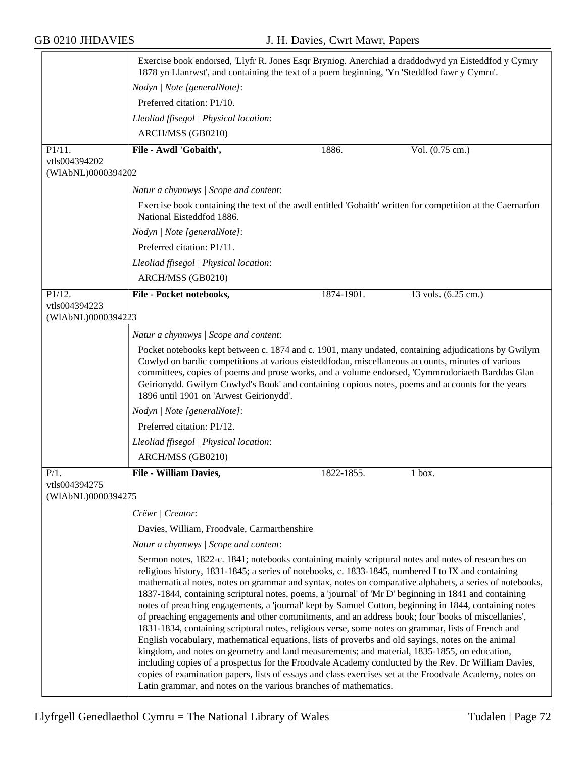|                                     | Exercise book endorsed, 'Llyfr R. Jones Esqr Bryniog. Anerchiad a draddodwyd yn Eisteddfod y Cymry<br>1878 yn Llanrwst', and containing the text of a poem beginning, 'Yn 'Steddfod fawr y Cymru'.                                                                                                                                                                                                                                                                                                                                                                                                                                                                                                                                                                                                                                                                                                                                                                                                                                                                                                                                                                                                                                                |            |                     |
|-------------------------------------|---------------------------------------------------------------------------------------------------------------------------------------------------------------------------------------------------------------------------------------------------------------------------------------------------------------------------------------------------------------------------------------------------------------------------------------------------------------------------------------------------------------------------------------------------------------------------------------------------------------------------------------------------------------------------------------------------------------------------------------------------------------------------------------------------------------------------------------------------------------------------------------------------------------------------------------------------------------------------------------------------------------------------------------------------------------------------------------------------------------------------------------------------------------------------------------------------------------------------------------------------|------------|---------------------|
|                                     | Nodyn   Note [generalNote]:                                                                                                                                                                                                                                                                                                                                                                                                                                                                                                                                                                                                                                                                                                                                                                                                                                                                                                                                                                                                                                                                                                                                                                                                                       |            |                     |
|                                     | Preferred citation: P1/10.                                                                                                                                                                                                                                                                                                                                                                                                                                                                                                                                                                                                                                                                                                                                                                                                                                                                                                                                                                                                                                                                                                                                                                                                                        |            |                     |
|                                     | Lleoliad ffisegol   Physical location:                                                                                                                                                                                                                                                                                                                                                                                                                                                                                                                                                                                                                                                                                                                                                                                                                                                                                                                                                                                                                                                                                                                                                                                                            |            |                     |
|                                     | ARCH/MSS (GB0210)                                                                                                                                                                                                                                                                                                                                                                                                                                                                                                                                                                                                                                                                                                                                                                                                                                                                                                                                                                                                                                                                                                                                                                                                                                 |            |                     |
| P1/11.                              | File - Awdl 'Gobaith',                                                                                                                                                                                                                                                                                                                                                                                                                                                                                                                                                                                                                                                                                                                                                                                                                                                                                                                                                                                                                                                                                                                                                                                                                            | 1886.      | Vol. (0.75 cm.)     |
| vtls004394202                       |                                                                                                                                                                                                                                                                                                                                                                                                                                                                                                                                                                                                                                                                                                                                                                                                                                                                                                                                                                                                                                                                                                                                                                                                                                                   |            |                     |
| (WIAbNL)0000394202                  |                                                                                                                                                                                                                                                                                                                                                                                                                                                                                                                                                                                                                                                                                                                                                                                                                                                                                                                                                                                                                                                                                                                                                                                                                                                   |            |                     |
|                                     | Natur a chynnwys / Scope and content:                                                                                                                                                                                                                                                                                                                                                                                                                                                                                                                                                                                                                                                                                                                                                                                                                                                                                                                                                                                                                                                                                                                                                                                                             |            |                     |
|                                     | Exercise book containing the text of the awdl entitled 'Gobaith' written for competition at the Caernarfon<br>National Eisteddfod 1886.                                                                                                                                                                                                                                                                                                                                                                                                                                                                                                                                                                                                                                                                                                                                                                                                                                                                                                                                                                                                                                                                                                           |            |                     |
|                                     | Nodyn   Note [generalNote]:                                                                                                                                                                                                                                                                                                                                                                                                                                                                                                                                                                                                                                                                                                                                                                                                                                                                                                                                                                                                                                                                                                                                                                                                                       |            |                     |
|                                     | Preferred citation: P1/11.                                                                                                                                                                                                                                                                                                                                                                                                                                                                                                                                                                                                                                                                                                                                                                                                                                                                                                                                                                                                                                                                                                                                                                                                                        |            |                     |
|                                     | Lleoliad ffisegol   Physical location:                                                                                                                                                                                                                                                                                                                                                                                                                                                                                                                                                                                                                                                                                                                                                                                                                                                                                                                                                                                                                                                                                                                                                                                                            |            |                     |
|                                     | ARCH/MSS (GB0210)                                                                                                                                                                                                                                                                                                                                                                                                                                                                                                                                                                                                                                                                                                                                                                                                                                                                                                                                                                                                                                                                                                                                                                                                                                 |            |                     |
| P1/12.                              | File - Pocket notebooks,                                                                                                                                                                                                                                                                                                                                                                                                                                                                                                                                                                                                                                                                                                                                                                                                                                                                                                                                                                                                                                                                                                                                                                                                                          | 1874-1901. | 13 vols. (6.25 cm.) |
| vtls004394223<br>(WIAbNL)0000394223 |                                                                                                                                                                                                                                                                                                                                                                                                                                                                                                                                                                                                                                                                                                                                                                                                                                                                                                                                                                                                                                                                                                                                                                                                                                                   |            |                     |
|                                     | Natur a chynnwys / Scope and content:                                                                                                                                                                                                                                                                                                                                                                                                                                                                                                                                                                                                                                                                                                                                                                                                                                                                                                                                                                                                                                                                                                                                                                                                             |            |                     |
|                                     | Pocket notebooks kept between c. 1874 and c. 1901, many undated, containing adjudications by Gwilym<br>Cowlyd on bardic competitions at various eisteddfodau, miscellaneous accounts, minutes of various<br>committees, copies of poems and prose works, and a volume endorsed, 'Cymmrodoriaeth Barddas Glan<br>Geirionydd. Gwilym Cowlyd's Book' and containing copious notes, poems and accounts for the years<br>1896 until 1901 on 'Arwest Geirionydd'.                                                                                                                                                                                                                                                                                                                                                                                                                                                                                                                                                                                                                                                                                                                                                                                       |            |                     |
|                                     | Nodyn   Note [generalNote]:                                                                                                                                                                                                                                                                                                                                                                                                                                                                                                                                                                                                                                                                                                                                                                                                                                                                                                                                                                                                                                                                                                                                                                                                                       |            |                     |
|                                     | Preferred citation: P1/12.                                                                                                                                                                                                                                                                                                                                                                                                                                                                                                                                                                                                                                                                                                                                                                                                                                                                                                                                                                                                                                                                                                                                                                                                                        |            |                     |
|                                     | Lleoliad ffisegol   Physical location:                                                                                                                                                                                                                                                                                                                                                                                                                                                                                                                                                                                                                                                                                                                                                                                                                                                                                                                                                                                                                                                                                                                                                                                                            |            |                     |
|                                     | ARCH/MSS (GB0210)                                                                                                                                                                                                                                                                                                                                                                                                                                                                                                                                                                                                                                                                                                                                                                                                                                                                                                                                                                                                                                                                                                                                                                                                                                 |            |                     |
| $P/1$ .                             | File - William Davies,                                                                                                                                                                                                                                                                                                                                                                                                                                                                                                                                                                                                                                                                                                                                                                                                                                                                                                                                                                                                                                                                                                                                                                                                                            | 1822-1855. | 1 box.              |
| vtls004394275                       |                                                                                                                                                                                                                                                                                                                                                                                                                                                                                                                                                                                                                                                                                                                                                                                                                                                                                                                                                                                                                                                                                                                                                                                                                                                   |            |                     |
| (WIAbNL)0000394275                  |                                                                                                                                                                                                                                                                                                                                                                                                                                                                                                                                                                                                                                                                                                                                                                                                                                                                                                                                                                                                                                                                                                                                                                                                                                                   |            |                     |
|                                     | Crëwr   Creator:                                                                                                                                                                                                                                                                                                                                                                                                                                                                                                                                                                                                                                                                                                                                                                                                                                                                                                                                                                                                                                                                                                                                                                                                                                  |            |                     |
|                                     | Davies, William, Froodvale, Carmarthenshire                                                                                                                                                                                                                                                                                                                                                                                                                                                                                                                                                                                                                                                                                                                                                                                                                                                                                                                                                                                                                                                                                                                                                                                                       |            |                     |
|                                     | Natur a chynnwys / Scope and content:                                                                                                                                                                                                                                                                                                                                                                                                                                                                                                                                                                                                                                                                                                                                                                                                                                                                                                                                                                                                                                                                                                                                                                                                             |            |                     |
|                                     | Sermon notes, 1822-c. 1841; notebooks containing mainly scriptural notes and notes of researches on<br>religious history, 1831-1845; a series of notebooks, c. 1833-1845, numbered I to IX and containing<br>mathematical notes, notes on grammar and syntax, notes on comparative alphabets, a series of notebooks,<br>1837-1844, containing scriptural notes, poems, a 'journal' of 'Mr D' beginning in 1841 and containing<br>notes of preaching engagements, a 'journal' kept by Samuel Cotton, beginning in 1844, containing notes<br>of preaching engagements and other commitments, and an address book; four 'books of miscellanies',<br>1831-1834, containing scriptural notes, religious verse, some notes on grammar, lists of French and<br>English vocabulary, mathematical equations, lists of proverbs and old sayings, notes on the animal<br>kingdom, and notes on geometry and land measurements; and material, 1835-1855, on education,<br>including copies of a prospectus for the Froodvale Academy conducted by the Rev. Dr William Davies,<br>copies of examination papers, lists of essays and class exercises set at the Froodvale Academy, notes on<br>Latin grammar, and notes on the various branches of mathematics. |            |                     |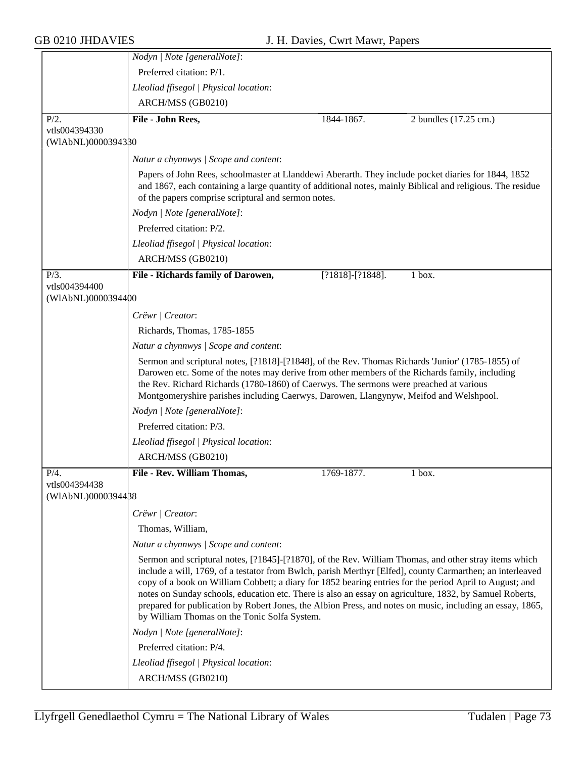|                                     | Nodyn   Note [generalNote]:                                                                                                                                                                                                                                                                                                                                                                                                                                                                                                                                                                           |                       |                       |
|-------------------------------------|-------------------------------------------------------------------------------------------------------------------------------------------------------------------------------------------------------------------------------------------------------------------------------------------------------------------------------------------------------------------------------------------------------------------------------------------------------------------------------------------------------------------------------------------------------------------------------------------------------|-----------------------|-----------------------|
|                                     | Preferred citation: P/1.                                                                                                                                                                                                                                                                                                                                                                                                                                                                                                                                                                              |                       |                       |
|                                     | Lleoliad ffisegol   Physical location:                                                                                                                                                                                                                                                                                                                                                                                                                                                                                                                                                                |                       |                       |
|                                     | ARCH/MSS (GB0210)                                                                                                                                                                                                                                                                                                                                                                                                                                                                                                                                                                                     |                       |                       |
| $P/2$ .                             | File - John Rees,                                                                                                                                                                                                                                                                                                                                                                                                                                                                                                                                                                                     | 1844-1867.            | 2 bundles (17.25 cm.) |
| vtls004394330                       |                                                                                                                                                                                                                                                                                                                                                                                                                                                                                                                                                                                                       |                       |                       |
| (WIAbNL)0000394380                  |                                                                                                                                                                                                                                                                                                                                                                                                                                                                                                                                                                                                       |                       |                       |
|                                     | Natur a chynnwys / Scope and content:                                                                                                                                                                                                                                                                                                                                                                                                                                                                                                                                                                 |                       |                       |
|                                     | Papers of John Rees, schoolmaster at Llanddewi Aberarth. They include pocket diaries for 1844, 1852<br>and 1867, each containing a large quantity of additional notes, mainly Biblical and religious. The residue<br>of the papers comprise scriptural and sermon notes.                                                                                                                                                                                                                                                                                                                              |                       |                       |
|                                     | Nodyn   Note [generalNote]:                                                                                                                                                                                                                                                                                                                                                                                                                                                                                                                                                                           |                       |                       |
|                                     | Preferred citation: P/2.                                                                                                                                                                                                                                                                                                                                                                                                                                                                                                                                                                              |                       |                       |
|                                     | Lleoliad ffisegol   Physical location:                                                                                                                                                                                                                                                                                                                                                                                                                                                                                                                                                                |                       |                       |
|                                     | ARCH/MSS (GB0210)                                                                                                                                                                                                                                                                                                                                                                                                                                                                                                                                                                                     |                       |                       |
| $P/3$ .                             | File - Richards family of Darowen,                                                                                                                                                                                                                                                                                                                                                                                                                                                                                                                                                                    | $[?1818] - [?1848]$ . | 1 box.                |
| vtls004394400<br>(WIAbNL)0000394400 |                                                                                                                                                                                                                                                                                                                                                                                                                                                                                                                                                                                                       |                       |                       |
|                                     | Crëwr   Creator:                                                                                                                                                                                                                                                                                                                                                                                                                                                                                                                                                                                      |                       |                       |
|                                     | Richards, Thomas, 1785-1855                                                                                                                                                                                                                                                                                                                                                                                                                                                                                                                                                                           |                       |                       |
|                                     | Natur a chynnwys / Scope and content:                                                                                                                                                                                                                                                                                                                                                                                                                                                                                                                                                                 |                       |                       |
|                                     | Sermon and scriptural notes, [?1818]-[?1848], of the Rev. Thomas Richards 'Junior' (1785-1855) of<br>Darowen etc. Some of the notes may derive from other members of the Richards family, including<br>the Rev. Richard Richards (1780-1860) of Caerwys. The sermons were preached at various<br>Montgomeryshire parishes including Caerwys, Darowen, Llangynyw, Meifod and Welshpool.                                                                                                                                                                                                                |                       |                       |
|                                     | Nodyn   Note [generalNote]:                                                                                                                                                                                                                                                                                                                                                                                                                                                                                                                                                                           |                       |                       |
|                                     | Preferred citation: P/3.                                                                                                                                                                                                                                                                                                                                                                                                                                                                                                                                                                              |                       |                       |
|                                     | Lleoliad ffisegol   Physical location:                                                                                                                                                                                                                                                                                                                                                                                                                                                                                                                                                                |                       |                       |
|                                     | ARCH/MSS (GB0210)                                                                                                                                                                                                                                                                                                                                                                                                                                                                                                                                                                                     |                       |                       |
| $P/4$ .                             | File - Rev. William Thomas,                                                                                                                                                                                                                                                                                                                                                                                                                                                                                                                                                                           | 1769-1877.            | 1 box.                |
| vtls004394438<br>(WIAbNL)0000394488 |                                                                                                                                                                                                                                                                                                                                                                                                                                                                                                                                                                                                       |                       |                       |
|                                     | Crëwr   Creator:                                                                                                                                                                                                                                                                                                                                                                                                                                                                                                                                                                                      |                       |                       |
|                                     | Thomas, William,                                                                                                                                                                                                                                                                                                                                                                                                                                                                                                                                                                                      |                       |                       |
|                                     | Natur a chynnwys / Scope and content:                                                                                                                                                                                                                                                                                                                                                                                                                                                                                                                                                                 |                       |                       |
|                                     | Sermon and scriptural notes, [?1845]-[?1870], of the Rev. William Thomas, and other stray items which<br>include a will, 1769, of a testator from Bwlch, parish Merthyr [Elfed], county Carmarthen; an interleaved<br>copy of a book on William Cobbett; a diary for 1852 bearing entries for the period April to August; and<br>notes on Sunday schools, education etc. There is also an essay on agriculture, 1832, by Samuel Roberts,<br>prepared for publication by Robert Jones, the Albion Press, and notes on music, including an essay, 1865,<br>by William Thomas on the Tonic Solfa System. |                       |                       |
|                                     | Nodyn   Note [generalNote]:                                                                                                                                                                                                                                                                                                                                                                                                                                                                                                                                                                           |                       |                       |
|                                     | Preferred citation: P/4.                                                                                                                                                                                                                                                                                                                                                                                                                                                                                                                                                                              |                       |                       |
|                                     | Lleoliad ffisegol   Physical location:                                                                                                                                                                                                                                                                                                                                                                                                                                                                                                                                                                |                       |                       |
|                                     | ARCH/MSS (GB0210)                                                                                                                                                                                                                                                                                                                                                                                                                                                                                                                                                                                     |                       |                       |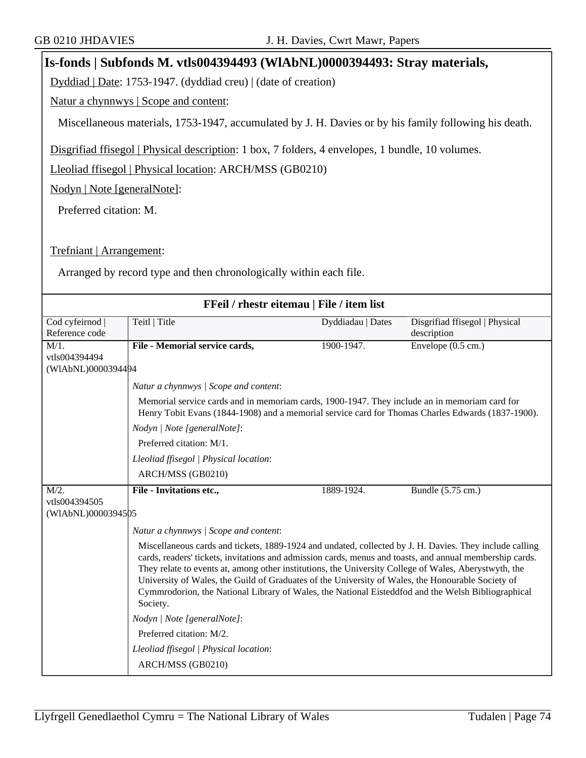## **Is-fonds | Subfonds M. vtls004394493 (WlAbNL)0000394493: Stray materials,**

Dyddiad | Date: 1753-1947. (dyddiad creu) | (date of creation)

Natur a chynnwys | Scope and content:

Miscellaneous materials, 1753-1947, accumulated by J. H. Davies or by his family following his death.

Disgrifiad ffisegol | Physical description: 1 box, 7 folders, 4 envelopes, 1 bundle, 10 volumes.

Lleoliad ffisegol | Physical location: ARCH/MSS (GB0210)

Nodyn | Note [generalNote]:

Preferred citation: M.

Trefniant | Arrangement:

Arranged by record type and then chronologically within each file.

| FFeil / rhestr eitemau   File / item list |                                                                                                                                                                                                                                                                                                                                                                                                                                                                                                                                                     |                   |                                |
|-------------------------------------------|-----------------------------------------------------------------------------------------------------------------------------------------------------------------------------------------------------------------------------------------------------------------------------------------------------------------------------------------------------------------------------------------------------------------------------------------------------------------------------------------------------------------------------------------------------|-------------------|--------------------------------|
| Cod cyfeirnod                             | Teitl   Title                                                                                                                                                                                                                                                                                                                                                                                                                                                                                                                                       | Dyddiadau   Dates | Disgrifiad ffisegol   Physical |
| Reference code                            |                                                                                                                                                                                                                                                                                                                                                                                                                                                                                                                                                     |                   | description                    |
| $M/1$ .                                   | File - Memorial service cards,                                                                                                                                                                                                                                                                                                                                                                                                                                                                                                                      | 1900-1947.        | Envelope $(0.5 \text{ cm.})$   |
| vtls004394494                             |                                                                                                                                                                                                                                                                                                                                                                                                                                                                                                                                                     |                   |                                |
| (WIAbNL)0000394494                        |                                                                                                                                                                                                                                                                                                                                                                                                                                                                                                                                                     |                   |                                |
|                                           | Natur a chynnwys / Scope and content:                                                                                                                                                                                                                                                                                                                                                                                                                                                                                                               |                   |                                |
|                                           | Memorial service cards and in memoriam cards, 1900-1947. They include an in memoriam card for<br>Henry Tobit Evans (1844-1908) and a memorial service card for Thomas Charles Edwards (1837-1900).                                                                                                                                                                                                                                                                                                                                                  |                   |                                |
|                                           | Nodyn   Note [generalNote]:                                                                                                                                                                                                                                                                                                                                                                                                                                                                                                                         |                   |                                |
|                                           | Preferred citation: M/1.                                                                                                                                                                                                                                                                                                                                                                                                                                                                                                                            |                   |                                |
|                                           | Lleoliad ffisegol   Physical location:                                                                                                                                                                                                                                                                                                                                                                                                                                                                                                              |                   |                                |
|                                           | ARCH/MSS (GB0210)                                                                                                                                                                                                                                                                                                                                                                                                                                                                                                                                   |                   |                                |
| $M/2$ .                                   | File - Invitations etc.,                                                                                                                                                                                                                                                                                                                                                                                                                                                                                                                            | 1889-1924.        | Bundle (5.75 cm.)              |
| vtls004394505                             |                                                                                                                                                                                                                                                                                                                                                                                                                                                                                                                                                     |                   |                                |
| (WIAbNL)0000394505                        |                                                                                                                                                                                                                                                                                                                                                                                                                                                                                                                                                     |                   |                                |
|                                           | Natur a chynnwys / Scope and content:                                                                                                                                                                                                                                                                                                                                                                                                                                                                                                               |                   |                                |
|                                           | Miscellaneous cards and tickets, 1889-1924 and undated, collected by J. H. Davies. They include calling<br>cards, readers' tickets, invitations and admission cards, menus and toasts, and annual membership cards.<br>They relate to events at, among other institutions, the University College of Wales, Aberystwyth, the<br>University of Wales, the Guild of Graduates of the University of Wales, the Honourable Society of<br>Cymmrodorion, the National Library of Wales, the National Eisteddfod and the Welsh Bibliographical<br>Society. |                   |                                |
|                                           | Nodyn   Note [generalNote]:                                                                                                                                                                                                                                                                                                                                                                                                                                                                                                                         |                   |                                |
|                                           | Preferred citation: M/2.                                                                                                                                                                                                                                                                                                                                                                                                                                                                                                                            |                   |                                |
|                                           | Lleoliad ffisegol   Physical location:                                                                                                                                                                                                                                                                                                                                                                                                                                                                                                              |                   |                                |
|                                           | ARCH/MSS (GB0210)                                                                                                                                                                                                                                                                                                                                                                                                                                                                                                                                   |                   |                                |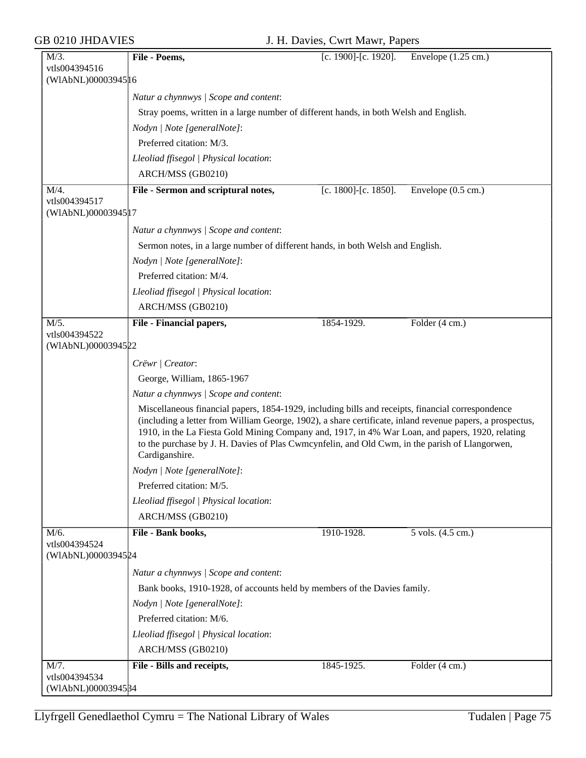| $M/3$ .                              | File - Poems,                                                                                                                                                                                                                                                                                                                                                                                                                          | [c. 1900]-[c. 1920]. | Envelope $(1.25 \text{ cm.})$ |
|--------------------------------------|----------------------------------------------------------------------------------------------------------------------------------------------------------------------------------------------------------------------------------------------------------------------------------------------------------------------------------------------------------------------------------------------------------------------------------------|----------------------|-------------------------------|
| vtls004394516                        |                                                                                                                                                                                                                                                                                                                                                                                                                                        |                      |                               |
| (WIAbNL)0000394516                   |                                                                                                                                                                                                                                                                                                                                                                                                                                        |                      |                               |
|                                      | Natur a chynnwys / Scope and content:                                                                                                                                                                                                                                                                                                                                                                                                  |                      |                               |
|                                      | Stray poems, written in a large number of different hands, in both Welsh and English.                                                                                                                                                                                                                                                                                                                                                  |                      |                               |
|                                      | Nodyn   Note [generalNote]:                                                                                                                                                                                                                                                                                                                                                                                                            |                      |                               |
|                                      | Preferred citation: M/3.                                                                                                                                                                                                                                                                                                                                                                                                               |                      |                               |
|                                      | Lleoliad ffisegol   Physical location:                                                                                                                                                                                                                                                                                                                                                                                                 |                      |                               |
|                                      | ARCH/MSS (GB0210)                                                                                                                                                                                                                                                                                                                                                                                                                      |                      |                               |
| M/4.                                 | File - Sermon and scriptural notes,                                                                                                                                                                                                                                                                                                                                                                                                    | [c. 1800]-[c. 1850]. | Envelope $(0.5 \text{ cm.})$  |
| vtls004394517<br>(WIAbNL)00003945 17 |                                                                                                                                                                                                                                                                                                                                                                                                                                        |                      |                               |
|                                      |                                                                                                                                                                                                                                                                                                                                                                                                                                        |                      |                               |
|                                      | Natur a chynnwys / Scope and content:                                                                                                                                                                                                                                                                                                                                                                                                  |                      |                               |
|                                      | Sermon notes, in a large number of different hands, in both Welsh and English.                                                                                                                                                                                                                                                                                                                                                         |                      |                               |
|                                      | Nodyn   Note [generalNote]:                                                                                                                                                                                                                                                                                                                                                                                                            |                      |                               |
|                                      | Preferred citation: M/4.                                                                                                                                                                                                                                                                                                                                                                                                               |                      |                               |
|                                      | Lleoliad ffisegol   Physical location:                                                                                                                                                                                                                                                                                                                                                                                                 |                      |                               |
|                                      | ARCH/MSS (GB0210)                                                                                                                                                                                                                                                                                                                                                                                                                      |                      |                               |
| M/5.                                 | File - Financial papers,                                                                                                                                                                                                                                                                                                                                                                                                               | 1854-1929.           | Folder $(4 \text{ cm.})$      |
| vtls004394522<br>(WIAbNL)0000394522  |                                                                                                                                                                                                                                                                                                                                                                                                                                        |                      |                               |
|                                      |                                                                                                                                                                                                                                                                                                                                                                                                                                        |                      |                               |
|                                      | Crëwr   Creator:                                                                                                                                                                                                                                                                                                                                                                                                                       |                      |                               |
|                                      | George, William, 1865-1967                                                                                                                                                                                                                                                                                                                                                                                                             |                      |                               |
|                                      | Natur a chynnwys / Scope and content:                                                                                                                                                                                                                                                                                                                                                                                                  |                      |                               |
|                                      | Miscellaneous financial papers, 1854-1929, including bills and receipts, financial correspondence<br>(including a letter from William George, 1902), a share certificate, inland revenue papers, a prospectus,<br>1910, in the La Fiesta Gold Mining Company and, 1917, in 4% War Loan, and papers, 1920, relating<br>to the purchase by J. H. Davies of Plas Cwmcynfelin, and Old Cwm, in the parish of Llangorwen,<br>Cardiganshire. |                      |                               |
|                                      | Nodyn   Note [generalNote]:                                                                                                                                                                                                                                                                                                                                                                                                            |                      |                               |
|                                      | Preferred citation: M/5.                                                                                                                                                                                                                                                                                                                                                                                                               |                      |                               |
|                                      | Lleoliad ffisegol   Physical location:                                                                                                                                                                                                                                                                                                                                                                                                 |                      |                               |
|                                      | ARCH/MSS (GB0210)                                                                                                                                                                                                                                                                                                                                                                                                                      |                      |                               |
| M/6.                                 | File - Bank books,                                                                                                                                                                                                                                                                                                                                                                                                                     | 1910-1928.           | 5 vols. (4.5 cm.)             |
| vtls004394524<br>(WIAbNL)0000394524  |                                                                                                                                                                                                                                                                                                                                                                                                                                        |                      |                               |
|                                      | Natur a chynnwys / Scope and content:                                                                                                                                                                                                                                                                                                                                                                                                  |                      |                               |
|                                      | Bank books, 1910-1928, of accounts held by members of the Davies family.                                                                                                                                                                                                                                                                                                                                                               |                      |                               |
|                                      | Nodyn   Note [generalNote]:                                                                                                                                                                                                                                                                                                                                                                                                            |                      |                               |
|                                      | Preferred citation: M/6.                                                                                                                                                                                                                                                                                                                                                                                                               |                      |                               |
|                                      | Lleoliad ffisegol   Physical location:                                                                                                                                                                                                                                                                                                                                                                                                 |                      |                               |
|                                      | ARCH/MSS (GB0210)                                                                                                                                                                                                                                                                                                                                                                                                                      |                      |                               |
| M/7.                                 | File - Bills and receipts,                                                                                                                                                                                                                                                                                                                                                                                                             | 1845-1925.           | Folder $(4 \text{ cm.})$      |
| vtls004394534                        |                                                                                                                                                                                                                                                                                                                                                                                                                                        |                      |                               |
| (WIAbNL)00003945B4                   |                                                                                                                                                                                                                                                                                                                                                                                                                                        |                      |                               |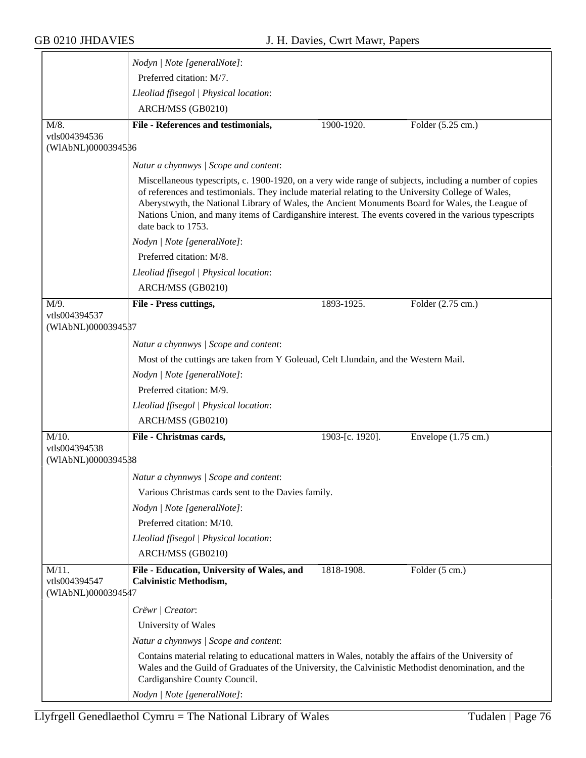|                                                 | Nodyn   Note [generalNote]:                                                                                                                                                                                                                                                                                                                                                                                                                                                      |                 |                               |
|-------------------------------------------------|----------------------------------------------------------------------------------------------------------------------------------------------------------------------------------------------------------------------------------------------------------------------------------------------------------------------------------------------------------------------------------------------------------------------------------------------------------------------------------|-----------------|-------------------------------|
|                                                 | Preferred citation: M/7.                                                                                                                                                                                                                                                                                                                                                                                                                                                         |                 |                               |
|                                                 | Lleoliad ffisegol   Physical location:                                                                                                                                                                                                                                                                                                                                                                                                                                           |                 |                               |
|                                                 | ARCH/MSS (GB0210)                                                                                                                                                                                                                                                                                                                                                                                                                                                                |                 |                               |
| M/8.                                            | File - References and testimonials,                                                                                                                                                                                                                                                                                                                                                                                                                                              | 1900-1920.      | Folder $(5.25 \text{ cm.})$   |
| vtls004394536<br>(WIAbNL)0000394586             |                                                                                                                                                                                                                                                                                                                                                                                                                                                                                  |                 |                               |
|                                                 | Natur a chynnwys / Scope and content:                                                                                                                                                                                                                                                                                                                                                                                                                                            |                 |                               |
|                                                 | Miscellaneous typescripts, c. 1900-1920, on a very wide range of subjects, including a number of copies<br>of references and testimonials. They include material relating to the University College of Wales,<br>Aberystwyth, the National Library of Wales, the Ancient Monuments Board for Wales, the League of<br>Nations Union, and many items of Cardiganshire interest. The events covered in the various typescripts<br>date back to 1753.<br>Nodyn   Note [generalNote]: |                 |                               |
|                                                 |                                                                                                                                                                                                                                                                                                                                                                                                                                                                                  |                 |                               |
|                                                 | Preferred citation: M/8.                                                                                                                                                                                                                                                                                                                                                                                                                                                         |                 |                               |
|                                                 | Lleoliad ffisegol   Physical location:                                                                                                                                                                                                                                                                                                                                                                                                                                           |                 |                               |
|                                                 | ARCH/MSS (GB0210)                                                                                                                                                                                                                                                                                                                                                                                                                                                                |                 |                               |
| M/9.                                            | File - Press cuttings,                                                                                                                                                                                                                                                                                                                                                                                                                                                           | 1893-1925.      | Folder (2.75 cm.)             |
| vtls004394537<br>(WIAbNL)0000394587             |                                                                                                                                                                                                                                                                                                                                                                                                                                                                                  |                 |                               |
|                                                 | Natur a chynnwys / Scope and content:                                                                                                                                                                                                                                                                                                                                                                                                                                            |                 |                               |
|                                                 | Most of the cuttings are taken from Y Goleuad, Celt Llundain, and the Western Mail.                                                                                                                                                                                                                                                                                                                                                                                              |                 |                               |
|                                                 | Nodyn   Note [generalNote]:                                                                                                                                                                                                                                                                                                                                                                                                                                                      |                 |                               |
|                                                 | Preferred citation: M/9.                                                                                                                                                                                                                                                                                                                                                                                                                                                         |                 |                               |
|                                                 | Lleoliad ffisegol   Physical location:                                                                                                                                                                                                                                                                                                                                                                                                                                           |                 |                               |
|                                                 | ARCH/MSS (GB0210)                                                                                                                                                                                                                                                                                                                                                                                                                                                                |                 |                               |
| $M/10$ .                                        | File - Christmas cards,                                                                                                                                                                                                                                                                                                                                                                                                                                                          | 1903-[c. 1920]. | Envelope $(1.75 \text{ cm.})$ |
| vtls004394538                                   |                                                                                                                                                                                                                                                                                                                                                                                                                                                                                  |                 |                               |
| (WIAbNL)0000394588                              |                                                                                                                                                                                                                                                                                                                                                                                                                                                                                  |                 |                               |
|                                                 | Natur a chynnwys / Scope and content:                                                                                                                                                                                                                                                                                                                                                                                                                                            |                 |                               |
|                                                 | Various Christmas cards sent to the Davies family.                                                                                                                                                                                                                                                                                                                                                                                                                               |                 |                               |
|                                                 | Nodyn   Note [generalNote]:                                                                                                                                                                                                                                                                                                                                                                                                                                                      |                 |                               |
|                                                 | Preferred citation: M/10.                                                                                                                                                                                                                                                                                                                                                                                                                                                        |                 |                               |
|                                                 | Lleoliad ffisegol   Physical location:                                                                                                                                                                                                                                                                                                                                                                                                                                           |                 |                               |
|                                                 | ARCH/MSS (GB0210)                                                                                                                                                                                                                                                                                                                                                                                                                                                                |                 |                               |
| $M/11$ .<br>vtls004394547<br>(WIAbNL)00003945#7 | File - Education, University of Wales, and<br><b>Calvinistic Methodism,</b>                                                                                                                                                                                                                                                                                                                                                                                                      | 1818-1908.      | Folder (5 cm.)                |
|                                                 | Crëwr   Creator:                                                                                                                                                                                                                                                                                                                                                                                                                                                                 |                 |                               |
|                                                 | University of Wales                                                                                                                                                                                                                                                                                                                                                                                                                                                              |                 |                               |
|                                                 | Natur a chynnwys / Scope and content:                                                                                                                                                                                                                                                                                                                                                                                                                                            |                 |                               |
|                                                 | Contains material relating to educational matters in Wales, notably the affairs of the University of<br>Wales and the Guild of Graduates of the University, the Calvinistic Methodist denomination, and the<br>Cardiganshire County Council.                                                                                                                                                                                                                                     |                 |                               |
|                                                 | Nodyn   Note [generalNote]:                                                                                                                                                                                                                                                                                                                                                                                                                                                      |                 |                               |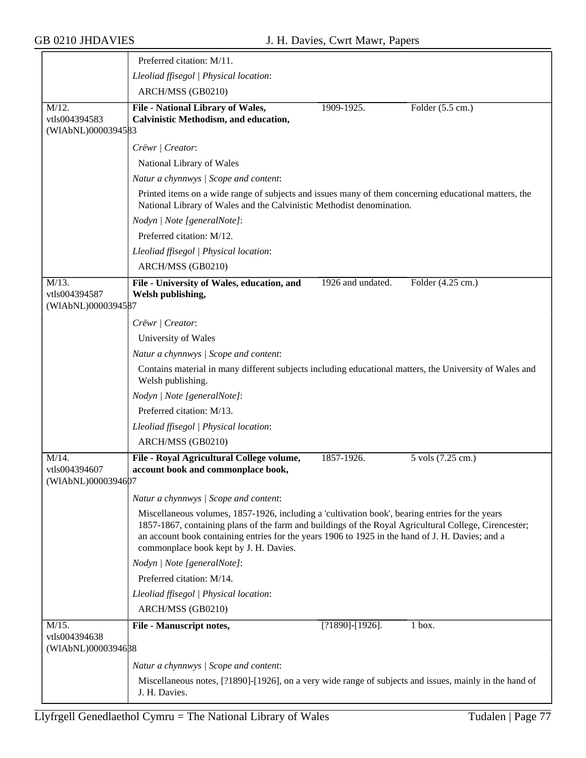|                                                 | Preferred citation: M/11.                                                                                                                                                                                                                                                                                                                              |                            |  |
|-------------------------------------------------|--------------------------------------------------------------------------------------------------------------------------------------------------------------------------------------------------------------------------------------------------------------------------------------------------------------------------------------------------------|----------------------------|--|
|                                                 | Lleoliad ffisegol   Physical location:                                                                                                                                                                                                                                                                                                                 |                            |  |
|                                                 | ARCH/MSS (GB0210)                                                                                                                                                                                                                                                                                                                                      |                            |  |
| $M/12$ .<br>vtls004394583<br>(WIAbNL)0000394583 | <b>File - National Library of Wales,</b><br>1909-1925.<br>Calvinistic Methodism, and education,                                                                                                                                                                                                                                                        | Folder $(5.5 \text{ cm.})$ |  |
|                                                 | Crëwr / Creator:                                                                                                                                                                                                                                                                                                                                       |                            |  |
|                                                 | National Library of Wales                                                                                                                                                                                                                                                                                                                              |                            |  |
|                                                 | Natur a chynnwys / Scope and content:                                                                                                                                                                                                                                                                                                                  |                            |  |
|                                                 | Printed items on a wide range of subjects and issues many of them concerning educational matters, the<br>National Library of Wales and the Calvinistic Methodist denomination.                                                                                                                                                                         |                            |  |
|                                                 | Nodyn   Note [generalNote]:                                                                                                                                                                                                                                                                                                                            |                            |  |
|                                                 | Preferred citation: M/12.                                                                                                                                                                                                                                                                                                                              |                            |  |
|                                                 | Lleoliad ffisegol   Physical location:                                                                                                                                                                                                                                                                                                                 |                            |  |
|                                                 | ARCH/MSS (GB0210)                                                                                                                                                                                                                                                                                                                                      |                            |  |
| $M/13$ .<br>vtls004394587<br>(WIAbNL)0000394587 | 1926 and undated.<br>File - University of Wales, education, and<br>Welsh publishing,                                                                                                                                                                                                                                                                   | Folder (4.25 cm.)          |  |
|                                                 | Crëwr   Creator:                                                                                                                                                                                                                                                                                                                                       |                            |  |
|                                                 | University of Wales                                                                                                                                                                                                                                                                                                                                    |                            |  |
|                                                 | Natur a chynnwys / Scope and content:                                                                                                                                                                                                                                                                                                                  |                            |  |
|                                                 | Contains material in many different subjects including educational matters, the University of Wales and<br>Welsh publishing.                                                                                                                                                                                                                           |                            |  |
|                                                 | Nodyn   Note [generalNote]:                                                                                                                                                                                                                                                                                                                            |                            |  |
|                                                 | Preferred citation: M/13.                                                                                                                                                                                                                                                                                                                              |                            |  |
|                                                 | Lleoliad ffisegol   Physical location:                                                                                                                                                                                                                                                                                                                 |                            |  |
|                                                 | ARCH/MSS (GB0210)                                                                                                                                                                                                                                                                                                                                      |                            |  |
| $M/14$ .<br>vtls004394607<br>(WIAbNL)0000394607 | File - Royal Agricultural College volume,<br>1857-1926.<br>account book and commonplace book,                                                                                                                                                                                                                                                          | 5 vols (7.25 cm.)          |  |
|                                                 | Natur a chynnwys / Scope and content:                                                                                                                                                                                                                                                                                                                  |                            |  |
|                                                 | Miscellaneous volumes, 1857-1926, including a 'cultivation book', bearing entries for the years<br>1857-1867, containing plans of the farm and buildings of the Royal Agricultural College, Cirencester;<br>an account book containing entries for the years 1906 to 1925 in the hand of J. H. Davies; and a<br>commonplace book kept by J. H. Davies. |                            |  |
|                                                 | Nodyn   Note [generalNote]:                                                                                                                                                                                                                                                                                                                            |                            |  |
|                                                 | Preferred citation: M/14.                                                                                                                                                                                                                                                                                                                              |                            |  |
|                                                 | Lleoliad ffisegol   Physical location:                                                                                                                                                                                                                                                                                                                 |                            |  |
|                                                 | ARCH/MSS (GB0210)                                                                                                                                                                                                                                                                                                                                      |                            |  |
| $M/15$ .<br>vtls004394638<br>(WIAbNL)0000394638 | $[?1890] - [1926]$ .<br>File - Manuscript notes,                                                                                                                                                                                                                                                                                                       | 1 box.                     |  |
|                                                 | Natur a chynnwys / Scope and content:                                                                                                                                                                                                                                                                                                                  |                            |  |
|                                                 | Miscellaneous notes, [?1890]-[1926], on a very wide range of subjects and issues, mainly in the hand of<br>J. H. Davies.                                                                                                                                                                                                                               |                            |  |